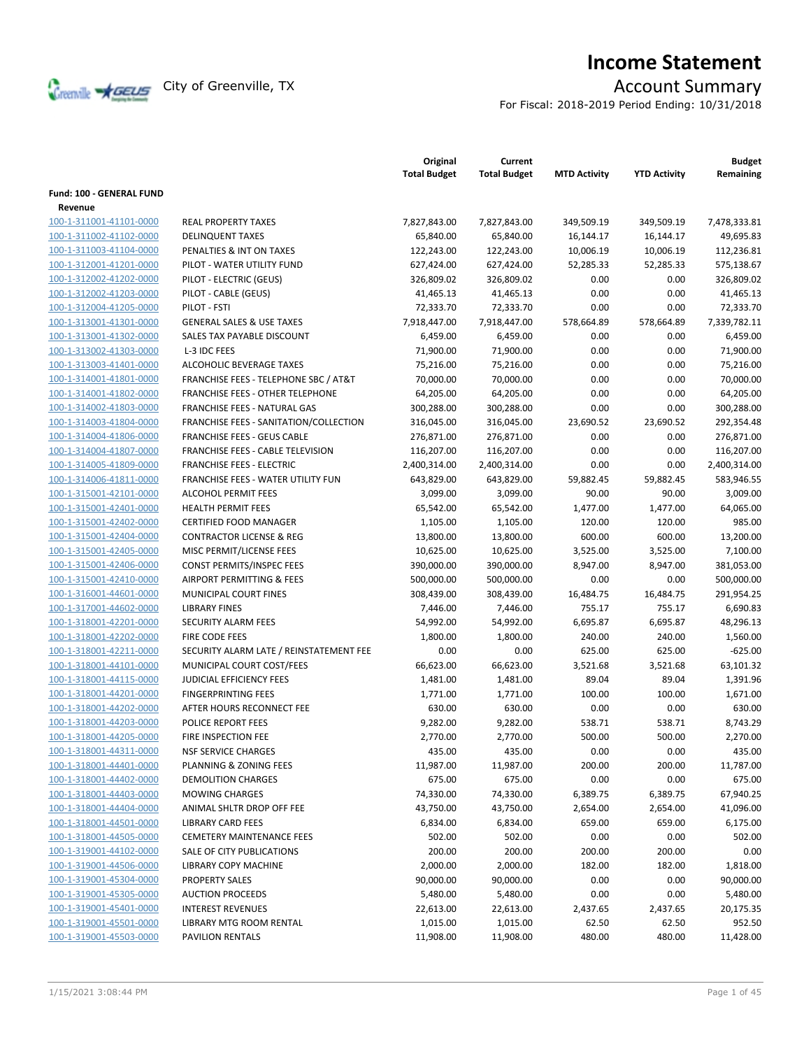

# **Income Statement**

For Fiscal: 2018-2019 Period Ending: 10/31/2018

|                                    |                                                       | Original<br><b>Total Budget</b> | Current<br><b>Total Budget</b> | <b>MTD Activity</b> | <b>YTD Activity</b> | <b>Budget</b><br>Remaining |
|------------------------------------|-------------------------------------------------------|---------------------------------|--------------------------------|---------------------|---------------------|----------------------------|
| Fund: 100 - GENERAL FUND           |                                                       |                                 |                                |                     |                     |                            |
| Revenue<br>100-1-311001-41101-0000 |                                                       |                                 |                                |                     |                     |                            |
| 100-1-311002-41102-0000            | <b>REAL PROPERTY TAXES</b><br><b>DELINQUENT TAXES</b> | 7,827,843.00                    | 7,827,843.00                   | 349,509.19          | 349,509.19          | 7,478,333.81               |
|                                    |                                                       | 65,840.00                       | 65,840.00                      | 16,144.17           | 16,144.17           | 49,695.83                  |
| 100-1-311003-41104-0000            | PENALTIES & INT ON TAXES                              | 122,243.00                      | 122,243.00                     | 10,006.19           | 10,006.19           | 112,236.81                 |
| 100-1-312001-41201-0000            | PILOT - WATER UTILITY FUND                            | 627,424.00                      | 627,424.00                     | 52,285.33           | 52,285.33           | 575,138.67                 |
| 100-1-312002-41202-0000            | PILOT - ELECTRIC (GEUS)                               | 326,809.02                      | 326,809.02                     | 0.00                | 0.00                | 326,809.02                 |
| 100-1-312002-41203-0000            | PILOT - CABLE (GEUS)                                  | 41,465.13                       | 41,465.13                      | 0.00                | 0.00                | 41,465.13<br>72,333.70     |
| 100-1-312004-41205-0000            | PILOT - FSTI                                          | 72,333.70                       | 72,333.70                      | 0.00                | 0.00                |                            |
| 100-1-313001-41301-0000            | <b>GENERAL SALES &amp; USE TAXES</b>                  | 7,918,447.00                    | 7,918,447.00                   | 578,664.89          | 578,664.89          | 7,339,782.11               |
| 100-1-313001-41302-0000            | SALES TAX PAYABLE DISCOUNT                            | 6,459.00                        | 6,459.00                       | 0.00                | 0.00                | 6,459.00                   |
| 100-1-313002-41303-0000            | L-3 IDC FEES                                          | 71,900.00                       | 71,900.00                      | 0.00                | 0.00                | 71,900.00                  |
| 100-1-313003-41401-0000            | ALCOHOLIC BEVERAGE TAXES                              | 75,216.00                       | 75,216.00                      | 0.00                | 0.00                | 75,216.00                  |
| 100-1-314001-41801-0000            | FRANCHISE FEES - TELEPHONE SBC / AT&T                 | 70,000.00                       | 70,000.00                      | 0.00                | 0.00                | 70,000.00                  |
| 100-1-314001-41802-0000            | FRANCHISE FEES - OTHER TELEPHONE                      | 64,205.00                       | 64,205.00                      | 0.00                | 0.00                | 64,205.00                  |
| 100-1-314002-41803-0000            | <b>FRANCHISE FEES - NATURAL GAS</b>                   | 300,288.00                      | 300,288.00                     | 0.00                | 0.00                | 300,288.00                 |
| 100-1-314003-41804-0000            | FRANCHISE FEES - SANITATION/COLLECTION                | 316,045.00                      | 316,045.00                     | 23,690.52           | 23,690.52           | 292,354.48                 |
| 100-1-314004-41806-0000            | <b>FRANCHISE FEES - GEUS CABLE</b>                    | 276,871.00                      | 276,871.00                     | 0.00                | 0.00                | 276,871.00                 |
| 100-1-314004-41807-0000            | FRANCHISE FEES - CABLE TELEVISION                     | 116,207.00                      | 116,207.00                     | 0.00                | 0.00                | 116,207.00                 |
| 100-1-314005-41809-0000            | <b>FRANCHISE FEES - ELECTRIC</b>                      | 2,400,314.00                    | 2,400,314.00                   | 0.00                | 0.00                | 2,400,314.00               |
| 100-1-314006-41811-0000            | <b>FRANCHISE FEES - WATER UTILITY FUN</b>             | 643,829.00                      | 643,829.00                     | 59,882.45           | 59,882.45           | 583,946.55                 |
| 100-1-315001-42101-0000            | <b>ALCOHOL PERMIT FEES</b>                            | 3,099.00                        | 3,099.00                       | 90.00               | 90.00               | 3,009.00                   |
| 100-1-315001-42401-0000            | <b>HEALTH PERMIT FEES</b>                             | 65,542.00                       | 65,542.00                      | 1,477.00            | 1,477.00            | 64,065.00                  |
| 100-1-315001-42402-0000            | <b>CERTIFIED FOOD MANAGER</b>                         | 1,105.00                        | 1,105.00                       | 120.00              | 120.00              | 985.00                     |
| 100-1-315001-42404-0000            | <b>CONTRACTOR LICENSE &amp; REG</b>                   | 13,800.00                       | 13,800.00                      | 600.00              | 600.00              | 13,200.00                  |
| 100-1-315001-42405-0000            | MISC PERMIT/LICENSE FEES                              | 10,625.00                       | 10,625.00                      | 3,525.00            | 3,525.00            | 7,100.00                   |
| 100-1-315001-42406-0000            | CONST PERMITS/INSPEC FEES                             | 390,000.00                      | 390,000.00                     | 8,947.00            | 8,947.00            | 381,053.00                 |
| 100-1-315001-42410-0000            | AIRPORT PERMITTING & FEES                             | 500,000.00                      | 500,000.00                     | 0.00                | 0.00                | 500,000.00                 |
| 100-1-316001-44601-0000            | MUNICIPAL COURT FINES                                 | 308,439.00                      | 308,439.00                     | 16,484.75           | 16,484.75           | 291,954.25                 |
| 100-1-317001-44602-0000            | <b>LIBRARY FINES</b>                                  | 7,446.00                        | 7,446.00                       | 755.17              | 755.17              | 6,690.83                   |
| 100-1-318001-42201-0000            | <b>SECURITY ALARM FEES</b>                            | 54,992.00                       | 54,992.00                      | 6,695.87            | 6,695.87            | 48,296.13                  |
| 100-1-318001-42202-0000            | FIRE CODE FEES                                        | 1,800.00                        | 1,800.00                       | 240.00              | 240.00              | 1,560.00                   |
| 100-1-318001-42211-0000            | SECURITY ALARM LATE / REINSTATEMENT FEE               | 0.00                            | 0.00                           | 625.00              | 625.00              | $-625.00$                  |
| 100-1-318001-44101-0000            | MUNICIPAL COURT COST/FEES                             | 66,623.00                       | 66,623.00                      | 3,521.68            | 3,521.68            | 63,101.32                  |
| 100-1-318001-44115-0000            | <b>JUDICIAL EFFICIENCY FEES</b>                       | 1,481.00                        | 1,481.00                       | 89.04               | 89.04               | 1,391.96                   |
| 100-1-318001-44201-0000            | <b>FINGERPRINTING FEES</b>                            | 1,771.00                        | 1,771.00                       | 100.00              | 100.00              | 1,671.00                   |
| 100-1-318001-44202-0000            | AFTER HOURS RECONNECT FEE                             | 630.00                          | 630.00                         | 0.00                | 0.00                | 630.00                     |
| 100-1-318001-44203-0000            | POLICE REPORT FEES                                    | 9,282.00                        | 9,282.00                       | 538.71              | 538.71              | 8,743.29                   |
| 100-1-318001-44205-0000            | FIRE INSPECTION FEE                                   | 2,770.00                        | 2,770.00                       | 500.00              | 500.00              | 2,270.00                   |
| 100-1-318001-44311-0000            | <b>NSF SERVICE CHARGES</b>                            | 435.00                          | 435.00                         | 0.00                | 0.00                | 435.00                     |
| 100-1-318001-44401-0000            | <b>PLANNING &amp; ZONING FEES</b>                     | 11,987.00                       | 11,987.00                      | 200.00              | 200.00              | 11,787.00                  |
| 100-1-318001-44402-0000            | <b>DEMOLITION CHARGES</b>                             | 675.00                          | 675.00                         | 0.00                | 0.00                | 675.00                     |
| 100-1-318001-44403-0000            | <b>MOWING CHARGES</b>                                 | 74,330.00                       | 74,330.00                      | 6,389.75            | 6,389.75            | 67,940.25                  |
| 100-1-318001-44404-0000            | ANIMAL SHLTR DROP OFF FEE                             | 43,750.00                       | 43,750.00                      | 2,654.00            | 2,654.00            | 41,096.00                  |
| 100-1-318001-44501-0000            | <b>LIBRARY CARD FEES</b>                              | 6,834.00                        | 6,834.00                       | 659.00              | 659.00              | 6,175.00                   |
| 100-1-318001-44505-0000            | <b>CEMETERY MAINTENANCE FEES</b>                      | 502.00                          | 502.00                         | 0.00                | 0.00                | 502.00                     |
| 100-1-319001-44102-0000            | <b>SALE OF CITY PUBLICATIONS</b>                      | 200.00                          | 200.00                         | 200.00              | 200.00              | 0.00                       |
| 100-1-319001-44506-0000            | LIBRARY COPY MACHINE                                  | 2,000.00                        | 2,000.00                       | 182.00              | 182.00              | 1,818.00                   |
| 100-1-319001-45304-0000            | PROPERTY SALES                                        | 90,000.00                       | 90,000.00                      | 0.00                | 0.00                | 90,000.00                  |
| 100-1-319001-45305-0000            | <b>AUCTION PROCEEDS</b>                               | 5,480.00                        | 5,480.00                       | 0.00                | 0.00                | 5,480.00                   |
| 100-1-319001-45401-0000            | <b>INTEREST REVENUES</b>                              | 22,613.00                       | 22,613.00                      | 2,437.65            | 2,437.65            | 20,175.35                  |
| 100-1-319001-45501-0000            | LIBRARY MTG ROOM RENTAL                               | 1,015.00                        | 1,015.00                       | 62.50               | 62.50               | 952.50                     |
| 100-1-319001-45503-0000            | PAVILION RENTALS                                      | 11,908.00                       | 11,908.00                      | 480.00              | 480.00              | 11,428.00                  |
|                                    |                                                       |                                 |                                |                     |                     |                            |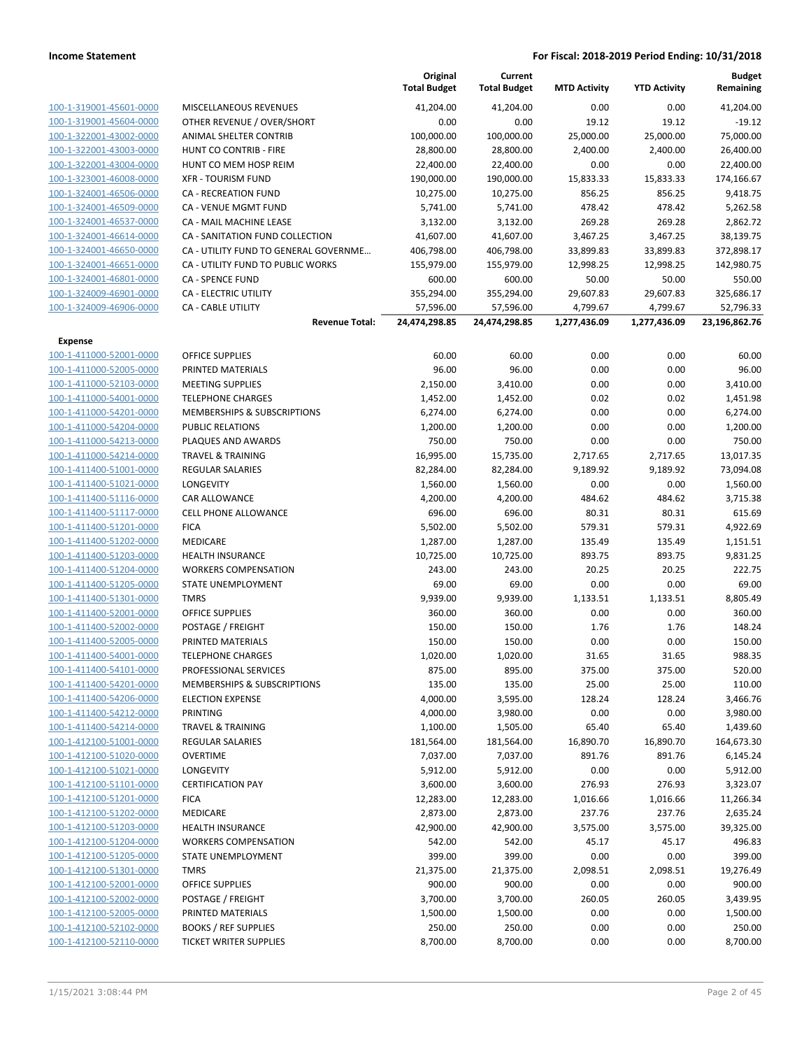|                                                    |                                       | Original<br><b>Total Budget</b> | Current<br><b>Total Budget</b> | <b>MTD Activity</b> | <b>YTD Activity</b> | <b>Budget</b><br>Remaining |
|----------------------------------------------------|---------------------------------------|---------------------------------|--------------------------------|---------------------|---------------------|----------------------------|
| 100-1-319001-45601-0000                            | MISCELLANEOUS REVENUES                | 41,204.00                       | 41,204.00                      | 0.00                | 0.00                | 41,204.00                  |
| 100-1-319001-45604-0000                            | OTHER REVENUE / OVER/SHORT            | 0.00                            | 0.00                           | 19.12               | 19.12               | $-19.12$                   |
| 100-1-322001-43002-0000                            | ANIMAL SHELTER CONTRIB                | 100,000.00                      | 100,000.00                     | 25,000.00           | 25,000.00           | 75,000.00                  |
| 100-1-322001-43003-0000                            | HUNT CO CONTRIB - FIRE                | 28,800.00                       | 28,800.00                      | 2,400.00            | 2,400.00            | 26,400.00                  |
| 100-1-322001-43004-0000                            | HUNT CO MEM HOSP REIM                 | 22,400.00                       | 22,400.00                      | 0.00                | 0.00                | 22,400.00                  |
| 100-1-323001-46008-0000                            | <b>XFR - TOURISM FUND</b>             | 190,000.00                      | 190,000.00                     | 15,833.33           | 15,833.33           | 174,166.67                 |
| 100-1-324001-46506-0000                            | <b>CA - RECREATION FUND</b>           | 10,275.00                       | 10,275.00                      | 856.25              | 856.25              | 9,418.75                   |
| 100-1-324001-46509-0000                            | CA - VENUE MGMT FUND                  | 5,741.00                        | 5,741.00                       | 478.42              | 478.42              | 5,262.58                   |
| 100-1-324001-46537-0000                            | CA - MAIL MACHINE LEASE               | 3,132.00                        | 3,132.00                       | 269.28              | 269.28              | 2,862.72                   |
| 100-1-324001-46614-0000                            | CA - SANITATION FUND COLLECTION       | 41,607.00                       | 41,607.00                      | 3,467.25            | 3,467.25            | 38,139.75                  |
| 100-1-324001-46650-0000                            | CA - UTILITY FUND TO GENERAL GOVERNME | 406,798.00                      | 406,798.00                     | 33,899.83           | 33,899.83           | 372,898.17                 |
| 100-1-324001-46651-0000                            | CA - UTILITY FUND TO PUBLIC WORKS     | 155,979.00                      | 155,979.00                     | 12,998.25           | 12,998.25           | 142,980.75                 |
| 100-1-324001-46801-0000                            | <b>CA - SPENCE FUND</b>               | 600.00                          | 600.00                         | 50.00               | 50.00               | 550.00                     |
| 100-1-324009-46901-0000                            | CA - ELECTRIC UTILITY                 | 355,294.00                      | 355,294.00                     | 29,607.83           | 29,607.83           | 325,686.17                 |
| 100-1-324009-46906-0000                            | CA - CABLE UTILITY                    | 57,596.00                       | 57,596.00                      | 4,799.67            | 4,799.67            | 52,796.33                  |
|                                                    | <b>Revenue Total:</b>                 | 24,474,298.85                   | 24,474,298.85                  | 1,277,436.09        | 1,277,436.09        | 23,196,862.76              |
| <b>Expense</b>                                     |                                       |                                 |                                |                     |                     |                            |
| 100-1-411000-52001-0000                            | <b>OFFICE SUPPLIES</b>                | 60.00                           | 60.00                          | 0.00                | 0.00                | 60.00                      |
| 100-1-411000-52005-0000                            | PRINTED MATERIALS                     | 96.00                           | 96.00                          | 0.00                | 0.00                | 96.00                      |
| 100-1-411000-52103-0000                            | <b>MEETING SUPPLIES</b>               | 2,150.00                        | 3,410.00                       | 0.00                | 0.00                | 3,410.00                   |
| 100-1-411000-54001-0000                            | <b>TELEPHONE CHARGES</b>              | 1,452.00                        | 1,452.00                       | 0.02                | 0.02                | 1,451.98                   |
| 100-1-411000-54201-0000                            | MEMBERSHIPS & SUBSCRIPTIONS           | 6,274.00                        | 6,274.00                       | 0.00                | 0.00                | 6,274.00                   |
| 100-1-411000-54204-0000                            | <b>PUBLIC RELATIONS</b>               | 1,200.00                        | 1,200.00                       | 0.00                | 0.00                | 1,200.00                   |
| 100-1-411000-54213-0000                            | PLAQUES AND AWARDS                    | 750.00                          | 750.00                         | 0.00                | 0.00                | 750.00                     |
| 100-1-411000-54214-0000                            | <b>TRAVEL &amp; TRAINING</b>          | 16,995.00                       | 15,735.00                      | 2,717.65            | 2,717.65            | 13,017.35                  |
| 100-1-411400-51001-0000                            | <b>REGULAR SALARIES</b>               | 82,284.00                       | 82,284.00                      | 9,189.92            | 9,189.92            | 73,094.08                  |
| 100-1-411400-51021-0000<br>100-1-411400-51116-0000 | LONGEVITY<br>CAR ALLOWANCE            | 1,560.00                        | 1,560.00                       | 0.00<br>484.62      | 0.00<br>484.62      | 1,560.00<br>3,715.38       |
| 100-1-411400-51117-0000                            | <b>CELL PHONE ALLOWANCE</b>           | 4,200.00<br>696.00              | 4,200.00<br>696.00             | 80.31               | 80.31               | 615.69                     |
| 100-1-411400-51201-0000                            | <b>FICA</b>                           | 5,502.00                        | 5,502.00                       | 579.31              | 579.31              | 4,922.69                   |
| 100-1-411400-51202-0000                            | MEDICARE                              | 1,287.00                        | 1,287.00                       | 135.49              | 135.49              | 1,151.51                   |
| 100-1-411400-51203-0000                            | <b>HEALTH INSURANCE</b>               | 10,725.00                       | 10,725.00                      | 893.75              | 893.75              | 9,831.25                   |
| 100-1-411400-51204-0000                            | <b>WORKERS COMPENSATION</b>           | 243.00                          | 243.00                         | 20.25               | 20.25               | 222.75                     |
| 100-1-411400-51205-0000                            | <b>STATE UNEMPLOYMENT</b>             | 69.00                           | 69.00                          | 0.00                | 0.00                | 69.00                      |
| 100-1-411400-51301-0000                            | <b>TMRS</b>                           | 9,939.00                        | 9,939.00                       | 1,133.51            | 1,133.51            | 8,805.49                   |
| 100-1-411400-52001-0000                            | <b>OFFICE SUPPLIES</b>                | 360.00                          | 360.00                         | 0.00                | 0.00                | 360.00                     |
| 100-1-411400-52002-0000                            | POSTAGE / FREIGHT                     | 150.00                          | 150.00                         | 1.76                | 1.76                | 148.24                     |
| 100-1-411400-52005-0000                            | PRINTED MATERIALS                     | 150.00                          | 150.00                         | 0.00                | 0.00                | 150.00                     |
| 100-1-411400-54001-0000                            | <b>TELEPHONE CHARGES</b>              | 1,020.00                        | 1,020.00                       | 31.65               | 31.65               | 988.35                     |
| 100-1-411400-54101-0000                            | PROFESSIONAL SERVICES                 | 875.00                          | 895.00                         | 375.00              | 375.00              | 520.00                     |
| 100-1-411400-54201-0000                            | MEMBERSHIPS & SUBSCRIPTIONS           | 135.00                          | 135.00                         | 25.00               | 25.00               | 110.00                     |
| 100-1-411400-54206-0000                            | <b>ELECTION EXPENSE</b>               | 4,000.00                        | 3,595.00                       | 128.24              | 128.24              | 3,466.76                   |
| 100-1-411400-54212-0000                            | <b>PRINTING</b>                       | 4,000.00                        | 3,980.00                       | 0.00                | 0.00                | 3,980.00                   |
| 100-1-411400-54214-0000                            | <b>TRAVEL &amp; TRAINING</b>          | 1,100.00                        | 1,505.00                       | 65.40               | 65.40               | 1,439.60                   |
| 100-1-412100-51001-0000                            | REGULAR SALARIES                      | 181,564.00                      | 181,564.00                     | 16,890.70           | 16,890.70           | 164,673.30                 |
| 100-1-412100-51020-0000                            | <b>OVERTIME</b>                       | 7,037.00                        | 7,037.00                       | 891.76              | 891.76              | 6,145.24                   |
| 100-1-412100-51021-0000                            | LONGEVITY                             | 5,912.00                        | 5,912.00                       | 0.00                | 0.00                | 5,912.00                   |
| 100-1-412100-51101-0000                            | <b>CERTIFICATION PAY</b>              | 3,600.00                        | 3,600.00                       | 276.93              | 276.93              | 3,323.07                   |
| 100-1-412100-51201-0000                            | <b>FICA</b>                           | 12,283.00                       | 12,283.00                      | 1,016.66            | 1,016.66            | 11,266.34                  |
| 100-1-412100-51202-0000                            | MEDICARE                              | 2,873.00                        | 2,873.00                       | 237.76              | 237.76              | 2,635.24                   |
| 100-1-412100-51203-0000                            | <b>HEALTH INSURANCE</b>               | 42,900.00                       | 42,900.00                      | 3,575.00            | 3,575.00            | 39,325.00                  |
| 100-1-412100-51204-0000                            | <b>WORKERS COMPENSATION</b>           | 542.00                          | 542.00                         | 45.17               | 45.17               | 496.83                     |
| 100-1-412100-51205-0000                            | STATE UNEMPLOYMENT                    | 399.00                          | 399.00                         | 0.00                | 0.00                | 399.00                     |
| 100-1-412100-51301-0000                            | <b>TMRS</b>                           | 21,375.00                       | 21,375.00                      | 2,098.51            | 2,098.51            | 19,276.49                  |
| 100-1-412100-52001-0000                            | <b>OFFICE SUPPLIES</b>                | 900.00                          | 900.00                         | 0.00                | 0.00                | 900.00                     |
| 100-1-412100-52002-0000                            | POSTAGE / FREIGHT                     | 3,700.00                        | 3,700.00                       | 260.05              | 260.05              | 3,439.95                   |
| 100-1-412100-52005-0000                            | PRINTED MATERIALS                     | 1,500.00                        | 1,500.00                       | 0.00                | 0.00                | 1,500.00                   |
| 100-1-412100-52102-0000                            | <b>BOOKS / REF SUPPLIES</b>           | 250.00                          | 250.00                         | 0.00                | 0.00                | 250.00                     |
| 100-1-412100-52110-0000                            | <b>TICKET WRITER SUPPLIES</b>         | 8,700.00                        | 8,700.00                       | 0.00                | 0.00                | 8,700.00                   |
|                                                    |                                       |                                 |                                |                     |                     |                            |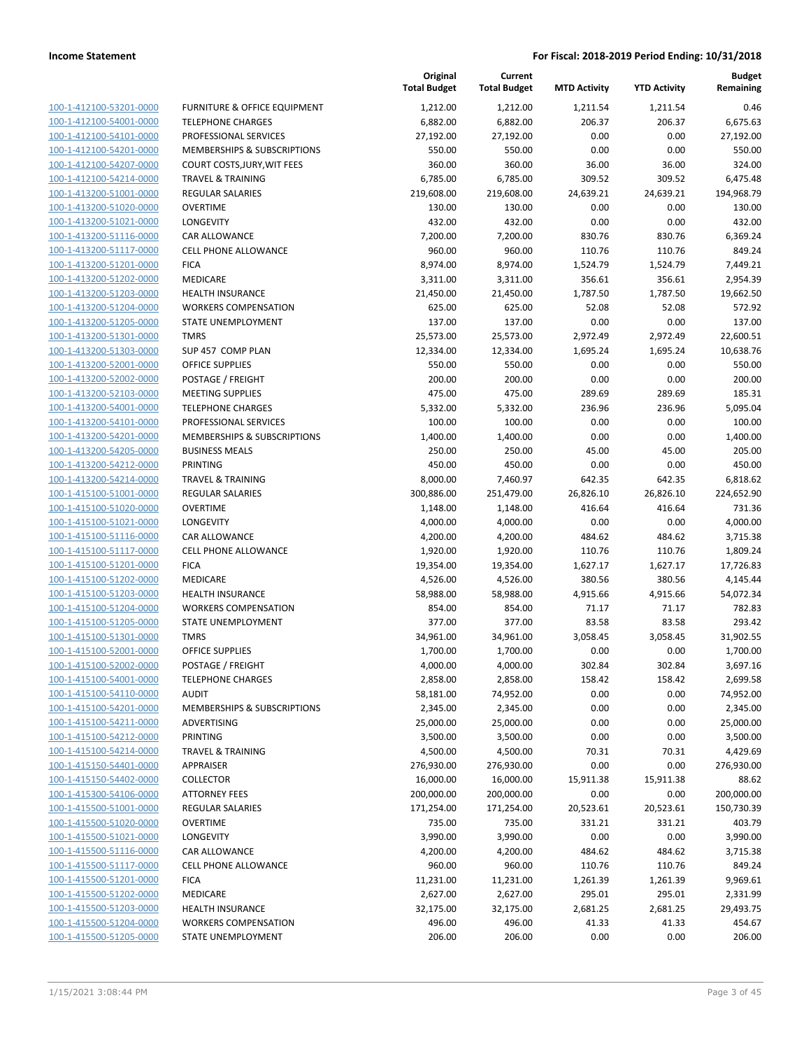| 100-1-412100-53201-0000                                   |
|-----------------------------------------------------------|
| 100-1-412100-54001-0000                                   |
| 100-1-412100-54101-0000                                   |
| 100-1-412100-54201-0000                                   |
| 100-1-412100-54207-0000                                   |
| 100-1-412100-54214-0000                                   |
| 100-1-413200-51001-0000                                   |
| 100-1-413200-51020-0000                                   |
| 100-1-413200-51021-0000                                   |
| 100-1-413200-51116-0000                                   |
| 100-1-413200-51117-0000                                   |
| 100-1-413200-51201-0000                                   |
| 100-1-413200-51202-0000                                   |
| 100-1-413200-51203-0000                                   |
| <u>100-1-413200-51204-0000</u>                            |
| 100-1-413200-51205-0000                                   |
| 100-1-413200-51301-0000                                   |
| 100-1-413200-51303-0000                                   |
| 100-1-413200-52001-0000                                   |
| <u>100-1-413200-52002-0000</u>                            |
| 100-1-413200-52103-0000                                   |
| 100-1-413200-54001-0000                                   |
| 100-1-413200-54101-0000                                   |
| 100-1-413200-54201-0000                                   |
| <u>100-1-413200-54205-0000</u>                            |
| 100-1-413200-54212-0000                                   |
| 100-1-413200-54214-0000                                   |
| 100-1-415100-51001-0000                                   |
| 100-1-415100-51020-0000                                   |
| <u>100-1-415100-51021-0000</u>                            |
| 100-1-415100-51116-0000                                   |
| 100-1-415100-51117-0000                                   |
| 100-1-415100-51201-0000                                   |
| 100-1-415100-51202-0000                                   |
| <u>100-1-415100-51203-0000</u><br>100-1-415100-51204-0000 |
| 100-1-415100-51205-0000                                   |
| 100-1-415100-51301-0000                                   |
| 100-1-415100-52001-0000                                   |
| 100-1-415100-52002-0000                                   |
| 100-1-415100-54001-0000                                   |
| <u>100-1-415100-54110-0000</u>                            |
| 100-1-415100-54201-0000                                   |
| 100-1-415100-54211-0000                                   |
| <u>100-1-415100-54212-0000</u>                            |
| <u>100-1-415100-54214-0000</u>                            |
| <u>100-1-415150-54401-0000</u>                            |
| <u>100-1-415150-54402-0000</u>                            |
| 100-1-415300-54106-0000                                   |
| <u>100-1-415500-51001-0000</u>                            |
| <u>100-1-415500-51020-0000</u>                            |
| 100-1-415500-51021-0000                                   |
| <u>100-1-415500-51116-0000</u>                            |
| <u>100-1-415500-51117-0000</u>                            |
| <u>100-1-415500-51201-0000</u>                            |
| <u>100-1-415500-51202-0000</u>                            |
| <u>100-1-415500-51203-0000</u>                            |
| <u>100-1-415500-51204-0000</u>                            |
| <u>100-1-415500-51205-0000</u>                            |
|                                                           |

|                                                    |                                                        | Original<br><b>Total Budget</b> | Current<br><b>Total Budget</b> | <b>MTD Activity</b> | <b>YTD Activity</b> | <b>Budget</b><br>Remaining |
|----------------------------------------------------|--------------------------------------------------------|---------------------------------|--------------------------------|---------------------|---------------------|----------------------------|
| 100-1-412100-53201-0000                            | FURNITURE & OFFICE EQUIPMENT                           | 1,212.00                        | 1,212.00                       | 1,211.54            | 1,211.54            | 0.46                       |
| 100-1-412100-54001-0000                            | <b>TELEPHONE CHARGES</b>                               | 6,882.00                        | 6,882.00                       | 206.37              | 206.37              | 6,675.63                   |
| 100-1-412100-54101-0000                            | PROFESSIONAL SERVICES                                  | 27,192.00                       | 27,192.00                      | 0.00                | 0.00                | 27,192.00                  |
| 100-1-412100-54201-0000                            | MEMBERSHIPS & SUBSCRIPTIONS                            | 550.00                          | 550.00                         | 0.00                | 0.00                | 550.00                     |
| 100-1-412100-54207-0000                            | COURT COSTS, JURY, WIT FEES                            | 360.00                          | 360.00                         | 36.00               | 36.00               | 324.00                     |
| 100-1-412100-54214-0000                            | TRAVEL & TRAINING                                      | 6,785.00                        | 6,785.00                       | 309.52              | 309.52              | 6,475.48                   |
| 100-1-413200-51001-0000                            | <b>REGULAR SALARIES</b>                                | 219,608.00                      | 219,608.00                     | 24,639.21           | 24,639.21           | 194,968.79                 |
| 100-1-413200-51020-0000                            | <b>OVERTIME</b>                                        | 130.00                          | 130.00                         | 0.00                | 0.00                | 130.00                     |
| 100-1-413200-51021-0000                            | LONGEVITY                                              | 432.00                          | 432.00                         | 0.00                | 0.00                | 432.00                     |
| 100-1-413200-51116-0000                            | CAR ALLOWANCE                                          | 7,200.00                        | 7,200.00                       | 830.76              | 830.76              | 6,369.24                   |
| 100-1-413200-51117-0000                            | <b>CELL PHONE ALLOWANCE</b>                            | 960.00                          | 960.00                         | 110.76              | 110.76              | 849.24                     |
| 100-1-413200-51201-0000                            | <b>FICA</b>                                            | 8,974.00                        | 8,974.00                       | 1,524.79            | 1,524.79            | 7,449.21                   |
| 100-1-413200-51202-0000                            | <b>MEDICARE</b>                                        | 3,311.00                        | 3,311.00                       | 356.61              | 356.61              | 2,954.39                   |
| 100-1-413200-51203-0000                            | <b>HEALTH INSURANCE</b>                                | 21,450.00                       | 21,450.00                      | 1,787.50            | 1,787.50            | 19,662.50                  |
| 100-1-413200-51204-0000                            | <b>WORKERS COMPENSATION</b>                            | 625.00                          | 625.00                         | 52.08               | 52.08               | 572.92                     |
| 100-1-413200-51205-0000                            | STATE UNEMPLOYMENT                                     | 137.00                          | 137.00                         | 0.00                | 0.00                | 137.00                     |
| 100-1-413200-51301-0000                            | <b>TMRS</b>                                            | 25,573.00                       | 25,573.00                      | 2,972.49            | 2,972.49            | 22,600.51                  |
| 100-1-413200-51303-0000                            | SUP 457 COMP PLAN                                      | 12,334.00                       | 12,334.00                      | 1,695.24            | 1,695.24            | 10,638.76                  |
| 100-1-413200-52001-0000                            | <b>OFFICE SUPPLIES</b>                                 | 550.00                          | 550.00                         | 0.00                | 0.00                | 550.00                     |
| 100-1-413200-52002-0000                            | POSTAGE / FREIGHT                                      | 200.00                          | 200.00                         | 0.00                | 0.00                | 200.00                     |
| 100-1-413200-52103-0000                            | <b>MEETING SUPPLIES</b>                                | 475.00                          | 475.00                         | 289.69              | 289.69              | 185.31                     |
| 100-1-413200-54001-0000                            | <b>TELEPHONE CHARGES</b>                               | 5,332.00                        | 5,332.00                       | 236.96              | 236.96              | 5,095.04                   |
| 100-1-413200-54101-0000                            | PROFESSIONAL SERVICES                                  | 100.00                          | 100.00                         | 0.00                | 0.00                | 100.00                     |
| 100-1-413200-54201-0000                            | MEMBERSHIPS & SUBSCRIPTIONS                            | 1,400.00                        | 1,400.00                       | 0.00                | 0.00                | 1,400.00                   |
| 100-1-413200-54205-0000                            | <b>BUSINESS MEALS</b>                                  | 250.00                          | 250.00                         | 45.00               | 45.00               | 205.00                     |
| 100-1-413200-54212-0000                            | <b>PRINTING</b>                                        | 450.00                          | 450.00                         | 0.00                | 0.00                | 450.00                     |
| 100-1-413200-54214-0000                            | <b>TRAVEL &amp; TRAINING</b>                           | 8,000.00                        | 7,460.97                       | 642.35              | 642.35              | 6,818.62                   |
| 100-1-415100-51001-0000                            | <b>REGULAR SALARIES</b>                                | 300,886.00                      | 251,479.00                     | 26,826.10           | 26,826.10           | 224,652.90                 |
| 100-1-415100-51020-0000                            | <b>OVERTIME</b>                                        | 1,148.00                        | 1,148.00                       | 416.64              | 416.64              | 731.36                     |
| 100-1-415100-51021-0000                            | LONGEVITY                                              | 4,000.00                        | 4,000.00                       | 0.00                | 0.00                | 4,000.00                   |
| 100-1-415100-51116-0000                            | CAR ALLOWANCE                                          | 4,200.00                        | 4,200.00                       | 484.62              | 484.62              | 3,715.38                   |
| 100-1-415100-51117-0000                            | <b>CELL PHONE ALLOWANCE</b>                            | 1,920.00                        | 1,920.00                       | 110.76              | 110.76              | 1,809.24                   |
| 100-1-415100-51201-0000                            | <b>FICA</b>                                            | 19,354.00                       | 19,354.00                      | 1,627.17            | 1,627.17            | 17,726.83                  |
| 100-1-415100-51202-0000                            | <b>MEDICARE</b>                                        | 4,526.00                        | 4,526.00                       | 380.56              | 380.56              | 4,145.44                   |
| 100-1-415100-51203-0000                            | <b>HEALTH INSURANCE</b>                                | 58,988.00                       | 58,988.00                      | 4,915.66            | 4,915.66            | 54,072.34                  |
| 100-1-415100-51204-0000                            | <b>WORKERS COMPENSATION</b>                            | 854.00                          | 854.00                         | 71.17               | 71.17               | 782.83                     |
| 100-1-415100-51205-0000                            | STATE UNEMPLOYMENT                                     | 377.00                          | 377.00                         | 83.58               | 83.58               | 293.42                     |
| 100-1-415100-51301-0000                            | <b>TMRS</b>                                            | 34,961.00                       | 34,961.00                      | 3,058.45            | 3,058.45            | 31,902.55                  |
| 100-1-415100-52001-0000                            | OFFICE SUPPLIES                                        | 1,700.00                        | 1,700.00                       | 0.00                | 0.00                | 1,700.00                   |
| <u>100-1-415100-52002-0000</u>                     | POSTAGE / FREIGHT                                      | 4,000.00                        | 4,000.00                       | 302.84              | 302.84              | 3,697.16                   |
| 100-1-415100-54001-0000                            | <b>TELEPHONE CHARGES</b>                               | 2,858.00                        | 2,858.00                       | 158.42              | 158.42              | 2,699.58                   |
| 100-1-415100-54110-0000                            | <b>AUDIT</b><br><b>MEMBERSHIPS &amp; SUBSCRIPTIONS</b> | 58,181.00                       | 74,952.00                      | 0.00                | 0.00                | 74,952.00                  |
| 100-1-415100-54201-0000                            | <b>ADVERTISING</b>                                     | 2,345.00                        | 2,345.00                       | 0.00                | 0.00                | 2,345.00                   |
| 100-1-415100-54211-0000<br>100-1-415100-54212-0000 | PRINTING                                               | 25,000.00                       | 25,000.00                      | 0.00<br>0.00        | 0.00<br>0.00        | 25,000.00                  |
| 100-1-415100-54214-0000                            | <b>TRAVEL &amp; TRAINING</b>                           | 3,500.00                        | 3,500.00                       |                     |                     | 3,500.00                   |
|                                                    | APPRAISER                                              | 4,500.00<br>276,930.00          | 4,500.00                       | 70.31               | 70.31               | 4,429.69                   |
| 100-1-415150-54401-0000<br>100-1-415150-54402-0000 | <b>COLLECTOR</b>                                       | 16,000.00                       | 276,930.00                     | 0.00                | 0.00                | 276,930.00                 |
| 100-1-415300-54106-0000                            | <b>ATTORNEY FEES</b>                                   |                                 | 16,000.00<br>200,000.00        | 15,911.38           | 15,911.38           | 88.62<br>200,000.00        |
| 100-1-415500-51001-0000                            | <b>REGULAR SALARIES</b>                                | 200,000.00<br>171,254.00        |                                | 0.00<br>20,523.61   | 0.00<br>20,523.61   | 150,730.39                 |
| 100-1-415500-51020-0000                            | <b>OVERTIME</b>                                        | 735.00                          | 171,254.00<br>735.00           | 331.21              | 331.21              | 403.79                     |
| 100-1-415500-51021-0000                            | LONGEVITY                                              | 3,990.00                        | 3,990.00                       | 0.00                | 0.00                | 3,990.00                   |
|                                                    |                                                        |                                 | 4,200.00                       |                     |                     |                            |
| 100-1-415500-51116-0000<br>100-1-415500-51117-0000 | CAR ALLOWANCE<br>CELL PHONE ALLOWANCE                  | 4,200.00                        |                                | 484.62              | 484.62              | 3,715.38                   |
|                                                    |                                                        | 960.00                          | 960.00                         | 110.76              | 110.76              | 849.24                     |
| 100-1-415500-51201-0000                            | <b>FICA</b>                                            | 11,231.00                       | 11,231.00                      | 1,261.39            | 1,261.39            | 9,969.61                   |
| 100-1-415500-51202-0000                            | MEDICARE                                               | 2,627.00                        | 2,627.00                       | 295.01              | 295.01              | 2,331.99                   |
| 100-1-415500-51203-0000                            | <b>HEALTH INSURANCE</b>                                | 32,175.00                       | 32,175.00                      | 2,681.25            | 2,681.25            | 29,493.75                  |
| 100-1-415500-51204-0000                            | <b>WORKERS COMPENSATION</b>                            | 496.00                          | 496.00                         | 41.33               | 41.33               | 454.67                     |
| 100-1-415500-51205-0000                            | STATE UNEMPLOYMENT                                     | 206.00                          | 206.00                         | 0.00                | 0.00                | 206.00                     |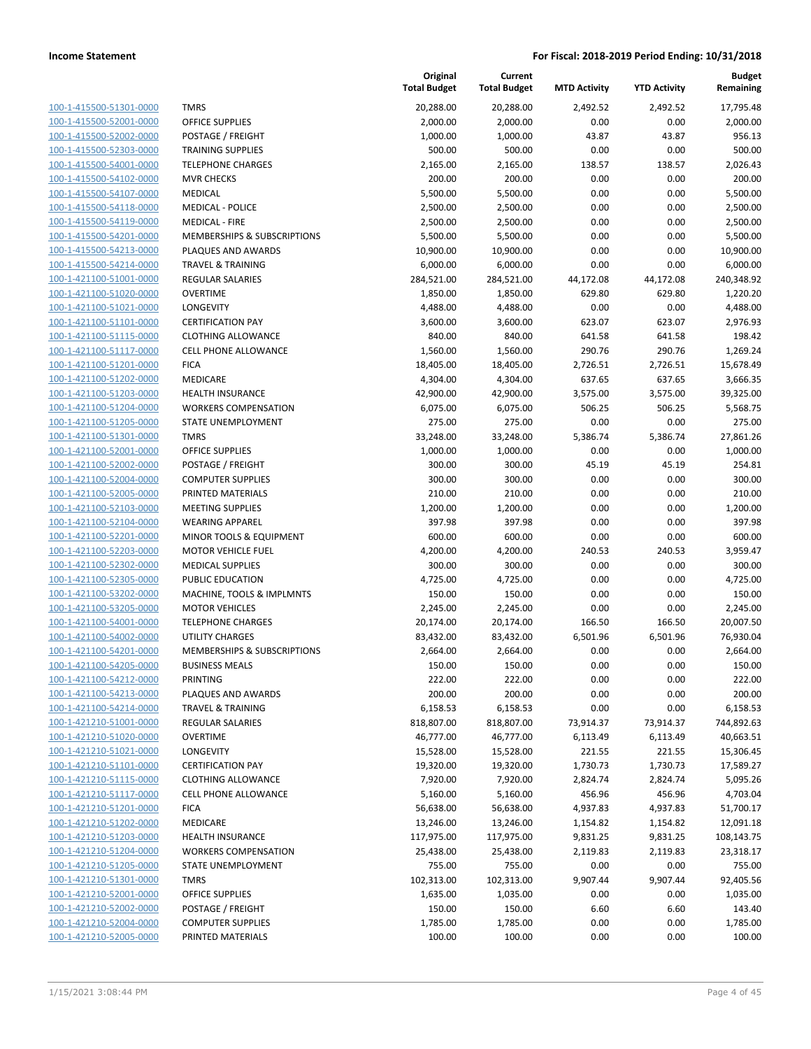| 100-1-415500-51301-0000                            |
|----------------------------------------------------|
| 100-1-415500-52001-0000                            |
| 100-1-415500-52002-0000                            |
| <u>100-1-415500-52303-0000</u>                     |
| 100-1-415500-54001-0000                            |
| 100-1-415500-54102-0000                            |
| 100-1-415500-54107-0000                            |
| 100-1-415500-54118-0000                            |
| <u>100-1-415500-54119-0000</u>                     |
| 100-1-415500-54201-0000                            |
| 100-1-415500-54213-0000                            |
| 100-1-415500-54214-0000                            |
| 100-1-421100-51001-0000                            |
| <u>100-1-421100-51020-0000</u>                     |
| 100-1-421100-51021-0000                            |
| 100-1-421100-51101-0000                            |
|                                                    |
| 100-1-421100-51115-0000<br>100-1-421100-51117-0000 |
|                                                    |
| <u>100-1-421100-51201-0000</u>                     |
| 100-1-421100-51202-0000                            |
| 100-1-421100-51203-0000                            |
| 100-1-421100-51204-0000                            |
| 100-1-421100-51205-0000                            |
| <u>100-1-421100-51301-0000</u>                     |
| 100-1-421100-52001-0000                            |
| 100-1-421100-52002-0000                            |
| 100-1-421100-52004-0000                            |
| 100-1-421100-52005-0000                            |
| <u>100-1-421100-52103-0000</u>                     |
| 100-1-421100-52104-0000                            |
| 100-1-421100-52201-0000                            |
| 100-1-421100-52203-0000                            |
| 100-1-421100-52302-0000                            |
| <u>100-1-421100-52305-0000</u>                     |
| <u>100-1-421100-53202-0000</u>                     |
| 100-1-421100-53205-0000                            |
| 100-1-421100-54001-0000                            |
| 100-1-421100-54002-0000                            |
| 100-1-421100-54201-0000                            |
| 100-1-421100-54205-0000                            |
| 100-1-421100-54212-0000                            |
| 100-1-421100-54213-0000                            |
| 100-1-421100-54214-0000                            |
| 100-1-421210-51001-0000                            |
|                                                    |
| 100-1-421210-51020-0000                            |
| 100-1-421210-51021-0000                            |
| 100-1-421210-51101-0000                            |
| 100-1-421210-51115-0000                            |
| 100-1-421210-51117-0000                            |
| 100-1-421210-51201-0000                            |
| 100-1-421210-51202-0000                            |
| 100-1-421210-51203-0000                            |
| 100-1-421210-51204-0000                            |
| 100-1-421210-51205-0000                            |
| <u>100-1-421210-51301-0000</u>                     |
| <u>100-1-421210-52001-0000</u>                     |
| 100-1-421210-52002-0000                            |
| 100-1-421210-52004-0000                            |
| 100-1-421210-52005-0000                            |
|                                                    |

|                         |                              | Original<br><b>Total Budget</b> | Current<br><b>Total Budget</b> | <b>MTD Activity</b> | <b>YTD Activity</b> | <b>Budget</b><br>Remaining |
|-------------------------|------------------------------|---------------------------------|--------------------------------|---------------------|---------------------|----------------------------|
| 100-1-415500-51301-0000 | <b>TMRS</b>                  | 20,288.00                       | 20,288.00                      | 2,492.52            | 2,492.52            | 17,795.48                  |
| 100-1-415500-52001-0000 | <b>OFFICE SUPPLIES</b>       | 2,000.00                        | 2,000.00                       | 0.00                | 0.00                | 2,000.00                   |
| 100-1-415500-52002-0000 | POSTAGE / FREIGHT            | 1,000.00                        | 1,000.00                       | 43.87               | 43.87               | 956.13                     |
| 100-1-415500-52303-0000 | <b>TRAINING SUPPLIES</b>     | 500.00                          | 500.00                         | 0.00                | 0.00                | 500.00                     |
| 100-1-415500-54001-0000 | <b>TELEPHONE CHARGES</b>     | 2,165.00                        | 2,165.00                       | 138.57              | 138.57              | 2,026.43                   |
| 100-1-415500-54102-0000 | <b>MVR CHECKS</b>            | 200.00                          | 200.00                         | 0.00                | 0.00                | 200.00                     |
| 100-1-415500-54107-0000 | MEDICAL                      | 5,500.00                        | 5,500.00                       | 0.00                | 0.00                | 5,500.00                   |
| 100-1-415500-54118-0000 | <b>MEDICAL - POLICE</b>      | 2,500.00                        | 2,500.00                       | 0.00                | 0.00                | 2,500.00                   |
| 100-1-415500-54119-0000 | <b>MEDICAL - FIRE</b>        | 2,500.00                        | 2,500.00                       | 0.00                | 0.00                | 2,500.00                   |
| 100-1-415500-54201-0000 | MEMBERSHIPS & SUBSCRIPTIONS  | 5,500.00                        | 5,500.00                       | 0.00                | 0.00                | 5,500.00                   |
| 100-1-415500-54213-0000 | PLAQUES AND AWARDS           | 10,900.00                       | 10,900.00                      | 0.00                | 0.00                | 10,900.00                  |
| 100-1-415500-54214-0000 | <b>TRAVEL &amp; TRAINING</b> | 6,000.00                        | 6,000.00                       | 0.00                | 0.00                | 6,000.00                   |
| 100-1-421100-51001-0000 | <b>REGULAR SALARIES</b>      | 284,521.00                      | 284,521.00                     | 44,172.08           | 44,172.08           | 240,348.92                 |
| 100-1-421100-51020-0000 | <b>OVERTIME</b>              | 1,850.00                        | 1,850.00                       | 629.80              | 629.80              | 1,220.20                   |
| 100-1-421100-51021-0000 | LONGEVITY                    | 4,488.00                        | 4,488.00                       | 0.00                | 0.00                | 4,488.00                   |
| 100-1-421100-51101-0000 | <b>CERTIFICATION PAY</b>     | 3,600.00                        | 3,600.00                       | 623.07              | 623.07              | 2,976.93                   |
| 100-1-421100-51115-0000 | <b>CLOTHING ALLOWANCE</b>    | 840.00                          | 840.00                         | 641.58              | 641.58              | 198.42                     |
| 100-1-421100-51117-0000 | CELL PHONE ALLOWANCE         | 1,560.00                        | 1,560.00                       | 290.76              | 290.76              | 1,269.24                   |
| 100-1-421100-51201-0000 | <b>FICA</b>                  | 18,405.00                       | 18,405.00                      | 2,726.51            | 2,726.51            | 15,678.49                  |
| 100-1-421100-51202-0000 | <b>MEDICARE</b>              | 4,304.00                        | 4,304.00                       | 637.65              | 637.65              | 3,666.35                   |
| 100-1-421100-51203-0000 | <b>HEALTH INSURANCE</b>      | 42,900.00                       | 42,900.00                      | 3,575.00            | 3,575.00            | 39,325.00                  |
| 100-1-421100-51204-0000 | <b>WORKERS COMPENSATION</b>  | 6,075.00                        | 6,075.00                       | 506.25              | 506.25              | 5,568.75                   |
| 100-1-421100-51205-0000 | STATE UNEMPLOYMENT           | 275.00                          | 275.00                         | 0.00                | 0.00                | 275.00                     |
| 100-1-421100-51301-0000 | <b>TMRS</b>                  | 33,248.00                       | 33,248.00                      | 5,386.74            | 5,386.74            | 27,861.26                  |
| 100-1-421100-52001-0000 | <b>OFFICE SUPPLIES</b>       | 1,000.00                        | 1,000.00                       | 0.00                | 0.00                | 1,000.00                   |
| 100-1-421100-52002-0000 | POSTAGE / FREIGHT            | 300.00                          | 300.00                         | 45.19               | 45.19               | 254.81                     |
| 100-1-421100-52004-0000 | <b>COMPUTER SUPPLIES</b>     | 300.00                          | 300.00                         | 0.00                | 0.00                | 300.00                     |
| 100-1-421100-52005-0000 | PRINTED MATERIALS            | 210.00                          | 210.00                         | 0.00                | 0.00                | 210.00                     |
| 100-1-421100-52103-0000 | <b>MEETING SUPPLIES</b>      | 1,200.00                        | 1,200.00                       | 0.00                | 0.00                | 1,200.00                   |
| 100-1-421100-52104-0000 | <b>WEARING APPAREL</b>       | 397.98                          | 397.98                         | 0.00                | 0.00                | 397.98                     |
| 100-1-421100-52201-0000 | MINOR TOOLS & EQUIPMENT      | 600.00                          | 600.00                         | 0.00                | 0.00                | 600.00                     |
| 100-1-421100-52203-0000 | <b>MOTOR VEHICLE FUEL</b>    | 4,200.00                        | 4,200.00                       | 240.53              | 240.53              | 3,959.47                   |
| 100-1-421100-52302-0000 | <b>MEDICAL SUPPLIES</b>      | 300.00                          | 300.00                         | 0.00                | 0.00                | 300.00                     |
| 100-1-421100-52305-0000 | PUBLIC EDUCATION             | 4,725.00                        | 4,725.00                       | 0.00                | 0.00                | 4,725.00                   |
| 100-1-421100-53202-0000 | MACHINE, TOOLS & IMPLMNTS    | 150.00                          | 150.00                         | 0.00                | 0.00                | 150.00                     |
| 100-1-421100-53205-0000 | <b>MOTOR VEHICLES</b>        | 2,245.00                        | 2,245.00                       | 0.00                | 0.00                | 2,245.00                   |
| 100-1-421100-54001-0000 | <b>TELEPHONE CHARGES</b>     | 20,174.00                       | 20,174.00                      | 166.50              | 166.50              | 20,007.50                  |
| 100-1-421100-54002-0000 | <b>UTILITY CHARGES</b>       | 83,432.00                       | 83,432.00                      | 6,501.96            | 6,501.96            | 76,930.04                  |
| 100-1-421100-54201-0000 | MEMBERSHIPS & SUBSCRIPTIONS  | 2,664.00                        | 2,664.00                       | 0.00                | 0.00                | 2,664.00                   |
| 100-1-421100-54205-0000 | <b>BUSINESS MEALS</b>        | 150.00                          | 150.00                         | 0.00                | 0.00                | 150.00                     |
| 100-1-421100-54212-0000 | PRINTING                     | 222.00                          | 222.00                         | 0.00                | 0.00                | 222.00                     |
| 100-1-421100-54213-0000 | PLAQUES AND AWARDS           | 200.00                          | 200.00                         | 0.00                | 0.00                | 200.00                     |
| 100-1-421100-54214-0000 | <b>TRAVEL &amp; TRAINING</b> | 6,158.53                        | 6,158.53                       | 0.00                | 0.00                | 6,158.53                   |
| 100-1-421210-51001-0000 | REGULAR SALARIES             | 818,807.00                      | 818,807.00                     | 73,914.37           | 73,914.37           | 744,892.63                 |
| 100-1-421210-51020-0000 | <b>OVERTIME</b>              | 46,777.00                       | 46,777.00                      | 6,113.49            | 6,113.49            | 40,663.51                  |
| 100-1-421210-51021-0000 | LONGEVITY                    | 15,528.00                       | 15,528.00                      | 221.55              | 221.55              | 15,306.45                  |
| 100-1-421210-51101-0000 | <b>CERTIFICATION PAY</b>     | 19,320.00                       | 19,320.00                      | 1,730.73            | 1,730.73            | 17,589.27                  |
| 100-1-421210-51115-0000 | <b>CLOTHING ALLOWANCE</b>    | 7,920.00                        | 7,920.00                       | 2,824.74            | 2,824.74            | 5,095.26                   |
| 100-1-421210-51117-0000 | <b>CELL PHONE ALLOWANCE</b>  | 5,160.00                        | 5,160.00                       | 456.96              | 456.96              | 4,703.04                   |
| 100-1-421210-51201-0000 | <b>FICA</b>                  | 56,638.00                       | 56,638.00                      | 4,937.83            | 4,937.83            | 51,700.17                  |
| 100-1-421210-51202-0000 | MEDICARE                     | 13,246.00                       | 13,246.00                      | 1,154.82            | 1,154.82            | 12,091.18                  |
| 100-1-421210-51203-0000 | <b>HEALTH INSURANCE</b>      | 117,975.00                      | 117,975.00                     | 9,831.25            | 9,831.25            | 108,143.75                 |
| 100-1-421210-51204-0000 | <b>WORKERS COMPENSATION</b>  | 25,438.00                       | 25,438.00                      | 2,119.83            | 2,119.83            | 23,318.17                  |
| 100-1-421210-51205-0000 | STATE UNEMPLOYMENT           | 755.00                          | 755.00                         | 0.00                | 0.00                | 755.00                     |
| 100-1-421210-51301-0000 | <b>TMRS</b>                  | 102,313.00                      | 102,313.00                     | 9,907.44            | 9,907.44            | 92,405.56                  |
| 100-1-421210-52001-0000 | <b>OFFICE SUPPLIES</b>       | 1,635.00                        | 1,035.00                       | 0.00                | 0.00                | 1,035.00                   |
| 100-1-421210-52002-0000 | POSTAGE / FREIGHT            | 150.00                          | 150.00                         | 6.60                | 6.60                | 143.40                     |
| 100-1-421210-52004-0000 | <b>COMPUTER SUPPLIES</b>     | 1,785.00                        | 1,785.00                       | 0.00                | 0.00                | 1,785.00                   |
| 100-1-421210-52005-0000 | PRINTED MATERIALS            | 100.00                          | 100.00                         | 0.00                | 0.00                | 100.00                     |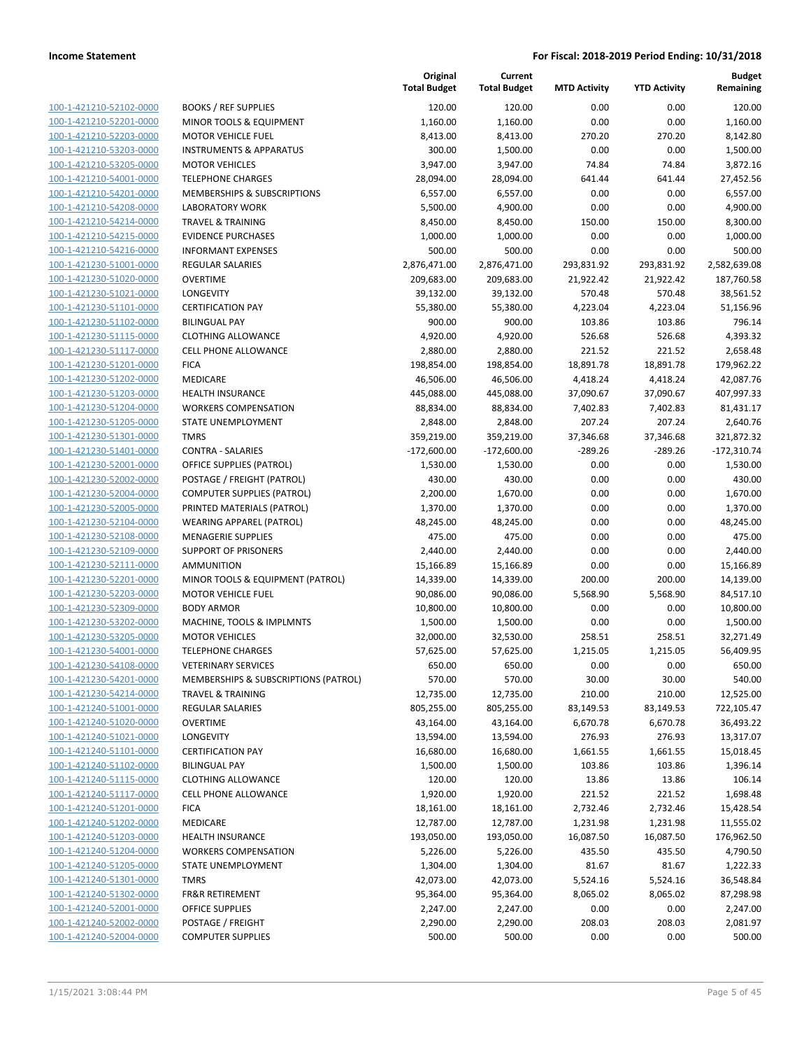| 100-1-421210-52102-0000        |
|--------------------------------|
| 100-1-421210-52201-0000        |
| 100-1-421210-52203-0000        |
| <u>100-1-421210-53203-0000</u> |
| 100-1-421210-53205-0000        |
| 100-1-421210-54001-0000        |
| 100-1-421210-54201-0000        |
| <u>100-1-421210-54208-0000</u> |
| <u>100-1-421210-54214-0000</u> |
| 100-1-421210-54215-0000        |
| 100-1-421210-54216-0000        |
| 100-1-421230-51001-0000        |
|                                |
| <u>100-1-421230-51020-0000</u> |
| <u>100-1-421230-51021-0000</u> |
| <u>100-1-421230-51101-0000</u> |
| 100-1-421230-51102-0000        |
| 100-1-421230-51115-0000        |
| <u>100-1-421230-51117-0000</u> |
| 100-1-421230-51201-0000        |
| <u>100-1-421230-51202-0000</u> |
| 100-1-421230-51203-0000        |
| 100-1-421230-51204-0000        |
| <u>100-1-421230-51205-0000</u> |
| 100-1-421230-51301-0000        |
| <u>100-1-421230-51401-0000</u> |
| 100-1-421230-52001-0000        |
| 100-1-421230-52002-0000        |
| <u>100-1-421230-52004-0000</u> |
| <u>100-1-421230-52005-0000</u> |
| <u>100-1-421230-52104-0000</u> |
| 100-1-421230-52108-0000        |
| 100-1-421230-52109-0000        |
| <u>100-1-421230-52111-0000</u> |
| <u>100-1-421230-52201-0000</u> |
|                                |
| <u>100-1-421230-52203-0000</u> |
| 100-1-421230-52309-0000        |
| 100-1-421230-53202-0000        |
| 100-1-421230-53205-0000        |
| 100-1-421230-54001-0000        |
| <u>100-1-421230-54108-0000</u> |
| 100-1-421230-54201-0000        |
| 100-1-421230-54214-0000        |
| 100-1-421240-51001-0000        |
| <u>100-1-421240-51020-0000</u> |
| 100-1-421240-51021-0000        |
| 100-1-421240-51101-0000        |
| 100-1-421240-51102-0000        |
| <u>100-1-421240-51115-0000</u> |
| <u>100-1-421240-51117-0000</u> |
| 100-1-421240-51201-0000        |
| 100-1-421240-51202-0000        |
| 100-1-421240-51203-0000        |
| 100-1-421240-51204-0000        |
| <u>100-1-421240-51205-0000</u> |
| 100-1-421240-51301-0000        |
| <u>100-1-421240-51302-0000</u> |
| 100-1-421240-52001-0000        |
|                                |
| <u>100-1-421240-52002-0000</u> |
| <u>100-1-421240-52004-0000</u> |

|                                                    |                                                               | Original<br><b>Total Budget</b> | Current<br><b>Total Budget</b> | <b>MTD Activity</b> | <b>YTD Activity</b> | <b>Budget</b><br>Remaining |
|----------------------------------------------------|---------------------------------------------------------------|---------------------------------|--------------------------------|---------------------|---------------------|----------------------------|
| 100-1-421210-52102-0000                            | <b>BOOKS / REF SUPPLIES</b>                                   | 120.00                          | 120.00                         | 0.00                | 0.00                | 120.00                     |
| 100-1-421210-52201-0000                            | MINOR TOOLS & EQUIPMENT                                       | 1,160.00                        | 1,160.00                       | 0.00                | 0.00                | 1,160.00                   |
| 100-1-421210-52203-0000                            | <b>MOTOR VEHICLE FUEL</b>                                     | 8,413.00                        | 8,413.00                       | 270.20              | 270.20              | 8,142.80                   |
| 100-1-421210-53203-0000                            | <b>INSTRUMENTS &amp; APPARATUS</b>                            | 300.00                          | 1,500.00                       | 0.00                | 0.00                | 1,500.00                   |
| 100-1-421210-53205-0000                            | <b>MOTOR VEHICLES</b>                                         | 3,947.00                        | 3,947.00                       | 74.84               | 74.84               | 3,872.16                   |
| 100-1-421210-54001-0000                            | <b>TELEPHONE CHARGES</b>                                      | 28,094.00                       | 28,094.00                      | 641.44              | 641.44              | 27,452.56                  |
| 100-1-421210-54201-0000                            | MEMBERSHIPS & SUBSCRIPTIONS                                   | 6,557.00                        | 6,557.00                       | 0.00                | 0.00                | 6,557.00                   |
| 100-1-421210-54208-0000                            | <b>LABORATORY WORK</b>                                        | 5,500.00                        | 4,900.00                       | 0.00                | 0.00                | 4,900.00                   |
| 100-1-421210-54214-0000                            | <b>TRAVEL &amp; TRAINING</b>                                  | 8,450.00                        | 8,450.00                       | 150.00              | 150.00              | 8,300.00                   |
| 100-1-421210-54215-0000                            | <b>EVIDENCE PURCHASES</b>                                     | 1,000.00                        | 1,000.00                       | 0.00                | 0.00                | 1,000.00                   |
| 100-1-421210-54216-0000                            | <b>INFORMANT EXPENSES</b>                                     | 500.00                          | 500.00                         | 0.00                | 0.00                | 500.00                     |
| 100-1-421230-51001-0000                            | <b>REGULAR SALARIES</b>                                       | 2,876,471.00                    | 2,876,471.00                   | 293,831.92          | 293,831.92          | 2,582,639.08               |
| 100-1-421230-51020-0000                            | <b>OVERTIME</b>                                               | 209,683.00                      | 209,683.00                     | 21,922.42           | 21,922.42           | 187,760.58                 |
| 100-1-421230-51021-0000                            | LONGEVITY                                                     | 39,132.00                       | 39,132.00                      | 570.48              | 570.48              | 38,561.52                  |
| 100-1-421230-51101-0000                            | <b>CERTIFICATION PAY</b>                                      | 55,380.00                       | 55,380.00                      | 4,223.04            | 4,223.04            | 51,156.96                  |
| 100-1-421230-51102-0000                            | <b>BILINGUAL PAY</b>                                          | 900.00                          | 900.00                         | 103.86              | 103.86              | 796.14                     |
| 100-1-421230-51115-0000                            | <b>CLOTHING ALLOWANCE</b>                                     | 4,920.00                        | 4,920.00                       | 526.68              | 526.68              | 4,393.32                   |
| 100-1-421230-51117-0000                            | CELL PHONE ALLOWANCE                                          | 2,880.00                        | 2,880.00                       | 221.52              | 221.52              | 2,658.48                   |
| 100-1-421230-51201-0000                            | <b>FICA</b>                                                   | 198,854.00                      | 198,854.00                     | 18,891.78           | 18,891.78           | 179,962.22                 |
| 100-1-421230-51202-0000                            | MEDICARE                                                      | 46,506.00                       | 46,506.00                      | 4,418.24            | 4,418.24            | 42,087.76                  |
| 100-1-421230-51203-0000                            | <b>HEALTH INSURANCE</b>                                       | 445,088.00                      | 445,088.00                     | 37,090.67           | 37,090.67           | 407,997.33                 |
| 100-1-421230-51204-0000                            | <b>WORKERS COMPENSATION</b>                                   | 88,834.00                       | 88,834.00                      | 7,402.83            | 7,402.83            | 81,431.17                  |
| 100-1-421230-51205-0000                            | STATE UNEMPLOYMENT                                            | 2,848.00                        | 2,848.00                       | 207.24              | 207.24              | 2,640.76                   |
| 100-1-421230-51301-0000                            | <b>TMRS</b>                                                   | 359,219.00                      | 359,219.00                     | 37,346.68           | 37,346.68           | 321,872.32                 |
| 100-1-421230-51401-0000                            | <b>CONTRA - SALARIES</b>                                      | $-172,600.00$                   | $-172,600.00$                  | $-289.26$           | $-289.26$           | $-172,310.74$              |
| 100-1-421230-52001-0000                            | <b>OFFICE SUPPLIES (PATROL)</b>                               | 1,530.00                        | 1,530.00                       | 0.00                | 0.00                | 1,530.00                   |
| 100-1-421230-52002-0000                            | POSTAGE / FREIGHT (PATROL)                                    | 430.00                          | 430.00                         | 0.00                | 0.00                | 430.00                     |
| 100-1-421230-52004-0000                            | <b>COMPUTER SUPPLIES (PATROL)</b>                             | 2,200.00                        | 1,670.00                       | 0.00                | 0.00                | 1,670.00                   |
| 100-1-421230-52005-0000                            | PRINTED MATERIALS (PATROL)                                    | 1,370.00                        | 1,370.00                       | 0.00                | 0.00                | 1,370.00                   |
| 100-1-421230-52104-0000                            | <b>WEARING APPAREL (PATROL)</b>                               | 48,245.00                       | 48,245.00                      | 0.00                | 0.00                | 48,245.00                  |
| 100-1-421230-52108-0000                            | <b>MENAGERIE SUPPLIES</b>                                     | 475.00                          | 475.00                         | 0.00                | 0.00                | 475.00                     |
| 100-1-421230-52109-0000                            | <b>SUPPORT OF PRISONERS</b>                                   | 2,440.00                        | 2,440.00                       | 0.00                | 0.00                | 2,440.00                   |
| 100-1-421230-52111-0000                            | <b>AMMUNITION</b>                                             | 15,166.89                       | 15,166.89                      | 0.00                | 0.00                | 15,166.89                  |
| 100-1-421230-52201-0000                            | MINOR TOOLS & EQUIPMENT (PATROL)<br><b>MOTOR VEHICLE FUEL</b> | 14,339.00                       | 14,339.00                      | 200.00              | 200.00              | 14,139.00<br>84,517.10     |
| 100-1-421230-52203-0000                            | <b>BODY ARMOR</b>                                             | 90,086.00                       | 90,086.00                      | 5,568.90<br>0.00    | 5,568.90<br>0.00    |                            |
| 100-1-421230-52309-0000<br>100-1-421230-53202-0000 |                                                               | 10,800.00<br>1,500.00           | 10,800.00                      | 0.00                | 0.00                | 10,800.00<br>1,500.00      |
| 100-1-421230-53205-0000                            | MACHINE, TOOLS & IMPLMNTS<br><b>MOTOR VEHICLES</b>            | 32,000.00                       | 1,500.00<br>32,530.00          | 258.51              | 258.51              | 32,271.49                  |
| 100-1-421230-54001-0000                            | <b>TELEPHONE CHARGES</b>                                      | 57,625.00                       | 57,625.00                      | 1,215.05            | 1,215.05            | 56,409.95                  |
| 100-1-421230-54108-0000                            | <b>VETERINARY SERVICES</b>                                    | 650.00                          | 650.00                         | 0.00                | 0.00                | 650.00                     |
| 100-1-421230-54201-0000                            | MEMBERSHIPS & SUBSCRIPTIONS (PATROL)                          | 570.00                          | 570.00                         | 30.00               | 30.00               | 540.00                     |
| 100-1-421230-54214-0000                            | <b>TRAVEL &amp; TRAINING</b>                                  | 12,735.00                       | 12,735.00                      | 210.00              | 210.00              | 12,525.00                  |
| 100-1-421240-51001-0000                            | REGULAR SALARIES                                              | 805,255.00                      | 805,255.00                     | 83,149.53           | 83,149.53           | 722,105.47                 |
| 100-1-421240-51020-0000                            | <b>OVERTIME</b>                                               | 43,164.00                       | 43,164.00                      | 6,670.78            | 6,670.78            | 36,493.22                  |
| 100-1-421240-51021-0000                            | LONGEVITY                                                     | 13,594.00                       | 13,594.00                      | 276.93              | 276.93              | 13,317.07                  |
| 100-1-421240-51101-0000                            | <b>CERTIFICATION PAY</b>                                      | 16,680.00                       | 16,680.00                      | 1,661.55            | 1,661.55            | 15,018.45                  |
| 100-1-421240-51102-0000                            | <b>BILINGUAL PAY</b>                                          | 1,500.00                        | 1,500.00                       | 103.86              | 103.86              | 1,396.14                   |
| 100-1-421240-51115-0000                            | <b>CLOTHING ALLOWANCE</b>                                     | 120.00                          | 120.00                         | 13.86               | 13.86               | 106.14                     |
| 100-1-421240-51117-0000                            | <b>CELL PHONE ALLOWANCE</b>                                   | 1,920.00                        | 1,920.00                       | 221.52              | 221.52              | 1,698.48                   |
| 100-1-421240-51201-0000                            | <b>FICA</b>                                                   | 18,161.00                       | 18,161.00                      | 2,732.46            | 2,732.46            | 15,428.54                  |
| 100-1-421240-51202-0000                            | MEDICARE                                                      | 12,787.00                       | 12,787.00                      | 1,231.98            | 1,231.98            | 11,555.02                  |
| 100-1-421240-51203-0000                            | <b>HEALTH INSURANCE</b>                                       | 193,050.00                      | 193,050.00                     | 16,087.50           | 16,087.50           | 176,962.50                 |
| 100-1-421240-51204-0000                            | <b>WORKERS COMPENSATION</b>                                   | 5,226.00                        | 5,226.00                       | 435.50              | 435.50              | 4,790.50                   |
| 100-1-421240-51205-0000                            | STATE UNEMPLOYMENT                                            | 1,304.00                        | 1,304.00                       | 81.67               | 81.67               | 1,222.33                   |
| 100-1-421240-51301-0000                            | <b>TMRS</b>                                                   | 42,073.00                       | 42,073.00                      | 5,524.16            | 5,524.16            | 36,548.84                  |
| 100-1-421240-51302-0000                            | <b>FR&amp;R RETIREMENT</b>                                    | 95,364.00                       | 95,364.00                      | 8,065.02            | 8,065.02            | 87,298.98                  |
| 100-1-421240-52001-0000                            | <b>OFFICE SUPPLIES</b>                                        | 2,247.00                        | 2,247.00                       | 0.00                | 0.00                | 2,247.00                   |
| 100-1-421240-52002-0000                            | POSTAGE / FREIGHT                                             | 2,290.00                        | 2,290.00                       | 208.03              | 208.03              | 2,081.97                   |
| 100-1-421240-52004-0000                            | <b>COMPUTER SUPPLIES</b>                                      | 500.00                          | 500.00                         | 0.00                | 0.00                | 500.00                     |
|                                                    |                                                               |                                 |                                |                     |                     |                            |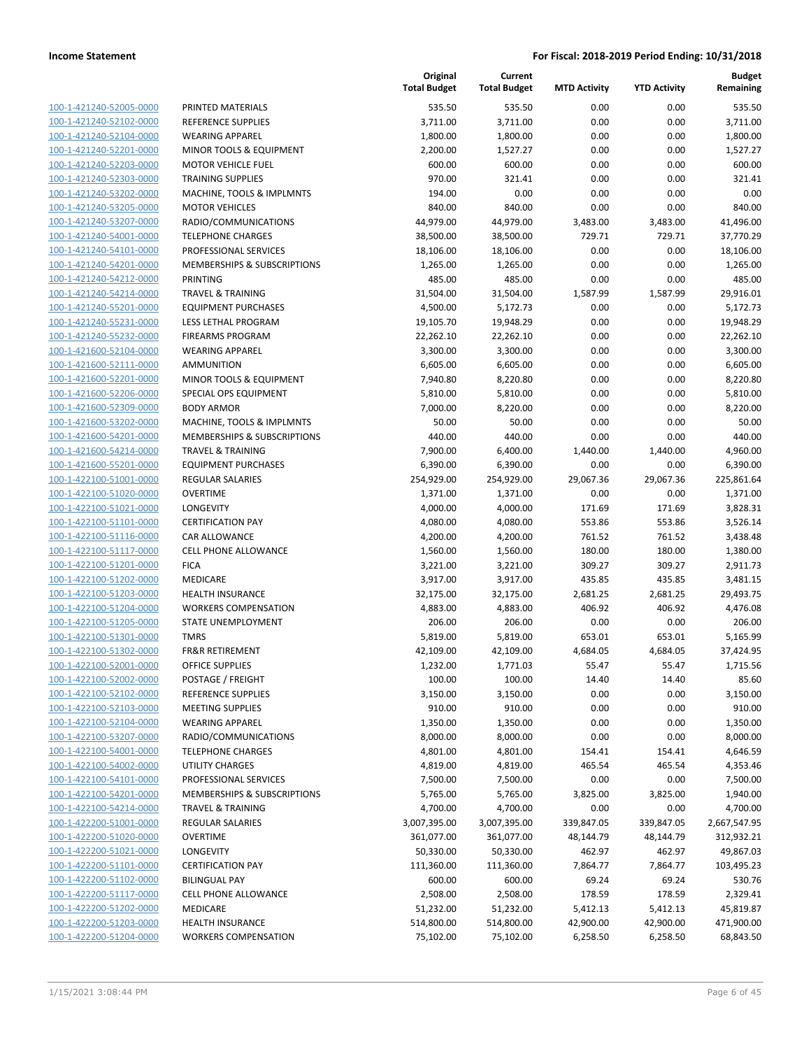| 100-1-421240-52005-0000        |
|--------------------------------|
| 100-1-421240-52102-0000        |
| 100-1-421240-52104-0000        |
| <u>100-1-421240-52201-0000</u> |
| 100-1-421240-52203-0000        |
| 100-1-421240-52303-0000        |
| 100-1-421240-53202-0000        |
| 100-1-421240-53205-0000        |
|                                |
| <u>100-1-421240-53207-0000</u> |
| 100-1-421240-54001-0000        |
| 100-1-421240-54101-0000        |
| 100-1-421240-54201-0000        |
| <u>100-1-421240-54212-0000</u> |
| <u>100-1-421240-54214-0000</u> |
| 100-1-421240-55201-0000        |
| 100-1-421240-55231-0000        |
| 100-1-421240-55232-0000        |
| <u>100-1-421600-52104-0000</u> |
| 100-1-421600-52111-0000        |
| 100-1-421600-52201-0000        |
| 100-1-421600-52206-0000        |
| 100-1-421600-52309-0000        |
|                                |
| <u>100-1-421600-53202-0000</u> |
| <u>100-1-421600-54201-0000</u> |
| 100-1-421600-54214-0000        |
| 100-1-421600-55201-0000        |
| 100-1-422100-51001-0000        |
| 100-1-422100-51020-0000        |
| <u>100-1-422100-51021-0000</u> |
| 100-1-422100-51101-0000        |
| 100-1-422100-51116-0000        |
| 100-1-422100-51117-0000        |
| <u>100-1-422100-51201-0000</u> |
| <u>100-1-422100-51202-0000</u> |
| 100-1-422100-51203-0000        |
| 100-1-422100-51204-0000        |
| 100-1-422100-51205-0000        |
| 100-1-422100-51301-0000        |
| <u>100-1-422100-51302-0000</u> |
|                                |
| 100-1-422100-52001-0000        |
| 100-1-422100-52002-0000        |
| 100-1-422100-52102-0000        |
| 100-1-422100-52103-0000        |
| 100-1-422100-52104-0000        |
| <u>100-1-422100-53207-0000</u> |
| 100-1-422100-54001-0000        |
| 100-1-422100-54002-0000        |
| <u>100-1-422100-54101-0000</u> |
| <u>100-1-422100-54201-0000</u> |
| <u>100-1-422100-54214-0000</u> |
| 100-1-422200-51001-0000        |
| 100-1-422200-51020-0000        |
| <u>100-1-422200-51021-0000</u> |
| 100-1-422200-51101-0000        |
|                                |
| <u>100-1-422200-51102-0000</u> |
| 100-1-422200-51117-0000        |
| 100-1-422200-51202-0000        |
| <u>100-1-422200-51203-0000</u> |
| <u>100-1-422200-51204-0000</u> |

|                         |                              | Original<br><b>Total Budget</b> | Current<br><b>Total Budget</b> | <b>MTD Activity</b> | <b>YTD Activity</b> | <b>Budget</b><br>Remaining |
|-------------------------|------------------------------|---------------------------------|--------------------------------|---------------------|---------------------|----------------------------|
| 100-1-421240-52005-0000 | PRINTED MATERIALS            | 535.50                          | 535.50                         | 0.00                | 0.00                | 535.50                     |
| 100-1-421240-52102-0000 | REFERENCE SUPPLIES           | 3,711.00                        | 3,711.00                       | 0.00                | 0.00                | 3,711.00                   |
| 100-1-421240-52104-0000 | <b>WEARING APPAREL</b>       | 1,800.00                        | 1,800.00                       | 0.00                | 0.00                | 1,800.00                   |
| 100-1-421240-52201-0000 | MINOR TOOLS & EQUIPMENT      | 2,200.00                        | 1,527.27                       | 0.00                | 0.00                | 1,527.27                   |
| 100-1-421240-52203-0000 | <b>MOTOR VEHICLE FUEL</b>    | 600.00                          | 600.00                         | 0.00                | 0.00                | 600.00                     |
| 100-1-421240-52303-0000 | <b>TRAINING SUPPLIES</b>     | 970.00                          | 321.41                         | 0.00                | 0.00                | 321.41                     |
| 100-1-421240-53202-0000 | MACHINE, TOOLS & IMPLMNTS    | 194.00                          | 0.00                           | 0.00                | 0.00                | 0.00                       |
| 100-1-421240-53205-0000 | <b>MOTOR VEHICLES</b>        | 840.00                          | 840.00                         | 0.00                | 0.00                | 840.00                     |
| 100-1-421240-53207-0000 | RADIO/COMMUNICATIONS         | 44,979.00                       | 44,979.00                      | 3,483.00            | 3,483.00            | 41,496.00                  |
| 100-1-421240-54001-0000 | <b>TELEPHONE CHARGES</b>     | 38,500.00                       | 38,500.00                      | 729.71              | 729.71              | 37,770.29                  |
| 100-1-421240-54101-0000 | PROFESSIONAL SERVICES        | 18,106.00                       | 18,106.00                      | 0.00                | 0.00                | 18,106.00                  |
| 100-1-421240-54201-0000 | MEMBERSHIPS & SUBSCRIPTIONS  | 1,265.00                        | 1,265.00                       | 0.00                | 0.00                | 1,265.00                   |
| 100-1-421240-54212-0000 | PRINTING                     | 485.00                          | 485.00                         | 0.00                | 0.00                | 485.00                     |
| 100-1-421240-54214-0000 | <b>TRAVEL &amp; TRAINING</b> | 31,504.00                       | 31,504.00                      | 1,587.99            | 1,587.99            | 29,916.01                  |
| 100-1-421240-55201-0000 | <b>EQUIPMENT PURCHASES</b>   | 4,500.00                        | 5,172.73                       | 0.00                | 0.00                | 5,172.73                   |
| 100-1-421240-55231-0000 | LESS LETHAL PROGRAM          | 19,105.70                       | 19,948.29                      | 0.00                | 0.00                | 19,948.29                  |
| 100-1-421240-55232-0000 | <b>FIREARMS PROGRAM</b>      | 22,262.10                       | 22,262.10                      | 0.00                | 0.00                | 22,262.10                  |
| 100-1-421600-52104-0000 | <b>WEARING APPAREL</b>       | 3,300.00                        | 3,300.00                       | 0.00                | 0.00                | 3,300.00                   |
| 100-1-421600-52111-0000 | AMMUNITION                   | 6,605.00                        | 6,605.00                       | 0.00                | 0.00                | 6,605.00                   |
| 100-1-421600-52201-0000 | MINOR TOOLS & EQUIPMENT      | 7,940.80                        | 8,220.80                       | 0.00                | 0.00                | 8,220.80                   |
| 100-1-421600-52206-0000 | SPECIAL OPS EQUIPMENT        | 5,810.00                        | 5,810.00                       | 0.00                | 0.00                | 5,810.00                   |
| 100-1-421600-52309-0000 | <b>BODY ARMOR</b>            | 7,000.00                        | 8,220.00                       | 0.00                | 0.00                | 8,220.00                   |
| 100-1-421600-53202-0000 | MACHINE, TOOLS & IMPLMNTS    | 50.00                           | 50.00                          | 0.00                | 0.00                | 50.00                      |
| 100-1-421600-54201-0000 | MEMBERSHIPS & SUBSCRIPTIONS  | 440.00                          | 440.00                         | 0.00                | 0.00                | 440.00                     |
| 100-1-421600-54214-0000 | <b>TRAVEL &amp; TRAINING</b> | 7,900.00                        | 6,400.00                       | 1,440.00            | 1,440.00            | 4,960.00                   |
| 100-1-421600-55201-0000 | <b>EQUIPMENT PURCHASES</b>   | 6,390.00                        | 6,390.00                       | 0.00                | 0.00                | 6,390.00                   |
| 100-1-422100-51001-0000 | <b>REGULAR SALARIES</b>      | 254,929.00                      | 254,929.00                     | 29,067.36           | 29,067.36           | 225,861.64                 |
| 100-1-422100-51020-0000 | <b>OVERTIME</b>              | 1,371.00                        | 1,371.00                       | 0.00                | 0.00                | 1,371.00                   |
| 100-1-422100-51021-0000 | LONGEVITY                    | 4,000.00                        | 4,000.00                       | 171.69              | 171.69              | 3,828.31                   |
| 100-1-422100-51101-0000 | <b>CERTIFICATION PAY</b>     | 4,080.00                        | 4,080.00                       | 553.86              | 553.86              | 3,526.14                   |
| 100-1-422100-51116-0000 | <b>CAR ALLOWANCE</b>         | 4,200.00                        | 4,200.00                       | 761.52              | 761.52              | 3,438.48                   |
| 100-1-422100-51117-0000 | CELL PHONE ALLOWANCE         | 1,560.00                        | 1,560.00                       | 180.00              | 180.00              | 1,380.00                   |
| 100-1-422100-51201-0000 | <b>FICA</b>                  | 3,221.00                        | 3,221.00                       | 309.27              | 309.27              | 2,911.73                   |
| 100-1-422100-51202-0000 | MEDICARE                     | 3,917.00                        | 3,917.00                       | 435.85              | 435.85              | 3,481.15                   |
| 100-1-422100-51203-0000 | <b>HEALTH INSURANCE</b>      | 32,175.00                       | 32,175.00                      | 2,681.25            | 2,681.25            | 29,493.75                  |
| 100-1-422100-51204-0000 | <b>WORKERS COMPENSATION</b>  | 4,883.00                        | 4,883.00                       | 406.92              | 406.92              | 4,476.08                   |
| 100-1-422100-51205-0000 | STATE UNEMPLOYMENT           | 206.00                          | 206.00                         | 0.00                | 0.00                | 206.00                     |
| 100-1-422100-51301-0000 | <b>TMRS</b>                  | 5,819.00                        | 5,819.00                       | 653.01              | 653.01              | 5,165.99                   |
| 100-1-422100-51302-0000 | <b>FR&amp;R RETIREMENT</b>   | 42,109.00                       | 42,109.00                      | 4,684.05            | 4,684.05            | 37,424.95                  |
| 100-1-422100-52001-0000 | OFFICE SUPPLIES              | 1,232.00                        | 1,771.03                       | 55.47               | 55.47               | 1,715.56                   |
| 100-1-422100-52002-0000 | POSTAGE / FREIGHT            | 100.00                          | 100.00                         | 14.40               | 14.40               | 85.60                      |
| 100-1-422100-52102-0000 | REFERENCE SUPPLIES           | 3,150.00                        | 3,150.00                       | 0.00                | 0.00                | 3,150.00                   |
| 100-1-422100-52103-0000 | <b>MEETING SUPPLIES</b>      | 910.00                          | 910.00                         | 0.00                | 0.00                | 910.00                     |
| 100-1-422100-52104-0000 | <b>WEARING APPAREL</b>       | 1,350.00                        | 1,350.00                       | 0.00                | 0.00                | 1,350.00                   |
| 100-1-422100-53207-0000 | RADIO/COMMUNICATIONS         | 8,000.00                        | 8,000.00                       | 0.00                | 0.00                | 8,000.00                   |
| 100-1-422100-54001-0000 | <b>TELEPHONE CHARGES</b>     | 4,801.00                        | 4,801.00                       | 154.41              | 154.41              | 4,646.59                   |
| 100-1-422100-54002-0000 | UTILITY CHARGES              | 4,819.00                        | 4,819.00                       | 465.54              | 465.54              | 4,353.46                   |
| 100-1-422100-54101-0000 | PROFESSIONAL SERVICES        | 7,500.00                        | 7,500.00                       | 0.00                | 0.00                | 7,500.00                   |
| 100-1-422100-54201-0000 | MEMBERSHIPS & SUBSCRIPTIONS  | 5,765.00                        | 5,765.00                       | 3,825.00            | 3,825.00            | 1,940.00                   |
| 100-1-422100-54214-0000 | TRAVEL & TRAINING            | 4,700.00                        | 4,700.00                       | 0.00                | 0.00                | 4,700.00                   |
| 100-1-422200-51001-0000 | <b>REGULAR SALARIES</b>      | 3,007,395.00                    | 3,007,395.00                   | 339,847.05          | 339,847.05          | 2,667,547.95               |
| 100-1-422200-51020-0000 | <b>OVERTIME</b>              | 361,077.00                      | 361,077.00                     | 48,144.79           | 48,144.79           | 312,932.21                 |
| 100-1-422200-51021-0000 | LONGEVITY                    | 50,330.00                       | 50,330.00                      | 462.97              | 462.97              | 49,867.03                  |
| 100-1-422200-51101-0000 | <b>CERTIFICATION PAY</b>     | 111,360.00                      | 111,360.00                     | 7,864.77            | 7,864.77            | 103,495.23                 |
| 100-1-422200-51102-0000 | <b>BILINGUAL PAY</b>         | 600.00                          | 600.00                         | 69.24               | 69.24               | 530.76                     |
| 100-1-422200-51117-0000 | CELL PHONE ALLOWANCE         | 2,508.00                        | 2,508.00                       | 178.59              | 178.59              | 2,329.41                   |
| 100-1-422200-51202-0000 | MEDICARE                     | 51,232.00                       | 51,232.00                      | 5,412.13            | 5,412.13            | 45,819.87                  |
| 100-1-422200-51203-0000 | HEALTH INSURANCE             | 514,800.00                      | 514,800.00                     | 42,900.00           | 42,900.00           | 471,900.00                 |
| 100-1-422200-51204-0000 | <b>WORKERS COMPENSATION</b>  | 75,102.00                       | 75,102.00                      | 6,258.50            | 6,258.50            | 68,843.50                  |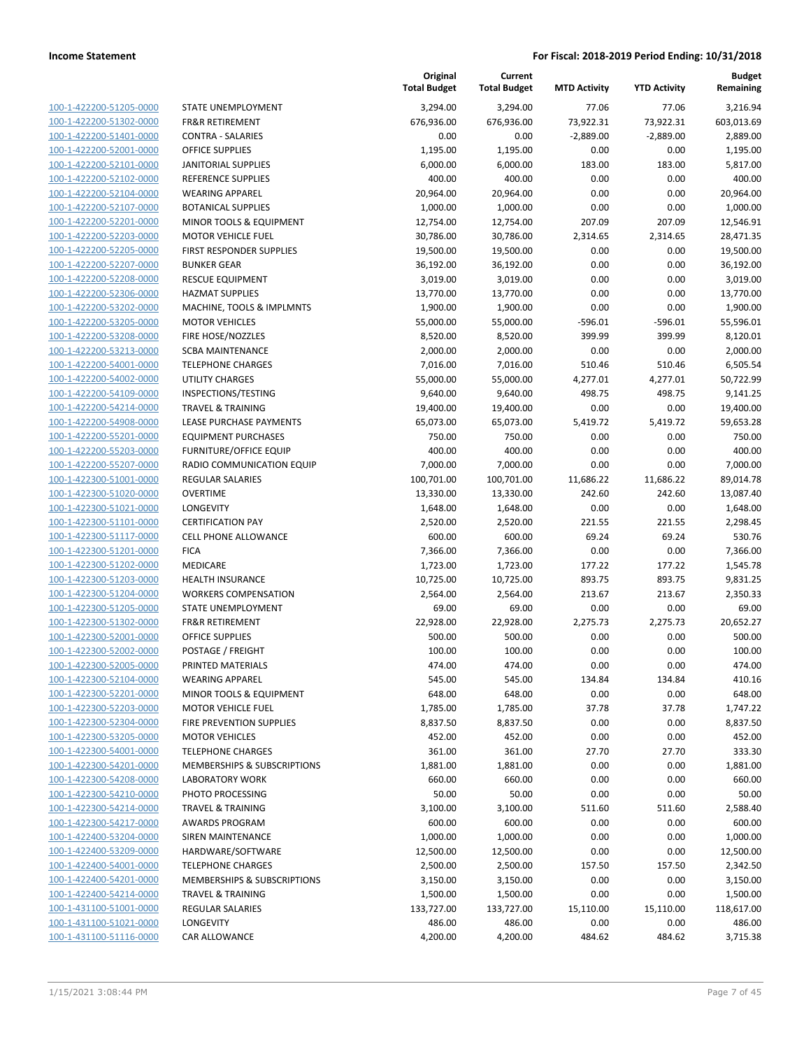| 100-1-422200-51205-0000        |
|--------------------------------|
| 100-1-422200-51302-0000        |
| 100-1-422200-51401-0000        |
| 100-1-422200-52001-0000        |
| 100-1-422200-52101-0000        |
| 100-1-422200-52102-0000        |
|                                |
| 100-1-422200-52104-0000        |
| <u>100-1-422200-52107-0000</u> |
| 100-1-422200-52201-0000        |
| 100-1-422200-52203-0000        |
| 100-1-422200-52205-0000        |
| 100-1-422200-52207-0000        |
| <u>100-1-422200-52208-0000</u> |
| 100-1-422200-52306-0000        |
| 100-1-422200-53202-0000        |
| 100-1-422200-53205-0000        |
|                                |
| 100-1-422200-53208-0000        |
| <u>100-1-422200-53213-0000</u> |
| 100-1-422200-54001-0000        |
| 100-1-422200-54002-0000        |
| 100-1-422200-54109-0000        |
| 100-1-422200-54214-0000        |
| 100-1-422200-54908-0000        |
| 100-1-422200-55201-0000        |
| 100-1-422200-55203-0000        |
|                                |
| 100-1-422200-55207-0000        |
| 100-1-422300-51001-0000        |
| 100-1-422300-51020-0000        |
| 100-1-422300-51021-0000        |
| 100-1-422300-51101-0000        |
| 100-1-422300-51117-0000        |
| 100-1-422300-51201-0000        |
| <u>100-1-422300-51202-0000</u> |
| 100-1-422300-51203-0000        |
| 100-1-422300-51204-0000        |
|                                |
| 100-1-422300-51205-0000        |
| 100-1-422300-51302-0000        |
| 100-1-422300-52001-0000        |
| 100-1-422300-52002-0000        |
| 100-1-422300-52005-0000        |
| 100-1-422300-52104-0000        |
| 100-1-422300-52201-0000        |
| 100-1-422300-52203-0000        |
| 100-1-422300-52304-0000        |
| 100-1-422300-53205-0000        |
|                                |
| <u>100-1-422300-54001-0000</u> |
| 100-1-422300-54201-0000        |
| 100-1-422300-54208-0000        |
| <u>100-1-422300-54210-0000</u> |
| 100-1-422300-54214-0000        |
| 100-1-422300-54217-0000        |
| <u>100-1-422400-53204-0000</u> |
| <u>100-1-422400-53209-0000</u> |
|                                |
| <u>100-1-422400-54001-0000</u> |
| 100-1-422400-54201-0000        |
| 100-1-422400-54214-0000        |
| <u>100-1-431100-51001-0000</u> |
| 100-1-431100-51021-0000        |
| <u>100-1-431100-51116-0000</u> |
|                                |

| STATE UNEMPLOYMENT               |
|----------------------------------|
| <b>FR&amp;R RETIREMENT</b>       |
| <b>CONTRA - SALARIES</b>         |
| <b>OFFICE SUPPLIES</b>           |
| <b>JANITORIAL SUPPLIES</b>       |
| <b>REFERENCE SUPPLIES</b>        |
| <b>WEARING APPAREL</b>           |
| <b>BOTANICAL SUPPLIES</b>        |
|                                  |
| MINOR TOOLS & EQUIPMENT          |
| MOTOR VEHICLE FUEL               |
| <b>FIRST RESPONDER SUPPLIES</b>  |
| <b>BUNKER GEAR</b>               |
| <b>RESCUE EQUIPMENT</b>          |
| <b>HAZMAT SUPPLIES</b>           |
| MACHINE, TOOLS & IMPLMNTS        |
| <b>MOTOR VEHICLES</b>            |
| <b>FIRE HOSE/NOZZLES</b>         |
| <b>SCBA MAINTENANCE</b>          |
| <b>TELEPHONE CHARGES</b>         |
| UTILITY CHARGES                  |
| INSPECTIONS/TESTING              |
| <b>TRAVEL &amp; TRAINING</b>     |
| LEASE PURCHASE PAYMENTS          |
| <b>EQUIPMENT PURCHASES</b>       |
| <b>FURNITURE/OFFICE EQUIP</b>    |
| <b>RADIO COMMUNICATION EQUIP</b> |
| <b>REGULAR SALARIES</b>          |
| <b>OVERTIME</b>                  |
| LONGEVITY                        |
| <b>CERTIFICATION PAY</b>         |
|                                  |
|                                  |
| <b>CELL PHONE ALLOWANCE</b>      |
| <b>FICA</b>                      |
| <b>MEDICARE</b>                  |
| <b>HEALTH INSURANCE</b>          |
| <b>WORKERS COMPENSATION</b>      |
| STATE UNEMPLOYMENT               |
| <b>FR&amp;R RETIREMENT</b>       |
| <b>OFFICE SUPPLIES</b>           |
| POSTAGE / FREIGHT                |
| PRINTED MATERIALS                |
| <b>WEARING APPAREL</b>           |
| MINOR TOOLS & EQUIPMENT          |
| <b>MOTOR VEHICLE FUEL</b>        |
| <b>FIRE PREVENTION SUPPLIES</b>  |
| <b>MOTOR VEHICLES</b>            |
| <b>TELEPHONE CHARGES</b>         |
| MEMBERSHIPS & SUBSCRIPTIONS      |
|                                  |
| <b>LABORATORY WORK</b>           |
| PHOTO PROCESSING                 |
| TRAVEL & TRAINING                |
| <b>AWARDS PROGRAM</b>            |
| <b>SIREN MAINTENANCE</b>         |
| HARDWARE/SOFTWARE                |
| <b>TELEPHONE CHARGES</b>         |
| MEMBERSHIPS & SUBSCRIPTIONS      |
| <b>TRAVEL &amp; TRAINING</b>     |
| <b>REGULAR SALARIES</b>          |
| LONGEVITY<br>CAR ALLOWANCE       |

|                                                    |                                                          | Original<br><b>Total Budget</b> | Current<br><b>Total Budget</b> | <b>MTD Activity</b> | <b>YTD Activity</b> | <b>Budget</b><br>Remaining |
|----------------------------------------------------|----------------------------------------------------------|---------------------------------|--------------------------------|---------------------|---------------------|----------------------------|
| 100-1-422200-51205-0000                            | STATE UNEMPLOYMENT                                       | 3,294.00                        | 3,294.00                       | 77.06               | 77.06               | 3,216.94                   |
| 100-1-422200-51302-0000                            | <b>FR&amp;R RETIREMENT</b>                               | 676,936.00                      | 676,936.00                     | 73,922.31           | 73,922.31           | 603,013.69                 |
| 100-1-422200-51401-0000                            | <b>CONTRA - SALARIES</b>                                 | 0.00                            | 0.00                           | $-2,889.00$         | $-2,889.00$         | 2,889.00                   |
| 100-1-422200-52001-0000                            | <b>OFFICE SUPPLIES</b>                                   | 1,195.00                        | 1,195.00                       | 0.00                | 0.00                | 1,195.00                   |
| 100-1-422200-52101-0000                            | <b>JANITORIAL SUPPLIES</b>                               | 6,000.00                        | 6,000.00                       | 183.00              | 183.00              | 5,817.00                   |
| 100-1-422200-52102-0000                            | REFERENCE SUPPLIES                                       | 400.00                          | 400.00                         | 0.00                | 0.00                | 400.00                     |
| 100-1-422200-52104-0000                            | <b>WEARING APPAREL</b>                                   | 20,964.00                       | 20,964.00                      | 0.00                | 0.00                | 20,964.00                  |
| 100-1-422200-52107-0000                            | <b>BOTANICAL SUPPLIES</b>                                | 1,000.00                        | 1,000.00                       | 0.00                | 0.00                | 1,000.00                   |
| 100-1-422200-52201-0000                            | MINOR TOOLS & EQUIPMENT                                  | 12,754.00                       | 12,754.00                      | 207.09              | 207.09              | 12,546.91                  |
| 100-1-422200-52203-0000                            | <b>MOTOR VEHICLE FUEL</b>                                | 30,786.00                       | 30,786.00                      | 2,314.65            | 2,314.65            | 28,471.35                  |
| 100-1-422200-52205-0000                            | FIRST RESPONDER SUPPLIES                                 | 19,500.00                       | 19,500.00                      | 0.00                | 0.00                | 19,500.00                  |
| 100-1-422200-52207-0000                            | <b>BUNKER GEAR</b>                                       | 36,192.00                       | 36,192.00                      | 0.00                | 0.00                | 36,192.00                  |
| 100-1-422200-52208-0000                            | <b>RESCUE EQUIPMENT</b>                                  | 3,019.00                        | 3,019.00                       | 0.00                | 0.00                | 3,019.00                   |
| 100-1-422200-52306-0000                            | <b>HAZMAT SUPPLIES</b>                                   | 13,770.00                       | 13,770.00                      | 0.00                | 0.00                | 13,770.00                  |
| 100-1-422200-53202-0000                            | MACHINE, TOOLS & IMPLMNTS                                | 1,900.00                        | 1,900.00                       | 0.00                | 0.00                | 1,900.00                   |
| 100-1-422200-53205-0000                            | <b>MOTOR VEHICLES</b>                                    | 55,000.00                       | 55,000.00                      | $-596.01$           | $-596.01$           | 55,596.01                  |
| 100-1-422200-53208-0000                            | FIRE HOSE/NOZZLES                                        | 8,520.00                        | 8,520.00                       | 399.99              | 399.99              | 8,120.01                   |
| 100-1-422200-53213-0000                            | <b>SCBA MAINTENANCE</b>                                  | 2,000.00                        | 2,000.00                       | 0.00                | 0.00                | 2,000.00                   |
| 100-1-422200-54001-0000                            | <b>TELEPHONE CHARGES</b>                                 | 7,016.00                        | 7,016.00                       | 510.46              | 510.46              | 6,505.54                   |
| 100-1-422200-54002-0000                            | <b>UTILITY CHARGES</b>                                   | 55,000.00                       | 55,000.00                      | 4,277.01            | 4,277.01            | 50,722.99                  |
| 100-1-422200-54109-0000                            | INSPECTIONS/TESTING                                      | 9,640.00                        | 9,640.00                       | 498.75              | 498.75              | 9,141.25                   |
| 100-1-422200-54214-0000                            | <b>TRAVEL &amp; TRAINING</b>                             | 19,400.00                       | 19,400.00                      | 0.00                | 0.00                | 19,400.00                  |
| 100-1-422200-54908-0000                            | LEASE PURCHASE PAYMENTS                                  | 65,073.00                       | 65,073.00                      | 5,419.72            | 5,419.72            | 59,653.28                  |
| 100-1-422200-55201-0000                            | <b>EQUIPMENT PURCHASES</b>                               | 750.00                          | 750.00                         | 0.00                | 0.00                | 750.00                     |
| 100-1-422200-55203-0000                            | <b>FURNITURE/OFFICE EQUIP</b>                            | 400.00                          | 400.00                         | 0.00                | 0.00                | 400.00                     |
| 100-1-422200-55207-0000                            | RADIO COMMUNICATION EQUIP                                | 7,000.00                        | 7,000.00                       | 0.00                | 0.00                | 7,000.00                   |
| 100-1-422300-51001-0000                            | <b>REGULAR SALARIES</b>                                  | 100,701.00                      | 100,701.00                     | 11,686.22           | 11,686.22           | 89,014.78                  |
| 100-1-422300-51020-0000                            | <b>OVERTIME</b>                                          | 13,330.00                       | 13,330.00                      | 242.60              | 242.60              | 13,087.40                  |
| 100-1-422300-51021-0000                            | LONGEVITY                                                | 1,648.00                        | 1,648.00                       | 0.00                | 0.00                | 1,648.00                   |
| 100-1-422300-51101-0000                            | <b>CERTIFICATION PAY</b>                                 | 2,520.00                        | 2,520.00                       | 221.55              | 221.55              | 2,298.45                   |
| 100-1-422300-51117-0000                            | <b>CELL PHONE ALLOWANCE</b>                              | 600.00                          | 600.00                         | 69.24               | 69.24               | 530.76                     |
| 100-1-422300-51201-0000                            | <b>FICA</b>                                              | 7,366.00                        | 7,366.00                       | 0.00                | 0.00                | 7,366.00                   |
| 100-1-422300-51202-0000                            | MEDICARE                                                 | 1,723.00                        | 1,723.00                       | 177.22              | 177.22              | 1,545.78                   |
| 100-1-422300-51203-0000                            | <b>HEALTH INSURANCE</b>                                  | 10,725.00                       | 10,725.00                      | 893.75              | 893.75              | 9,831.25                   |
| 100-1-422300-51204-0000                            | <b>WORKERS COMPENSATION</b>                              | 2,564.00                        | 2,564.00                       | 213.67              | 213.67              | 2,350.33                   |
| 100-1-422300-51205-0000                            | STATE UNEMPLOYMENT                                       | 69.00                           | 69.00                          | 0.00                | 0.00                | 69.00                      |
| 100-1-422300-51302-0000                            | <b>FR&amp;R RETIREMENT</b>                               | 22,928.00                       | 22,928.00                      | 2,275.73            | 2,275.73            | 20,652.27                  |
| 100-1-422300-52001-0000                            | OFFICE SUPPLIES                                          | 500.00                          | 500.00                         | 0.00                | 0.00                | 500.00                     |
| 100-1-422300-52002-0000                            | POSTAGE / FREIGHT                                        | 100.00                          | 100.00                         | 0.00                | 0.00                | 100.00                     |
| 100-1-422300-52005-0000                            | PRINTED MATERIALS                                        | 474.00                          | 474.00                         | 0.00                | 0.00                | 474.00                     |
| 100-1-422300-52104-0000                            | <b>WEARING APPAREL</b>                                   | 545.00                          | 545.00                         | 134.84              | 134.84              | 410.16                     |
| 100-1-422300-52201-0000                            | MINOR TOOLS & EQUIPMENT                                  | 648.00                          | 648.00                         | 0.00                | 0.00                | 648.00                     |
| 100-1-422300-52203-0000                            | <b>MOTOR VEHICLE FUEL</b>                                | 1,785.00                        | 1,785.00                       | 37.78               | 37.78               | 1,747.22                   |
| 100-1-422300-52304-0000                            | <b>FIRE PREVENTION SUPPLIES</b><br><b>MOTOR VEHICLES</b> | 8,837.50                        | 8,837.50                       | 0.00                | 0.00                | 8,837.50<br>452.00         |
| 100-1-422300-53205-0000                            |                                                          | 452.00                          | 452.00                         | 0.00                | 0.00                |                            |
| 100-1-422300-54001-0000<br>100-1-422300-54201-0000 | <b>TELEPHONE CHARGES</b>                                 | 361.00                          | 361.00                         | 27.70               | 27.70               | 333.30                     |
|                                                    | MEMBERSHIPS & SUBSCRIPTIONS                              | 1,881.00                        | 1,881.00                       | 0.00                | 0.00                | 1,881.00                   |
| 100-1-422300-54208-0000                            | <b>LABORATORY WORK</b>                                   | 660.00                          | 660.00                         | 0.00                | 0.00                | 660.00                     |
| 100-1-422300-54210-0000                            | PHOTO PROCESSING                                         | 50.00                           | 50.00                          | 0.00                | 0.00                | 50.00                      |
| 100-1-422300-54214-0000                            | <b>TRAVEL &amp; TRAINING</b>                             | 3,100.00                        | 3,100.00                       | 511.60              | 511.60              | 2,588.40                   |
| 100-1-422300-54217-0000                            | AWARDS PROGRAM                                           | 600.00                          | 600.00                         | 0.00                | 0.00                | 600.00                     |
| 100-1-422400-53204-0000                            | SIREN MAINTENANCE                                        | 1,000.00                        | 1,000.00                       | 0.00                | 0.00                | 1,000.00                   |
| 100-1-422400-53209-0000                            | HARDWARE/SOFTWARE                                        | 12,500.00                       | 12,500.00                      | 0.00                | 0.00                | 12,500.00                  |
| 100-1-422400-54001-0000                            | <b>TELEPHONE CHARGES</b>                                 | 2,500.00                        | 2,500.00                       | 157.50              | 157.50              | 2,342.50                   |
| 100-1-422400-54201-0000                            | MEMBERSHIPS & SUBSCRIPTIONS                              | 3,150.00                        | 3,150.00                       | 0.00                | 0.00                | 3,150.00                   |
| 100-1-422400-54214-0000                            | <b>TRAVEL &amp; TRAINING</b>                             | 1,500.00                        | 1,500.00                       | 0.00                | 0.00                | 1,500.00                   |
| 100-1-431100-51001-0000                            | <b>REGULAR SALARIES</b>                                  | 133,727.00                      | 133,727.00                     | 15,110.00           | 15,110.00           | 118,617.00                 |
| 100-1-431100-51021-0000                            | LONGEVITY                                                | 486.00                          | 486.00                         | 0.00                | 0.00                | 486.00                     |
| 100-1-431100-51116-0000                            | <b>CAR ALLOWANCE</b>                                     | 4,200.00                        | 4,200.00                       | 484.62              | 484.62              | 3,715.38                   |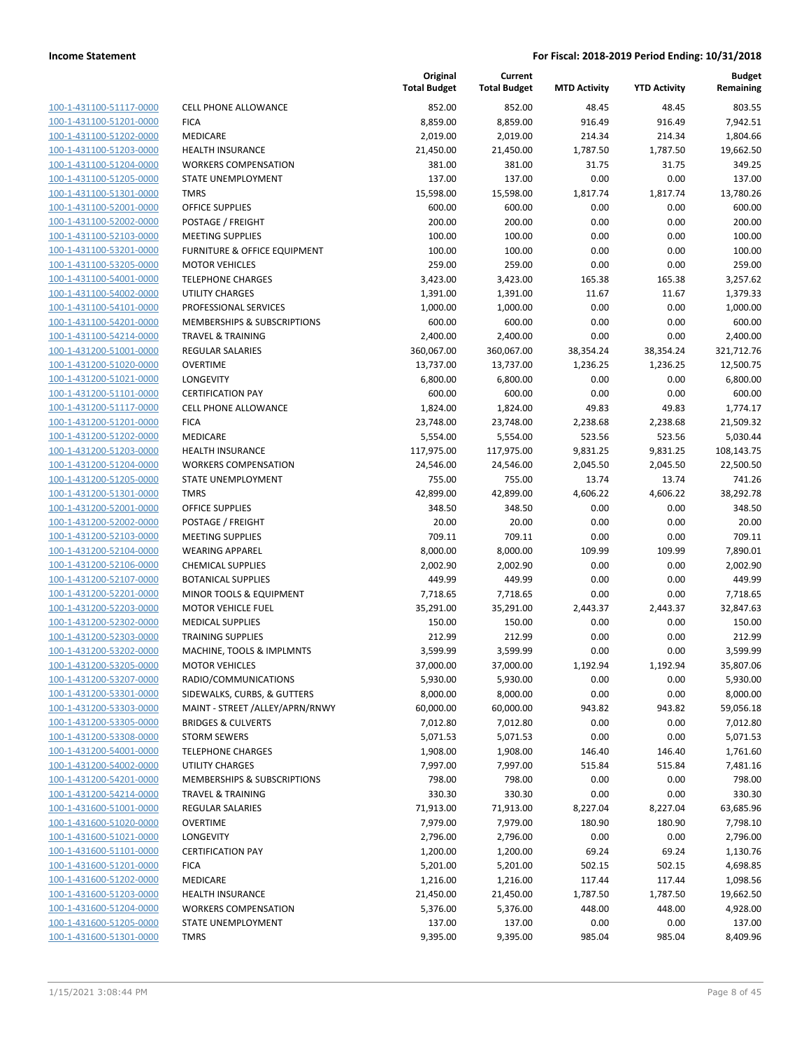| 100-1-431100-51117-0000        |
|--------------------------------|
| 100-1-431100-51201-0000        |
| 100-1-431100-51202-0000        |
| <u>100-1-431100-51203-0000</u> |
| 100-1-431100-51204-0000        |
| 100-1-431100-51205-0000        |
| 100-1-431100-51301-0000        |
| 100-1-431100-52001-0000        |
| <u>100-1-431100-52002-0000</u> |
| 100-1-431100-52103-0000        |
| 100-1-431100-53201-0000        |
| 100-1-431100-53205-0000        |
| 100-1-431100-54001-0000        |
| 100-1-431100-54002-0000        |
| 100-1-431100-54101-0000        |
| 100-1-431100-54201-0000        |
| 100-1-431100-54214-0000        |
| 100-1-431200-51001-0000        |
| <u>100-1-431200-51020-0000</u> |
| 100-1-431200-51021-0000        |
| 100-1-431200-51101-0000        |
| 100-1-431200-51117-0000        |
| 100-1-431200-51201-0000        |
| <u>100-1-431200-51202-0000</u> |
| 100-1-431200-51203-0000        |
| 100-1-431200-51204-0000        |
| 100-1-431200-51205-0000        |
| 100-1-431200-51301-0000        |
| <u>100-1-431200-52001-0000</u> |
| 100-1-431200-52002-0000        |
| 100-1-431200-52103-0000        |
| 100-1-431200-52104-0000        |
| 100-1-431200-52106-0000        |
| <u>100-1-431200-52107-0000</u> |
| 100-1-431200-52201-0000        |
| 100-1-431200-52203-0000        |
| 100-1-431200-52302-0000        |
| 100-1-431200-52303-0000        |
| 100-1-431200-53202-0000        |
| 100-1-431200-53205-0000        |
| 100-1-431200-53207-0000        |
| <u>100-1-431200-53301-0000</u> |
| 100-1-431200-53303-0000        |
| 100-1-431200-53305-0000        |
| 100-1-431200-53308-0000        |
| <u>100-1-431200-54001-0000</u> |
| <u>100-1-431200-54002-0000</u> |
| 100-1-431200-54201-0000        |
| 100-1-431200-54214-0000        |
| 100-1-431600-51001-0000        |
| 100-1-431600-51020-0000        |
| 100-1-431600-51021-0000        |
| 100-1-431600-51101-0000        |
| 100-1-431600-51201-0000        |
| <u>100-1-431600-51202-0000</u> |
| <u>100-1-431600-51203-0000</u> |
| <u>100-1-431600-51204-0000</u> |
| 100-1-431600-51205-0000        |
| <u>100-1-431600-51301-0000</u> |
|                                |

|                         |                                 | Original<br><b>Total Budget</b> | Current<br><b>Total Budget</b> | <b>MTD Activity</b> | <b>YTD Activity</b> | <b>Budget</b><br>Remaining |
|-------------------------|---------------------------------|---------------------------------|--------------------------------|---------------------|---------------------|----------------------------|
| 100-1-431100-51117-0000 | <b>CELL PHONE ALLOWANCE</b>     | 852.00                          | 852.00                         | 48.45               | 48.45               | 803.55                     |
| 100-1-431100-51201-0000 | <b>FICA</b>                     | 8,859.00                        | 8,859.00                       | 916.49              | 916.49              | 7,942.51                   |
| 100-1-431100-51202-0000 | MEDICARE                        | 2,019.00                        | 2,019.00                       | 214.34              | 214.34              | 1,804.66                   |
| 100-1-431100-51203-0000 | <b>HEALTH INSURANCE</b>         | 21,450.00                       | 21,450.00                      | 1,787.50            | 1,787.50            | 19,662.50                  |
| 100-1-431100-51204-0000 | <b>WORKERS COMPENSATION</b>     | 381.00                          | 381.00                         | 31.75               | 31.75               | 349.25                     |
| 100-1-431100-51205-0000 | STATE UNEMPLOYMENT              | 137.00                          | 137.00                         | 0.00                | 0.00                | 137.00                     |
| 100-1-431100-51301-0000 | <b>TMRS</b>                     | 15,598.00                       | 15,598.00                      | 1,817.74            | 1,817.74            | 13,780.26                  |
| 100-1-431100-52001-0000 | <b>OFFICE SUPPLIES</b>          | 600.00                          | 600.00                         | 0.00                | 0.00                | 600.00                     |
| 100-1-431100-52002-0000 | POSTAGE / FREIGHT               | 200.00                          | 200.00                         | 0.00                | 0.00                | 200.00                     |
| 100-1-431100-52103-0000 | <b>MEETING SUPPLIES</b>         | 100.00                          | 100.00                         | 0.00                | 0.00                | 100.00                     |
| 100-1-431100-53201-0000 | FURNITURE & OFFICE EQUIPMENT    | 100.00                          | 100.00                         | 0.00                | 0.00                | 100.00                     |
| 100-1-431100-53205-0000 | <b>MOTOR VEHICLES</b>           | 259.00                          | 259.00                         | 0.00                | 0.00                | 259.00                     |
| 100-1-431100-54001-0000 | <b>TELEPHONE CHARGES</b>        | 3,423.00                        | 3,423.00                       | 165.38              | 165.38              | 3,257.62                   |
| 100-1-431100-54002-0000 | <b>UTILITY CHARGES</b>          | 1,391.00                        | 1,391.00                       | 11.67               | 11.67               | 1,379.33                   |
| 100-1-431100-54101-0000 | PROFESSIONAL SERVICES           | 1,000.00                        | 1,000.00                       | 0.00                | 0.00                | 1,000.00                   |
| 100-1-431100-54201-0000 | MEMBERSHIPS & SUBSCRIPTIONS     | 600.00                          | 600.00                         | 0.00                | 0.00                | 600.00                     |
| 100-1-431100-54214-0000 | <b>TRAVEL &amp; TRAINING</b>    | 2,400.00                        | 2,400.00                       | 0.00                | 0.00                | 2,400.00                   |
| 100-1-431200-51001-0000 | <b>REGULAR SALARIES</b>         | 360,067.00                      | 360,067.00                     | 38,354.24           | 38,354.24           | 321,712.76                 |
| 100-1-431200-51020-0000 | <b>OVERTIME</b>                 | 13,737.00                       | 13,737.00                      | 1,236.25            | 1,236.25            | 12,500.75                  |
| 100-1-431200-51021-0000 | <b>LONGEVITY</b>                | 6,800.00                        | 6,800.00                       | 0.00                | 0.00                | 6,800.00                   |
| 100-1-431200-51101-0000 | <b>CERTIFICATION PAY</b>        | 600.00                          | 600.00                         | 0.00                | 0.00                | 600.00                     |
| 100-1-431200-51117-0000 | CELL PHONE ALLOWANCE            | 1,824.00                        | 1,824.00                       | 49.83               | 49.83               | 1,774.17                   |
| 100-1-431200-51201-0000 | <b>FICA</b>                     | 23,748.00                       | 23,748.00                      | 2,238.68            | 2,238.68            | 21,509.32                  |
| 100-1-431200-51202-0000 | MEDICARE                        | 5,554.00                        | 5,554.00                       | 523.56              | 523.56              | 5,030.44                   |
| 100-1-431200-51203-0000 | <b>HEALTH INSURANCE</b>         | 117,975.00                      | 117,975.00                     | 9,831.25            | 9,831.25            | 108,143.75                 |
| 100-1-431200-51204-0000 | <b>WORKERS COMPENSATION</b>     | 24,546.00                       | 24,546.00                      | 2,045.50            | 2,045.50            | 22,500.50                  |
| 100-1-431200-51205-0000 | STATE UNEMPLOYMENT              | 755.00                          | 755.00                         | 13.74               | 13.74               | 741.26                     |
| 100-1-431200-51301-0000 | <b>TMRS</b>                     | 42,899.00                       | 42,899.00                      | 4,606.22            | 4,606.22            | 38,292.78                  |
| 100-1-431200-52001-0000 | <b>OFFICE SUPPLIES</b>          | 348.50                          | 348.50                         | 0.00                | 0.00                | 348.50                     |
| 100-1-431200-52002-0000 | POSTAGE / FREIGHT               | 20.00                           | 20.00                          | 0.00                | 0.00                | 20.00                      |
| 100-1-431200-52103-0000 | <b>MEETING SUPPLIES</b>         | 709.11                          | 709.11                         | 0.00                | 0.00                | 709.11                     |
| 100-1-431200-52104-0000 | <b>WEARING APPAREL</b>          | 8,000.00                        | 8,000.00                       | 109.99              | 109.99              | 7,890.01                   |
| 100-1-431200-52106-0000 | <b>CHEMICAL SUPPLIES</b>        | 2,002.90                        | 2,002.90                       | 0.00                | 0.00                | 2,002.90                   |
| 100-1-431200-52107-0000 | <b>BOTANICAL SUPPLIES</b>       | 449.99                          | 449.99                         | 0.00                | 0.00                | 449.99                     |
| 100-1-431200-52201-0000 | MINOR TOOLS & EQUIPMENT         | 7,718.65                        | 7,718.65                       | 0.00                | 0.00                | 7,718.65                   |
| 100-1-431200-52203-0000 | <b>MOTOR VEHICLE FUEL</b>       | 35,291.00                       | 35,291.00                      | 2,443.37            | 2,443.37            | 32,847.63                  |
| 100-1-431200-52302-0000 | <b>MEDICAL SUPPLIES</b>         | 150.00                          | 150.00                         | 0.00                | 0.00                | 150.00                     |
| 100-1-431200-52303-0000 | <b>TRAINING SUPPLIES</b>        | 212.99                          | 212.99                         | 0.00                | 0.00                | 212.99                     |
| 100-1-431200-53202-0000 | MACHINE, TOOLS & IMPLMNTS       | 3,599.99                        | 3,599.99                       | 0.00                | 0.00                | 3,599.99                   |
| 100-1-431200-53205-0000 | <b>MOTOR VEHICLES</b>           | 37,000.00                       | 37,000.00                      | 1,192.94            | 1,192.94            | 35,807.06                  |
| 100-1-431200-53207-0000 | RADIO/COMMUNICATIONS            | 5,930.00                        | 5,930.00                       | 0.00                | 0.00                | 5,930.00                   |
| 100-1-431200-53301-0000 | SIDEWALKS, CURBS, & GUTTERS     | 8,000.00                        | 8,000.00                       | 0.00                | 0.00                | 8,000.00                   |
| 100-1-431200-53303-0000 | MAINT - STREET /ALLEY/APRN/RNWY | 60,000.00                       | 60,000.00                      | 943.82              | 943.82              | 59,056.18                  |
| 100-1-431200-53305-0000 | <b>BRIDGES &amp; CULVERTS</b>   | 7,012.80                        | 7,012.80                       | 0.00                | 0.00                | 7,012.80                   |
| 100-1-431200-53308-0000 | <b>STORM SEWERS</b>             | 5,071.53                        | 5,071.53                       | 0.00                | 0.00                | 5,071.53                   |
| 100-1-431200-54001-0000 | <b>TELEPHONE CHARGES</b>        | 1,908.00                        | 1,908.00                       | 146.40              | 146.40              | 1,761.60                   |
| 100-1-431200-54002-0000 | <b>UTILITY CHARGES</b>          | 7,997.00                        | 7,997.00                       | 515.84              | 515.84              | 7,481.16                   |
| 100-1-431200-54201-0000 | MEMBERSHIPS & SUBSCRIPTIONS     | 798.00                          | 798.00                         | 0.00                | 0.00                | 798.00                     |
| 100-1-431200-54214-0000 | <b>TRAVEL &amp; TRAINING</b>    | 330.30                          | 330.30                         | 0.00                | 0.00                | 330.30                     |
| 100-1-431600-51001-0000 | REGULAR SALARIES                | 71,913.00                       | 71,913.00                      | 8,227.04            | 8,227.04            | 63,685.96                  |
| 100-1-431600-51020-0000 | <b>OVERTIME</b>                 | 7,979.00                        | 7,979.00                       | 180.90              | 180.90              | 7,798.10                   |
| 100-1-431600-51021-0000 | LONGEVITY                       | 2,796.00                        | 2,796.00                       | 0.00                | 0.00                | 2,796.00                   |
| 100-1-431600-51101-0000 | <b>CERTIFICATION PAY</b>        | 1,200.00                        | 1,200.00                       | 69.24               | 69.24               | 1,130.76                   |
| 100-1-431600-51201-0000 | <b>FICA</b>                     | 5,201.00                        | 5,201.00                       | 502.15              | 502.15              | 4,698.85                   |
| 100-1-431600-51202-0000 | MEDICARE                        | 1,216.00                        | 1,216.00                       | 117.44              | 117.44              | 1,098.56                   |
| 100-1-431600-51203-0000 | <b>HEALTH INSURANCE</b>         | 21,450.00                       | 21,450.00                      | 1,787.50            | 1,787.50            | 19,662.50                  |
| 100-1-431600-51204-0000 | <b>WORKERS COMPENSATION</b>     | 5,376.00                        | 5,376.00                       | 448.00              | 448.00              | 4,928.00                   |
| 100-1-431600-51205-0000 | STATE UNEMPLOYMENT              | 137.00                          | 137.00                         | 0.00                | 0.00                | 137.00                     |
| 100-1-431600-51301-0000 | <b>TMRS</b>                     | 9,395.00                        | 9,395.00                       | 985.04              | 985.04              | 8,409.96                   |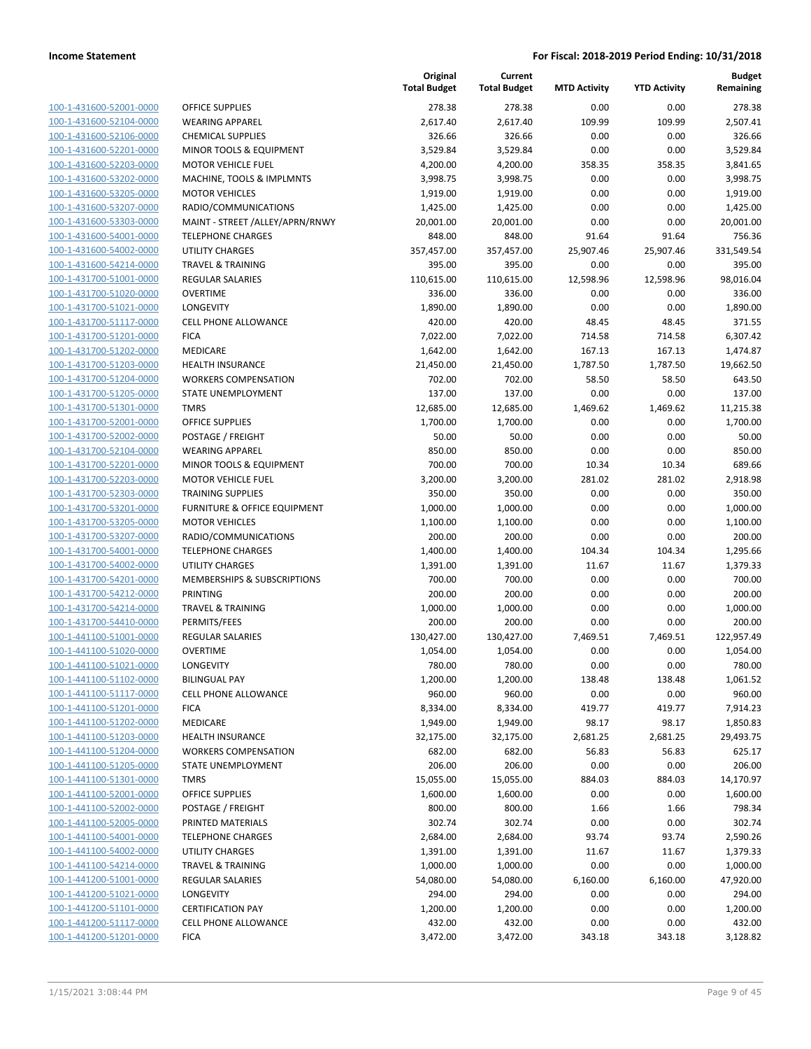**Budget**

|                         |                                 | rotai buog |
|-------------------------|---------------------------------|------------|
| 100-1-431600-52001-0000 | <b>OFFICE SUPPLIES</b>          | 278.       |
| 100-1-431600-52104-0000 | <b>WEARING APPAREL</b>          | 2,617.     |
| 100-1-431600-52106-0000 | <b>CHEMICAL SUPPLIES</b>        | 326.       |
| 100-1-431600-52201-0000 | MINOR TOOLS & EQUIPMENT         | 3,529.     |
| 100-1-431600-52203-0000 | <b>MOTOR VEHICLE FUEL</b>       | 4,200.     |
| 100-1-431600-53202-0000 | MACHINE, TOOLS & IMPLMNTS       | 3,998.     |
| 100-1-431600-53205-0000 | <b>MOTOR VEHICLES</b>           | 1,919.     |
| 100-1-431600-53207-0000 | RADIO/COMMUNICATIONS            | 1,425.     |
| 100-1-431600-53303-0000 | MAINT - STREET /ALLEY/APRN/RNWY | 20,001.    |
| 100-1-431600-54001-0000 | <b>TELEPHONE CHARGES</b>        | 848.       |
| 100-1-431600-54002-0000 | <b>UTILITY CHARGES</b>          | 357,457.   |
| 100-1-431600-54214-0000 | <b>TRAVEL &amp; TRAINING</b>    | 395.       |
| 100-1-431700-51001-0000 | <b>REGULAR SALARIES</b>         | 110,615.   |
| 100-1-431700-51020-0000 | <b>OVERTIME</b>                 | 336.       |
| 100-1-431700-51021-0000 | LONGEVITY                       | 1,890.     |
| 100-1-431700-51117-0000 | <b>CELL PHONE ALLOWANCE</b>     | 420.       |
| 100-1-431700-51201-0000 | <b>FICA</b>                     | 7,022.     |
| 100-1-431700-51202-0000 | <b>MEDICARE</b>                 | 1,642.     |
| 100-1-431700-51203-0000 | <b>HEALTH INSURANCE</b>         | 21,450.    |
| 100-1-431700-51204-0000 | <b>WORKERS COMPENSATION</b>     | 702.       |
| 100-1-431700-51205-0000 | STATE UNEMPLOYMENT              | 137.       |
| 100-1-431700-51301-0000 | <b>TMRS</b>                     | 12,685.    |
| 100-1-431700-52001-0000 | <b>OFFICE SUPPLIES</b>          | 1,700.     |
| 100-1-431700-52002-0000 | <b>POSTAGE / FREIGHT</b>        | 50.1       |
| 100-1-431700-52104-0000 | <b>WEARING APPAREL</b>          | 850.       |
| 100-1-431700-52201-0000 | MINOR TOOLS & EQUIPMENT         | 700.       |
| 100-1-431700-52203-0000 | <b>MOTOR VEHICLE FUEL</b>       | 3,200.0    |
| 100-1-431700-52303-0000 | <b>TRAINING SUPPLIES</b>        | 350.       |
| 100-1-431700-53201-0000 | FURNITURE & OFFICE EQUIPMENT    | 1,000.     |
| 100-1-431700-53205-0000 | <b>MOTOR VEHICLES</b>           | 1,100.0    |
| 100-1-431700-53207-0000 | RADIO/COMMUNICATIONS            | 200.0      |
| 100-1-431700-54001-0000 | <b>TELEPHONE CHARGES</b>        | 1,400.     |
| 100-1-431700-54002-0000 | <b>UTILITY CHARGES</b>          | 1,391.     |
| 100-1-431700-54201-0000 | MEMBERSHIPS & SUBSCRIPTIONS     | 700.       |
| 100-1-431700-54212-0000 | PRINTING                        | 200.       |
| 100-1-431700-54214-0000 | <b>TRAVEL &amp; TRAINING</b>    | 1,000.     |
| 100-1-431700-54410-0000 | PERMITS/FEES                    | 200.       |
| 100-1-441100-51001-0000 | <b>REGULAR SALARIES</b>         | 130,427.   |
| 100-1-441100-51020-0000 | <b>OVERTIME</b>                 | 1,054.     |
| 100-1-441100-51021-0000 | LONGEVITY                       | 780.       |
| 100-1-441100-51102-0000 | <b>BILINGUAL PAY</b>            | 1,200.0    |
| 100-1-441100-51117-0000 | <b>CELL PHONE ALLOWANCE</b>     | 960.       |
| 100-1-441100-51201-0000 | <b>FICA</b>                     | 8,334.     |
| 100-1-441100-51202-0000 | <b>MEDICARE</b>                 | 1,949.     |
| 100-1-441100-51203-0000 | <b>HEALTH INSURANCE</b>         | 32,175.    |
| 100-1-441100-51204-0000 | <b>WORKERS COMPENSATION</b>     | 682.       |
| 100-1-441100-51205-0000 | STATE UNEMPLOYMENT              | 206.       |
| 100-1-441100-51301-0000 | <b>TMRS</b>                     | 15,055.    |
| 100-1-441100-52001-0000 | <b>OFFICE SUPPLIES</b>          | 1,600.     |
| 100-1-441100-52002-0000 | POSTAGE / FREIGHT               | 800.       |
| 100-1-441100-52005-0000 | PRINTED MATERIALS               | 302.       |
| 100-1-441100-54001-0000 | <b>TELEPHONE CHARGES</b>        | 2,684.     |
| 100-1-441100-54002-0000 | <b>UTILITY CHARGES</b>          | 1,391.     |
| 100-1-441100-54214-0000 | <b>TRAVEL &amp; TRAINING</b>    | 1,000.     |
| 100-1-441200-51001-0000 | REGULAR SALARIES                | 54,080.    |
| 100-1-441200-51021-0000 | LONGEVITY                       | 294.       |
| 100-1-441200-51101-0000 | <b>CERTIFICATION PAY</b>        | 1,200.     |
|                         |                                 |            |
| 100-1-441200-51117-0000 | <b>CELL PHONE ALLOWANCE</b>     | 432.       |

|                                                    |                                                       | Original<br><b>Total Budget</b> | Current<br><b>Total Budget</b> | <b>MTD Activity</b> | <b>YTD Activity</b> | Budget<br>Remaining |
|----------------------------------------------------|-------------------------------------------------------|---------------------------------|--------------------------------|---------------------|---------------------|---------------------|
| 100-1-431600-52001-0000                            | <b>OFFICE SUPPLIES</b>                                | 278.38                          | 278.38                         | 0.00                | 0.00                | 278.38              |
| 100-1-431600-52104-0000                            | <b>WEARING APPAREL</b>                                | 2,617.40                        | 2,617.40                       | 109.99              | 109.99              | 2,507.41            |
| 100-1-431600-52106-0000                            | <b>CHEMICAL SUPPLIES</b>                              | 326.66                          | 326.66                         | 0.00                | 0.00                | 326.66              |
| 100-1-431600-52201-0000                            | MINOR TOOLS & EQUIPMENT                               | 3,529.84                        | 3,529.84                       | 0.00                | 0.00                | 3,529.84            |
| 100-1-431600-52203-0000                            | <b>MOTOR VEHICLE FUEL</b>                             | 4,200.00                        | 4,200.00                       | 358.35              | 358.35              | 3,841.65            |
| 100-1-431600-53202-0000                            | MACHINE, TOOLS & IMPLMNTS                             | 3,998.75                        | 3,998.75                       | 0.00                | 0.00                | 3,998.75            |
| 100-1-431600-53205-0000                            | <b>MOTOR VEHICLES</b>                                 | 1,919.00                        | 1,919.00                       | 0.00                | 0.00                | 1,919.00            |
| 100-1-431600-53207-0000                            | RADIO/COMMUNICATIONS                                  | 1,425.00                        | 1,425.00                       | 0.00                | 0.00                | 1,425.00            |
| 100-1-431600-53303-0000                            | MAINT - STREET /ALLEY/APRN/RNWY                       | 20,001.00                       | 20,001.00                      | 0.00                | 0.00                | 20,001.00           |
| 100-1-431600-54001-0000                            | <b>TELEPHONE CHARGES</b>                              | 848.00                          | 848.00                         | 91.64               | 91.64               | 756.36              |
| 100-1-431600-54002-0000                            | UTILITY CHARGES                                       | 357,457.00                      | 357,457.00                     | 25,907.46           | 25,907.46           | 331,549.54          |
| 100-1-431600-54214-0000                            | <b>TRAVEL &amp; TRAINING</b>                          | 395.00                          | 395.00                         | 0.00                | 0.00                | 395.00              |
| 100-1-431700-51001-0000                            | <b>REGULAR SALARIES</b>                               | 110,615.00                      | 110,615.00                     | 12,598.96           | 12,598.96           | 98,016.04           |
| 100-1-431700-51020-0000                            | <b>OVERTIME</b>                                       | 336.00                          | 336.00                         | 0.00                | 0.00                | 336.00              |
| 100-1-431700-51021-0000                            | <b>LONGEVITY</b>                                      | 1,890.00                        | 1,890.00                       | 0.00                | 0.00                | 1,890.00            |
| 100-1-431700-51117-0000                            | <b>CELL PHONE ALLOWANCE</b>                           | 420.00                          | 420.00                         | 48.45               | 48.45               | 371.55              |
| 100-1-431700-51201-0000                            | <b>FICA</b>                                           | 7,022.00                        | 7,022.00                       | 714.58              | 714.58              | 6,307.42            |
| 100-1-431700-51202-0000                            | MEDICARE                                              | 1,642.00                        | 1,642.00                       | 167.13              | 167.13              | 1,474.87            |
| 100-1-431700-51203-0000                            | <b>HEALTH INSURANCE</b>                               | 21,450.00                       | 21,450.00                      | 1,787.50            | 1,787.50            | 19,662.50           |
| 100-1-431700-51204-0000                            | <b>WORKERS COMPENSATION</b>                           | 702.00                          | 702.00                         | 58.50               | 58.50               | 643.50              |
| 100-1-431700-51205-0000                            | <b>STATE UNEMPLOYMENT</b>                             | 137.00                          | 137.00                         | 0.00                | 0.00                | 137.00              |
| 100-1-431700-51301-0000                            | <b>TMRS</b>                                           | 12,685.00                       | 12,685.00                      | 1,469.62            | 1,469.62            | 11,215.38           |
| 100-1-431700-52001-0000                            | <b>OFFICE SUPPLIES</b>                                | 1,700.00                        | 1,700.00                       | 0.00                | 0.00                | 1,700.00            |
| 100-1-431700-52002-0000                            | POSTAGE / FREIGHT                                     | 50.00                           | 50.00                          | 0.00                | 0.00                | 50.00               |
| 100-1-431700-52104-0000                            | <b>WEARING APPAREL</b>                                | 850.00                          | 850.00                         | 0.00                | 0.00                | 850.00              |
| 100-1-431700-52201-0000                            | MINOR TOOLS & EQUIPMENT                               | 700.00                          | 700.00                         | 10.34               | 10.34               | 689.66              |
| 100-1-431700-52203-0000                            | <b>MOTOR VEHICLE FUEL</b>                             | 3,200.00                        | 3,200.00                       | 281.02              | 281.02              | 2,918.98            |
| 100-1-431700-52303-0000                            | <b>TRAINING SUPPLIES</b>                              | 350.00                          | 350.00                         | 0.00                | 0.00                | 350.00              |
| 100-1-431700-53201-0000<br>100-1-431700-53205-0000 | FURNITURE & OFFICE EQUIPMENT<br><b>MOTOR VEHICLES</b> | 1,000.00<br>1,100.00            | 1,000.00<br>1,100.00           | 0.00<br>0.00        | 0.00<br>0.00        | 1,000.00            |
| 100-1-431700-53207-0000                            | RADIO/COMMUNICATIONS                                  | 200.00                          | 200.00                         | 0.00                | 0.00                | 1,100.00<br>200.00  |
| 100-1-431700-54001-0000                            | <b>TELEPHONE CHARGES</b>                              | 1,400.00                        | 1,400.00                       | 104.34              | 104.34              | 1,295.66            |
| 100-1-431700-54002-0000                            | <b>UTILITY CHARGES</b>                                | 1,391.00                        | 1,391.00                       | 11.67               | 11.67               | 1,379.33            |
| 100-1-431700-54201-0000                            | MEMBERSHIPS & SUBSCRIPTIONS                           | 700.00                          | 700.00                         | 0.00                | 0.00                | 700.00              |
| 100-1-431700-54212-0000                            | PRINTING                                              | 200.00                          | 200.00                         | 0.00                | 0.00                | 200.00              |
| 100-1-431700-54214-0000                            | <b>TRAVEL &amp; TRAINING</b>                          | 1,000.00                        | 1,000.00                       | 0.00                | 0.00                | 1,000.00            |
| 100-1-431700-54410-0000                            | PERMITS/FEES                                          | 200.00                          | 200.00                         | 0.00                | 0.00                | 200.00              |
| 100-1-441100-51001-0000                            | <b>REGULAR SALARIES</b>                               | 130,427.00                      | 130,427.00                     | 7,469.51            | 7,469.51            | 122,957.49          |
| 100-1-441100-51020-0000                            | <b>OVERTIME</b>                                       | 1,054.00                        | 1,054.00                       | 0.00                | 0.00                | 1,054.00            |
| 100-1-441100-51021-0000                            | LONGEVITY                                             | 780.00                          | 780.00                         | 0.00                | 0.00                | 780.00              |
| 100-1-441100-51102-0000                            | <b>BILINGUAL PAY</b>                                  | 1,200.00                        | 1,200.00                       | 138.48              | 138.48              | 1,061.52            |
| 100-1-441100-51117-0000                            | <b>CELL PHONE ALLOWANCE</b>                           | 960.00                          | 960.00                         | 0.00                | 0.00                | 960.00              |
| 100-1-441100-51201-0000                            | <b>FICA</b>                                           | 8,334.00                        | 8,334.00                       | 419.77              | 419.77              | 7,914.23            |
| 100-1-441100-51202-0000                            | MEDICARE                                              | 1,949.00                        | 1,949.00                       | 98.17               | 98.17               | 1,850.83            |
| 100-1-441100-51203-0000                            | <b>HEALTH INSURANCE</b>                               | 32,175.00                       | 32,175.00                      | 2,681.25            | 2,681.25            | 29,493.75           |
| 100-1-441100-51204-0000                            | <b>WORKERS COMPENSATION</b>                           | 682.00                          | 682.00                         | 56.83               | 56.83               | 625.17              |
| 100-1-441100-51205-0000                            | <b>STATE UNEMPLOYMENT</b>                             | 206.00                          | 206.00                         | 0.00                | 0.00                | 206.00              |
| 100-1-441100-51301-0000                            | <b>TMRS</b>                                           | 15,055.00                       | 15,055.00                      | 884.03              | 884.03              | 14,170.97           |
| 100-1-441100-52001-0000                            | <b>OFFICE SUPPLIES</b>                                | 1,600.00                        | 1,600.00                       | 0.00                | 0.00                | 1,600.00            |
| 100-1-441100-52002-0000                            | POSTAGE / FREIGHT                                     | 800.00                          | 800.00                         | 1.66                | 1.66                | 798.34              |
| 100-1-441100-52005-0000                            | PRINTED MATERIALS                                     | 302.74                          | 302.74                         | 0.00                | 0.00                | 302.74              |
| 100-1-441100-54001-0000                            | <b>TELEPHONE CHARGES</b>                              | 2,684.00                        | 2,684.00                       | 93.74               | 93.74               | 2,590.26            |
| 100-1-441100-54002-0000                            | UTILITY CHARGES                                       | 1,391.00                        | 1,391.00                       | 11.67               | 11.67               | 1,379.33            |
| 100-1-441100-54214-0000                            | <b>TRAVEL &amp; TRAINING</b>                          | 1,000.00                        | 1,000.00                       | 0.00                | 0.00                | 1,000.00            |
| 100-1-441200-51001-0000                            | <b>REGULAR SALARIES</b>                               | 54,080.00                       | 54,080.00                      | 6,160.00            | 6,160.00            | 47,920.00           |
| 100-1-441200-51021-0000                            | LONGEVITY                                             | 294.00                          | 294.00                         | 0.00                | 0.00                | 294.00              |
| 100-1-441200-51101-0000                            | <b>CERTIFICATION PAY</b>                              | 1,200.00                        | 1,200.00                       | 0.00                | 0.00                | 1,200.00            |
| 100-1-441200-51117-0000                            | CELL PHONE ALLOWANCE                                  | 432.00                          | 432.00                         | 0.00                | 0.00                | 432.00              |
| 100-1-441200-51201-0000                            | <b>FICA</b>                                           | 3,472.00                        | 3,472.00                       | 343.18              | 343.18              | 3,128.82            |
|                                                    |                                                       |                                 |                                |                     |                     |                     |

**Current**

**Original**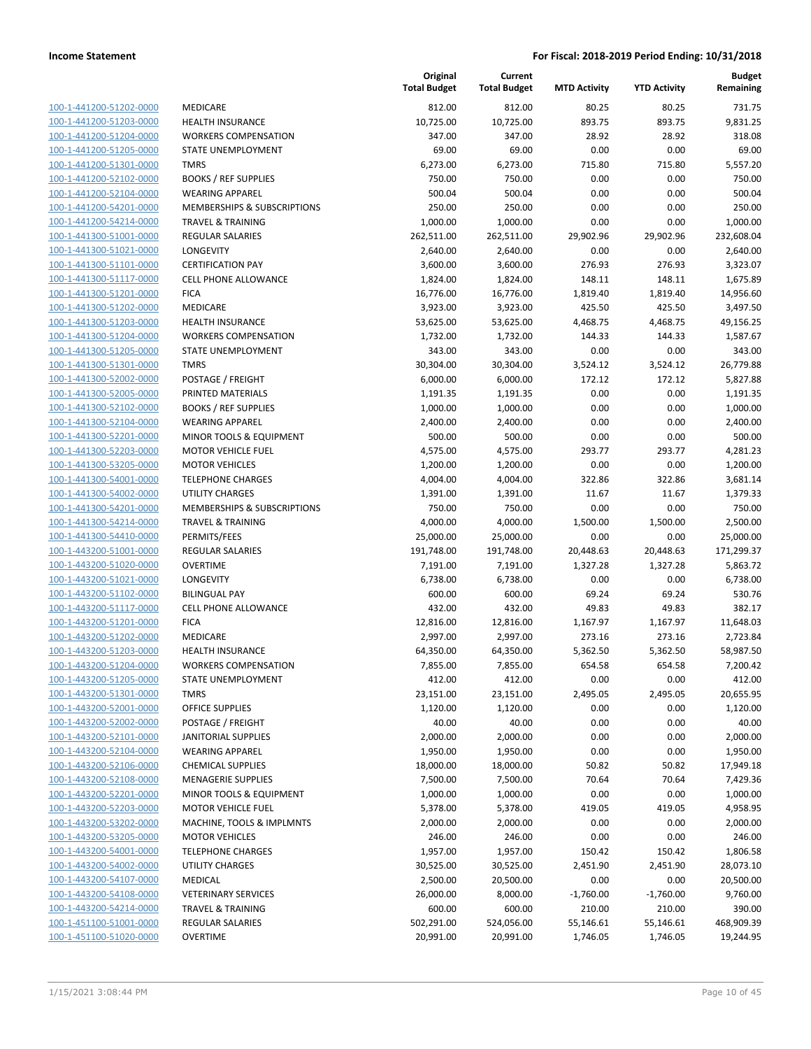**Budget Remaining**

**MTD Activity YTD Activity**

**Current**

**Original**

| 100-1-441200-51202-0000        |
|--------------------------------|
| 100-1-441200-51203-0000        |
| 100-1-441200-51204-0000        |
| 100-1-441200-51205-0000        |
| 100-1-441200-51301-0000        |
| 100-1-441200-52102-0000        |
| 100-1-441200-52104-0000        |
| 100-1-441200-54201-0000        |
| 100-1-441200-54214-0000        |
| <u>100-1-441300-51001-0000</u> |
| 100-1-441300-51021-0000        |
| 100-1-441300-51101-<br>$-0000$ |
| 100-1-441300-51117-0000        |
| 100-1-441300-51201-0000        |
| <u>100-1-441300-51202-0000</u> |
| 100-1-441300-51203-0000        |
| 100-1-441300-51204-0000        |
| 100-1-441300-51205-0000        |
| 100-1-441300-51301-0000        |
| 100-1-441300-52002-0000        |
| 100-1-441300-52005-0000        |
| 100-1-441300-52102-0000        |
|                                |
| 100-1-441300-52104-0000        |
| 100-1-441300-52201-0000        |
| <u>100-1-441300-52203-0000</u> |
| 100-1-441300-53205-0000        |
| 100-1-441300-54001-0000        |
| 100-1-441300-54002-0000        |
| 100-1-441300-54201-0000        |
| 100-1-441300-54214-0000        |
| 100-1-441300-54410-0000        |
| 100-1-443200-51001-0000        |
| 100-1-443200-51020-0000        |
| 100-1-443200-51021-0000        |
| <u>100-1-443200-51102-0000</u> |
| 100-1-443200-51117-0000        |
| 100-1-443200-51201-0000        |
| 100-1-443200-51202-0000        |
| 100-1-443200-51203-0000        |
| 100-1-443200-51204-0000        |
| 100-1-443200-51205-0000        |
| <u>100-1-443200-51301-0000</u> |
| 100-1-443200-52001-0000        |
| <u>100-1-443200-52002-0000</u> |
| 100-1-443200-52101-0000        |
| 100-1-443200-52104-0000        |
| 100-1-443200-52106-0000        |
| <u>100-1-443200-52108-0000</u> |
| 100-1-443200-52201-0000        |
| <u>100-1-443200-52203-0000</u> |
| <u>100-1-443200-53202-0000</u> |
| 100-1-443200-53205-0000        |
|                                |
| 100-1-443200-54001-0000        |
| <u>100-1-443200-54002-0000</u> |
| 100-1-443200-54107-0000        |
| <u>100-1-443200-54108-0000</u> |
| <u>100-1-443200-54214-0000</u> |
| 100-1-451100-51001-0000        |
| <u>100-1-451100-51020-0000</u> |

|                                         | <b>Total Budget</b> | <b>Total Budget</b> |
|-----------------------------------------|---------------------|---------------------|
| <b>MEDICARE</b>                         | 812.00              | 812.00              |
| <b>HEALTH INSURANCE</b>                 | 10,725.00           | 10,725.00           |
| <b>WORKERS COMPENSATION</b>             | 347.00              | 347.00              |
| STATE UNEMPLOYMENT                      | 69.00               | 69.00               |
| TMRS                                    | 6,273.00            | 6,273.00            |
| <b>BOOKS / REF SUPPLIES</b>             | 750.00              | 750.00              |
| <b>WEARING APPAREL</b>                  | 500.04              | 500.04              |
| MEMBERSHIPS & SUBSCRIPTIONS             | 250.00              | 250.00              |
| <b>TRAVEL &amp; TRAINING</b>            | 1,000.00            | 1,000.00            |
| <b>REGULAR SALARIES</b>                 | 262,511.00          | 262,511.00          |
| LONGEVITY                               | 2,640.00            | 2,640.00            |
| <b>CERTIFICATION PAY</b>                | 3,600.00            | 3,600.00            |
| <b>CELL PHONE ALLOWANCE</b>             | 1,824.00            | 1,824.00            |
| <b>FICA</b>                             | 16,776.00           | 16,776.00           |
| <b>MEDICARE</b>                         | 3,923.00            | 3,923.00            |
| <b>HEALTH INSURANCE</b>                 | 53,625.00           | 53,625.00           |
| <b>WORKERS COMPENSATION</b>             | 1,732.00            | 1,732.00            |
| <b>STATE UNEMPLOYMENT</b>               | 343.00              | 343.00              |
| <b>TMRS</b>                             | 30,304.00           | 30,304.00           |
| POSTAGE / FREIGHT                       | 6,000.00            | 6,000.00            |
| PRINTED MATERIALS                       | 1,191.35            | 1,191.35            |
| <b>BOOKS / REF SUPPLIES</b>             | 1,000.00            | 1,000.00            |
| <b>WEARING APPAREL</b>                  | 2,400.00            | 2,400.00            |
| MINOR TOOLS & EQUIPMENT                 | 500.00              | 500.00              |
| <b>MOTOR VEHICLE FUEL</b>               | 4,575.00            | 4,575.00            |
| <b>MOTOR VEHICLES</b>                   | 1,200.00            | 1,200.00            |
| <b>TELEPHONE CHARGES</b>                | 4,004.00            | 4,004.00            |
| <b>UTILITY CHARGES</b>                  | 1,391.00            | 1,391.00            |
| MEMBERSHIPS & SUBSCRIPTIONS             | 750.00              | 750.00              |
| TRAVEL & TRAINING                       | 4,000.00            | 4,000.00            |
| PERMITS/FEES                            | 25,000.00           | 25,000.00           |
| <b>REGULAR SALARIES</b>                 | 191,748.00          | 191,748.00          |
| <b>OVERTIME</b>                         | 7,191.00            | 7,191.00            |
| LONGEVITY                               | 6,738.00            | 6,738.00            |
| <b>BILINGUAL PAY</b>                    | 600.00              | 600.00              |
| <b>CELL PHONE ALLOWANCE</b>             | 432.00              | 432.00              |
| <b>FICA</b>                             | 12,816.00           | 12,816.00           |
| MEDICARE                                | 2,997.00            | 2,997.00            |
| <b>HEALTH INSURANCE</b>                 | 64,350.00           | 64,350.00           |
| <b>WORKERS COMPENSATION</b>             | 7,855.00            | 7,855.00            |
| STATE UNEMPLOYMENT                      | 412.00              | 412.00              |
| TMRS                                    | 23,151.00           | 23,151.00           |
| <b>OFFICE SUPPLIES</b>                  | 1,120.00            | 1,120.00            |
| POSTAGE / FREIGHT                       | 40.00               | 40.00               |
| <b>JANITORIAL SUPPLIES</b>              | 2,000.00            | 2,000.00            |
| <b>WEARING APPAREL</b>                  | 1,950.00            | 1,950.00            |
| <b>CHEMICAL SUPPLIES</b>                | 18,000.00           | 18,000.00           |
| <b>MENAGERIE SUPPLIES</b>               | 7,500.00            | 7,500.00            |
| MINOR TOOLS & EQUIPMENT                 | 1,000.00            | 1,000.00            |
| <b>MOTOR VEHICLE FUEL</b>               | 5,378.00            | 5,378.00            |
| MACHINE, TOOLS & IMPLMNTS               | 2,000.00            | 2,000.00            |
| <b>MOTOR VEHICLES</b>                   | 246.00              | 246.00              |
| <b>TELEPHONE CHARGES</b>                | 1,957.00            | 1,957.00            |
| <b>UTILITY CHARGES</b>                  | 30,525.00           | 30,525.00           |
| MEDICAL                                 | 2,500.00            | 20,500.00           |
| <b>VETERINARY SERVICES</b>              | 26,000.00           | 8,000.00            |
| TRAVEL & TRAINING                       | 600.00              | 600.00              |
| <b>REGULAR SALARIES</b>                 | 502,291.00          | 524,056.00          |
| $I$ $\Gamma$ $\Gamma$ $\Gamma$ $\Gamma$ |                     |                     |

| 100-1-441200-51202-0000 | <b>MEDICARE</b>                    | 812.00     | 812.00     | 80.25       | 80.25       | 731.75     |
|-------------------------|------------------------------------|------------|------------|-------------|-------------|------------|
| 100-1-441200-51203-0000 | HEALTH INSURANCE                   | 10,725.00  | 10,725.00  | 893.75      | 893.75      | 9,831.25   |
| 100-1-441200-51204-0000 | <b>WORKERS COMPENSATION</b>        | 347.00     | 347.00     | 28.92       | 28.92       | 318.08     |
| 100-1-441200-51205-0000 | <b>STATE UNEMPLOYMENT</b>          | 69.00      | 69.00      | 0.00        | 0.00        | 69.00      |
| 100-1-441200-51301-0000 | <b>TMRS</b>                        | 6,273.00   | 6,273.00   | 715.80      | 715.80      | 5,557.20   |
| 100-1-441200-52102-0000 | <b>BOOKS / REF SUPPLIES</b>        | 750.00     | 750.00     | 0.00        | 0.00        | 750.00     |
| 100-1-441200-52104-0000 | <b>WEARING APPAREL</b>             | 500.04     | 500.04     | 0.00        | 0.00        | 500.04     |
| 100-1-441200-54201-0000 | MEMBERSHIPS & SUBSCRIPTIONS        | 250.00     | 250.00     | 0.00        | 0.00        | 250.00     |
| 100-1-441200-54214-0000 | <b>TRAVEL &amp; TRAINING</b>       | 1,000.00   | 1,000.00   | 0.00        | 0.00        | 1,000.00   |
| 100-1-441300-51001-0000 | <b>REGULAR SALARIES</b>            | 262,511.00 | 262,511.00 | 29,902.96   | 29,902.96   | 232,608.04 |
| 100-1-441300-51021-0000 | LONGEVITY                          | 2,640.00   | 2,640.00   | 0.00        | 0.00        | 2,640.00   |
| 100-1-441300-51101-0000 | <b>CERTIFICATION PAY</b>           | 3,600.00   | 3,600.00   | 276.93      | 276.93      | 3,323.07   |
| 100-1-441300-51117-0000 | <b>CELL PHONE ALLOWANCE</b>        | 1,824.00   | 1,824.00   | 148.11      | 148.11      | 1,675.89   |
| 100-1-441300-51201-0000 | <b>FICA</b>                        | 16,776.00  | 16,776.00  | 1,819.40    | 1,819.40    | 14,956.60  |
| 100-1-441300-51202-0000 | <b>MEDICARE</b>                    | 3,923.00   | 3,923.00   | 425.50      | 425.50      | 3,497.50   |
| 100-1-441300-51203-0000 | <b>HEALTH INSURANCE</b>            | 53,625.00  | 53,625.00  | 4,468.75    | 4,468.75    | 49,156.25  |
| 100-1-441300-51204-0000 | <b>WORKERS COMPENSATION</b>        | 1,732.00   | 1,732.00   | 144.33      | 144.33      | 1,587.67   |
| 100-1-441300-51205-0000 | STATE UNEMPLOYMENT                 | 343.00     | 343.00     | 0.00        | 0.00        | 343.00     |
| 100-1-441300-51301-0000 | <b>TMRS</b>                        | 30,304.00  | 30,304.00  | 3,524.12    | 3,524.12    | 26,779.88  |
| 100-1-441300-52002-0000 | POSTAGE / FREIGHT                  | 6,000.00   | 6,000.00   | 172.12      | 172.12      | 5,827.88   |
| 100-1-441300-52005-0000 | PRINTED MATERIALS                  | 1,191.35   | 1,191.35   | 0.00        | 0.00        | 1,191.35   |
| 100-1-441300-52102-0000 | <b>BOOKS / REF SUPPLIES</b>        | 1,000.00   | 1,000.00   | 0.00        | 0.00        | 1,000.00   |
| 100-1-441300-52104-0000 | <b>WEARING APPAREL</b>             | 2,400.00   | 2,400.00   | 0.00        | 0.00        | 2,400.00   |
| 100-1-441300-52201-0000 | <b>MINOR TOOLS &amp; EQUIPMENT</b> | 500.00     | 500.00     | 0.00        | 0.00        | 500.00     |
| 100-1-441300-52203-0000 | <b>MOTOR VEHICLE FUEL</b>          | 4,575.00   | 4,575.00   | 293.77      | 293.77      | 4,281.23   |
| 100-1-441300-53205-0000 | <b>MOTOR VEHICLES</b>              | 1,200.00   | 1,200.00   | 0.00        | 0.00        | 1,200.00   |
| 100-1-441300-54001-0000 | <b>TELEPHONE CHARGES</b>           | 4,004.00   | 4,004.00   | 322.86      | 322.86      | 3,681.14   |
| 100-1-441300-54002-0000 | <b>UTILITY CHARGES</b>             | 1,391.00   | 1,391.00   | 11.67       | 11.67       | 1,379.33   |
| 100-1-441300-54201-0000 | MEMBERSHIPS & SUBSCRIPTIONS        | 750.00     | 750.00     | 0.00        | 0.00        | 750.00     |
| 100-1-441300-54214-0000 | <b>TRAVEL &amp; TRAINING</b>       | 4,000.00   | 4,000.00   | 1,500.00    | 1,500.00    | 2,500.00   |
| 100-1-441300-54410-0000 | PERMITS/FEES                       | 25,000.00  | 25,000.00  | 0.00        | 0.00        | 25,000.00  |
| 100-1-443200-51001-0000 | <b>REGULAR SALARIES</b>            | 191,748.00 | 191,748.00 | 20,448.63   | 20,448.63   | 171,299.37 |
| 100-1-443200-51020-0000 | <b>OVERTIME</b>                    | 7,191.00   | 7,191.00   | 1,327.28    | 1,327.28    | 5,863.72   |
| 100-1-443200-51021-0000 | LONGEVITY                          | 6,738.00   | 6,738.00   | 0.00        | 0.00        | 6,738.00   |
| 100-1-443200-51102-0000 | <b>BILINGUAL PAY</b>               | 600.00     | 600.00     | 69.24       | 69.24       | 530.76     |
| 100-1-443200-51117-0000 | <b>CELL PHONE ALLOWANCE</b>        | 432.00     | 432.00     | 49.83       | 49.83       | 382.17     |
| 100-1-443200-51201-0000 | <b>FICA</b>                        | 12,816.00  | 12,816.00  | 1,167.97    | 1,167.97    | 11,648.03  |
| 100-1-443200-51202-0000 | <b>MEDICARE</b>                    | 2,997.00   | 2,997.00   | 273.16      | 273.16      | 2,723.84   |
| 100-1-443200-51203-0000 | <b>HEALTH INSURANCE</b>            | 64,350.00  | 64,350.00  | 5,362.50    | 5,362.50    | 58,987.50  |
| 100-1-443200-51204-0000 | <b>WORKERS COMPENSATION</b>        | 7,855.00   | 7,855.00   | 654.58      | 654.58      | 7,200.42   |
| 100-1-443200-51205-0000 | STATE UNEMPLOYMENT                 | 412.00     | 412.00     | 0.00        | 0.00        | 412.00     |
| 100-1-443200-51301-0000 | <b>TMRS</b>                        | 23,151.00  | 23,151.00  | 2,495.05    | 2,495.05    | 20,655.95  |
| 100-1-443200-52001-0000 | <b>OFFICE SUPPLIES</b>             | 1,120.00   | 1,120.00   | 0.00        | 0.00        | 1,120.00   |
| 100-1-443200-52002-0000 | POSTAGE / FREIGHT                  | 40.00      | 40.00      | 0.00        | 0.00        | 40.00      |
| 100-1-443200-52101-0000 | JANITORIAL SUPPLIES                | 2,000.00   | 2,000.00   | 0.00        | 0.00        | 2,000.00   |
| 100-1-443200-52104-0000 | <b>WEARING APPAREL</b>             | 1,950.00   | 1,950.00   | 0.00        | 0.00        | 1,950.00   |
| 100-1-443200-52106-0000 | <b>CHEMICAL SUPPLIES</b>           | 18,000.00  | 18,000.00  | 50.82       | 50.82       | 17,949.18  |
| 100-1-443200-52108-0000 | <b>MENAGERIE SUPPLIES</b>          | 7,500.00   | 7,500.00   | 70.64       | 70.64       | 7,429.36   |
| 100-1-443200-52201-0000 | MINOR TOOLS & EQUIPMENT            | 1,000.00   | 1,000.00   | 0.00        | 0.00        | 1,000.00   |
| 100-1-443200-52203-0000 | <b>MOTOR VEHICLE FUEL</b>          | 5,378.00   | 5,378.00   | 419.05      | 419.05      | 4,958.95   |
| 100-1-443200-53202-0000 | MACHINE, TOOLS & IMPLMNTS          | 2,000.00   | 2,000.00   | 0.00        | 0.00        | 2,000.00   |
| 100-1-443200-53205-0000 | <b>MOTOR VEHICLES</b>              | 246.00     | 246.00     | 0.00        | 0.00        | 246.00     |
| 100-1-443200-54001-0000 | <b>TELEPHONE CHARGES</b>           | 1,957.00   | 1,957.00   | 150.42      | 150.42      | 1,806.58   |
| 100-1-443200-54002-0000 | <b>UTILITY CHARGES</b>             | 30,525.00  | 30,525.00  | 2,451.90    | 2,451.90    | 28,073.10  |
| 100-1-443200-54107-0000 | MEDICAL                            | 2,500.00   | 20,500.00  | 0.00        | 0.00        | 20,500.00  |
| 100-1-443200-54108-0000 | <b>VETERINARY SERVICES</b>         | 26,000.00  | 8,000.00   | $-1,760.00$ | $-1,760.00$ | 9,760.00   |
| 100-1-443200-54214-0000 | <b>TRAVEL &amp; TRAINING</b>       | 600.00     | 600.00     | 210.00      | 210.00      | 390.00     |
| 100-1-451100-51001-0000 | <b>REGULAR SALARIES</b>            | 502,291.00 | 524,056.00 | 55,146.61   | 55,146.61   | 468,909.39 |
| 100-1-451100-51020-0000 | <b>OVERTIME</b>                    | 20,991.00  | 20,991.00  | 1,746.05    | 1,746.05    | 19,244.95  |
|                         |                                    |            |            |             |             |            |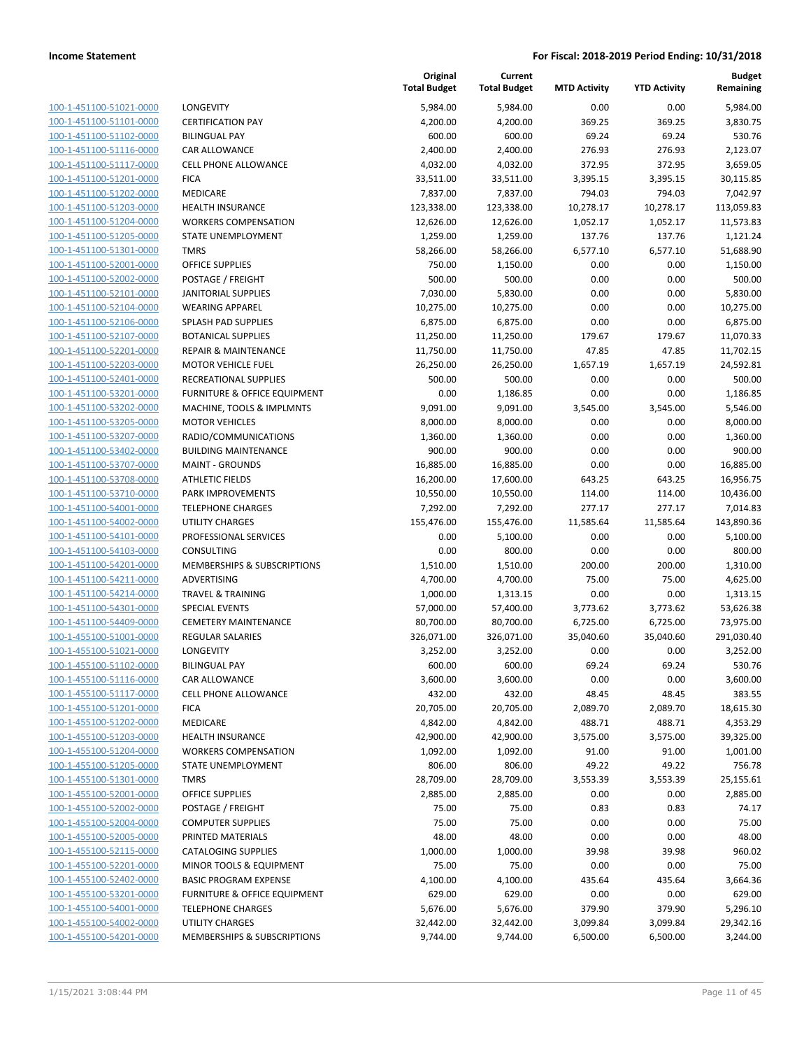| 100-1-451100-51021-0000         |
|---------------------------------|
| 100-1-451100-51101-0000         |
| 100-1-451100-51102-0000         |
| 100-1-451100-51116-0000         |
| 100-1-451100-51117-0000         |
| 100-1-451100-51201-0000         |
| 100-1-451100-51202-0000         |
| 100-1-451100-51203-0000         |
| 100-1-451100-51204-0000         |
| -451100-51205-0000<br>$100 - 1$ |
| 100-1-451100-51301-0000         |
| 100-1-451100-52001-0000         |
| 100-1-451100-52002-0000         |
| 100-1-451100-52101-0000         |
| 100-1-451100-52104-0000         |
| 100-1-451100-52106-0000         |
| 100-1-451100-52107-0000         |
|                                 |
| 100-1-451100-52201-0000         |
| 100-1-451100-52203-0000         |
| -451100-52401-0000<br>$100 - 1$ |
| 100-1-451100-53201-0000         |
| 100-1-451100-53202-0000         |
| 100-1-451100-53205-0000         |
| 100-1-451100-53207-0000         |
| 100-1-451100-53402-0000         |
| 100-1-451100-53707-0000         |
| 100-1-451100-53708-0000         |
| 100-1-451100-53710-0000         |
| 100-1-451100-54001-0000         |
| -451100-54002-0000<br>$100 - 1$ |
| 100-1-451100-54101-0000         |
| 100-1-451100-54103-0000         |
| 100-1-451100-54201-0000         |
| 100-1-451100-54211-0000         |
| 100-1-451100-54214-0000         |
| 100-1-451100-54301-0000         |
| 100-1-451100-54409-0000         |
| 100-1-455100-51001-0000         |
| 100-1-455100-51021-0000         |
| -455100-51102-0000<br>$100 - 1$ |
| 100-1-455100-51116-0000         |
| 100-1-455100-51117-0000         |
| <u>100-1-455100-51201-0000</u>  |
| <u>100-1-455100-51202-0000</u>  |
| 100-1-455100-51203-0000         |
| 100-1-455100-51204-0000         |
| 100-1-455100-51205-0000         |
|                                 |
| <u>100-1-455100-51301-0000</u>  |
| <u>100-1-455100-52001-0000</u>  |
| 100-1-455100-52002-0000         |
| 100-1-455100-52004-0000         |
| 100-1-455100-52005-0000         |
| 100-1-455100-52115-0000         |
| <u>100-1-455100-52201-0000</u>  |
| 100-1-455100-52402-0000         |
| 100-1-455100-53201-0000         |
| 100-1-455100-54001-0000         |
| <u>100-1-455100-54002-0000</u>  |
| 100-1-455100-54201-0000         |

|                         |                                 | Original<br><b>Total Budget</b> | Current<br><b>Total Budget</b> | <b>MTD Activity</b> | <b>YTD Activity</b> | <b>Budget</b><br>Remaining |
|-------------------------|---------------------------------|---------------------------------|--------------------------------|---------------------|---------------------|----------------------------|
| 100-1-451100-51021-0000 | LONGEVITY                       | 5,984.00                        | 5,984.00                       | 0.00                | 0.00                | 5,984.00                   |
| 100-1-451100-51101-0000 | <b>CERTIFICATION PAY</b>        | 4,200.00                        | 4,200.00                       | 369.25              | 369.25              | 3,830.75                   |
| 100-1-451100-51102-0000 | <b>BILINGUAL PAY</b>            | 600.00                          | 600.00                         | 69.24               | 69.24               | 530.76                     |
| 100-1-451100-51116-0000 | CAR ALLOWANCE                   | 2,400.00                        | 2,400.00                       | 276.93              | 276.93              | 2,123.07                   |
| 100-1-451100-51117-0000 | <b>CELL PHONE ALLOWANCE</b>     | 4,032.00                        | 4,032.00                       | 372.95              | 372.95              | 3,659.05                   |
| 100-1-451100-51201-0000 | <b>FICA</b>                     | 33,511.00                       | 33,511.00                      | 3,395.15            | 3,395.15            | 30,115.85                  |
| 100-1-451100-51202-0000 | MEDICARE                        | 7,837.00                        | 7,837.00                       | 794.03              | 794.03              | 7,042.97                   |
| 100-1-451100-51203-0000 | <b>HEALTH INSURANCE</b>         | 123,338.00                      | 123,338.00                     | 10,278.17           | 10,278.17           | 113,059.83                 |
| 100-1-451100-51204-0000 | <b>WORKERS COMPENSATION</b>     | 12,626.00                       | 12,626.00                      | 1,052.17            | 1,052.17            | 11,573.83                  |
| 100-1-451100-51205-0000 | STATE UNEMPLOYMENT              | 1,259.00                        | 1,259.00                       | 137.76              | 137.76              | 1,121.24                   |
| 100-1-451100-51301-0000 | <b>TMRS</b>                     | 58,266.00                       | 58,266.00                      | 6,577.10            | 6,577.10            | 51,688.90                  |
| 100-1-451100-52001-0000 | <b>OFFICE SUPPLIES</b>          | 750.00                          | 1,150.00                       | 0.00                | 0.00                | 1,150.00                   |
| 100-1-451100-52002-0000 | POSTAGE / FREIGHT               | 500.00                          | 500.00                         | 0.00                | 0.00                | 500.00                     |
| 100-1-451100-52101-0000 | <b>JANITORIAL SUPPLIES</b>      | 7,030.00                        | 5,830.00                       | 0.00                | 0.00                | 5,830.00                   |
| 100-1-451100-52104-0000 | <b>WEARING APPAREL</b>          | 10,275.00                       | 10,275.00                      | 0.00                | 0.00                | 10,275.00                  |
| 100-1-451100-52106-0000 | SPLASH PAD SUPPLIES             | 6,875.00                        | 6,875.00                       | 0.00                | 0.00                | 6,875.00                   |
| 100-1-451100-52107-0000 | <b>BOTANICAL SUPPLIES</b>       | 11,250.00                       | 11,250.00                      | 179.67              | 179.67              | 11,070.33                  |
| 100-1-451100-52201-0000 | <b>REPAIR &amp; MAINTENANCE</b> | 11,750.00                       | 11,750.00                      | 47.85               | 47.85               | 11,702.15                  |
| 100-1-451100-52203-0000 | <b>MOTOR VEHICLE FUEL</b>       | 26,250.00                       | 26,250.00                      | 1,657.19            | 1,657.19            | 24,592.81                  |
| 100-1-451100-52401-0000 | RECREATIONAL SUPPLIES           | 500.00                          | 500.00                         | 0.00                | 0.00                | 500.00                     |
| 100-1-451100-53201-0000 | FURNITURE & OFFICE EQUIPMENT    | 0.00                            | 1,186.85                       | 0.00                | 0.00                | 1,186.85                   |
| 100-1-451100-53202-0000 | MACHINE, TOOLS & IMPLMNTS       | 9,091.00                        | 9,091.00                       | 3,545.00            | 3,545.00            | 5,546.00                   |
| 100-1-451100-53205-0000 | <b>MOTOR VEHICLES</b>           | 8,000.00                        | 8,000.00                       | 0.00                | 0.00                | 8,000.00                   |
| 100-1-451100-53207-0000 | RADIO/COMMUNICATIONS            | 1,360.00                        | 1,360.00                       | 0.00                | 0.00                | 1,360.00                   |
| 100-1-451100-53402-0000 | <b>BUILDING MAINTENANCE</b>     | 900.00                          | 900.00                         | 0.00                | 0.00                | 900.00                     |
| 100-1-451100-53707-0000 | <b>MAINT - GROUNDS</b>          | 16,885.00                       | 16,885.00                      | 0.00                | 0.00                | 16,885.00                  |
| 100-1-451100-53708-0000 | <b>ATHLETIC FIELDS</b>          | 16,200.00                       | 17,600.00                      | 643.25              | 643.25              | 16,956.75                  |
| 100-1-451100-53710-0000 | PARK IMPROVEMENTS               | 10,550.00                       | 10,550.00                      | 114.00              | 114.00              | 10,436.00                  |
| 100-1-451100-54001-0000 | <b>TELEPHONE CHARGES</b>        | 7,292.00                        | 7,292.00                       | 277.17              | 277.17              | 7,014.83                   |
| 100-1-451100-54002-0000 | <b>UTILITY CHARGES</b>          | 155,476.00                      | 155,476.00                     | 11,585.64           | 11,585.64           | 143,890.36                 |
| 100-1-451100-54101-0000 | PROFESSIONAL SERVICES           | 0.00                            | 5,100.00                       | 0.00                | 0.00                | 5,100.00                   |
| 100-1-451100-54103-0000 | CONSULTING                      | 0.00                            | 800.00                         | 0.00                | 0.00                | 800.00                     |
| 100-1-451100-54201-0000 | MEMBERSHIPS & SUBSCRIPTIONS     | 1,510.00                        | 1,510.00                       | 200.00              | 200.00              | 1,310.00                   |
| 100-1-451100-54211-0000 | ADVERTISING                     | 4,700.00                        | 4,700.00                       | 75.00               | 75.00               | 4,625.00                   |
| 100-1-451100-54214-0000 | <b>TRAVEL &amp; TRAINING</b>    | 1,000.00                        | 1,313.15                       | 0.00                | 0.00                | 1,313.15                   |
| 100-1-451100-54301-0000 | <b>SPECIAL EVENTS</b>           | 57,000.00                       | 57,400.00                      | 3,773.62            | 3,773.62            | 53,626.38                  |
| 100-1-451100-54409-0000 | <b>CEMETERY MAINTENANCE</b>     | 80,700.00                       | 80,700.00                      | 6,725.00            | 6,725.00            | 73,975.00                  |
| 100-1-455100-51001-0000 | REGULAR SALARIES                | 326,071.00                      | 326,071.00                     | 35,040.60           | 35,040.60           | 291,030.40                 |
| 100-1-455100-51021-0000 | LONGEVITY                       | 3,252.00                        | 3,252.00                       | 0.00                | 0.00                | 3,252.00                   |
| 100-1-455100-51102-0000 | <b>BILINGUAL PAY</b>            | 600.00                          | 600.00                         | 69.24               | 69.24               | 530.76                     |
| 100-1-455100-51116-0000 | CAR ALLOWANCE                   | 3,600.00                        | 3,600.00                       | 0.00                | 0.00                | 3,600.00                   |
| 100-1-455100-51117-0000 | <b>CELL PHONE ALLOWANCE</b>     | 432.00                          | 432.00                         | 48.45               | 48.45               | 383.55                     |
| 100-1-455100-51201-0000 | <b>FICA</b>                     | 20,705.00                       | 20,705.00                      | 2,089.70            | 2,089.70            | 18,615.30                  |
| 100-1-455100-51202-0000 | MEDICARE                        | 4,842.00                        | 4,842.00                       | 488.71              | 488.71              | 4,353.29                   |
| 100-1-455100-51203-0000 | <b>HEALTH INSURANCE</b>         | 42,900.00                       | 42,900.00                      | 3,575.00            | 3,575.00            | 39,325.00                  |
| 100-1-455100-51204-0000 | <b>WORKERS COMPENSATION</b>     | 1,092.00                        | 1,092.00                       | 91.00               | 91.00               | 1,001.00                   |
| 100-1-455100-51205-0000 | STATE UNEMPLOYMENT              | 806.00                          | 806.00                         | 49.22               | 49.22               | 756.78                     |
| 100-1-455100-51301-0000 | <b>TMRS</b>                     | 28,709.00                       | 28,709.00                      | 3,553.39            | 3,553.39            | 25,155.61                  |
| 100-1-455100-52001-0000 | <b>OFFICE SUPPLIES</b>          | 2,885.00                        | 2,885.00                       | 0.00                | 0.00                | 2,885.00                   |
| 100-1-455100-52002-0000 | POSTAGE / FREIGHT               | 75.00                           | 75.00                          | 0.83                | 0.83                | 74.17                      |
| 100-1-455100-52004-0000 | <b>COMPUTER SUPPLIES</b>        | 75.00                           | 75.00                          | 0.00                | 0.00                | 75.00                      |
| 100-1-455100-52005-0000 | PRINTED MATERIALS               | 48.00                           | 48.00                          | 0.00                | 0.00                | 48.00                      |
| 100-1-455100-52115-0000 | <b>CATALOGING SUPPLIES</b>      | 1,000.00                        | 1,000.00                       | 39.98               | 39.98               | 960.02                     |
| 100-1-455100-52201-0000 | MINOR TOOLS & EQUIPMENT         | 75.00                           | 75.00                          | 0.00                | 0.00                | 75.00                      |
| 100-1-455100-52402-0000 | <b>BASIC PROGRAM EXPENSE</b>    | 4,100.00                        | 4,100.00                       | 435.64              | 435.64              | 3,664.36                   |
| 100-1-455100-53201-0000 | FURNITURE & OFFICE EQUIPMENT    | 629.00                          | 629.00                         | 0.00                | 0.00                | 629.00                     |
| 100-1-455100-54001-0000 | <b>TELEPHONE CHARGES</b>        | 5,676.00                        | 5,676.00                       | 379.90              | 379.90              | 5,296.10                   |
| 100-1-455100-54002-0000 | UTILITY CHARGES                 | 32,442.00                       | 32,442.00                      | 3,099.84            | 3,099.84            | 29,342.16                  |
| 100-1-455100-54201-0000 | MEMBERSHIPS & SUBSCRIPTIONS     | 9,744.00                        | 9,744.00                       | 6,500.00            | 6,500.00            | 3,244.00                   |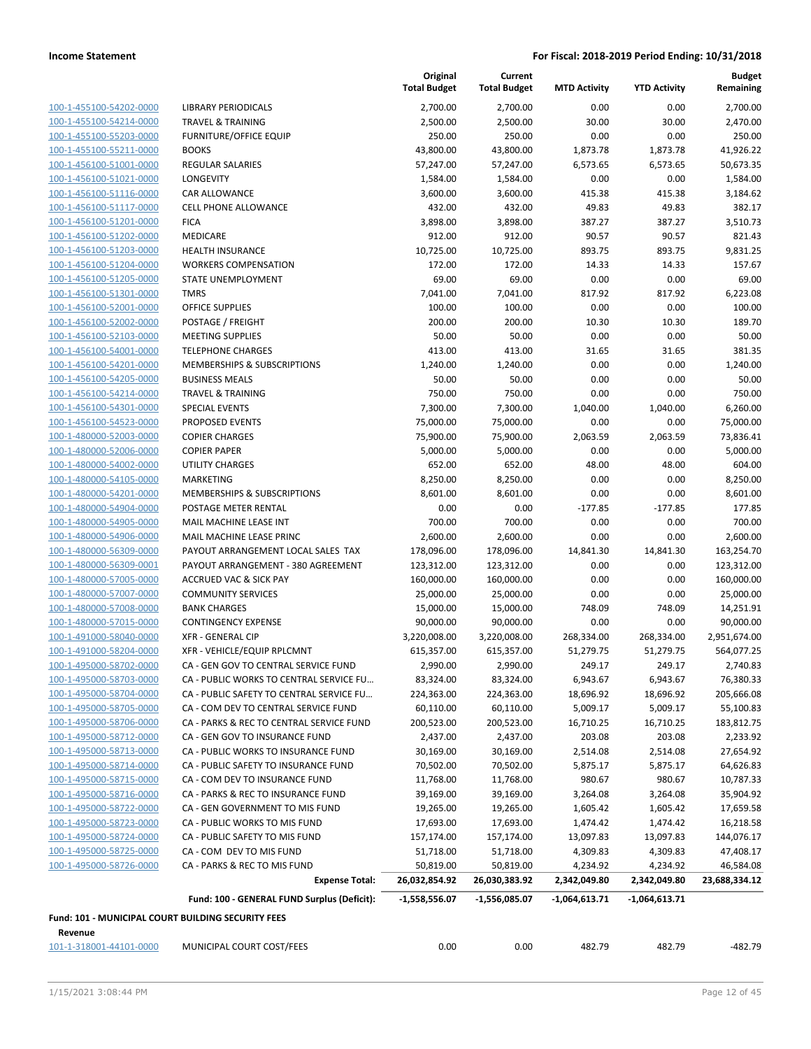| 100-1-455100-54202-0000                            | LIBRARY                 |
|----------------------------------------------------|-------------------------|
| 100-1-455100-54214-0000                            | TRAVEL                  |
| 100-1-455100-55203-0000                            | <b>FURNITL</b>          |
| 100-1-455100-55211-0000                            | <b>BOOKS</b>            |
| 100-1-456100-51001-0000                            | <b>REGULAI</b>          |
| 100-1-456100-51021-0000                            | LONGEV                  |
| 100-1-456100-51116-0000                            | CAR ALL                 |
| 100-1-456100-51117-0000                            | CELL PH                 |
| 100-1-456100-51201-0000                            | <b>FICA</b>             |
| 100-1-456100-51202-0000                            | <b>MEDICA</b>           |
| 100-1-456100-51203-0000                            | HEALTH                  |
| 100-1-456100-51204-0000                            | <b>WORKEF</b>           |
| 100-1-456100-51205-0000                            | STATE U                 |
| 100-1-456100-51301-0000                            | TMRS                    |
| 100-1-456100-52001-0000                            | OFFICE S                |
| 100-1-456100-52002-0000                            | POSTAGI                 |
| 100-1-456100-52103-0000                            | MEETING                 |
| 100-1-456100-54001-0000                            | <b>TELEPHC</b>          |
| 100-1-456100-54201-0000                            | <b>MEMBER</b>           |
| 100-1-456100-54205-0000                            | <b>BUSINES</b>          |
| 100-1-456100-54214-0000                            | <b>TRAVEL</b>           |
| 100-1-456100-54301-0000                            | SPECIAL                 |
| 100-1-456100-54523-0000                            | <b>PROPOS</b>           |
| 100-1-480000-52003-0000                            | <b>COPIER</b>           |
| 100-1-480000-52006-0000                            | <b>COPIER F</b>         |
| 100-1-480000-54002-0000                            | UTILITY (               |
| 100-1-480000-54105-0000<br>100-1-480000-54201-0000 | MARKET<br><b>MEMBEI</b> |
| 100-1-480000-54904-0000                            | POSTAGI                 |
| 100-1-480000-54905-0000                            | MAIL M/                 |
| 100-1-480000-54906-0000                            | MAIL M/                 |
| 100-1-480000-56309-0000                            | PAYOUT                  |
| 100-1-480000-56309-0001                            | PAYOUT                  |
| 100-1-480000-57005-0000                            | <b>ACCRUE</b>           |
| 100-1-480000-57007-0000                            | COMMU                   |
| 100-1-480000-57008-0000                            | <b>BANK CH</b>          |
| 100-1-480000-57015-0000                            | <b>CONTING</b>          |
| 100-1-491000-58040-0000                            | XFR - GE                |
| 100-1-491000-58204-0000                            | XFR - VEI               |
| 100-1-495000-58702-0000                            | CA - GEN                |
| 100-1-495000-58703-0000                            | CA - PUB                |
| <u>100-1-495000-58704-0000</u>                     | CA - PUB                |
| 100-1-495000-58705-0000                            | CA - CON                |
| 100-1-495000-58706-0000                            | CA - PAR                |
| 100-1-495000-58712-0000                            | CA - GEN                |
| 100-1-495000-58713-0000                            | CA - PUB                |
| 100-1-495000-58714-0000                            | CA - PUB                |
| 100-1-495000-58715-0000                            | CA - CON                |
| 100-1-495000-58716-0000                            | CA - PAR                |
| 100-1-495000-58722-0000                            | CA - GEN                |
| 100-1-495000-58723-0000                            | CA - PUB                |
| <u>100-1-495000-58724-0000</u>                     | CA - PUB                |
| 100-1-495000-58725-0000                            | CA - CON                |
| 100-1-495000-58726-0000                            | CA - PAR                |
|                                                    |                         |

|                                                                      |                                                       | Original<br><b>Total Budget</b> | Current<br><b>Total Budget</b> | <b>MTD Activity</b>           | <b>YTD Activity</b>           | <b>Budget</b><br>Remaining |
|----------------------------------------------------------------------|-------------------------------------------------------|---------------------------------|--------------------------------|-------------------------------|-------------------------------|----------------------------|
| 100-1-455100-54202-0000                                              | <b>LIBRARY PERIODICALS</b>                            | 2,700.00                        | 2,700.00                       | 0.00                          | 0.00                          | 2,700.00                   |
| 100-1-455100-54214-0000                                              | <b>TRAVEL &amp; TRAINING</b>                          | 2,500.00                        | 2,500.00                       | 30.00                         | 30.00                         | 2,470.00                   |
| 100-1-455100-55203-0000                                              | <b>FURNITURE/OFFICE EQUIP</b>                         | 250.00                          | 250.00                         | 0.00                          | 0.00                          | 250.00                     |
| 100-1-455100-55211-0000                                              | <b>BOOKS</b>                                          | 43,800.00                       | 43,800.00                      | 1,873.78                      | 1,873.78                      | 41,926.22                  |
| 100-1-456100-51001-0000                                              | <b>REGULAR SALARIES</b>                               | 57,247.00                       | 57,247.00                      | 6,573.65                      | 6,573.65                      | 50,673.35                  |
| 100-1-456100-51021-0000                                              | LONGEVITY                                             | 1,584.00                        | 1,584.00                       | 0.00                          | 0.00                          | 1,584.00                   |
| 100-1-456100-51116-0000                                              | CAR ALLOWANCE                                         | 3,600.00                        | 3,600.00                       | 415.38                        | 415.38                        | 3,184.62                   |
| 100-1-456100-51117-0000                                              | <b>CELL PHONE ALLOWANCE</b>                           | 432.00                          | 432.00                         | 49.83                         | 49.83                         | 382.17                     |
| 100-1-456100-51201-0000                                              | <b>FICA</b>                                           | 3,898.00                        | 3,898.00                       | 387.27                        | 387.27                        | 3,510.73                   |
| 100-1-456100-51202-0000                                              | <b>MEDICARE</b>                                       | 912.00                          | 912.00                         | 90.57                         | 90.57                         | 821.43                     |
| 100-1-456100-51203-0000                                              | <b>HEALTH INSURANCE</b>                               | 10,725.00                       | 10,725.00                      | 893.75                        | 893.75                        | 9,831.25                   |
| 100-1-456100-51204-0000                                              | <b>WORKERS COMPENSATION</b>                           | 172.00                          | 172.00                         | 14.33                         | 14.33                         | 157.67                     |
| 100-1-456100-51205-0000                                              | STATE UNEMPLOYMENT                                    | 69.00                           | 69.00                          | 0.00                          | 0.00                          | 69.00                      |
| 100-1-456100-51301-0000                                              | <b>TMRS</b>                                           | 7,041.00                        | 7,041.00                       | 817.92                        | 817.92                        | 6,223.08                   |
| 100-1-456100-52001-0000                                              | <b>OFFICE SUPPLIES</b>                                | 100.00                          | 100.00                         | 0.00                          | 0.00                          | 100.00                     |
| 100-1-456100-52002-0000                                              | POSTAGE / FREIGHT                                     | 200.00                          | 200.00                         | 10.30                         | 10.30                         | 189.70                     |
| 100-1-456100-52103-0000                                              | <b>MEETING SUPPLIES</b>                               | 50.00                           | 50.00                          | 0.00                          | 0.00                          | 50.00                      |
| 100-1-456100-54001-0000                                              | <b>TELEPHONE CHARGES</b>                              | 413.00                          | 413.00                         | 31.65                         | 31.65                         | 381.35                     |
| 100-1-456100-54201-0000                                              | MEMBERSHIPS & SUBSCRIPTIONS                           | 1,240.00                        | 1,240.00                       | 0.00                          | 0.00                          | 1,240.00                   |
| 100-1-456100-54205-0000                                              | <b>BUSINESS MEALS</b>                                 | 50.00                           | 50.00                          | 0.00                          | 0.00                          | 50.00                      |
| 100-1-456100-54214-0000                                              | <b>TRAVEL &amp; TRAINING</b>                          | 750.00                          | 750.00                         | 0.00                          | 0.00                          | 750.00                     |
| 100-1-456100-54301-0000                                              | <b>SPECIAL EVENTS</b>                                 | 7,300.00                        | 7,300.00                       | 1,040.00                      | 1,040.00                      | 6,260.00                   |
| 100-1-456100-54523-0000                                              | PROPOSED EVENTS                                       | 75,000.00                       | 75,000.00                      | 0.00                          | 0.00                          | 75,000.00                  |
| 100-1-480000-52003-0000                                              | <b>COPIER CHARGES</b>                                 | 75,900.00                       | 75,900.00                      | 2,063.59                      | 2,063.59                      | 73,836.41                  |
| 100-1-480000-52006-0000                                              | <b>COPIER PAPER</b>                                   | 5,000.00                        | 5,000.00                       | 0.00                          | 0.00                          | 5,000.00                   |
| 100-1-480000-54002-0000                                              | <b>UTILITY CHARGES</b>                                | 652.00                          | 652.00                         | 48.00                         | 48.00                         | 604.00                     |
| 100-1-480000-54105-0000                                              | <b>MARKETING</b>                                      | 8,250.00                        | 8,250.00                       | 0.00                          | 0.00                          | 8,250.00                   |
| 100-1-480000-54201-0000                                              | MEMBERSHIPS & SUBSCRIPTIONS                           | 8,601.00                        | 8,601.00                       | 0.00                          | 0.00                          | 8,601.00                   |
| 100-1-480000-54904-0000                                              | POSTAGE METER RENTAL                                  | 0.00                            | 0.00                           | $-177.85$                     | $-177.85$                     | 177.85                     |
| 100-1-480000-54905-0000                                              | MAIL MACHINE LEASE INT                                | 700.00                          | 700.00                         | 0.00                          | 0.00                          | 700.00                     |
| 100-1-480000-54906-0000                                              | MAIL MACHINE LEASE PRINC                              | 2,600.00                        | 2,600.00                       | 0.00                          | 0.00                          | 2,600.00                   |
| 100-1-480000-56309-0000                                              | PAYOUT ARRANGEMENT LOCAL SALES TAX                    | 178,096.00                      | 178,096.00                     | 14,841.30                     | 14,841.30                     | 163,254.70                 |
| 100-1-480000-56309-0001                                              | PAYOUT ARRANGEMENT - 380 AGREEMENT                    | 123,312.00                      | 123,312.00                     | 0.00                          | 0.00                          | 123,312.00                 |
| 100-1-480000-57005-0000                                              | <b>ACCRUED VAC &amp; SICK PAY</b>                     | 160,000.00                      | 160,000.00                     | 0.00                          | 0.00                          | 160,000.00                 |
| 100-1-480000-57007-0000                                              | <b>COMMUNITY SERVICES</b>                             | 25,000.00                       | 25,000.00                      | 0.00                          | 0.00                          | 25,000.00                  |
| 100-1-480000-57008-0000                                              | <b>BANK CHARGES</b>                                   | 15,000.00                       | 15,000.00                      | 748.09                        | 748.09                        | 14,251.91                  |
| 100-1-480000-57015-0000                                              | <b>CONTINGENCY EXPENSE</b>                            | 90,000.00                       | 90,000.00                      | 0.00                          | 0.00                          | 90,000.00                  |
| 100-1-491000-58040-0000                                              | <b>XFR - GENERAL CIP</b>                              | 3,220,008.00                    | 3,220,008.00                   | 268,334.00                    | 268,334.00                    | 2,951,674.00               |
| 100-1-491000-58204-0000                                              | XFR - VEHICLE/EQUIP RPLCMNT                           | 615,357.00                      | 615,357.00                     | 51,279.75                     | 51,279.75                     | 564,077.25                 |
| 100-1-495000-58702-0000                                              | CA - GEN GOV TO CENTRAL SERVICE FUND                  | 2,990.00                        | 2,990.00                       | 249.17                        | 249.17                        | 2,740.83                   |
| 100-1-495000-58703-0000                                              | CA - PUBLIC WORKS TO CENTRAL SERVICE FU               | 83,324.00                       | 83,324.00                      | 6,943.67                      | 6,943.67                      | 76,380.33                  |
| 100-1-495000-58704-0000                                              | CA - PUBLIC SAFETY TO CENTRAL SERVICE FU              | 224,363.00                      | 224,363.00                     | 18,696.92                     | 18,696.92                     | 205,666.08                 |
| 100-1-495000-58705-0000                                              | CA - COM DEV TO CENTRAL SERVICE FUND                  | 60,110.00                       | 60,110.00                      | 5,009.17                      | 5,009.17                      | 55,100.83                  |
| 100-1-495000-58706-0000                                              | CA - PARKS & REC TO CENTRAL SERVICE FUND              | 200,523.00                      | 200,523.00                     | 16,710.25                     | 16,710.25                     | 183,812.75                 |
| 100-1-495000-58712-0000                                              | CA - GEN GOV TO INSURANCE FUND                        | 2,437.00                        | 2,437.00                       | 203.08                        | 203.08                        | 2,233.92                   |
| 100-1-495000-58713-0000                                              | CA - PUBLIC WORKS TO INSURANCE FUND                   | 30,169.00                       | 30,169.00                      | 2,514.08                      | 2,514.08                      | 27,654.92                  |
| 100-1-495000-58714-0000                                              | CA - PUBLIC SAFETY TO INSURANCE FUND                  | 70,502.00                       | 70,502.00                      | 5,875.17                      | 5,875.17                      | 64,626.83                  |
| 100-1-495000-58715-0000                                              | CA - COM DEV TO INSURANCE FUND                        | 11,768.00                       | 11,768.00                      | 980.67                        | 980.67                        | 10,787.33                  |
| 100-1-495000-58716-0000                                              | CA - PARKS & REC TO INSURANCE FUND                    | 39,169.00                       | 39,169.00                      | 3,264.08                      | 3,264.08                      | 35,904.92                  |
| 100-1-495000-58722-0000                                              | CA - GEN GOVERNMENT TO MIS FUND                       | 19,265.00                       | 19,265.00                      | 1,605.42                      | 1,605.42                      | 17,659.58                  |
| 100-1-495000-58723-0000                                              | CA - PUBLIC WORKS TO MIS FUND                         | 17,693.00                       | 17,693.00                      | 1,474.42                      | 1,474.42                      | 16,218.58                  |
| 100-1-495000-58724-0000                                              | CA - PUBLIC SAFETY TO MIS FUND                        |                                 |                                |                               |                               |                            |
| 100-1-495000-58725-0000                                              | CA - COM DEV TO MIS FUND                              | 157,174.00<br>51,718.00         | 157,174.00                     | 13,097.83                     | 13,097.83                     | 144,076.17                 |
| 100-1-495000-58726-0000                                              |                                                       |                                 | 51,718.00                      | 4,309.83                      | 4,309.83                      | 47,408.17                  |
|                                                                      | CA - PARKS & REC TO MIS FUND<br><b>Expense Total:</b> | 50,819.00                       | 50,819.00                      | 4,234.92                      | 4,234.92                      | 46,584.08                  |
|                                                                      | Fund: 100 - GENERAL FUND Surplus (Deficit):           | 26,032,854.92<br>-1,558,556.07  | 26,030,383.92<br>-1,556,085.07 | 2,342,049.80<br>-1,064,613.71 | 2,342,049.80<br>-1,064,613.71 | 23,688,334.12              |
|                                                                      |                                                       |                                 |                                |                               |                               |                            |
| Fund: 101 - MUNICIPAL COURT BUILDING SECURITY FEES<br><b>Rovenue</b> |                                                       |                                 |                                |                               |                               |                            |

**Revenue** 101-1-318001-44101-0000 MUNICIPAL COURT COST/FEES 0.00 0.00 482.79 482.79 -482.79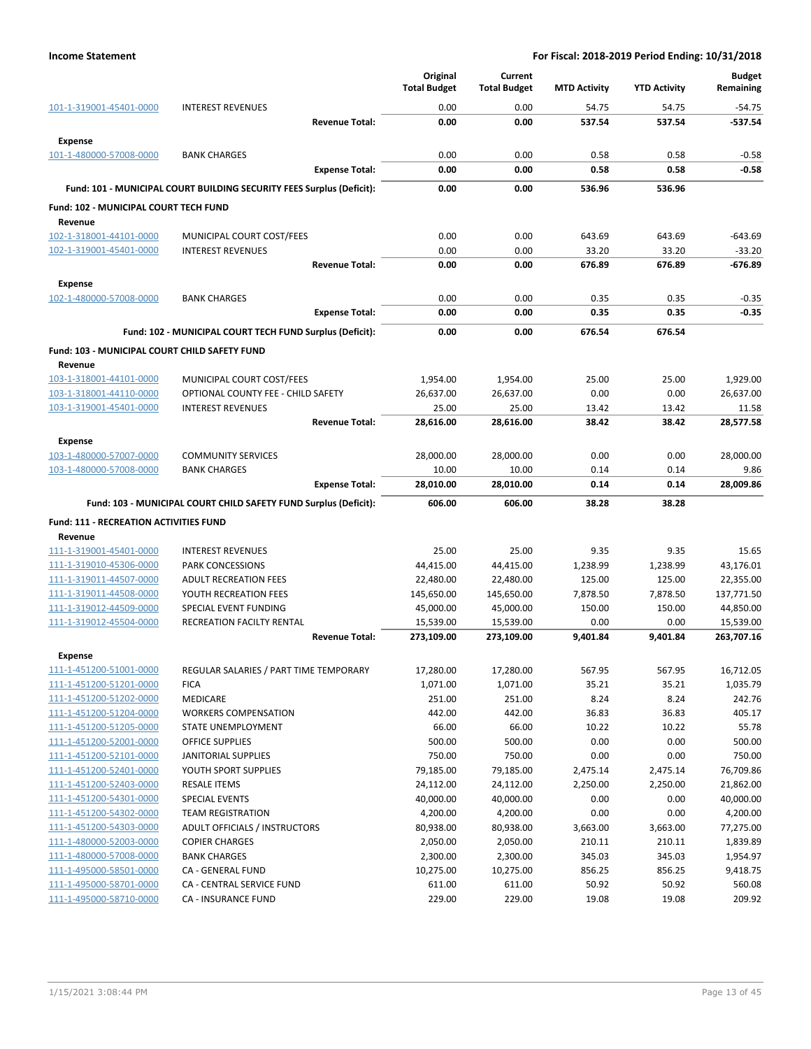|                                                      |                                                                       | Original<br><b>Total Budget</b> | Current<br><b>Total Budget</b> | <b>MTD Activity</b> | <b>YTD Activity</b> | <b>Budget</b><br>Remaining |
|------------------------------------------------------|-----------------------------------------------------------------------|---------------------------------|--------------------------------|---------------------|---------------------|----------------------------|
| 101-1-319001-45401-0000                              | <b>INTEREST REVENUES</b>                                              | 0.00                            | 0.00                           | 54.75               | 54.75               | $-54.75$                   |
|                                                      | <b>Revenue Total:</b>                                                 | 0.00                            | 0.00                           | 537.54              | 537.54              | $-537.54$                  |
| <b>Expense</b>                                       |                                                                       |                                 |                                |                     |                     |                            |
| 101-1-480000-57008-0000                              | <b>BANK CHARGES</b>                                                   | 0.00                            | 0.00                           | 0.58                | 0.58                | $-0.58$                    |
|                                                      | <b>Expense Total:</b>                                                 | 0.00                            | 0.00                           | 0.58                | 0.58                | $-0.58$                    |
|                                                      | Fund: 101 - MUNICIPAL COURT BUILDING SECURITY FEES Surplus (Deficit): | 0.00                            | 0.00                           | 536.96              | 536.96              |                            |
| Fund: 102 - MUNICIPAL COURT TECH FUND                |                                                                       |                                 |                                |                     |                     |                            |
| Revenue                                              |                                                                       |                                 |                                |                     |                     |                            |
| 102-1-318001-44101-0000                              | MUNICIPAL COURT COST/FEES                                             | 0.00                            | 0.00                           | 643.69              | 643.69              | $-643.69$                  |
| 102-1-319001-45401-0000                              | <b>INTEREST REVENUES</b>                                              | 0.00                            | 0.00                           | 33.20               | 33.20               | $-33.20$                   |
|                                                      | <b>Revenue Total:</b>                                                 | 0.00                            | 0.00                           | 676.89              | 676.89              | $-676.89$                  |
| <b>Expense</b>                                       |                                                                       |                                 |                                |                     |                     |                            |
| 102-1-480000-57008-0000                              | <b>BANK CHARGES</b>                                                   | 0.00                            | 0.00                           | 0.35                | 0.35                | $-0.35$                    |
|                                                      | <b>Expense Total:</b>                                                 | 0.00                            | 0.00                           | 0.35                | 0.35                | $-0.35$                    |
|                                                      | Fund: 102 - MUNICIPAL COURT TECH FUND Surplus (Deficit):              | 0.00                            | 0.00                           | 676.54              | 676.54              |                            |
| <b>Fund: 103 - MUNICIPAL COURT CHILD SAFETY FUND</b> |                                                                       |                                 |                                |                     |                     |                            |
| Revenue                                              |                                                                       |                                 |                                |                     |                     |                            |
| 103-1-318001-44101-0000                              | MUNICIPAL COURT COST/FEES                                             | 1,954.00                        | 1,954.00                       | 25.00               | 25.00               | 1,929.00                   |
| 103-1-318001-44110-0000                              | OPTIONAL COUNTY FEE - CHILD SAFETY                                    | 26,637.00                       | 26,637.00                      | 0.00                | 0.00                | 26,637.00                  |
| 103-1-319001-45401-0000                              | <b>INTEREST REVENUES</b>                                              | 25.00                           | 25.00                          | 13.42               | 13.42               | 11.58                      |
|                                                      | <b>Revenue Total:</b>                                                 | 28,616.00                       | 28,616.00                      | 38.42               | 38.42               | 28,577.58                  |
| <b>Expense</b>                                       |                                                                       |                                 |                                |                     |                     |                            |
| 103-1-480000-57007-0000                              | <b>COMMUNITY SERVICES</b>                                             | 28,000.00                       | 28,000.00                      | 0.00                | 0.00                | 28,000.00                  |
| 103-1-480000-57008-0000                              | <b>BANK CHARGES</b>                                                   | 10.00                           | 10.00                          | 0.14                | 0.14                | 9.86                       |
|                                                      | <b>Expense Total:</b>                                                 | 28,010.00                       | 28,010.00                      | 0.14                | 0.14                | 28,009.86                  |
|                                                      | Fund: 103 - MUNICIPAL COURT CHILD SAFETY FUND Surplus (Deficit):      | 606.00                          | 606.00                         | 38.28               | 38.28               |                            |
| <b>Fund: 111 - RECREATION ACTIVITIES FUND</b>        |                                                                       |                                 |                                |                     |                     |                            |
| Revenue                                              |                                                                       |                                 |                                |                     |                     |                            |
| 111-1-319001-45401-0000                              | <b>INTEREST REVENUES</b>                                              | 25.00                           | 25.00                          | 9.35                | 9.35                | 15.65                      |
| 111-1-319010-45306-0000                              | PARK CONCESSIONS                                                      | 44,415.00                       | 44,415.00                      | 1,238.99            | 1,238.99            | 43,176.01                  |
| 111-1-319011-44507-0000                              | <b>ADULT RECREATION FEES</b>                                          | 22,480.00                       | 22,480.00                      | 125.00              | 125.00              | 22,355.00                  |
| 111-1-319011-44508-0000                              | YOUTH RECREATION FEES                                                 | 145,650.00                      | 145,650.00                     | 7,878.50            | 7,878.50            | 137,771.50                 |
| 111-1-319012-44509-0000<br>111-1-319012-45504-0000   | SPECIAL EVENT FUNDING<br>RECREATION FACILTY RENTAL                    | 45,000.00<br>15,539.00          | 45,000.00                      | 150.00<br>0.00      | 150.00<br>0.00      | 44,850.00                  |
|                                                      | <b>Revenue Total:</b>                                                 | 273,109.00                      | 15,539.00<br>273,109.00        | 9,401.84            | 9,401.84            | 15,539.00<br>263,707.16    |
|                                                      |                                                                       |                                 |                                |                     |                     |                            |
| <b>Expense</b><br>111-1-451200-51001-0000            | REGULAR SALARIES / PART TIME TEMPORARY                                | 17,280.00                       | 17,280.00                      | 567.95              | 567.95              | 16,712.05                  |
| 111-1-451200-51201-0000                              | <b>FICA</b>                                                           | 1,071.00                        | 1,071.00                       | 35.21               | 35.21               | 1,035.79                   |
| 111-1-451200-51202-0000                              | MEDICARE                                                              | 251.00                          | 251.00                         | 8.24                | 8.24                | 242.76                     |
| 111-1-451200-51204-0000                              | <b>WORKERS COMPENSATION</b>                                           | 442.00                          | 442.00                         | 36.83               | 36.83               | 405.17                     |
| 111-1-451200-51205-0000                              | STATE UNEMPLOYMENT                                                    | 66.00                           | 66.00                          | 10.22               | 10.22               | 55.78                      |
| 111-1-451200-52001-0000                              | <b>OFFICE SUPPLIES</b>                                                | 500.00                          | 500.00                         | 0.00                | 0.00                | 500.00                     |
| 111-1-451200-52101-0000                              | <b>JANITORIAL SUPPLIES</b>                                            | 750.00                          | 750.00                         | 0.00                | 0.00                | 750.00                     |
| 111-1-451200-52401-0000                              | YOUTH SPORT SUPPLIES                                                  | 79,185.00                       | 79,185.00                      | 2,475.14            | 2,475.14            | 76,709.86                  |
| 111-1-451200-52403-0000                              | <b>RESALE ITEMS</b>                                                   | 24,112.00                       | 24,112.00                      | 2,250.00            | 2,250.00            | 21,862.00                  |
| 111-1-451200-54301-0000                              | <b>SPECIAL EVENTS</b>                                                 | 40,000.00                       | 40,000.00                      | 0.00                | 0.00                | 40,000.00                  |
| 111-1-451200-54302-0000                              | <b>TEAM REGISTRATION</b>                                              | 4,200.00                        | 4,200.00                       | 0.00                | 0.00                | 4,200.00                   |
| 111-1-451200-54303-0000                              | ADULT OFFICIALS / INSTRUCTORS                                         | 80,938.00                       | 80,938.00                      | 3,663.00            | 3,663.00            | 77,275.00                  |
| 111-1-480000-52003-0000                              | <b>COPIER CHARGES</b>                                                 | 2,050.00                        | 2,050.00                       | 210.11              | 210.11              | 1,839.89                   |
| 111-1-480000-57008-0000                              | <b>BANK CHARGES</b>                                                   | 2,300.00                        | 2,300.00                       | 345.03              | 345.03              | 1,954.97                   |
| 111-1-495000-58501-0000                              | CA - GENERAL FUND                                                     | 10,275.00                       | 10,275.00                      | 856.25              | 856.25              | 9,418.75                   |
| 111-1-495000-58701-0000                              | CA - CENTRAL SERVICE FUND                                             | 611.00                          | 611.00                         | 50.92               | 50.92               | 560.08                     |
| 111-1-495000-58710-0000                              | CA - INSURANCE FUND                                                   | 229.00                          | 229.00                         | 19.08               | 19.08               | 209.92                     |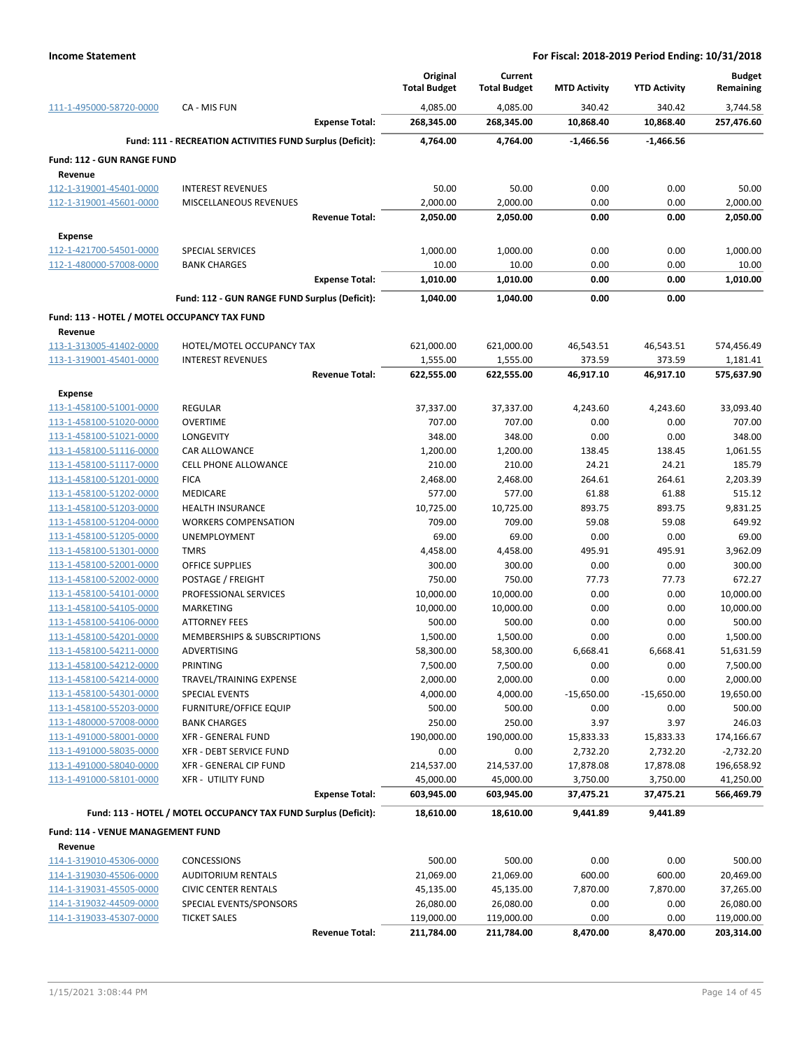|                                                    |                                                                 | Original               | Current                |                      |                      | <b>Budget</b>          |
|----------------------------------------------------|-----------------------------------------------------------------|------------------------|------------------------|----------------------|----------------------|------------------------|
|                                                    |                                                                 | <b>Total Budget</b>    | <b>Total Budget</b>    | <b>MTD Activity</b>  | <b>YTD Activity</b>  | Remaining              |
| 111-1-495000-58720-0000                            | CA - MIS FUN<br><b>Expense Total:</b>                           | 4,085.00<br>268,345.00 | 4,085.00<br>268,345.00 | 340.42<br>10,868.40  | 340.42<br>10,868.40  | 3,744.58<br>257,476.60 |
|                                                    |                                                                 |                        |                        |                      |                      |                        |
|                                                    | Fund: 111 - RECREATION ACTIVITIES FUND Surplus (Deficit):       | 4,764.00               | 4,764.00               | -1,466.56            | $-1,466.56$          |                        |
| <b>Fund: 112 - GUN RANGE FUND</b>                  |                                                                 |                        |                        |                      |                      |                        |
| Revenue<br>112-1-319001-45401-0000                 | <b>INTEREST REVENUES</b>                                        | 50.00                  | 50.00                  | 0.00                 | 0.00                 | 50.00                  |
| 112-1-319001-45601-0000                            | MISCELLANEOUS REVENUES                                          | 2,000.00               | 2,000.00               | 0.00                 | 0.00                 | 2,000.00               |
|                                                    | <b>Revenue Total:</b>                                           | 2,050.00               | 2,050.00               | 0.00                 | 0.00                 | 2,050.00               |
|                                                    |                                                                 |                        |                        |                      |                      |                        |
| Expense<br>112-1-421700-54501-0000                 | <b>SPECIAL SERVICES</b>                                         | 1,000.00               | 1,000.00               | 0.00                 | 0.00                 | 1,000.00               |
| 112-1-480000-57008-0000                            | <b>BANK CHARGES</b>                                             | 10.00                  | 10.00                  | 0.00                 | 0.00                 | 10.00                  |
|                                                    | <b>Expense Total:</b>                                           | 1,010.00               | 1,010.00               | 0.00                 | 0.00                 | 1,010.00               |
|                                                    |                                                                 |                        |                        | 0.00                 | 0.00                 |                        |
|                                                    | Fund: 112 - GUN RANGE FUND Surplus (Deficit):                   | 1,040.00               | 1,040.00               |                      |                      |                        |
| Fund: 113 - HOTEL / MOTEL OCCUPANCY TAX FUND       |                                                                 |                        |                        |                      |                      |                        |
| Revenue                                            |                                                                 |                        |                        |                      |                      |                        |
| 113-1-313005-41402-0000<br>113-1-319001-45401-0000 | HOTEL/MOTEL OCCUPANCY TAX<br><b>INTEREST REVENUES</b>           | 621,000.00<br>1,555.00 | 621,000.00             | 46,543.51<br>373.59  | 46,543.51<br>373.59  | 574,456.49<br>1,181.41 |
|                                                    | <b>Revenue Total:</b>                                           | 622,555.00             | 1,555.00<br>622,555.00 | 46,917.10            | 46,917.10            | 575,637.90             |
|                                                    |                                                                 |                        |                        |                      |                      |                        |
| <b>Expense</b><br>113-1-458100-51001-0000          | <b>REGULAR</b>                                                  | 37,337.00              | 37,337.00              | 4,243.60             | 4,243.60             | 33,093.40              |
| 113-1-458100-51020-0000                            | <b>OVERTIME</b>                                                 | 707.00                 | 707.00                 | 0.00                 | 0.00                 | 707.00                 |
| 113-1-458100-51021-0000                            | LONGEVITY                                                       | 348.00                 | 348.00                 | 0.00                 | 0.00                 | 348.00                 |
| 113-1-458100-51116-0000                            | <b>CAR ALLOWANCE</b>                                            | 1,200.00               | 1,200.00               | 138.45               | 138.45               | 1,061.55               |
| 113-1-458100-51117-0000                            | <b>CELL PHONE ALLOWANCE</b>                                     | 210.00                 | 210.00                 | 24.21                | 24.21                | 185.79                 |
| 113-1-458100-51201-0000                            | <b>FICA</b>                                                     | 2,468.00               | 2,468.00               | 264.61               | 264.61               | 2,203.39               |
| 113-1-458100-51202-0000                            | <b>MEDICARE</b>                                                 | 577.00                 | 577.00                 | 61.88                | 61.88                | 515.12                 |
| 113-1-458100-51203-0000                            | <b>HEALTH INSURANCE</b>                                         | 10,725.00              | 10,725.00              | 893.75               | 893.75               | 9,831.25               |
| 113-1-458100-51204-0000                            | <b>WORKERS COMPENSATION</b>                                     | 709.00                 | 709.00                 | 59.08                | 59.08                | 649.92                 |
| 113-1-458100-51205-0000                            | <b>UNEMPLOYMENT</b>                                             | 69.00                  | 69.00                  | 0.00                 | 0.00                 | 69.00                  |
| 113-1-458100-51301-0000                            | <b>TMRS</b>                                                     | 4,458.00               | 4,458.00               | 495.91               | 495.91               | 3,962.09               |
| 113-1-458100-52001-0000                            | <b>OFFICE SUPPLIES</b>                                          | 300.00                 | 300.00                 | 0.00                 | 0.00                 | 300.00                 |
| 113-1-458100-52002-0000                            | POSTAGE / FREIGHT                                               | 750.00                 | 750.00                 | 77.73                | 77.73                | 672.27                 |
| 113-1-458100-54101-0000                            | PROFESSIONAL SERVICES                                           | 10,000.00              | 10,000.00              | 0.00                 | 0.00                 | 10,000.00              |
| 113-1-458100-54105-0000                            | <b>MARKETING</b>                                                | 10,000.00              | 10,000.00              | 0.00                 | 0.00                 | 10,000.00              |
| 113-1-458100-54106-0000                            | <b>ATTORNEY FEES</b>                                            | 500.00                 | 500.00                 | 0.00                 | 0.00                 | 500.00                 |
| 113-1-458100-54201-0000                            | MEMBERSHIPS & SUBSCRIPTIONS                                     | 1,500.00               | 1,500.00               | 0.00                 | 0.00                 | 1,500.00               |
| 113-1-458100-54211-0000                            | ADVERTISING                                                     | 58,300.00              | 58,300.00              | 6,668.41             | 6,668.41             | 51,631.59              |
| 113-1-458100-54212-0000<br>113-1-458100-54214-0000 | PRINTING                                                        | 7,500.00               | 7,500.00               | 0.00                 | 0.00                 | 7,500.00               |
| 113-1-458100-54301-0000                            | TRAVEL/TRAINING EXPENSE<br>SPECIAL EVENTS                       | 2,000.00<br>4,000.00   | 2,000.00<br>4,000.00   | 0.00<br>$-15,650.00$ | 0.00<br>$-15,650.00$ | 2,000.00<br>19,650.00  |
| 113-1-458100-55203-0000                            | <b>FURNITURE/OFFICE EQUIP</b>                                   | 500.00                 | 500.00                 | 0.00                 | 0.00                 | 500.00                 |
| 113-1-480000-57008-0000                            | <b>BANK CHARGES</b>                                             | 250.00                 | 250.00                 | 3.97                 | 3.97                 | 246.03                 |
| 113-1-491000-58001-0000                            | XFR - GENERAL FUND                                              | 190,000.00             | 190,000.00             | 15,833.33            | 15,833.33            | 174,166.67             |
| 113-1-491000-58035-0000                            | XFR - DEBT SERVICE FUND                                         | 0.00                   | 0.00                   | 2,732.20             | 2,732.20             | $-2,732.20$            |
| 113-1-491000-58040-0000                            | XFR - GENERAL CIP FUND                                          | 214,537.00             | 214,537.00             | 17,878.08            | 17,878.08            | 196,658.92             |
| 113-1-491000-58101-0000                            | <b>XFR - UTILITY FUND</b>                                       | 45,000.00              | 45,000.00              | 3,750.00             | 3,750.00             | 41,250.00              |
|                                                    | <b>Expense Total:</b>                                           | 603,945.00             | 603,945.00             | 37,475.21            | 37,475.21            | 566,469.79             |
|                                                    | Fund: 113 - HOTEL / MOTEL OCCUPANCY TAX FUND Surplus (Deficit): | 18,610.00              | 18,610.00              | 9,441.89             | 9,441.89             |                        |
| Fund: 114 - VENUE MANAGEMENT FUND                  |                                                                 |                        |                        |                      |                      |                        |
| Revenue                                            |                                                                 |                        |                        |                      |                      |                        |
| 114-1-319010-45306-0000                            | <b>CONCESSIONS</b>                                              | 500.00                 | 500.00                 | 0.00                 | 0.00                 | 500.00                 |
| 114-1-319030-45506-0000                            | <b>AUDITORIUM RENTALS</b>                                       | 21,069.00              | 21,069.00              | 600.00               | 600.00               | 20,469.00              |
| 114-1-319031-45505-0000                            | <b>CIVIC CENTER RENTALS</b>                                     | 45,135.00              | 45,135.00              | 7,870.00             | 7,870.00             | 37,265.00              |
| 114-1-319032-44509-0000                            | SPECIAL EVENTS/SPONSORS                                         | 26,080.00              | 26,080.00              | 0.00                 | 0.00                 | 26,080.00              |
| 114-1-319033-45307-0000                            | <b>TICKET SALES</b>                                             | 119,000.00             | 119,000.00             | 0.00                 | 0.00                 | 119,000.00             |
|                                                    | <b>Revenue Total:</b>                                           | 211,784.00             | 211,784.00             | 8,470.00             | 8,470.00             | 203,314.00             |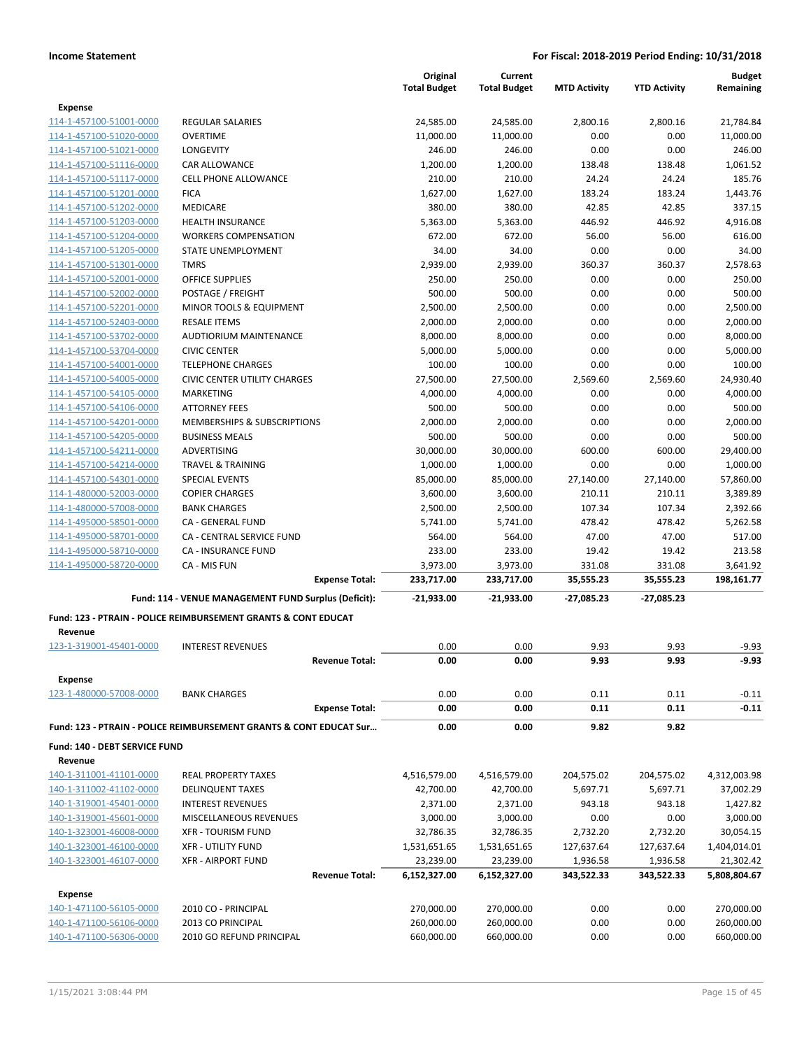|                                    |                                                                    |                       | Original<br><b>Total Budget</b> | Current<br><b>Total Budget</b> | <b>MTD Activity</b> | <b>YTD Activity</b> | <b>Budget</b><br>Remaining |
|------------------------------------|--------------------------------------------------------------------|-----------------------|---------------------------------|--------------------------------|---------------------|---------------------|----------------------------|
| <b>Expense</b>                     |                                                                    |                       |                                 |                                |                     |                     |                            |
| 114-1-457100-51001-0000            | <b>REGULAR SALARIES</b>                                            |                       | 24,585.00                       | 24,585.00                      | 2,800.16            | 2,800.16            | 21,784.84                  |
| 114-1-457100-51020-0000            | <b>OVERTIME</b>                                                    |                       | 11,000.00                       | 11,000.00                      | 0.00                | 0.00                | 11,000.00                  |
| 114-1-457100-51021-0000            | LONGEVITY                                                          |                       | 246.00                          | 246.00                         | 0.00                | 0.00                | 246.00                     |
| 114-1-457100-51116-0000            | <b>CAR ALLOWANCE</b>                                               |                       | 1,200.00                        | 1,200.00                       | 138.48              | 138.48              | 1,061.52                   |
| 114-1-457100-51117-0000            | <b>CELL PHONE ALLOWANCE</b>                                        |                       | 210.00                          | 210.00                         | 24.24               | 24.24               | 185.76                     |
| 114-1-457100-51201-0000            | <b>FICA</b>                                                        |                       | 1,627.00                        | 1,627.00                       | 183.24              | 183.24              | 1,443.76                   |
| 114-1-457100-51202-0000            | MEDICARE                                                           |                       | 380.00                          | 380.00                         | 42.85               | 42.85               | 337.15                     |
| 114-1-457100-51203-0000            | <b>HEALTH INSURANCE</b>                                            |                       | 5,363.00                        | 5,363.00                       | 446.92              | 446.92              | 4,916.08                   |
| 114-1-457100-51204-0000            | <b>WORKERS COMPENSATION</b>                                        |                       | 672.00                          | 672.00                         | 56.00               | 56.00               | 616.00                     |
| 114-1-457100-51205-0000            | STATE UNEMPLOYMENT                                                 |                       | 34.00                           | 34.00                          | 0.00                | 0.00                | 34.00                      |
| 114-1-457100-51301-0000            | TMRS                                                               |                       | 2,939.00                        | 2,939.00                       | 360.37              | 360.37              | 2,578.63                   |
| 114-1-457100-52001-0000            | <b>OFFICE SUPPLIES</b>                                             |                       | 250.00                          | 250.00                         | 0.00                | 0.00                | 250.00                     |
| 114-1-457100-52002-0000            | POSTAGE / FREIGHT                                                  |                       | 500.00                          | 500.00                         | 0.00                | 0.00                | 500.00                     |
| 114-1-457100-52201-0000            | MINOR TOOLS & EQUIPMENT                                            |                       | 2,500.00                        | 2,500.00                       | 0.00                | 0.00                | 2,500.00                   |
| 114-1-457100-52403-0000            | <b>RESALE ITEMS</b>                                                |                       | 2,000.00                        | 2,000.00                       | 0.00                | 0.00                | 2,000.00                   |
| 114-1-457100-53702-0000            | <b>AUDTIORIUM MAINTENANCE</b>                                      |                       | 8,000.00                        | 8,000.00                       | 0.00                | 0.00                | 8,000.00                   |
| 114-1-457100-53704-0000            | <b>CIVIC CENTER</b>                                                |                       | 5,000.00                        | 5,000.00                       | 0.00                | 0.00                | 5,000.00                   |
| 114-1-457100-54001-0000            | <b>TELEPHONE CHARGES</b>                                           |                       | 100.00                          | 100.00                         | 0.00                | 0.00                | 100.00                     |
| 114-1-457100-54005-0000            | <b>CIVIC CENTER UTILITY CHARGES</b>                                |                       | 27,500.00                       | 27,500.00                      | 2,569.60            | 2,569.60            | 24,930.40                  |
| 114-1-457100-54105-0000            | <b>MARKETING</b>                                                   |                       | 4,000.00                        | 4,000.00                       | 0.00                | 0.00                | 4,000.00                   |
| 114-1-457100-54106-0000            | <b>ATTORNEY FEES</b>                                               |                       | 500.00                          | 500.00                         | 0.00                | 0.00                | 500.00                     |
| 114-1-457100-54201-0000            | MEMBERSHIPS & SUBSCRIPTIONS                                        |                       | 2,000.00                        | 2,000.00                       | 0.00                | 0.00                | 2,000.00                   |
| 114-1-457100-54205-0000            | <b>BUSINESS MEALS</b>                                              |                       | 500.00                          | 500.00                         | 0.00                | 0.00                | 500.00                     |
| 114-1-457100-54211-0000            | ADVERTISING                                                        |                       | 30,000.00                       | 30,000.00                      | 600.00              | 600.00              | 29,400.00                  |
| 114-1-457100-54214-0000            | <b>TRAVEL &amp; TRAINING</b>                                       |                       | 1,000.00                        | 1,000.00                       | 0.00                | 0.00                | 1,000.00                   |
| 114-1-457100-54301-0000            | <b>SPECIAL EVENTS</b>                                              |                       | 85,000.00                       | 85,000.00                      | 27,140.00           | 27,140.00           | 57,860.00                  |
| 114-1-480000-52003-0000            | <b>COPIER CHARGES</b>                                              |                       | 3,600.00                        | 3,600.00                       | 210.11              | 210.11              | 3,389.89                   |
| 114-1-480000-57008-0000            | <b>BANK CHARGES</b>                                                |                       | 2,500.00                        | 2,500.00                       | 107.34              | 107.34              | 2,392.66                   |
| 114-1-495000-58501-0000            | CA - GENERAL FUND                                                  |                       | 5,741.00                        | 5,741.00                       | 478.42              | 478.42              | 5,262.58                   |
| 114-1-495000-58701-0000            | CA - CENTRAL SERVICE FUND                                          |                       | 564.00                          | 564.00                         | 47.00               | 47.00               | 517.00                     |
| 114-1-495000-58710-0000            | <b>CA - INSURANCE FUND</b>                                         |                       | 233.00                          | 233.00                         | 19.42               | 19.42               | 213.58                     |
| 114-1-495000-58720-0000            | CA - MIS FUN                                                       |                       | 3,973.00                        | 3,973.00                       | 331.08              | 331.08              | 3,641.92                   |
|                                    |                                                                    | <b>Expense Total:</b> | 233,717.00                      | 233,717.00                     | 35,555.23           | 35,555.23           | 198,161.77                 |
|                                    | Fund: 114 - VENUE MANAGEMENT FUND Surplus (Deficit):               |                       | $-21,933.00$                    | -21,933.00                     | -27,085.23          | -27,085.23          |                            |
|                                    | Fund: 123 - PTRAIN - POLICE REIMBURSEMENT GRANTS & CONT EDUCAT     |                       |                                 |                                |                     |                     |                            |
| Revenue<br>123-1-319001-45401-0000 | <b>INTEREST REVENUES</b>                                           |                       | 0.00                            | 0.00                           | 9.93                | 9.93                | $-9.93$                    |
|                                    |                                                                    | <b>Revenue Total:</b> | 0.00                            | 0.00                           | 9.93                | 9.93                | $-9.93$                    |
| <b>Expense</b>                     |                                                                    |                       |                                 |                                |                     |                     |                            |
| 123-1-480000-57008-0000            | <b>BANK CHARGES</b>                                                |                       | 0.00                            | 0.00                           | 0.11                | 0.11                | $-0.11$                    |
|                                    |                                                                    | <b>Expense Total:</b> | 0.00                            | 0.00                           | 0.11                | 0.11                | $-0.11$                    |
|                                    | Fund: 123 - PTRAIN - POLICE REIMBURSEMENT GRANTS & CONT EDUCAT Sur |                       | 0.00                            | 0.00                           | 9.82                | 9.82                |                            |
| Fund: 140 - DEBT SERVICE FUND      |                                                                    |                       |                                 |                                |                     |                     |                            |
| Revenue                            |                                                                    |                       |                                 |                                |                     |                     |                            |
| 140-1-311001-41101-0000            | <b>REAL PROPERTY TAXES</b>                                         |                       | 4,516,579.00                    | 4,516,579.00                   | 204,575.02          | 204,575.02          | 4,312,003.98               |
| 140-1-311002-41102-0000            | <b>DELINQUENT TAXES</b>                                            |                       | 42,700.00                       | 42,700.00                      | 5,697.71            | 5,697.71            | 37,002.29                  |
| 140-1-319001-45401-0000            | <b>INTEREST REVENUES</b>                                           |                       | 2,371.00                        | 2,371.00                       | 943.18              | 943.18              | 1,427.82                   |
| 140-1-319001-45601-0000            | MISCELLANEOUS REVENUES                                             |                       | 3,000.00                        | 3,000.00                       | 0.00                | 0.00                | 3,000.00                   |
| 140-1-323001-46008-0000            | <b>XFR - TOURISM FUND</b>                                          |                       | 32,786.35                       | 32,786.35                      | 2,732.20            | 2,732.20            | 30,054.15                  |
| 140-1-323001-46100-0000            | <b>XFR - UTILITY FUND</b>                                          |                       | 1,531,651.65                    | 1,531,651.65                   | 127,637.64          | 127,637.64          | 1,404,014.01               |
| 140-1-323001-46107-0000            | <b>XFR - AIRPORT FUND</b>                                          |                       | 23,239.00                       | 23,239.00                      | 1,936.58            | 1,936.58            | 21,302.42                  |
|                                    |                                                                    | <b>Revenue Total:</b> | 6,152,327.00                    | 6,152,327.00                   | 343,522.33          | 343,522.33          | 5,808,804.67               |
| <b>Expense</b>                     |                                                                    |                       |                                 |                                |                     |                     |                            |
| 140-1-471100-56105-0000            | 2010 CO - PRINCIPAL                                                |                       | 270,000.00                      | 270,000.00                     | 0.00                | 0.00                | 270,000.00                 |
| 140-1-471100-56106-0000            | 2013 CO PRINCIPAL                                                  |                       | 260,000.00                      | 260,000.00                     | 0.00                | 0.00                | 260,000.00                 |
| 140-1-471100-56306-0000            | 2010 GO REFUND PRINCIPAL                                           |                       | 660,000.00                      | 660,000.00                     | 0.00                | 0.00                | 660,000.00                 |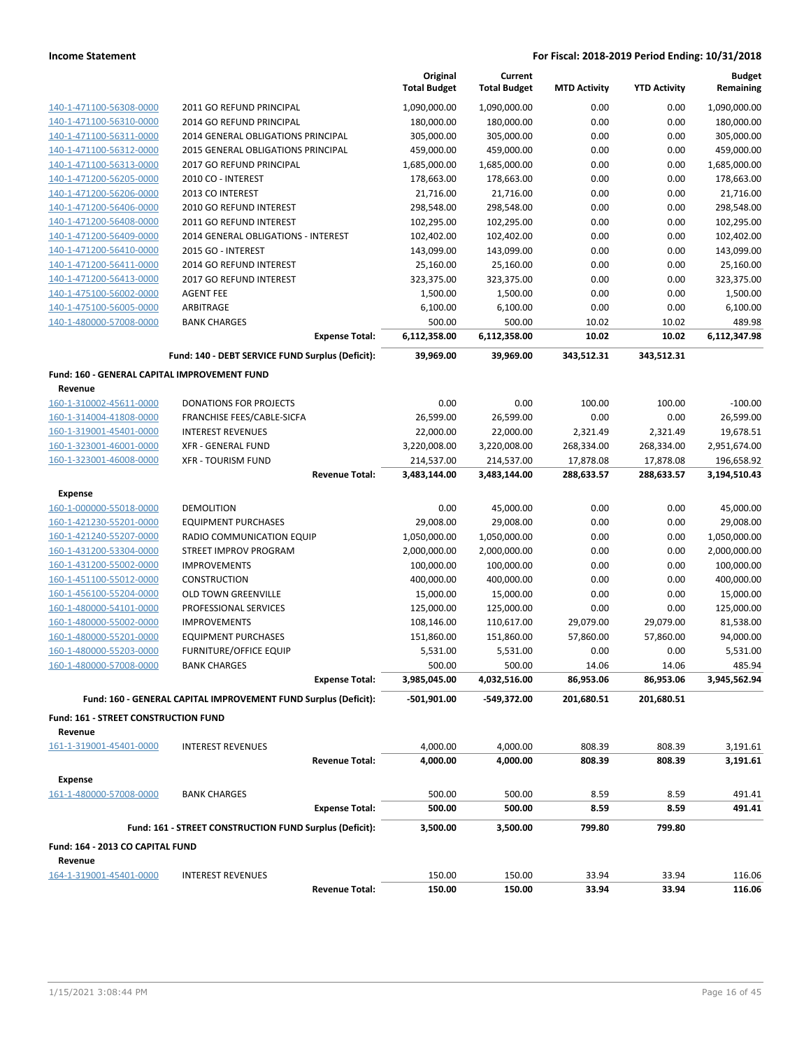|                                              |                                                                 | Original<br><b>Total Budget</b> | Current<br><b>Total Budget</b> | <b>MTD Activity</b>     | <b>YTD Activity</b>     | <b>Budget</b><br>Remaining |
|----------------------------------------------|-----------------------------------------------------------------|---------------------------------|--------------------------------|-------------------------|-------------------------|----------------------------|
| 140-1-471100-56308-0000                      | 2011 GO REFUND PRINCIPAL                                        | 1,090,000.00                    | 1,090,000.00                   | 0.00                    | 0.00                    | 1,090,000.00               |
| 140-1-471100-56310-0000                      | 2014 GO REFUND PRINCIPAL                                        | 180,000.00                      | 180,000.00                     | 0.00                    | 0.00                    | 180,000.00                 |
| 140-1-471100-56311-0000                      | 2014 GENERAL OBLIGATIONS PRINCIPAL                              | 305,000.00                      | 305,000.00                     | 0.00                    | 0.00                    | 305,000.00                 |
| 140-1-471100-56312-0000                      | 2015 GENERAL OBLIGATIONS PRINCIPAL                              | 459,000.00                      | 459,000.00                     | 0.00                    | 0.00                    | 459,000.00                 |
| 140-1-471100-56313-0000                      | 2017 GO REFUND PRINCIPAL                                        | 1,685,000.00                    | 1,685,000.00                   | 0.00                    | 0.00                    | 1,685,000.00               |
| 140-1-471200-56205-0000                      | 2010 CO - INTEREST                                              | 178,663.00                      | 178,663.00                     | 0.00                    | 0.00                    | 178,663.00                 |
| 140-1-471200-56206-0000                      | 2013 CO INTEREST                                                | 21,716.00                       | 21,716.00                      | 0.00                    | 0.00                    | 21,716.00                  |
| 140-1-471200-56406-0000                      | 2010 GO REFUND INTEREST                                         | 298,548.00                      | 298,548.00                     | 0.00                    | 0.00                    | 298,548.00                 |
| 140-1-471200-56408-0000                      | 2011 GO REFUND INTEREST                                         | 102,295.00                      | 102,295.00                     | 0.00                    | 0.00                    | 102,295.00                 |
| 140-1-471200-56409-0000                      | 2014 GENERAL OBLIGATIONS - INTEREST                             | 102,402.00                      | 102,402.00                     | 0.00                    | 0.00                    | 102,402.00                 |
| 140-1-471200-56410-0000                      | 2015 GO - INTEREST                                              | 143,099.00                      | 143,099.00                     | 0.00                    | 0.00                    | 143,099.00                 |
| 140-1-471200-56411-0000                      | 2014 GO REFUND INTEREST                                         | 25,160.00                       | 25,160.00                      | 0.00                    | 0.00                    | 25,160.00                  |
| 140-1-471200-56413-0000                      | 2017 GO REFUND INTEREST                                         | 323,375.00                      | 323,375.00                     | 0.00                    | 0.00                    | 323,375.00                 |
| 140-1-475100-56002-0000                      | <b>AGENT FEE</b>                                                | 1,500.00                        | 1,500.00                       | 0.00                    | 0.00                    | 1,500.00                   |
| 140-1-475100-56005-0000                      | ARBITRAGE                                                       | 6,100.00                        | 6,100.00                       | 0.00                    | 0.00                    | 6,100.00                   |
| 140-1-480000-57008-0000                      | <b>BANK CHARGES</b>                                             | 500.00                          | 500.00                         | 10.02                   | 10.02                   | 489.98                     |
|                                              | <b>Expense Total:</b>                                           | 6,112,358.00                    | 6,112,358.00                   | 10.02                   | 10.02                   | 6,112,347.98               |
|                                              | Fund: 140 - DEBT SERVICE FUND Surplus (Deficit):                | 39,969.00                       | 39,969.00                      | 343,512.31              | 343,512.31              |                            |
| Fund: 160 - GENERAL CAPITAL IMPROVEMENT FUND |                                                                 |                                 |                                |                         |                         |                            |
| Revenue                                      |                                                                 |                                 |                                |                         |                         |                            |
| 160-1-310002-45611-0000                      | <b>DONATIONS FOR PROJECTS</b>                                   | 0.00                            | 0.00                           | 100.00                  | 100.00                  | $-100.00$                  |
| 160-1-314004-41808-0000                      | FRANCHISE FEES/CABLE-SICFA                                      | 26,599.00                       | 26,599.00                      | 0.00                    | 0.00                    | 26,599.00                  |
| 160-1-319001-45401-0000                      | <b>INTEREST REVENUES</b>                                        | 22,000.00                       | 22,000.00                      | 2,321.49                | 2,321.49                | 19,678.51                  |
| 160-1-323001-46001-0000                      | <b>XFR - GENERAL FUND</b>                                       | 3,220,008.00                    | 3,220,008.00                   | 268,334.00              | 268,334.00              | 2,951,674.00               |
| 160-1-323001-46008-0000                      | <b>XFR - TOURISM FUND</b><br><b>Revenue Total:</b>              | 214,537.00<br>3,483,144.00      | 214,537.00<br>3,483,144.00     | 17,878.08<br>288,633.57 | 17,878.08<br>288,633.57 | 196,658.92<br>3,194,510.43 |
|                                              |                                                                 |                                 |                                |                         |                         |                            |
| <b>Expense</b>                               |                                                                 |                                 |                                |                         |                         |                            |
| 160-1-000000-55018-0000                      | <b>DEMOLITION</b>                                               | 0.00                            | 45,000.00                      | 0.00                    | 0.00                    | 45,000.00                  |
| 160-1-421230-55201-0000                      | <b>EQUIPMENT PURCHASES</b>                                      | 29,008.00                       | 29,008.00                      | 0.00                    | 0.00                    | 29,008.00                  |
| 160-1-421240-55207-0000                      | RADIO COMMUNICATION EQUIP                                       | 1,050,000.00                    | 1,050,000.00                   | 0.00                    | 0.00                    | 1,050,000.00               |
| 160-1-431200-53304-0000                      | STREET IMPROV PROGRAM                                           | 2,000,000.00                    | 2,000,000.00                   | 0.00                    | 0.00                    | 2,000,000.00               |
| 160-1-431200-55002-0000                      | <b>IMPROVEMENTS</b>                                             | 100,000.00                      | 100,000.00                     | 0.00                    | 0.00                    | 100,000.00                 |
| 160-1-451100-55012-0000                      | <b>CONSTRUCTION</b>                                             | 400,000.00                      | 400,000.00                     | 0.00                    | 0.00                    | 400,000.00                 |
| 160-1-456100-55204-0000                      | <b>OLD TOWN GREENVILLE</b>                                      | 15,000.00                       | 15,000.00                      | 0.00                    | 0.00                    | 15,000.00                  |
| 160-1-480000-54101-0000                      | PROFESSIONAL SERVICES                                           | 125,000.00                      | 125,000.00                     | 0.00                    | 0.00                    | 125,000.00                 |
| 160-1-480000-55002-0000                      | <b>IMPROVEMENTS</b>                                             | 108,146.00                      | 110,617.00                     | 29,079.00               | 29,079.00               | 81,538.00                  |
| 160-1-480000-55201-0000                      | <b>EQUIPMENT PURCHASES</b>                                      | 151,860.00                      | 151,860.00                     | 57,860.00               | 57,860.00               | 94,000.00                  |
| 160-1-480000-55203-0000                      | <b>FURNITURE/OFFICE EQUIP</b>                                   | 5,531.00                        | 5,531.00                       | 0.00                    | 0.00                    | 5,531.00                   |
| 160-1-480000-57008-0000                      | <b>BANK CHARGES</b><br><b>Expense Total:</b>                    | 500.00<br>3,985,045.00          | 500.00<br>4,032,516.00         | 14.06<br>86,953.06      | 14.06<br>86,953.06      | 485.94<br>3,945,562.94     |
|                                              | Fund: 160 - GENERAL CAPITAL IMPROVEMENT FUND Surplus (Deficit): | -501,901.00                     | -549,372.00                    | 201,680.51              | 201,680.51              |                            |
| Fund: 161 - STREET CONSTRUCTION FUND         |                                                                 |                                 |                                |                         |                         |                            |
| Revenue                                      |                                                                 |                                 |                                |                         |                         |                            |
| 161-1-319001-45401-0000                      | <b>INTEREST REVENUES</b>                                        | 4,000.00                        | 4,000.00                       | 808.39                  | 808.39                  | 3,191.61                   |
|                                              | <b>Revenue Total:</b>                                           | 4,000.00                        | 4,000.00                       | 808.39                  | 808.39                  | 3,191.61                   |
|                                              |                                                                 |                                 |                                |                         |                         |                            |
| <b>Expense</b>                               |                                                                 |                                 |                                |                         |                         |                            |
| 161-1-480000-57008-0000                      | <b>BANK CHARGES</b><br><b>Expense Total:</b>                    | 500.00<br>500.00                | 500.00<br>500.00               | 8.59<br>8.59            | 8.59<br>8.59            | 491.41<br>491.41           |
|                                              | Fund: 161 - STREET CONSTRUCTION FUND Surplus (Deficit):         | 3,500.00                        | 3,500.00                       | 799.80                  | 799.80                  |                            |
| Fund: 164 - 2013 CO CAPITAL FUND             |                                                                 |                                 |                                |                         |                         |                            |
| Revenue                                      |                                                                 |                                 |                                |                         |                         |                            |
| 164-1-319001-45401-0000                      | <b>INTEREST REVENUES</b>                                        | 150.00                          | 150.00                         | 33.94                   | 33.94                   | 116.06                     |
|                                              | <b>Revenue Total:</b>                                           | 150.00                          | 150.00                         | 33.94                   | 33.94                   | 116.06                     |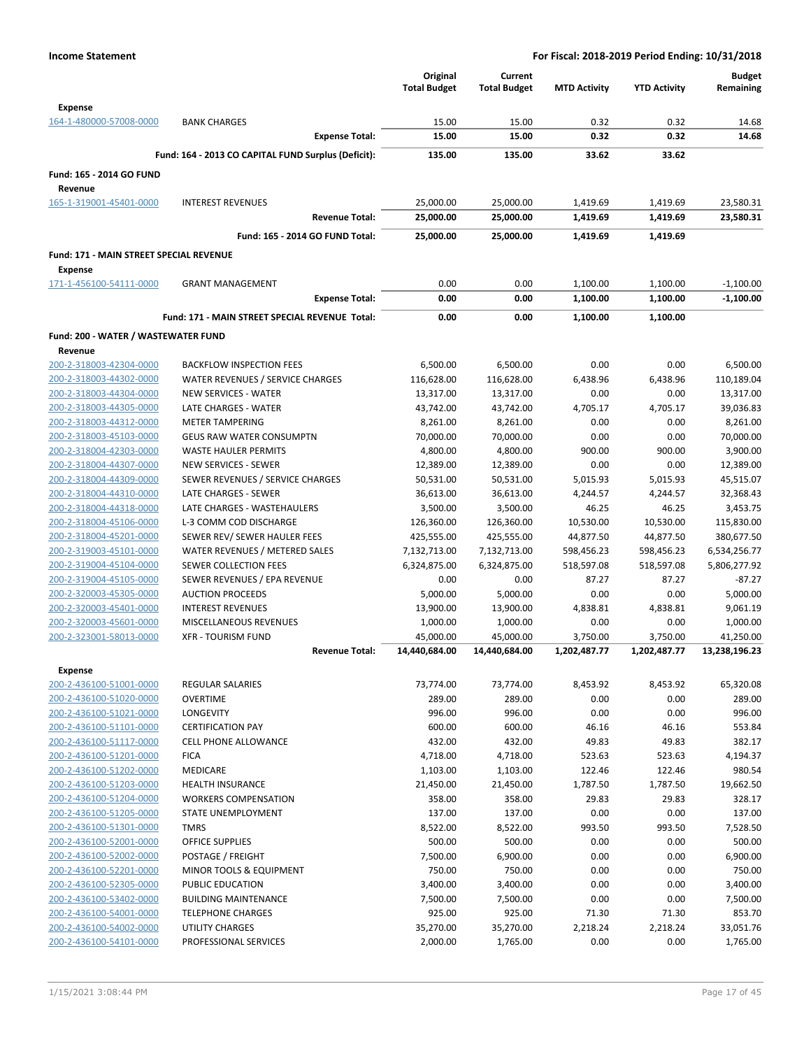|                                                |                                                     | Original            | Current             |                     |                     | <b>Budget</b> |
|------------------------------------------------|-----------------------------------------------------|---------------------|---------------------|---------------------|---------------------|---------------|
|                                                |                                                     | <b>Total Budget</b> | <b>Total Budget</b> | <b>MTD Activity</b> | <b>YTD Activity</b> | Remaining     |
| <b>Expense</b>                                 |                                                     |                     |                     |                     |                     |               |
| 164-1-480000-57008-0000                        | <b>BANK CHARGES</b>                                 | 15.00               | 15.00               | 0.32                | 0.32                | 14.68         |
|                                                | <b>Expense Total:</b>                               | 15.00               | 15.00               | 0.32                | 0.32                | 14.68         |
|                                                | Fund: 164 - 2013 CO CAPITAL FUND Surplus (Deficit): | 135.00              | 135.00              | 33.62               | 33.62               |               |
|                                                |                                                     |                     |                     |                     |                     |               |
| Fund: 165 - 2014 GO FUND                       |                                                     |                     |                     |                     |                     |               |
| Revenue                                        |                                                     |                     |                     |                     |                     |               |
| 165-1-319001-45401-0000                        | <b>INTEREST REVENUES</b>                            | 25,000.00           | 25,000.00           | 1,419.69            | 1,419.69            | 23,580.31     |
|                                                | <b>Revenue Total:</b>                               | 25,000.00           | 25,000.00           | 1,419.69            | 1,419.69            | 23,580.31     |
|                                                | Fund: 165 - 2014 GO FUND Total:                     | 25,000.00           | 25,000.00           | 1,419.69            | 1,419.69            |               |
| Fund: 171 - MAIN STREET SPECIAL REVENUE        |                                                     |                     |                     |                     |                     |               |
| Expense                                        |                                                     |                     |                     |                     |                     |               |
| 171-1-456100-54111-0000                        | <b>GRANT MANAGEMENT</b>                             | 0.00                | 0.00                | 1,100.00            | 1,100.00            | $-1,100.00$   |
|                                                | <b>Expense Total:</b>                               | 0.00                | 0.00                | 1,100.00            | 1,100.00            | $-1,100.00$   |
|                                                | Fund: 171 - MAIN STREET SPECIAL REVENUE Total:      | 0.00                | 0.00                | 1,100.00            | 1,100.00            |               |
|                                                |                                                     |                     |                     |                     |                     |               |
| Fund: 200 - WATER / WASTEWATER FUND<br>Revenue |                                                     |                     |                     |                     |                     |               |
| 200-2-318003-42304-0000                        | <b>BACKFLOW INSPECTION FEES</b>                     | 6,500.00            | 6,500.00            | 0.00                | 0.00                | 6,500.00      |
| 200-2-318003-44302-0000                        | WATER REVENUES / SERVICE CHARGES                    | 116,628.00          | 116,628.00          | 6,438.96            | 6,438.96            | 110,189.04    |
| 200-2-318003-44304-0000                        | NEW SERVICES - WATER                                | 13,317.00           | 13,317.00           | 0.00                | 0.00                | 13,317.00     |
| 200-2-318003-44305-0000                        | LATE CHARGES - WATER                                | 43,742.00           | 43,742.00           | 4.705.17            | 4,705.17            | 39,036.83     |
| 200-2-318003-44312-0000                        | <b>METER TAMPERING</b>                              | 8,261.00            | 8,261.00            | 0.00                | 0.00                | 8,261.00      |
| 200-2-318003-45103-0000                        | <b>GEUS RAW WATER CONSUMPTN</b>                     | 70,000.00           | 70,000.00           | 0.00                | 0.00                | 70,000.00     |
| 200-2-318004-42303-0000                        | <b>WASTE HAULER PERMITS</b>                         | 4,800.00            | 4,800.00            | 900.00              | 900.00              | 3,900.00      |
| 200-2-318004-44307-0000                        | NEW SERVICES - SEWER                                | 12,389.00           | 12,389.00           | 0.00                | 0.00                | 12,389.00     |
| 200-2-318004-44309-0000                        | SEWER REVENUES / SERVICE CHARGES                    | 50,531.00           | 50,531.00           | 5,015.93            | 5,015.93            | 45,515.07     |
| 200-2-318004-44310-0000                        | LATE CHARGES - SEWER                                | 36,613.00           | 36,613.00           | 4,244.57            | 4,244.57            | 32,368.43     |
| 200-2-318004-44318-0000                        | LATE CHARGES - WASTEHAULERS                         | 3,500.00            | 3,500.00            | 46.25               | 46.25               | 3,453.75      |
| 200-2-318004-45106-0000                        | L-3 COMM COD DISCHARGE                              | 126,360.00          | 126,360.00          | 10,530.00           | 10,530.00           | 115,830.00    |
| 200-2-318004-45201-0000                        | SEWER REV/ SEWER HAULER FEES                        | 425,555.00          | 425,555.00          | 44,877.50           | 44,877.50           | 380,677.50    |
| 200-2-319003-45101-0000                        | WATER REVENUES / METERED SALES                      | 7,132,713.00        | 7,132,713.00        | 598,456.23          | 598,456.23          | 6,534,256.77  |
| 200-2-319004-45104-0000                        | SEWER COLLECTION FEES                               | 6,324,875.00        | 6,324,875.00        | 518,597.08          | 518,597.08          | 5,806,277.92  |
| 200-2-319004-45105-0000                        | SEWER REVENUES / EPA REVENUE                        | 0.00                | 0.00                | 87.27               | 87.27               | $-87.27$      |
| 200-2-320003-45305-0000                        | <b>AUCTION PROCEEDS</b>                             | 5,000.00            | 5,000.00            | 0.00                | 0.00                | 5,000.00      |
| 200-2-320003-45401-0000                        | <b>INTEREST REVENUES</b>                            | 13,900.00           | 13,900.00           | 4,838.81            | 4,838.81            | 9,061.19      |
| 200-2-320003-45601-0000                        | MISCELLANEOUS REVENUES                              | 1,000.00            | 1,000.00            | 0.00                | 0.00                | 1,000.00      |
| 200-2-323001-58013-0000                        | <b>XFR - TOURISM FUND</b>                           | 45,000.00           | 45,000.00           | 3,750.00            | 3,750.00            | 41,250.00     |
|                                                | <b>Revenue Total:</b>                               | 14,440,684.00       | 14,440,684.00       | 1,202,487.77        | 1,202,487.77        | 13,238,196.23 |
|                                                |                                                     |                     |                     |                     |                     |               |
| <b>Expense</b>                                 |                                                     |                     |                     |                     |                     |               |
| 200-2-436100-51001-0000                        | <b>REGULAR SALARIES</b>                             | 73,774.00           | 73,774.00           | 8,453.92            | 8,453.92            | 65,320.08     |
| 200-2-436100-51020-0000                        | <b>OVERTIME</b>                                     | 289.00              | 289.00              | 0.00                | 0.00                | 289.00        |
| 200-2-436100-51021-0000                        | LONGEVITY<br><b>CERTIFICATION PAY</b>               | 996.00              | 996.00              | 0.00                | 0.00                | 996.00        |
| 200-2-436100-51101-0000                        |                                                     | 600.00              | 600.00              | 46.16               | 46.16               | 553.84        |
| 200-2-436100-51117-0000                        | <b>CELL PHONE ALLOWANCE</b>                         | 432.00              | 432.00              | 49.83               | 49.83               | 382.17        |
| 200-2-436100-51201-0000                        | <b>FICA</b>                                         | 4,718.00            | 4,718.00            | 523.63              | 523.63              | 4,194.37      |
| 200-2-436100-51202-0000                        | <b>MEDICARE</b><br><b>HEALTH INSURANCE</b>          | 1,103.00            | 1,103.00            | 122.46              | 122.46              | 980.54        |
| 200-2-436100-51203-0000                        |                                                     | 21,450.00           | 21,450.00           | 1,787.50            | 1,787.50            | 19,662.50     |
| 200-2-436100-51204-0000                        | <b>WORKERS COMPENSATION</b>                         | 358.00              | 358.00              | 29.83               | 29.83               | 328.17        |
| 200-2-436100-51205-0000                        | STATE UNEMPLOYMENT                                  | 137.00              | 137.00              | 0.00                | 0.00                | 137.00        |
| 200-2-436100-51301-0000                        | <b>TMRS</b>                                         | 8,522.00            | 8,522.00            | 993.50              | 993.50              | 7,528.50      |
| 200-2-436100-52001-0000                        | <b>OFFICE SUPPLIES</b>                              | 500.00              | 500.00              | 0.00                | 0.00                | 500.00        |
| 200-2-436100-52002-0000                        | POSTAGE / FREIGHT                                   | 7,500.00            | 6,900.00            | 0.00                | 0.00                | 6,900.00      |
| 200-2-436100-52201-0000                        | <b>MINOR TOOLS &amp; EQUIPMENT</b>                  | 750.00              | 750.00              | 0.00                | 0.00                | 750.00        |
| 200-2-436100-52305-0000                        | PUBLIC EDUCATION                                    | 3,400.00            | 3,400.00            | 0.00                | 0.00                | 3,400.00      |
| 200-2-436100-53402-0000                        | <b>BUILDING MAINTENANCE</b>                         | 7,500.00            | 7,500.00            | 0.00                | 0.00                | 7,500.00      |
| 200-2-436100-54001-0000                        | <b>TELEPHONE CHARGES</b>                            | 925.00              | 925.00              | 71.30               | 71.30               | 853.70        |
| 200-2-436100-54002-0000                        | <b>UTILITY CHARGES</b>                              | 35,270.00           | 35,270.00           | 2,218.24            | 2,218.24            | 33,051.76     |
| 200-2-436100-54101-0000                        | PROFESSIONAL SERVICES                               | 2,000.00            | 1,765.00            | 0.00                | 0.00                | 1,765.00      |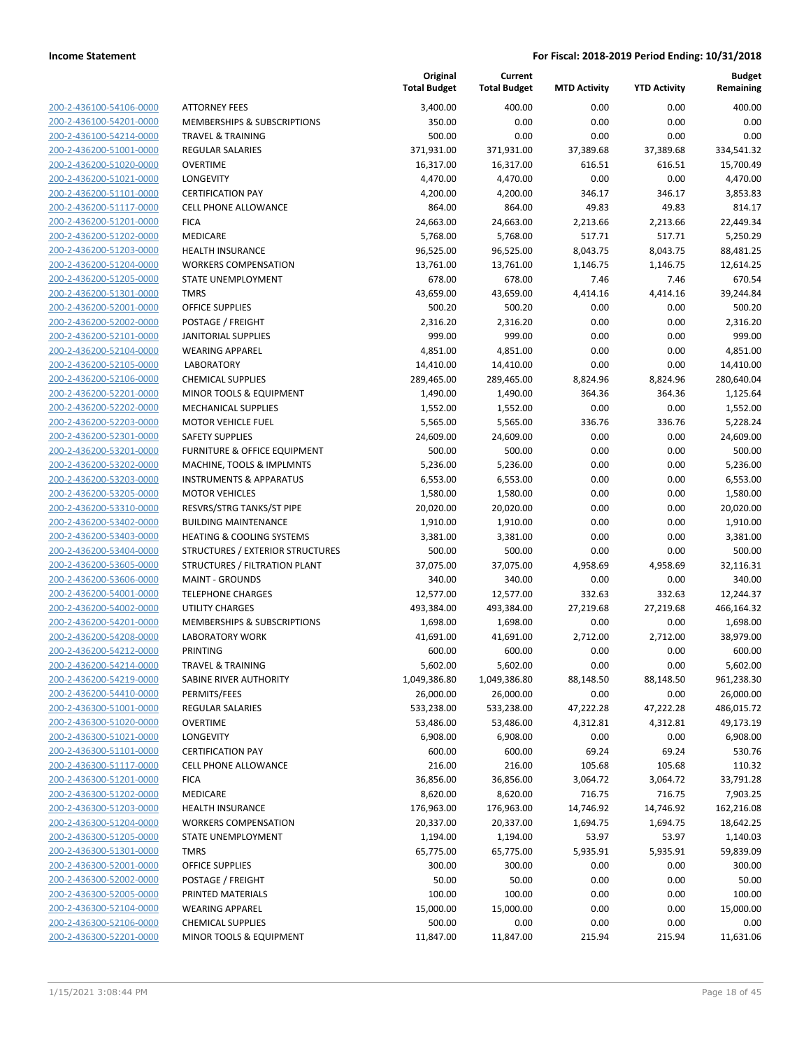**Budget Remaining**

**MTD Activity YTD Activity**

**Current**

**Original**

| 200-2-436100-54106-0000<br>200-2-436100-54201-0000 |
|----------------------------------------------------|
| 200-2-436100-54214-0000                            |
|                                                    |
| 200-2-436200-51001-0000<br>200-2-436200-51020-0000 |
| 200-2-436200-51021-0000                            |
| 200-2-436200-51101-0000                            |
| 200-2-436200-51117-0000                            |
| 200-2-436200-51201-0000                            |
| 200-2-436200-51202-0000                            |
| 200-2-436200-51203-0000                            |
| 200-2-436200-51204-0000                            |
| 200-2-436200-51205-0000                            |
| 200-2-436200-51301-0000                            |
| 200-2-436200-52001-0000                            |
| 200-2-436200-52002-0000                            |
| 200-2-436200-52101-0000                            |
| 200-2-436200-52104-0000                            |
| 200-2-436200-52105-0000                            |
| 200-2-436200-52106-0000                            |
| 200-2-436200-52201-0000                            |
| 200-2-436200-52202-0000                            |
| 200-2-436200-52203-0000                            |
| 200-2-436200-52301-0000                            |
| 200-2-436200-53201-0000                            |
| 200-2-436200-53202-0000                            |
| 200-2-436200-53203-0000                            |
| 200-2-436200-53205-0000                            |
| 200-2-436200-53310-0000                            |
| 200-2-436200-53402-0000                            |
| 200-2-436200-53403-0000                            |
| 200-2-436200-53404-0000                            |
| 200-2-436200-53605-0000                            |
| 200-2-436200-53606-0000                            |
| 200-2-436200-54001-0000                            |
| 200-2-436200-54002-0000                            |
| 200-2-436200-54201-0000                            |
| 200-2-436200-54208-0000                            |
| 200-2-436200-54212-0000                            |
| 200-2-436200-54214-0000                            |
| 200-2-436200-54219-0000                            |
| 200-2-436200-54410-0000                            |
| 200-2-436300-51001-0000                            |
| 200-2-436300-51020-0000                            |
| 200-2-436300-51021-0000                            |
| <u>200-2-436300-51101-0000</u>                     |
| 200-2-436300-51117-0000                            |
| 200-2-436300-51201-0000                            |
| <u>200-2-436300-51202-0000</u>                     |
| <u>200-2-436300-51203-0000</u>                     |
| 200-2-436300-51204-0000                            |
| 200-2-436300-51205-0000                            |
| 200-2-436300-51301-0000                            |
| <u>200-2-436300-52001-0000</u>                     |
| 200-2-436300-52002-0000                            |
| <u>200-2-436300-52005-0000</u>                     |
| 200-2-436300-52104-0000                            |
| <u>200-2-436300-52106-0000</u>                     |
| 200-2-436300-52201-0000                            |
|                                                    |

|                                                    |                                                         | <b>Total Budget</b>   | <b>Total Budget</b>   | <b>MTD Activity</b> | <b>YTD Activity</b> | Remaining               |
|----------------------------------------------------|---------------------------------------------------------|-----------------------|-----------------------|---------------------|---------------------|-------------------------|
| 200-2-436100-54106-0000                            | <b>ATTORNEY FEES</b>                                    | 3,400.00              | 400.00                | 0.00                | 0.00                | 400.00                  |
| 200-2-436100-54201-0000                            | <b>MEMBERSHIPS &amp; SUBSCRIPTIONS</b>                  | 350.00                | 0.00                  | 0.00                | 0.00                | 0.00                    |
| 200-2-436100-54214-0000                            | <b>TRAVEL &amp; TRAINING</b>                            | 500.00                | 0.00                  | 0.00                | 0.00                | 0.00                    |
| 200-2-436200-51001-0000                            | <b>REGULAR SALARIES</b>                                 | 371,931.00            | 371,931.00            | 37,389.68           | 37,389.68           | 334,541.32              |
| 200-2-436200-51020-0000                            | <b>OVERTIME</b>                                         | 16,317.00             | 16,317.00             | 616.51              | 616.51              | 15,700.49               |
| 200-2-436200-51021-0000                            | LONGEVITY                                               | 4,470.00              | 4,470.00              | 0.00                | 0.00                | 4,470.00                |
| 200-2-436200-51101-0000                            | <b>CERTIFICATION PAY</b>                                | 4,200.00              | 4,200.00              | 346.17              | 346.17              | 3,853.83                |
| 200-2-436200-51117-0000                            | <b>CELL PHONE ALLOWANCE</b>                             | 864.00                | 864.00                | 49.83               | 49.83               | 814.17                  |
| 200-2-436200-51201-0000                            | <b>FICA</b>                                             | 24,663.00             | 24,663.00             | 2,213.66            | 2,213.66            | 22,449.34               |
| 200-2-436200-51202-0000                            | MEDICARE                                                | 5,768.00              | 5,768.00              | 517.71              | 517.71              | 5,250.29                |
| 200-2-436200-51203-0000                            | <b>HEALTH INSURANCE</b>                                 | 96,525.00             | 96,525.00             | 8,043.75            | 8,043.75            | 88,481.25               |
| 200-2-436200-51204-0000                            | <b>WORKERS COMPENSATION</b>                             | 13,761.00             | 13,761.00             | 1,146.75            | 1,146.75            | 12,614.25               |
| 200-2-436200-51205-0000                            | STATE UNEMPLOYMENT                                      | 678.00                | 678.00                | 7.46                | 7.46                | 670.54                  |
| 200-2-436200-51301-0000                            | <b>TMRS</b>                                             | 43,659.00             | 43,659.00             | 4,414.16            | 4,414.16            | 39,244.84               |
| 200-2-436200-52001-0000                            | <b>OFFICE SUPPLIES</b>                                  | 500.20                | 500.20                | 0.00                | 0.00                | 500.20                  |
| 200-2-436200-52002-0000                            | POSTAGE / FREIGHT                                       | 2,316.20              | 2,316.20              | 0.00                | 0.00                | 2,316.20                |
| 200-2-436200-52101-0000                            | <b>JANITORIAL SUPPLIES</b>                              | 999.00                | 999.00                | 0.00                | 0.00                | 999.00                  |
| 200-2-436200-52104-0000                            | <b>WEARING APPAREL</b>                                  | 4,851.00              | 4,851.00              | 0.00                | 0.00                | 4,851.00                |
| 200-2-436200-52105-0000                            | <b>LABORATORY</b>                                       | 14,410.00             | 14,410.00             | 0.00                | 0.00                | 14,410.00               |
| 200-2-436200-52106-0000                            | <b>CHEMICAL SUPPLIES</b>                                | 289,465.00            | 289,465.00            | 8,824.96            | 8,824.96            | 280,640.04              |
| 200-2-436200-52201-0000                            | MINOR TOOLS & EQUIPMENT                                 | 1,490.00              | 1,490.00              | 364.36              | 364.36              | 1,125.64                |
| 200-2-436200-52202-0000<br>200-2-436200-52203-0000 | <b>MECHANICAL SUPPLIES</b><br><b>MOTOR VEHICLE FUEL</b> | 1,552.00<br>5,565.00  | 1,552.00              | 0.00                | 0.00                | 1,552.00<br>5,228.24    |
| 200-2-436200-52301-0000                            | <b>SAFETY SUPPLIES</b>                                  | 24,609.00             | 5,565.00<br>24,609.00 | 336.76<br>0.00      | 336.76<br>0.00      | 24,609.00               |
| 200-2-436200-53201-0000                            | <b>FURNITURE &amp; OFFICE EQUIPMENT</b>                 | 500.00                | 500.00                | 0.00                | 0.00                | 500.00                  |
| 200-2-436200-53202-0000                            | MACHINE, TOOLS & IMPLMNTS                               | 5,236.00              | 5,236.00              | 0.00                | 0.00                | 5,236.00                |
| 200-2-436200-53203-0000                            | <b>INSTRUMENTS &amp; APPARATUS</b>                      | 6,553.00              | 6,553.00              | 0.00                | 0.00                | 6,553.00                |
| 200-2-436200-53205-0000                            | <b>MOTOR VEHICLES</b>                                   | 1,580.00              | 1,580.00              | 0.00                | 0.00                | 1,580.00                |
| 200-2-436200-53310-0000                            | RESVRS/STRG TANKS/ST PIPE                               | 20,020.00             | 20,020.00             | 0.00                | 0.00                | 20,020.00               |
| 200-2-436200-53402-0000                            | <b>BUILDING MAINTENANCE</b>                             | 1,910.00              | 1,910.00              | 0.00                | 0.00                | 1,910.00                |
| 200-2-436200-53403-0000                            | <b>HEATING &amp; COOLING SYSTEMS</b>                    | 3,381.00              | 3,381.00              | 0.00                | 0.00                | 3,381.00                |
| 200-2-436200-53404-0000                            | STRUCTURES / EXTERIOR STRUCTURES                        | 500.00                | 500.00                | 0.00                | 0.00                | 500.00                  |
| 200-2-436200-53605-0000                            | STRUCTURES / FILTRATION PLANT                           | 37,075.00             | 37,075.00             | 4,958.69            | 4,958.69            | 32,116.31               |
| 200-2-436200-53606-0000                            | <b>MAINT - GROUNDS</b>                                  | 340.00                | 340.00                | 0.00                | 0.00                | 340.00                  |
| 200-2-436200-54001-0000                            | <b>TELEPHONE CHARGES</b>                                | 12,577.00             | 12,577.00             | 332.63              | 332.63              | 12,244.37               |
| 200-2-436200-54002-0000                            | UTILITY CHARGES                                         | 493,384.00            | 493,384.00            | 27,219.68           | 27,219.68           | 466,164.32              |
| 200-2-436200-54201-0000                            | MEMBERSHIPS & SUBSCRIPTIONS                             | 1,698.00              | 1,698.00              | 0.00                | 0.00                | 1,698.00                |
| 200-2-436200-54208-0000                            | <b>LABORATORY WORK</b>                                  | 41,691.00             | 41,691.00             | 2,712.00            | 2,712.00            | 38,979.00               |
| 200-2-436200-54212-0000                            | <b>PRINTING</b>                                         | 600.00                | 600.00                | 0.00                | 0.00                | 600.00                  |
| 200-2-436200-54214-0000                            | <b>TRAVEL &amp; TRAINING</b>                            | 5,602.00              | 5,602.00              | 0.00                | 0.00                | 5,602.00                |
| 200-2-436200-54219-0000                            | SABINE RIVER AUTHORITY                                  | 1,049,386.80          | 1,049,386.80          | 88,148.50           | 88,148.50           | 961,238.30              |
| 200-2-436200-54410-0000                            | PERMITS/FEES                                            | 26,000.00             | 26,000.00             | 0.00                | 0.00                | 26,000.00               |
| 200-2-436300-51001-0000                            | <b>REGULAR SALARIES</b>                                 | 533,238.00            | 533,238.00            | 47,222.28           | 47,222.28           | 486,015.72              |
| 200-2-436300-51020-0000                            | <b>OVERTIME</b>                                         | 53,486.00             | 53,486.00             | 4,312.81            | 4,312.81            | 49,173.19               |
| 200-2-436300-51021-0000                            | <b>LONGEVITY</b>                                        | 6,908.00              | 6,908.00              | 0.00                | 0.00                | 6,908.00                |
| 200-2-436300-51101-0000                            | <b>CERTIFICATION PAY</b>                                | 600.00                | 600.00                | 69.24               | 69.24               | 530.76                  |
| 200-2-436300-51117-0000                            | <b>CELL PHONE ALLOWANCE</b>                             | 216.00                | 216.00                | 105.68              | 105.68              | 110.32                  |
| 200-2-436300-51201-0000                            | <b>FICA</b>                                             | 36,856.00             | 36,856.00             | 3,064.72            | 3,064.72            | 33,791.28               |
| 200-2-436300-51202-0000                            | <b>MEDICARE</b>                                         | 8,620.00              | 8,620.00              | 716.75              | 716.75              | 7,903.25                |
| 200-2-436300-51203-0000                            | <b>HEALTH INSURANCE</b><br><b>WORKERS COMPENSATION</b>  | 176,963.00            | 176,963.00            | 14,746.92           | 14,746.92           | 162,216.08<br>18,642.25 |
| 200-2-436300-51204-0000                            |                                                         | 20,337.00             | 20,337.00             | 1,694.75            | 1,694.75            |                         |
| 200-2-436300-51205-0000<br>200-2-436300-51301-0000 | STATE UNEMPLOYMENT<br><b>TMRS</b>                       | 1,194.00<br>65,775.00 | 1,194.00<br>65,775.00 | 53.97<br>5,935.91   | 53.97<br>5,935.91   | 1,140.03<br>59,839.09   |
| 200-2-436300-52001-0000                            | <b>OFFICE SUPPLIES</b>                                  | 300.00                | 300.00                | 0.00                | 0.00                | 300.00                  |
| 200-2-436300-52002-0000                            | POSTAGE / FREIGHT                                       | 50.00                 | 50.00                 | 0.00                | 0.00                | 50.00                   |
| 200-2-436300-52005-0000                            | PRINTED MATERIALS                                       | 100.00                | 100.00                | 0.00                | 0.00                | 100.00                  |
| 200-2-436300-52104-0000                            | <b>WEARING APPAREL</b>                                  | 15,000.00             | 15,000.00             | 0.00                | 0.00                | 15,000.00               |
| 200-2-436300-52106-0000                            | <b>CHEMICAL SUPPLIES</b>                                | 500.00                | 0.00                  | 0.00                | 0.00                | 0.00                    |
| 200-2-436300-52201-0000                            | MINOR TOOLS & EQUIPMENT                                 | 11,847.00             | 11,847.00             | 215.94              | 215.94              | 11,631.06               |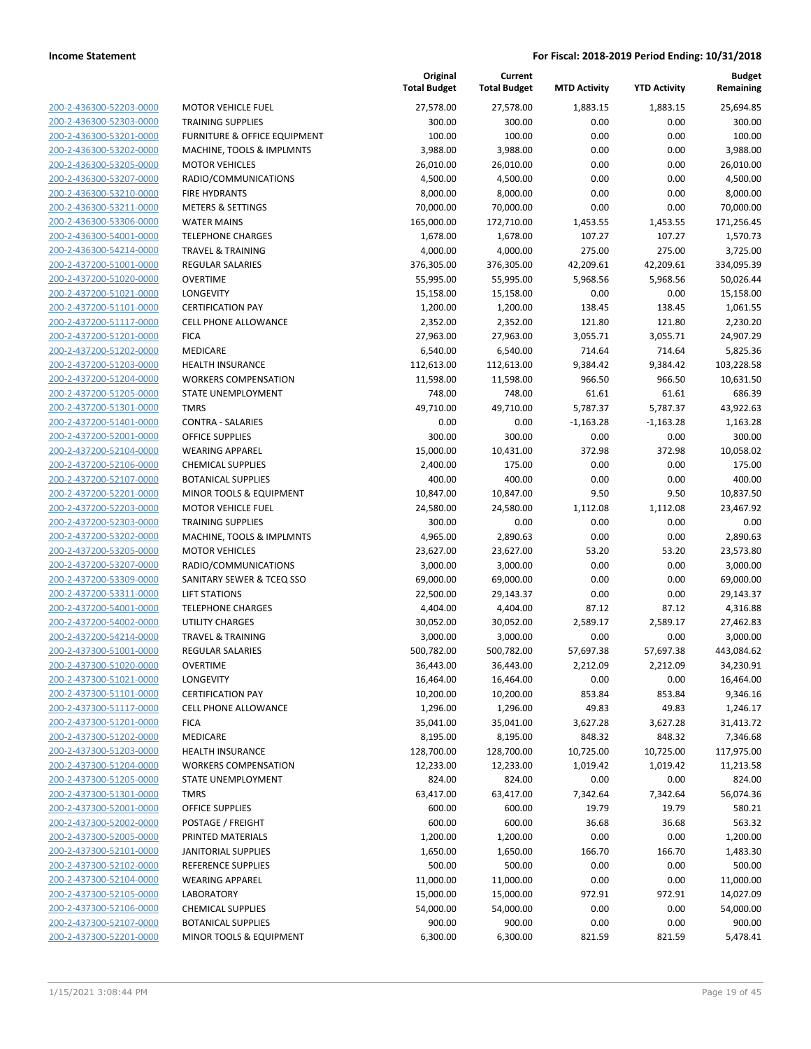**Current**

**Original**

**Budget Remaining**

|                                                    |                                                    | <b>Total Budget</b>   | <b>Total Budget</b>   | <b>MTD Activity</b> | <b>YTD Activity</b> | Remaining             |
|----------------------------------------------------|----------------------------------------------------|-----------------------|-----------------------|---------------------|---------------------|-----------------------|
| 200-2-436300-52203-0000                            | <b>MOTOR VEHICLE FUEL</b>                          | 27,578.00             | 27,578.00             | 1,883.15            | 1,883.15            | 25,694.85             |
| 200-2-436300-52303-0000                            | <b>TRAINING SUPPLIES</b>                           | 300.00                | 300.00                | 0.00                | 0.00                | 300.00                |
| 200-2-436300-53201-0000                            | FURNITURE & OFFICE EQUIPMENT                       | 100.00                | 100.00                | 0.00                | 0.00                | 100.00                |
| 200-2-436300-53202-0000                            | MACHINE, TOOLS & IMPLMNTS                          | 3,988.00              | 3,988.00              | 0.00                | 0.00                | 3,988.00              |
| 200-2-436300-53205-0000                            | <b>MOTOR VEHICLES</b>                              | 26,010.00             | 26,010.00             | 0.00                | 0.00                | 26,010.00             |
| 200-2-436300-53207-0000                            | RADIO/COMMUNICATIONS                               | 4,500.00              | 4,500.00              | 0.00                | 0.00                | 4,500.00              |
| 200-2-436300-53210-0000                            | <b>FIRE HYDRANTS</b>                               | 8,000.00              | 8,000.00              | 0.00                | 0.00                | 8,000.00              |
| 200-2-436300-53211-0000                            | <b>METERS &amp; SETTINGS</b>                       | 70,000.00             | 70,000.00             | 0.00                | 0.00                | 70,000.00             |
| 200-2-436300-53306-0000                            | <b>WATER MAINS</b>                                 | 165,000.00            | 172,710.00            | 1,453.55            | 1,453.55            | 171,256.45            |
| 200-2-436300-54001-0000                            | <b>TELEPHONE CHARGES</b>                           | 1,678.00              | 1,678.00              | 107.27              | 107.27              | 1,570.73              |
| 200-2-436300-54214-0000                            | <b>TRAVEL &amp; TRAINING</b>                       | 4,000.00              | 4,000.00              | 275.00              | 275.00              | 3,725.00              |
| 200-2-437200-51001-0000                            | <b>REGULAR SALARIES</b>                            | 376,305.00            | 376,305.00            | 42,209.61           | 42,209.61           | 334,095.39            |
| 200-2-437200-51020-0000                            | <b>OVERTIME</b>                                    | 55,995.00             | 55,995.00             | 5,968.56            | 5,968.56            | 50,026.44             |
| 200-2-437200-51021-0000                            | LONGEVITY                                          | 15,158.00             | 15,158.00             | 0.00                | 0.00                | 15,158.00             |
| 200-2-437200-51101-0000                            | <b>CERTIFICATION PAY</b>                           | 1,200.00              | 1,200.00              | 138.45              | 138.45              | 1,061.55              |
| 200-2-437200-51117-0000                            | <b>CELL PHONE ALLOWANCE</b>                        | 2,352.00              | 2,352.00              | 121.80              | 121.80              | 2,230.20              |
| 200-2-437200-51201-0000                            | <b>FICA</b>                                        | 27,963.00             | 27,963.00             | 3,055.71            | 3,055.71            | 24,907.29             |
| 200-2-437200-51202-0000                            | MEDICARE                                           | 6,540.00              | 6,540.00              | 714.64              | 714.64              | 5,825.36              |
| 200-2-437200-51203-0000                            | <b>HEALTH INSURANCE</b>                            | 112,613.00            | 112,613.00            | 9,384.42            | 9,384.42            | 103,228.58            |
| 200-2-437200-51204-0000                            | <b>WORKERS COMPENSATION</b>                        | 11,598.00             | 11,598.00             | 966.50              | 966.50              | 10,631.50             |
| 200-2-437200-51205-0000                            | STATE UNEMPLOYMENT                                 | 748.00                | 748.00                | 61.61               | 61.61               | 686.39                |
| 200-2-437200-51301-0000                            | <b>TMRS</b>                                        | 49,710.00             | 49,710.00             | 5,787.37            | 5,787.37            | 43,922.63             |
| 200-2-437200-51401-0000                            | <b>CONTRA - SALARIES</b>                           | 0.00                  | 0.00                  | $-1,163.28$         | $-1,163.28$         | 1,163.28              |
| 200-2-437200-52001-0000                            | <b>OFFICE SUPPLIES</b>                             | 300.00                | 300.00                | 0.00                | 0.00                | 300.00                |
| 200-2-437200-52104-0000                            | <b>WEARING APPAREL</b>                             | 15,000.00             | 10,431.00             | 372.98              | 372.98              | 10,058.02             |
| 200-2-437200-52106-0000                            | <b>CHEMICAL SUPPLIES</b>                           | 2,400.00              | 175.00                | 0.00                | 0.00                | 175.00                |
| 200-2-437200-52107-0000                            | <b>BOTANICAL SUPPLIES</b>                          | 400.00                | 400.00                | 0.00                | 0.00                | 400.00                |
| 200-2-437200-52201-0000                            | MINOR TOOLS & EQUIPMENT                            | 10,847.00             | 10,847.00             | 9.50                | 9.50                | 10,837.50             |
| 200-2-437200-52203-0000                            | <b>MOTOR VEHICLE FUEL</b>                          | 24,580.00             | 24,580.00             | 1,112.08            | 1,112.08            | 23,467.92             |
| 200-2-437200-52303-0000                            | <b>TRAINING SUPPLIES</b>                           | 300.00                | 0.00                  | 0.00                | 0.00                | 0.00                  |
| 200-2-437200-53202-0000<br>200-2-437200-53205-0000 | MACHINE, TOOLS & IMPLMNTS<br><b>MOTOR VEHICLES</b> | 4,965.00              | 2,890.63              | 0.00<br>53.20       | 0.00<br>53.20       | 2,890.63<br>23,573.80 |
| 200-2-437200-53207-0000                            | RADIO/COMMUNICATIONS                               | 23,627.00<br>3,000.00 | 23,627.00<br>3,000.00 | 0.00                | 0.00                | 3,000.00              |
| 200-2-437200-53309-0000                            | SANITARY SEWER & TCEQ SSO                          | 69,000.00             | 69,000.00             | 0.00                | 0.00                | 69,000.00             |
| 200-2-437200-53311-0000                            | <b>LIFT STATIONS</b>                               | 22,500.00             | 29,143.37             | 0.00                | 0.00                | 29,143.37             |
| 200-2-437200-54001-0000                            | <b>TELEPHONE CHARGES</b>                           | 4,404.00              | 4,404.00              | 87.12               | 87.12               | 4,316.88              |
| 200-2-437200-54002-0000                            | <b>UTILITY CHARGES</b>                             | 30,052.00             | 30,052.00             | 2,589.17            | 2,589.17            | 27,462.83             |
| 200-2-437200-54214-0000                            | <b>TRAVEL &amp; TRAINING</b>                       | 3,000.00              | 3,000.00              | 0.00                | 0.00                | 3,000.00              |
| 200-2-437300-51001-0000                            | <b>REGULAR SALARIES</b>                            | 500,782.00            | 500,782.00            | 57,697.38           | 57,697.38           | 443,084.62            |
| 200-2-437300-51020-0000                            | <b>OVERTIME</b>                                    | 36,443.00             | 36,443.00             | 2,212.09            | 2,212.09            | 34,230.91             |
| 200-2-437300-51021-0000                            | <b>LONGEVITY</b>                                   | 16,464.00             | 16,464.00             | 0.00                | 0.00                | 16,464.00             |
| 200-2-437300-51101-0000                            | <b>CERTIFICATION PAY</b>                           | 10,200.00             | 10,200.00             | 853.84              | 853.84              | 9,346.16              |
| 200-2-437300-51117-0000                            | <b>CELL PHONE ALLOWANCE</b>                        | 1,296.00              | 1,296.00              | 49.83               | 49.83               | 1,246.17              |
| 200-2-437300-51201-0000                            | <b>FICA</b>                                        | 35,041.00             | 35,041.00             | 3,627.28            | 3,627.28            | 31,413.72             |
| 200-2-437300-51202-0000                            | MEDICARE                                           | 8,195.00              | 8,195.00              | 848.32              | 848.32              | 7,346.68              |
| 200-2-437300-51203-0000                            | <b>HEALTH INSURANCE</b>                            | 128,700.00            | 128,700.00            | 10,725.00           | 10,725.00           | 117,975.00            |
| 200-2-437300-51204-0000                            | <b>WORKERS COMPENSATION</b>                        | 12,233.00             | 12,233.00             | 1,019.42            | 1,019.42            | 11,213.58             |
| 200-2-437300-51205-0000                            | STATE UNEMPLOYMENT                                 | 824.00                | 824.00                | 0.00                | 0.00                | 824.00                |
| 200-2-437300-51301-0000                            | <b>TMRS</b>                                        | 63,417.00             | 63,417.00             | 7,342.64            | 7,342.64            | 56,074.36             |
| 200-2-437300-52001-0000                            | OFFICE SUPPLIES                                    | 600.00                | 600.00                | 19.79               | 19.79               | 580.21                |
| 200-2-437300-52002-0000                            | POSTAGE / FREIGHT                                  | 600.00                | 600.00                | 36.68               | 36.68               | 563.32                |
| 200-2-437300-52005-0000                            | PRINTED MATERIALS                                  | 1,200.00              | 1,200.00              | 0.00                | 0.00                | 1,200.00              |
| 200-2-437300-52101-0000                            | <b>JANITORIAL SUPPLIES</b>                         | 1,650.00              | 1,650.00              | 166.70              | 166.70              | 1,483.30              |
| 200-2-437300-52102-0000                            | <b>REFERENCE SUPPLIES</b>                          | 500.00                | 500.00                | 0.00                | 0.00                | 500.00                |
| 200-2-437300-52104-0000                            | <b>WEARING APPAREL</b>                             | 11,000.00             | 11,000.00             | 0.00                | 0.00                | 11,000.00             |
| 200-2-437300-52105-0000                            | <b>LABORATORY</b>                                  | 15,000.00             | 15,000.00             | 972.91              | 972.91              | 14,027.09             |
| 200-2-437300-52106-0000                            | <b>CHEMICAL SUPPLIES</b>                           | 54,000.00             | 54,000.00             | 0.00                | 0.00                | 54,000.00             |
| 200-2-437300-52107-0000                            | <b>BOTANICAL SUPPLIES</b>                          | 900.00                | 900.00                | 0.00                | 0.00                | 900.00                |
| 200-2-437300-52201-0000                            | MINOR TOOLS & EQUIPMENT                            | 6,300.00              | 6,300.00              | 821.59              | 821.59              | 5,478.41              |
|                                                    |                                                    |                       |                       |                     |                     |                       |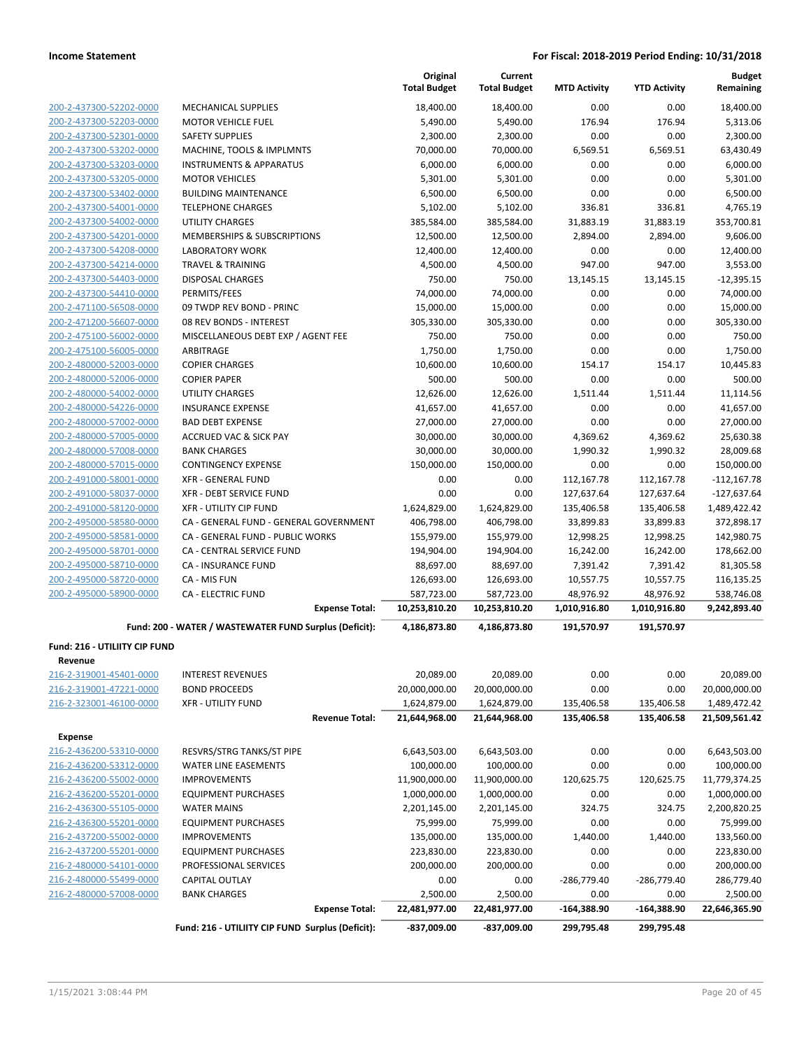|                                                    |                                                        | Original<br><b>Total Budget</b> | Current<br><b>Total Budget</b> | <b>MTD Activity</b>   | <b>YTD Activity</b>   | <b>Budget</b><br>Remaining |
|----------------------------------------------------|--------------------------------------------------------|---------------------------------|--------------------------------|-----------------------|-----------------------|----------------------------|
| 200-2-437300-52202-0000                            | <b>MECHANICAL SUPPLIES</b>                             | 18,400.00                       | 18,400.00                      | 0.00                  | 0.00                  | 18,400.00                  |
| 200-2-437300-52203-0000                            | <b>MOTOR VEHICLE FUEL</b>                              | 5,490.00                        | 5,490.00                       | 176.94                | 176.94                | 5,313.06                   |
| 200-2-437300-52301-0000                            | <b>SAFETY SUPPLIES</b>                                 | 2,300.00                        | 2,300.00                       | 0.00                  | 0.00                  | 2,300.00                   |
| 200-2-437300-53202-0000                            | MACHINE, TOOLS & IMPLMNTS                              | 70,000.00                       | 70,000.00                      | 6,569.51              | 6,569.51              | 63,430.49                  |
| 200-2-437300-53203-0000                            | <b>INSTRUMENTS &amp; APPARATUS</b>                     | 6,000.00                        | 6,000.00                       | 0.00                  | 0.00                  | 6,000.00                   |
| 200-2-437300-53205-0000                            | <b>MOTOR VEHICLES</b>                                  | 5,301.00                        | 5,301.00                       | 0.00                  | 0.00                  | 5,301.00                   |
| 200-2-437300-53402-0000                            | <b>BUILDING MAINTENANCE</b>                            | 6,500.00                        | 6,500.00                       | 0.00                  | 0.00                  | 6,500.00                   |
| 200-2-437300-54001-0000                            | <b>TELEPHONE CHARGES</b>                               | 5,102.00                        | 5,102.00                       | 336.81                | 336.81                | 4,765.19                   |
| 200-2-437300-54002-0000                            | UTILITY CHARGES                                        | 385,584.00                      | 385,584.00                     | 31,883.19             | 31,883.19             | 353,700.81                 |
| 200-2-437300-54201-0000                            | MEMBERSHIPS & SUBSCRIPTIONS                            | 12,500.00                       | 12,500.00                      | 2,894.00              | 2,894.00              | 9,606.00                   |
| 200-2-437300-54208-0000                            | <b>LABORATORY WORK</b>                                 | 12,400.00                       | 12,400.00                      | 0.00                  | 0.00                  | 12,400.00                  |
| 200-2-437300-54214-0000                            | <b>TRAVEL &amp; TRAINING</b>                           | 4,500.00                        | 4,500.00                       | 947.00                | 947.00                | 3,553.00                   |
| 200-2-437300-54403-0000                            | <b>DISPOSAL CHARGES</b>                                | 750.00                          | 750.00                         | 13,145.15             | 13,145.15             | $-12,395.15$               |
| 200-2-437300-54410-0000                            | PERMITS/FEES                                           | 74,000.00                       | 74,000.00                      | 0.00                  | 0.00                  | 74,000.00                  |
| 200-2-471100-56508-0000                            | 09 TWDP REV BOND - PRINC                               | 15,000.00                       | 15,000.00                      | 0.00                  | 0.00                  | 15,000.00                  |
| 200-2-471200-56607-0000                            | 08 REV BONDS - INTEREST                                | 305,330.00                      | 305,330.00                     | 0.00                  | 0.00                  | 305,330.00                 |
| 200-2-475100-56002-0000                            | MISCELLANEOUS DEBT EXP / AGENT FEE                     | 750.00                          | 750.00                         | 0.00                  | 0.00                  | 750.00                     |
| 200-2-475100-56005-0000                            | ARBITRAGE                                              | 1,750.00                        | 1,750.00                       | 0.00                  | 0.00                  | 1,750.00                   |
| 200-2-480000-52003-0000                            | <b>COPIER CHARGES</b>                                  | 10,600.00                       | 10,600.00                      | 154.17                | 154.17                | 10,445.83                  |
| 200-2-480000-52006-0000                            | <b>COPIER PAPER</b>                                    | 500.00                          | 500.00                         | 0.00                  | 0.00                  | 500.00                     |
| 200-2-480000-54002-0000                            | <b>UTILITY CHARGES</b>                                 | 12,626.00                       | 12,626.00                      | 1,511.44              | 1,511.44              | 11,114.56                  |
| 200-2-480000-54226-0000                            | <b>INSURANCE EXPENSE</b>                               | 41,657.00                       | 41,657.00                      | 0.00                  | 0.00                  | 41,657.00                  |
| 200-2-480000-57002-0000                            | <b>BAD DEBT EXPENSE</b>                                | 27,000.00                       | 27,000.00                      | 0.00                  | 0.00                  | 27,000.00                  |
| 200-2-480000-57005-0000                            | <b>ACCRUED VAC &amp; SICK PAY</b>                      | 30,000.00                       | 30,000.00                      | 4,369.62              | 4,369.62              | 25,630.38                  |
| 200-2-480000-57008-0000                            | <b>BANK CHARGES</b>                                    | 30,000.00                       | 30,000.00                      | 1,990.32              | 1,990.32              | 28,009.68                  |
| 200-2-480000-57015-0000                            | <b>CONTINGENCY EXPENSE</b>                             | 150,000.00                      | 150,000.00                     | 0.00                  | 0.00                  | 150,000.00                 |
| 200-2-491000-58001-0000                            | <b>XFR - GENERAL FUND</b>                              | 0.00                            | 0.00                           | 112,167.78            | 112,167.78            | $-112,167.78$              |
| 200-2-491000-58037-0000                            | <b>XFR - DEBT SERVICE FUND</b>                         | 0.00                            | 0.00                           | 127,637.64            | 127,637.64            | $-127,637.64$              |
| 200-2-491000-58120-0000                            | <b>XFR - UTILITY CIP FUND</b>                          | 1,624,829.00                    | 1,624,829.00                   | 135,406.58            | 135,406.58            | 1,489,422.42               |
| 200-2-495000-58580-0000                            | CA - GENERAL FUND - GENERAL GOVERNMENT                 | 406,798.00                      | 406,798.00                     | 33,899.83             | 33,899.83             | 372,898.17                 |
| 200-2-495000-58581-0000                            | CA - GENERAL FUND - PUBLIC WORKS                       | 155,979.00                      | 155,979.00                     | 12,998.25             | 12,998.25             | 142,980.75                 |
| 200-2-495000-58701-0000                            | CA - CENTRAL SERVICE FUND                              | 194,904.00                      | 194,904.00                     | 16,242.00             | 16,242.00             | 178,662.00                 |
| 200-2-495000-58710-0000<br>200-2-495000-58720-0000 | <b>CA - INSURANCE FUND</b><br>CA - MIS FUN             | 88,697.00<br>126,693.00         | 88,697.00<br>126,693.00        | 7,391.42<br>10,557.75 | 7,391.42<br>10,557.75 | 81,305.58<br>116,135.25    |
| 200-2-495000-58900-0000                            | <b>CA - ELECTRIC FUND</b>                              | 587,723.00                      | 587,723.00                     | 48,976.92             | 48,976.92             | 538,746.08                 |
|                                                    | <b>Expense Total:</b>                                  | 10,253,810.20                   | 10,253,810.20                  | 1,010,916.80          | 1,010,916.80          | 9,242,893.40               |
|                                                    | Fund: 200 - WATER / WASTEWATER FUND Surplus (Deficit): | 4,186,873.80                    | 4,186,873.80                   | 191,570.97            | 191,570.97            |                            |
| Fund: 216 - UTILIITY CIP FUND                      |                                                        |                                 |                                |                       |                       |                            |
| Revenue                                            |                                                        |                                 |                                |                       |                       |                            |
| 216-2-319001-45401-0000                            | <b>INTEREST REVENUES</b>                               | 20,089.00                       | 20,089.00                      | 0.00                  | 0.00                  | 20,089.00                  |
| 216-2-319001-47221-0000                            | <b>BOND PROCEEDS</b>                                   | 20,000,000.00                   | 20,000,000.00                  | 0.00                  | 0.00                  | 20,000,000.00              |
| 216-2-323001-46100-0000                            | <b>XFR - UTILITY FUND</b>                              | 1,624,879.00                    | 1,624,879.00                   | 135,406.58            | 135,406.58            | 1,489,472.42               |
|                                                    | <b>Revenue Total:</b>                                  | 21,644,968.00                   | 21,644,968.00                  | 135,406.58            | 135,406.58            | 21,509,561.42              |
| Expense                                            |                                                        |                                 |                                |                       |                       |                            |
| 216-2-436200-53310-0000                            | RESVRS/STRG TANKS/ST PIPE                              | 6,643,503.00                    | 6,643,503.00                   | 0.00                  | 0.00                  | 6,643,503.00               |
| 216-2-436200-53312-0000                            | WATER LINE EASEMENTS                                   | 100,000.00                      | 100,000.00                     | 0.00                  | 0.00                  | 100,000.00                 |
| 216-2-436200-55002-0000                            | <b>IMPROVEMENTS</b>                                    | 11,900,000.00                   | 11,900,000.00                  | 120,625.75            | 120,625.75            | 11,779,374.25              |
| 216-2-436200-55201-0000                            | <b>EQUIPMENT PURCHASES</b>                             | 1,000,000.00                    | 1,000,000.00                   | 0.00                  | 0.00                  | 1,000,000.00               |
| 216-2-436300-55105-0000                            | <b>WATER MAINS</b>                                     | 2,201,145.00                    | 2,201,145.00                   | 324.75                | 324.75                | 2,200,820.25               |
| 216-2-436300-55201-0000                            | <b>EQUIPMENT PURCHASES</b>                             | 75,999.00                       | 75,999.00                      | 0.00                  | 0.00                  | 75,999.00                  |
| 216-2-437200-55002-0000                            | <b>IMPROVEMENTS</b>                                    | 135,000.00                      | 135,000.00                     | 1,440.00              | 1,440.00              | 133,560.00                 |
| 216-2-437200-55201-0000                            | <b>EQUIPMENT PURCHASES</b>                             | 223,830.00                      | 223,830.00                     | 0.00                  | 0.00                  | 223,830.00                 |
| 216-2-480000-54101-0000                            | PROFESSIONAL SERVICES                                  | 200,000.00                      | 200,000.00                     | 0.00                  | 0.00                  | 200,000.00                 |
| 216-2-480000-55499-0000                            | CAPITAL OUTLAY                                         | 0.00                            | 0.00                           | -286,779.40           | -286,779.40           | 286,779.40                 |
| 216-2-480000-57008-0000                            | <b>BANK CHARGES</b>                                    | 2,500.00                        | 2,500.00                       | 0.00                  | 0.00                  | 2,500.00                   |
|                                                    | <b>Expense Total:</b>                                  | 22,481,977.00                   | 22,481,977.00                  | -164,388.90           | -164,388.90           | 22,646,365.90              |
|                                                    | Fund: 216 - UTILIITY CIP FUND Surplus (Deficit):       | $-837,009.00$                   | -837,009.00                    | 299,795.48            | 299,795.48            |                            |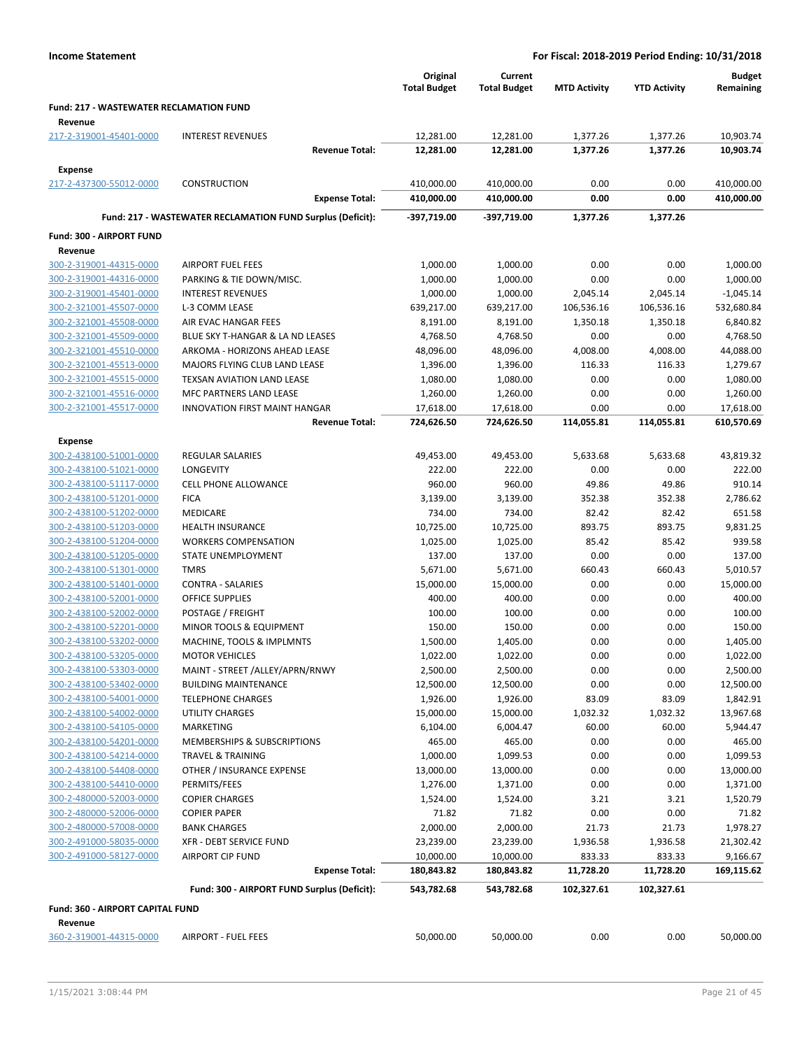|                                                           |                                                            | Original                | Current                 |                     |                     | <b>Budget</b>          |
|-----------------------------------------------------------|------------------------------------------------------------|-------------------------|-------------------------|---------------------|---------------------|------------------------|
|                                                           |                                                            | <b>Total Budget</b>     | <b>Total Budget</b>     | <b>MTD Activity</b> | <b>YTD Activity</b> | Remaining              |
| <b>Fund: 217 - WASTEWATER RECLAMATION FUND</b><br>Revenue |                                                            |                         |                         |                     |                     |                        |
| 217-2-319001-45401-0000                                   | <b>INTEREST REVENUES</b>                                   | 12,281.00               | 12,281.00               | 1,377.26            | 1,377.26            | 10,903.74              |
|                                                           | <b>Revenue Total:</b>                                      | 12,281.00               | 12,281.00               | 1,377.26            | 1,377.26            | 10,903.74              |
| Expense                                                   |                                                            |                         |                         |                     |                     |                        |
| 217-2-437300-55012-0000                                   | <b>CONSTRUCTION</b>                                        | 410,000.00              | 410,000.00              | 0.00                | 0.00                | 410,000.00             |
|                                                           | <b>Expense Total:</b>                                      | 410,000.00              | 410,000.00              | 0.00                | 0.00                | 410,000.00             |
|                                                           | Fund: 217 - WASTEWATER RECLAMATION FUND Surplus (Deficit): | -397,719.00             | -397,719.00             | 1,377.26            | 1,377.26            |                        |
| Fund: 300 - AIRPORT FUND                                  |                                                            |                         |                         |                     |                     |                        |
| Revenue                                                   |                                                            |                         |                         |                     |                     |                        |
| 300-2-319001-44315-0000                                   | <b>AIRPORT FUEL FEES</b>                                   | 1,000.00                | 1,000.00                | 0.00                | 0.00                | 1,000.00               |
| 300-2-319001-44316-0000                                   | PARKING & TIE DOWN/MISC.                                   | 1,000.00                | 1,000.00                | 0.00                | 0.00                | 1,000.00               |
| 300-2-319001-45401-0000                                   | <b>INTEREST REVENUES</b>                                   | 1,000.00                | 1,000.00                | 2,045.14            | 2,045.14            | $-1,045.14$            |
| 300-2-321001-45507-0000                                   | L-3 COMM LEASE                                             | 639,217.00              | 639,217.00              | 106,536.16          | 106,536.16          | 532,680.84             |
| 300-2-321001-45508-0000                                   | AIR EVAC HANGAR FEES                                       | 8,191.00                | 8,191.00                | 1,350.18            | 1,350.18            | 6,840.82               |
| 300-2-321001-45509-0000                                   | BLUE SKY T-HANGAR & LA ND LEASES                           | 4,768.50                | 4,768.50                | 0.00                | 0.00                | 4,768.50               |
| 300-2-321001-45510-0000                                   | ARKOMA - HORIZONS AHEAD LEASE                              | 48,096.00               | 48,096.00               | 4,008.00            | 4,008.00            | 44,088.00              |
| 300-2-321001-45513-0000                                   | MAJORS FLYING CLUB LAND LEASE                              | 1,396.00                | 1,396.00                | 116.33              | 116.33              | 1,279.67               |
| 300-2-321001-45515-0000                                   | TEXSAN AVIATION LAND LEASE                                 | 1,080.00                | 1,080.00                | 0.00                | 0.00                | 1,080.00               |
| 300-2-321001-45516-0000                                   | MFC PARTNERS LAND LEASE                                    | 1,260.00                | 1,260.00                | 0.00                | 0.00                | 1,260.00               |
| 300-2-321001-45517-0000                                   | <b>INNOVATION FIRST MAINT HANGAR</b>                       | 17,618.00               | 17,618.00               | 0.00                | 0.00                | 17,618.00              |
|                                                           | <b>Revenue Total:</b>                                      | 724,626.50              | 724,626.50              | 114,055.81          | 114,055.81          | 610,570.69             |
| <b>Expense</b>                                            |                                                            |                         |                         |                     |                     |                        |
| 300-2-438100-51001-0000                                   | <b>REGULAR SALARIES</b>                                    | 49,453.00               | 49,453.00               | 5,633.68            | 5,633.68            | 43,819.32              |
| 300-2-438100-51021-0000                                   | LONGEVITY                                                  | 222.00                  | 222.00                  | 0.00                | 0.00                | 222.00                 |
| 300-2-438100-51117-0000                                   | <b>CELL PHONE ALLOWANCE</b>                                | 960.00                  | 960.00                  | 49.86               | 49.86               | 910.14                 |
| 300-2-438100-51201-0000                                   | <b>FICA</b>                                                | 3,139.00                | 3,139.00                | 352.38              | 352.38              | 2,786.62               |
| 300-2-438100-51202-0000                                   | MEDICARE                                                   | 734.00                  | 734.00                  | 82.42               | 82.42               | 651.58                 |
| 300-2-438100-51203-0000                                   | <b>HEALTH INSURANCE</b>                                    | 10,725.00               | 10,725.00               | 893.75              | 893.75              | 9,831.25               |
| 300-2-438100-51204-0000                                   | <b>WORKERS COMPENSATION</b>                                | 1,025.00                | 1,025.00                | 85.42               | 85.42               | 939.58                 |
| 300-2-438100-51205-0000                                   | STATE UNEMPLOYMENT                                         | 137.00                  | 137.00                  | 0.00                | 0.00                | 137.00                 |
| 300-2-438100-51301-0000                                   | <b>TMRS</b>                                                | 5,671.00                | 5,671.00                | 660.43              | 660.43              | 5,010.57               |
| 300-2-438100-51401-0000                                   | <b>CONTRA - SALARIES</b>                                   | 15,000.00               | 15,000.00               | 0.00                | 0.00                | 15,000.00              |
| 300-2-438100-52001-0000                                   | <b>OFFICE SUPPLIES</b>                                     | 400.00                  | 400.00                  | 0.00                | 0.00                | 400.00                 |
| 300-2-438100-52002-0000                                   | POSTAGE / FREIGHT                                          | 100.00                  | 100.00                  | 0.00                | 0.00                | 100.00                 |
| 300-2-438100-52201-0000                                   | MINOR TOOLS & EQUIPMENT                                    | 150.00                  | 150.00                  | 0.00                | 0.00                | 150.00                 |
| 300-2-438100-53202-0000                                   | MACHINE, TOOLS & IMPLMNTS                                  | 1,500.00                | 1,405.00                | 0.00                | 0.00                | 1,405.00               |
| 300-2-438100-53205-0000                                   | <b>MOTOR VEHICLES</b>                                      | 1,022.00                | 1,022.00                | 0.00                | 0.00                | 1,022.00               |
| 300-2-438100-53303-0000                                   | MAINT - STREET /ALLEY/APRN/RNWY                            | 2,500.00                | 2,500.00                | 0.00                | 0.00                | 2,500.00               |
| 300-2-438100-53402-0000                                   | <b>BUILDING MAINTENANCE</b>                                | 12,500.00               | 12,500.00               | 0.00                | 0.00                | 12,500.00              |
| 300-2-438100-54001-0000                                   | <b>TELEPHONE CHARGES</b>                                   | 1,926.00                | 1,926.00                | 83.09               | 83.09               | 1,842.91               |
| 300-2-438100-54002-0000                                   | UTILITY CHARGES                                            | 15,000.00               | 15,000.00               | 1,032.32            | 1,032.32            | 13,967.68              |
| 300-2-438100-54105-0000                                   | MARKETING                                                  | 6,104.00                | 6,004.47                | 60.00               | 60.00               | 5,944.47               |
| 300-2-438100-54201-0000                                   | MEMBERSHIPS & SUBSCRIPTIONS                                | 465.00                  | 465.00                  | 0.00                | 0.00                | 465.00                 |
| 300-2-438100-54214-0000                                   | TRAVEL & TRAINING                                          | 1,000.00                | 1,099.53                | 0.00                | 0.00                | 1,099.53               |
| 300-2-438100-54408-0000                                   | OTHER / INSURANCE EXPENSE                                  | 13,000.00               | 13,000.00               | 0.00                | 0.00                | 13,000.00              |
| 300-2-438100-54410-0000                                   | PERMITS/FEES                                               | 1,276.00                | 1,371.00                | 0.00                | 0.00                | 1,371.00               |
| 300-2-480000-52003-0000                                   | <b>COPIER CHARGES</b>                                      | 1,524.00                | 1,524.00                | 3.21                | 3.21                | 1,520.79               |
| 300-2-480000-52006-0000                                   | <b>COPIER PAPER</b>                                        | 71.82                   | 71.82                   | 0.00                | 0.00                | 71.82                  |
| 300-2-480000-57008-0000                                   | <b>BANK CHARGES</b>                                        | 2,000.00                | 2,000.00                | 21.73               | 21.73               | 1,978.27               |
| 300-2-491000-58035-0000                                   | XFR - DEBT SERVICE FUND                                    | 23,239.00               | 23,239.00               | 1,936.58            | 1,936.58            | 21,302.42              |
| 300-2-491000-58127-0000                                   | <b>AIRPORT CIP FUND</b><br><b>Expense Total:</b>           | 10,000.00<br>180,843.82 | 10,000.00<br>180,843.82 | 833.33<br>11,728.20 | 833.33<br>11,728.20 | 9,166.67<br>169,115.62 |
|                                                           |                                                            |                         |                         |                     |                     |                        |
|                                                           | Fund: 300 - AIRPORT FUND Surplus (Deficit):                | 543,782.68              | 543,782.68              | 102,327.61          | 102,327.61          |                        |
| Fund: 360 - AIRPORT CAPITAL FUND                          |                                                            |                         |                         |                     |                     |                        |
| Revenue                                                   |                                                            |                         |                         |                     |                     |                        |
| 360-2-319001-44315-0000                                   | <b>AIRPORT - FUEL FEES</b>                                 | 50,000.00               | 50,000.00               | 0.00                | 0.00                | 50,000.00              |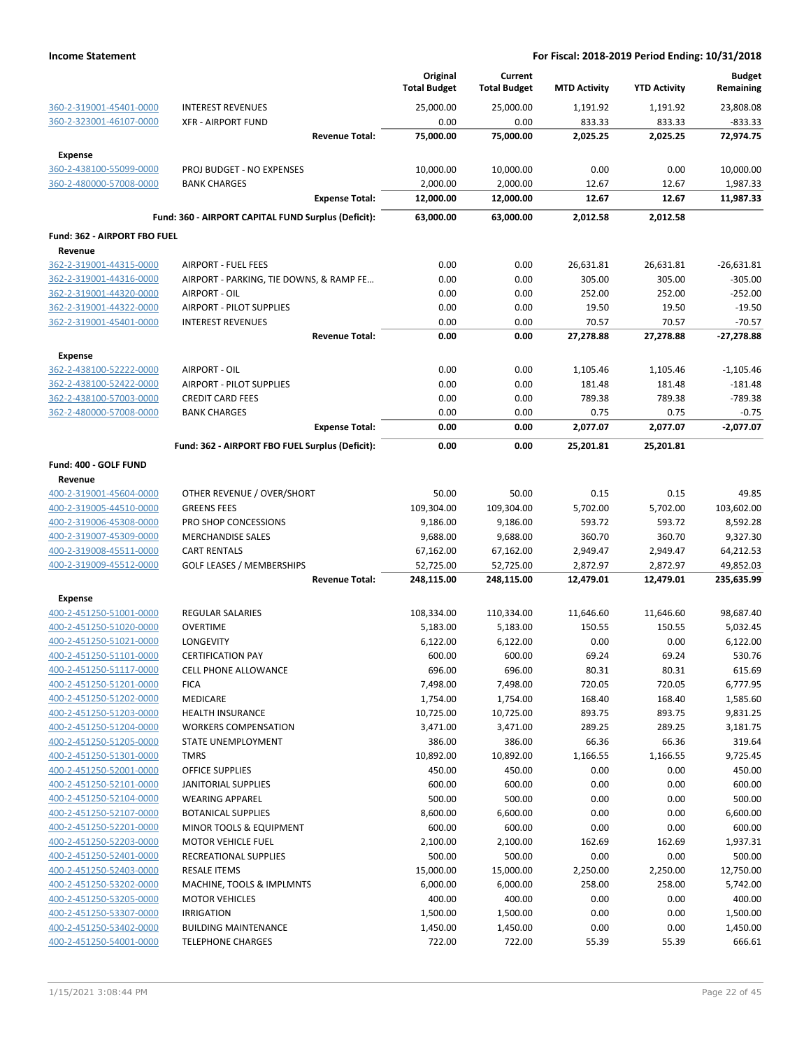|                                    |                                                     | Original<br><b>Total Budget</b> | Current<br><b>Total Budget</b> | <b>MTD Activity</b> | <b>YTD Activity</b> | <b>Budget</b><br>Remaining |
|------------------------------------|-----------------------------------------------------|---------------------------------|--------------------------------|---------------------|---------------------|----------------------------|
| 360-2-319001-45401-0000            | <b>INTEREST REVENUES</b>                            | 25,000.00                       | 25,000.00                      | 1,191.92            | 1,191.92            | 23,808.08                  |
| 360-2-323001-46107-0000            | <b>XFR - AIRPORT FUND</b>                           | 0.00                            | 0.00                           | 833.33              | 833.33              | $-833.33$                  |
|                                    | <b>Revenue Total:</b>                               | 75,000.00                       | 75,000.00                      | 2,025.25            | 2,025.25            | 72,974.75                  |
| <b>Expense</b>                     |                                                     |                                 |                                |                     |                     |                            |
| 360-2-438100-55099-0000            | PROJ BUDGET - NO EXPENSES                           | 10,000.00                       | 10,000.00                      | 0.00                | 0.00                | 10,000.00                  |
| 360-2-480000-57008-0000            | <b>BANK CHARGES</b>                                 | 2,000.00                        | 2,000.00                       | 12.67               | 12.67               | 1,987.33                   |
|                                    | <b>Expense Total:</b>                               | 12,000.00                       | 12,000.00                      | 12.67               | 12.67               | 11,987.33                  |
|                                    | Fund: 360 - AIRPORT CAPITAL FUND Surplus (Deficit): | 63,000.00                       | 63,000.00                      | 2,012.58            | 2,012.58            |                            |
| Fund: 362 - AIRPORT FBO FUEL       |                                                     |                                 |                                |                     |                     |                            |
| Revenue<br>362-2-319001-44315-0000 | <b>AIRPORT - FUEL FEES</b>                          | 0.00                            | 0.00                           | 26,631.81           | 26,631.81           | $-26,631.81$               |
| 362-2-319001-44316-0000            | AIRPORT - PARKING, TIE DOWNS, & RAMP FE             | 0.00                            | 0.00                           | 305.00              | 305.00              | $-305.00$                  |
| 362-2-319001-44320-0000            | AIRPORT - OIL                                       | 0.00                            | 0.00                           | 252.00              | 252.00              | $-252.00$                  |
| 362-2-319001-44322-0000            | <b>AIRPORT - PILOT SUPPLIES</b>                     | 0.00                            | 0.00                           | 19.50               | 19.50               | $-19.50$                   |
| 362-2-319001-45401-0000            | <b>INTEREST REVENUES</b>                            | 0.00                            | 0.00                           | 70.57               | 70.57               | $-70.57$                   |
|                                    | <b>Revenue Total:</b>                               | 0.00                            | 0.00                           | 27,278.88           | 27,278.88           | -27,278.88                 |
| <b>Expense</b>                     |                                                     |                                 |                                |                     |                     |                            |
| 362-2-438100-52222-0000            | AIRPORT - OIL                                       | 0.00                            | 0.00                           | 1,105.46            | 1,105.46            | $-1,105.46$                |
| 362-2-438100-52422-0000            | AIRPORT - PILOT SUPPLIES                            | 0.00                            | 0.00                           | 181.48              | 181.48              | $-181.48$                  |
| 362-2-438100-57003-0000            | <b>CREDIT CARD FEES</b>                             | 0.00                            | 0.00                           | 789.38              | 789.38              | $-789.38$                  |
| 362-2-480000-57008-0000            | <b>BANK CHARGES</b>                                 | 0.00                            | 0.00                           | 0.75                | 0.75                | $-0.75$                    |
|                                    | <b>Expense Total:</b>                               | 0.00                            | 0.00                           | 2,077.07            | 2,077.07            | $-2,077.07$                |
|                                    | Fund: 362 - AIRPORT FBO FUEL Surplus (Deficit):     | 0.00                            | 0.00                           | 25,201.81           | 25,201.81           |                            |
| Fund: 400 - GOLF FUND              |                                                     |                                 |                                |                     |                     |                            |
| Revenue                            |                                                     |                                 |                                |                     |                     |                            |
| 400-2-319001-45604-0000            | OTHER REVENUE / OVER/SHORT                          | 50.00                           | 50.00                          | 0.15                | 0.15                | 49.85                      |
| 400-2-319005-44510-0000            | <b>GREENS FEES</b>                                  | 109,304.00                      | 109,304.00                     | 5,702.00            | 5,702.00            | 103,602.00                 |
| 400-2-319006-45308-0000            | PRO SHOP CONCESSIONS                                | 9,186.00                        | 9,186.00                       | 593.72              | 593.72              | 8,592.28                   |
| 400-2-319007-45309-0000            | <b>MERCHANDISE SALES</b>                            | 9,688.00                        | 9,688.00                       | 360.70              | 360.70              | 9,327.30                   |
| 400-2-319008-45511-0000            | <b>CART RENTALS</b>                                 | 67,162.00                       | 67,162.00                      | 2,949.47            | 2,949.47            | 64,212.53                  |
| 400-2-319009-45512-0000            | <b>GOLF LEASES / MEMBERSHIPS</b>                    | 52,725.00                       | 52,725.00                      | 2,872.97            | 2,872.97            | 49,852.03                  |
|                                    | <b>Revenue Total:</b>                               | 248,115.00                      | 248,115.00                     | 12,479.01           | 12,479.01           | 235,635.99                 |
| <b>Expense</b>                     |                                                     |                                 |                                |                     |                     |                            |
| 400-2-451250-51001-0000            | <b>REGULAR SALARIES</b>                             | 108,334.00                      | 110,334.00                     | 11,646.60           | 11,646.60           | 98,687.40                  |
| 400-2-451250-51020-0000            | <b>OVERTIME</b>                                     | 5,183.00                        | 5,183.00                       | 150.55              | 150.55              | 5,032.45                   |
| 400-2-451250-51021-0000            | LONGEVITY                                           | 6,122.00                        | 6,122.00                       | 0.00                | 0.00                | 6,122.00                   |
| 400-2-451250-51101-0000            | <b>CERTIFICATION PAY</b>                            | 600.00                          | 600.00                         | 69.24               | 69.24               | 530.76                     |
| 400-2-451250-51117-0000            | <b>CELL PHONE ALLOWANCE</b>                         | 696.00                          | 696.00                         | 80.31               | 80.31               | 615.69                     |
| 400-2-451250-51201-0000            | <b>FICA</b>                                         | 7,498.00                        | 7,498.00                       | 720.05              | 720.05              | 6,777.95                   |
| 400-2-451250-51202-0000            | <b>MEDICARE</b>                                     | 1,754.00                        | 1,754.00                       | 168.40              | 168.40              | 1,585.60                   |
| 400-2-451250-51203-0000            | <b>HEALTH INSURANCE</b>                             | 10,725.00                       | 10,725.00                      | 893.75              | 893.75              | 9,831.25                   |
| 400-2-451250-51204-0000            | <b>WORKERS COMPENSATION</b>                         | 3,471.00                        | 3,471.00                       | 289.25              | 289.25              | 3,181.75                   |
| 400-2-451250-51205-0000            | STATE UNEMPLOYMENT                                  | 386.00                          | 386.00                         | 66.36               | 66.36               | 319.64                     |
| 400-2-451250-51301-0000            | TMRS                                                | 10,892.00                       | 10,892.00                      | 1,166.55            | 1,166.55            | 9,725.45                   |
| 400-2-451250-52001-0000            | <b>OFFICE SUPPLIES</b>                              | 450.00                          | 450.00                         | 0.00                | 0.00                | 450.00                     |
| 400-2-451250-52101-0000            | JANITORIAL SUPPLIES                                 | 600.00                          | 600.00                         | 0.00                | 0.00                | 600.00                     |
| 400-2-451250-52104-0000            | <b>WEARING APPAREL</b>                              | 500.00                          | 500.00                         | 0.00                | 0.00                | 500.00                     |
| 400-2-451250-52107-0000            | <b>BOTANICAL SUPPLIES</b>                           | 8,600.00                        | 6,600.00                       | 0.00                | 0.00                | 6,600.00                   |
| 400-2-451250-52201-0000            | MINOR TOOLS & EQUIPMENT                             | 600.00                          | 600.00                         | 0.00                | 0.00                | 600.00                     |
| 400-2-451250-52203-0000            | <b>MOTOR VEHICLE FUEL</b>                           | 2,100.00                        | 2,100.00                       | 162.69              | 162.69              | 1,937.31                   |
| 400-2-451250-52401-0000            | RECREATIONAL SUPPLIES                               | 500.00                          | 500.00                         | 0.00                | 0.00                | 500.00                     |
| 400-2-451250-52403-0000            | <b>RESALE ITEMS</b>                                 | 15,000.00                       | 15,000.00                      | 2,250.00            | 2,250.00            | 12,750.00                  |
| 400-2-451250-53202-0000            | MACHINE, TOOLS & IMPLMNTS                           | 6,000.00                        | 6,000.00                       | 258.00              | 258.00              | 5,742.00                   |
| 400-2-451250-53205-0000            | <b>MOTOR VEHICLES</b>                               | 400.00                          | 400.00                         | 0.00                | 0.00                | 400.00                     |
| 400-2-451250-53307-0000            | <b>IRRIGATION</b>                                   |                                 |                                |                     |                     |                            |
|                                    | <b>BUILDING MAINTENANCE</b>                         | 1,500.00                        | 1,500.00                       | 0.00                | 0.00                | 1,500.00                   |
| 400-2-451250-53402-0000            |                                                     | 1,450.00                        | 1,450.00                       | 0.00                | 0.00                | 1,450.00                   |
| 400-2-451250-54001-0000            | <b>TELEPHONE CHARGES</b>                            | 722.00                          | 722.00                         | 55.39               | 55.39               | 666.61                     |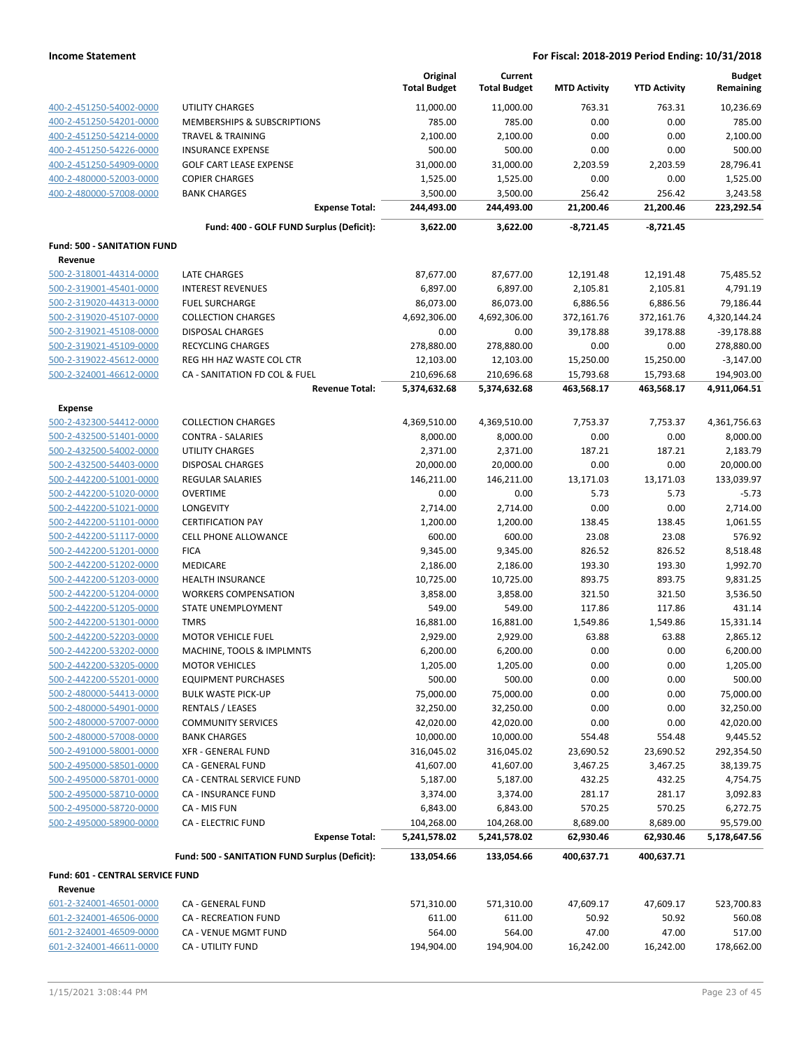|                                                    |                                                | Original<br><b>Total Budget</b> | Current<br><b>Total Budget</b> | <b>MTD Activity</b> | <b>YTD Activity</b> | <b>Budget</b><br>Remaining |
|----------------------------------------------------|------------------------------------------------|---------------------------------|--------------------------------|---------------------|---------------------|----------------------------|
| 400-2-451250-54002-0000                            | <b>UTILITY CHARGES</b>                         | 11,000.00                       | 11,000.00                      | 763.31              | 763.31              | 10,236.69                  |
| 400-2-451250-54201-0000                            | MEMBERSHIPS & SUBSCRIPTIONS                    | 785.00                          | 785.00                         | 0.00                | 0.00                | 785.00                     |
| 400-2-451250-54214-0000                            | <b>TRAVEL &amp; TRAINING</b>                   | 2,100.00                        | 2,100.00                       | 0.00                | 0.00                | 2,100.00                   |
| 400-2-451250-54226-0000                            | <b>INSURANCE EXPENSE</b>                       | 500.00                          | 500.00                         | 0.00                | 0.00                | 500.00                     |
| 400-2-451250-54909-0000                            | <b>GOLF CART LEASE EXPENSE</b>                 | 31,000.00                       | 31,000.00                      | 2,203.59            | 2,203.59            | 28,796.41                  |
| 400-2-480000-52003-0000                            | <b>COPIER CHARGES</b>                          | 1,525.00                        | 1,525.00                       | 0.00                | 0.00                | 1,525.00                   |
| 400-2-480000-57008-0000                            | <b>BANK CHARGES</b>                            | 3,500.00                        | 3,500.00                       | 256.42              | 256.42              | 3,243.58                   |
|                                                    | <b>Expense Total:</b>                          | 244,493.00                      | 244,493.00                     | 21,200.46           | 21,200.46           | 223,292.54                 |
|                                                    | Fund: 400 - GOLF FUND Surplus (Deficit):       | 3,622.00                        | 3,622.00                       | $-8,721.45$         | -8,721.45           |                            |
| <b>Fund: 500 - SANITATION FUND</b>                 |                                                |                                 |                                |                     |                     |                            |
| Revenue                                            |                                                |                                 |                                |                     |                     |                            |
| 500-2-318001-44314-0000                            | LATE CHARGES                                   | 87,677.00                       | 87,677.00                      | 12,191.48           | 12,191.48           | 75,485.52                  |
| 500-2-319001-45401-0000                            | <b>INTEREST REVENUES</b>                       | 6,897.00                        | 6,897.00                       | 2,105.81            | 2,105.81            | 4,791.19                   |
| 500-2-319020-44313-0000                            | <b>FUEL SURCHARGE</b>                          | 86,073.00                       | 86,073.00                      | 6,886.56            | 6,886.56            | 79,186.44                  |
| 500-2-319020-45107-0000                            | <b>COLLECTION CHARGES</b>                      | 4,692,306.00                    | 4,692,306.00                   | 372,161.76          | 372,161.76          | 4,320,144.24               |
| 500-2-319021-45108-0000                            | <b>DISPOSAL CHARGES</b>                        | 0.00                            | 0.00                           | 39,178.88           | 39,178.88           | $-39,178.88$               |
| 500-2-319021-45109-0000                            | <b>RECYCLING CHARGES</b>                       | 278,880.00                      | 278,880.00                     | 0.00                | 0.00                | 278,880.00                 |
| 500-2-319022-45612-0000                            | REG HH HAZ WASTE COL CTR                       | 12,103.00                       | 12,103.00                      | 15,250.00           | 15,250.00           | $-3,147.00$                |
| 500-2-324001-46612-0000                            | CA - SANITATION FD COL & FUEL                  | 210,696.68                      | 210,696.68                     | 15,793.68           | 15,793.68           | 194,903.00                 |
|                                                    | <b>Revenue Total:</b>                          | 5,374,632.68                    | 5,374,632.68                   | 463,568.17          | 463,568.17          | 4,911,064.51               |
| <b>Expense</b>                                     |                                                |                                 |                                |                     |                     |                            |
| 500-2-432300-54412-0000                            | <b>COLLECTION CHARGES</b>                      | 4,369,510.00                    | 4,369,510.00                   | 7,753.37            | 7,753.37            | 4,361,756.63               |
| 500-2-432500-51401-0000                            | <b>CONTRA - SALARIES</b>                       | 8,000.00                        | 8,000.00                       | 0.00                | 0.00                | 8,000.00                   |
| 500-2-432500-54002-0000                            | <b>UTILITY CHARGES</b>                         | 2,371.00                        | 2,371.00                       | 187.21              | 187.21              | 2,183.79                   |
| 500-2-432500-54403-0000                            | <b>DISPOSAL CHARGES</b>                        | 20,000.00                       | 20,000.00                      | 0.00                | 0.00                | 20,000.00                  |
| 500-2-442200-51001-0000                            | <b>REGULAR SALARIES</b>                        | 146,211.00                      | 146,211.00                     | 13,171.03           | 13,171.03           | 133,039.97                 |
| 500-2-442200-51020-0000<br>500-2-442200-51021-0000 | <b>OVERTIME</b><br>LONGEVITY                   | 0.00<br>2,714.00                | 0.00<br>2,714.00               | 5.73<br>0.00        | 5.73<br>0.00        | $-5.73$<br>2,714.00        |
| 500-2-442200-51101-0000                            | <b>CERTIFICATION PAY</b>                       | 1,200.00                        | 1,200.00                       | 138.45              | 138.45              | 1,061.55                   |
| 500-2-442200-51117-0000                            | <b>CELL PHONE ALLOWANCE</b>                    | 600.00                          | 600.00                         | 23.08               | 23.08               | 576.92                     |
| 500-2-442200-51201-0000                            | <b>FICA</b>                                    | 9,345.00                        | 9,345.00                       | 826.52              | 826.52              | 8,518.48                   |
| 500-2-442200-51202-0000                            | MEDICARE                                       | 2,186.00                        | 2,186.00                       | 193.30              | 193.30              | 1,992.70                   |
| 500-2-442200-51203-0000                            | <b>HEALTH INSURANCE</b>                        | 10,725.00                       | 10,725.00                      | 893.75              | 893.75              | 9,831.25                   |
| 500-2-442200-51204-0000                            | <b>WORKERS COMPENSATION</b>                    | 3,858.00                        | 3,858.00                       | 321.50              | 321.50              | 3,536.50                   |
| 500-2-442200-51205-0000                            | <b>STATE UNEMPLOYMENT</b>                      | 549.00                          | 549.00                         | 117.86              | 117.86              | 431.14                     |
| 500-2-442200-51301-0000                            | <b>TMRS</b>                                    | 16,881.00                       | 16,881.00                      | 1,549.86            | 1,549.86            | 15,331.14                  |
| 500-2-442200-52203-0000                            | <b>MOTOR VEHICLE FUEL</b>                      | 2,929.00                        | 2,929.00                       | 63.88               | 63.88               | 2,865.12                   |
| 500-2-442200-53202-0000                            | MACHINE, TOOLS & IMPLMNTS                      | 6,200.00                        | 6,200.00                       | 0.00                | 0.00                | 6,200.00                   |
| 500-2-442200-53205-0000                            | <b>MOTOR VEHICLES</b>                          | 1,205.00                        | 1,205.00                       | 0.00                | 0.00                | 1,205.00                   |
| 500-2-442200-55201-0000                            | <b>EQUIPMENT PURCHASES</b>                     | 500.00                          | 500.00                         | 0.00                | 0.00                | 500.00                     |
| 500-2-480000-54413-0000                            | <b>BULK WASTE PICK-UP</b>                      | 75,000.00                       | 75,000.00                      | 0.00                | 0.00                | 75,000.00                  |
| 500-2-480000-54901-0000                            | <b>RENTALS / LEASES</b>                        | 32,250.00                       | 32,250.00                      | 0.00                | 0.00                | 32,250.00                  |
| 500-2-480000-57007-0000                            | <b>COMMUNITY SERVICES</b>                      | 42,020.00                       | 42,020.00                      | 0.00                | 0.00                | 42,020.00                  |
| 500-2-480000-57008-0000                            | <b>BANK CHARGES</b>                            | 10,000.00                       | 10,000.00                      | 554.48              | 554.48              | 9,445.52                   |
| 500-2-491000-58001-0000                            | <b>XFR - GENERAL FUND</b>                      | 316,045.02                      | 316,045.02                     | 23,690.52           | 23,690.52           | 292,354.50                 |
| 500-2-495000-58501-0000                            | CA - GENERAL FUND                              | 41,607.00                       | 41,607.00                      | 3,467.25            | 3,467.25            | 38,139.75                  |
| 500-2-495000-58701-0000                            | CA - CENTRAL SERVICE FUND                      | 5,187.00                        | 5,187.00                       | 432.25              | 432.25              | 4,754.75                   |
| 500-2-495000-58710-0000                            | CA - INSURANCE FUND                            | 3,374.00                        | 3,374.00                       | 281.17              | 281.17              | 3,092.83                   |
| 500-2-495000-58720-0000                            | CA - MIS FUN                                   | 6,843.00                        | 6,843.00                       | 570.25              | 570.25              | 6,272.75                   |
| 500-2-495000-58900-0000                            | <b>CA - ELECTRIC FUND</b>                      | 104,268.00                      | 104,268.00                     | 8,689.00            | 8,689.00            | 95,579.00                  |
|                                                    | <b>Expense Total:</b>                          | 5,241,578.02                    | 5,241,578.02                   | 62,930.46           | 62,930.46           | 5,178,647.56               |
|                                                    | Fund: 500 - SANITATION FUND Surplus (Deficit): | 133,054.66                      | 133,054.66                     | 400,637.71          | 400,637.71          |                            |
| Fund: 601 - CENTRAL SERVICE FUND                   |                                                |                                 |                                |                     |                     |                            |
| Revenue                                            |                                                |                                 |                                |                     |                     |                            |
| 601-2-324001-46501-0000                            | CA - GENERAL FUND                              | 571,310.00                      | 571,310.00                     | 47,609.17           | 47,609.17           | 523,700.83                 |
| 601-2-324001-46506-0000                            | CA - RECREATION FUND                           | 611.00                          | 611.00                         | 50.92               | 50.92               | 560.08                     |
| 601-2-324001-46509-0000                            | CA - VENUE MGMT FUND                           | 564.00                          | 564.00                         | 47.00               | 47.00               | 517.00                     |
| 601-2-324001-46611-0000                            | CA - UTILITY FUND                              | 194,904.00                      | 194,904.00                     | 16,242.00           | 16,242.00           | 178,662.00                 |
|                                                    |                                                |                                 |                                |                     |                     |                            |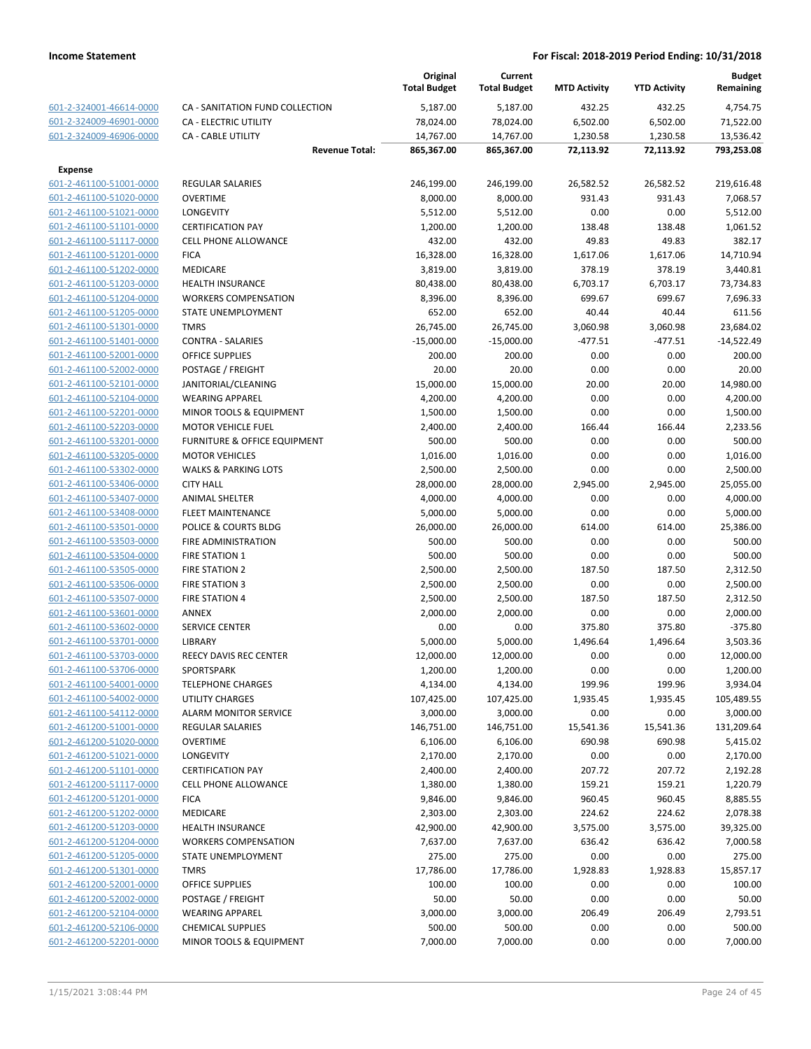|                                                    |                                                                 | Original<br><b>Total Budget</b> | Current<br><b>Total Budget</b> | <b>MTD Activity</b> | <b>YTD Activity</b> | <b>Budget</b><br>Remaining |
|----------------------------------------------------|-----------------------------------------------------------------|---------------------------------|--------------------------------|---------------------|---------------------|----------------------------|
| 601-2-324001-46614-0000                            | CA - SANITATION FUND COLLECTION                                 | 5,187.00                        | 5,187.00                       | 432.25              | 432.25              | 4,754.75                   |
| 601-2-324009-46901-0000                            | <b>CA - ELECTRIC UTILITY</b>                                    | 78,024.00                       | 78,024.00                      | 6,502.00            | 6,502.00            | 71,522.00                  |
| 601-2-324009-46906-0000                            | <b>CA - CABLE UTILITY</b>                                       | 14,767.00                       | 14,767.00                      | 1,230.58            | 1,230.58            | 13,536.42                  |
|                                                    | <b>Revenue Total:</b>                                           | 865,367.00                      | 865,367.00                     | 72,113.92           | 72,113.92           | 793,253.08                 |
| <b>Expense</b>                                     |                                                                 |                                 |                                |                     |                     |                            |
| 601-2-461100-51001-0000                            | <b>REGULAR SALARIES</b>                                         | 246,199.00                      | 246,199.00                     | 26,582.52           | 26,582.52           | 219,616.48                 |
| 601-2-461100-51020-0000                            | <b>OVERTIME</b>                                                 | 8,000.00                        | 8,000.00                       | 931.43              | 931.43              | 7,068.57                   |
| 601-2-461100-51021-0000                            | <b>LONGEVITY</b>                                                | 5,512.00                        | 5,512.00                       | 0.00                | 0.00                | 5,512.00                   |
| 601-2-461100-51101-0000                            | <b>CERTIFICATION PAY</b>                                        | 1,200.00                        | 1,200.00                       | 138.48              | 138.48              | 1,061.52                   |
| 601-2-461100-51117-0000                            | <b>CELL PHONE ALLOWANCE</b>                                     | 432.00                          | 432.00                         | 49.83               | 49.83               | 382.17                     |
| 601-2-461100-51201-0000                            | <b>FICA</b>                                                     | 16,328.00                       | 16,328.00                      | 1,617.06            | 1,617.06            | 14,710.94                  |
| 601-2-461100-51202-0000                            | MEDICARE                                                        | 3,819.00                        | 3,819.00                       | 378.19              | 378.19              | 3,440.81                   |
| 601-2-461100-51203-0000                            | <b>HEALTH INSURANCE</b>                                         | 80,438.00                       | 80,438.00                      | 6,703.17            | 6,703.17            | 73,734.83                  |
| 601-2-461100-51204-0000                            | <b>WORKERS COMPENSATION</b>                                     | 8,396.00                        | 8,396.00                       | 699.67              | 699.67              | 7,696.33                   |
| 601-2-461100-51205-0000                            | STATE UNEMPLOYMENT                                              | 652.00                          | 652.00                         | 40.44               | 40.44               | 611.56                     |
| 601-2-461100-51301-0000                            | <b>TMRS</b>                                                     | 26,745.00                       | 26,745.00                      | 3,060.98            | 3,060.98            | 23,684.02                  |
| 601-2-461100-51401-0000                            | <b>CONTRA - SALARIES</b>                                        | $-15,000.00$                    | $-15,000.00$                   | $-477.51$           | $-477.51$           | $-14,522.49$               |
| 601-2-461100-52001-0000                            | <b>OFFICE SUPPLIES</b>                                          | 200.00                          | 200.00                         | 0.00                | 0.00                | 200.00                     |
| 601-2-461100-52002-0000                            | POSTAGE / FREIGHT                                               | 20.00                           | 20.00                          | 0.00                | 0.00                | 20.00                      |
| 601-2-461100-52101-0000                            | JANITORIAL/CLEANING                                             | 15,000.00                       | 15,000.00                      | 20.00               | 20.00               | 14,980.00                  |
| 601-2-461100-52104-0000                            | <b>WEARING APPAREL</b>                                          | 4,200.00                        | 4,200.00                       | 0.00                | 0.00                | 4,200.00                   |
| 601-2-461100-52201-0000                            | <b>MINOR TOOLS &amp; EQUIPMENT</b><br><b>MOTOR VEHICLE FUEL</b> | 1,500.00                        | 1,500.00                       | 0.00                | 0.00                | 1,500.00                   |
| 601-2-461100-52203-0000<br>601-2-461100-53201-0000 | FURNITURE & OFFICE EQUIPMENT                                    | 2,400.00<br>500.00              | 2,400.00<br>500.00             | 166.44<br>0.00      | 166.44<br>0.00      | 2,233.56<br>500.00         |
| 601-2-461100-53205-0000                            | <b>MOTOR VEHICLES</b>                                           | 1,016.00                        | 1,016.00                       | 0.00                | 0.00                | 1,016.00                   |
| 601-2-461100-53302-0000                            | <b>WALKS &amp; PARKING LOTS</b>                                 | 2,500.00                        | 2,500.00                       | 0.00                | 0.00                | 2,500.00                   |
| 601-2-461100-53406-0000                            | <b>CITY HALL</b>                                                | 28,000.00                       | 28,000.00                      | 2,945.00            | 2,945.00            | 25,055.00                  |
| 601-2-461100-53407-0000                            | <b>ANIMAL SHELTER</b>                                           | 4,000.00                        | 4,000.00                       | 0.00                | 0.00                | 4,000.00                   |
| 601-2-461100-53408-0000                            | <b>FLEET MAINTENANCE</b>                                        | 5,000.00                        | 5,000.00                       | 0.00                | 0.00                | 5,000.00                   |
| 601-2-461100-53501-0000                            | POLICE & COURTS BLDG                                            | 26,000.00                       | 26,000.00                      | 614.00              | 614.00              | 25,386.00                  |
| 601-2-461100-53503-0000                            | FIRE ADMINISTRATION                                             | 500.00                          | 500.00                         | 0.00                | 0.00                | 500.00                     |
| 601-2-461100-53504-0000                            | <b>FIRE STATION 1</b>                                           | 500.00                          | 500.00                         | 0.00                | 0.00                | 500.00                     |
| 601-2-461100-53505-0000                            | <b>FIRE STATION 2</b>                                           | 2,500.00                        | 2,500.00                       | 187.50              | 187.50              | 2,312.50                   |
| 601-2-461100-53506-0000                            | <b>FIRE STATION 3</b>                                           | 2,500.00                        | 2,500.00                       | 0.00                | 0.00                | 2,500.00                   |
| 601-2-461100-53507-0000                            | <b>FIRE STATION 4</b>                                           | 2,500.00                        | 2,500.00                       | 187.50              | 187.50              | 2,312.50                   |
| 601-2-461100-53601-0000                            | ANNEX                                                           | 2,000.00                        | 2,000.00                       | 0.00                | 0.00                | 2,000.00                   |
| 601-2-461100-53602-0000                            | <b>SERVICE CENTER</b>                                           | 0.00                            | 0.00                           | 375.80              | 375.80              | $-375.80$                  |
| 601-2-461100-53701-0000                            | <b>LIBRARY</b>                                                  | 5,000.00                        | 5,000.00                       | 1,496.64            | 1,496.64            | 3,503.36                   |
| 601-2-461100-53703-0000                            | <b>REECY DAVIS REC CENTER</b>                                   | 12,000.00                       | 12,000.00                      | 0.00                | 0.00                | 12,000.00                  |
| 601-2-461100-53706-0000                            | SPORTSPARK                                                      | 1,200.00                        | 1,200.00                       | 0.00                | 0.00                | 1,200.00                   |
| 601-2-461100-54001-0000                            | <b>TELEPHONE CHARGES</b>                                        | 4,134.00                        | 4,134.00                       | 199.96              | 199.96              | 3,934.04                   |
| 601-2-461100-54002-0000                            | <b>UTILITY CHARGES</b>                                          | 107,425.00                      | 107,425.00                     | 1,935.45            | 1,935.45            | 105,489.55                 |
| 601-2-461100-54112-0000                            | <b>ALARM MONITOR SERVICE</b>                                    | 3,000.00                        | 3,000.00                       | 0.00                | 0.00                | 3,000.00                   |
| 601-2-461200-51001-0000                            | <b>REGULAR SALARIES</b>                                         | 146,751.00                      | 146,751.00                     | 15,541.36           | 15,541.36           | 131,209.64                 |
| 601-2-461200-51020-0000                            | <b>OVERTIME</b>                                                 | 6,106.00                        | 6,106.00                       | 690.98              | 690.98              | 5,415.02                   |
| 601-2-461200-51021-0000                            | LONGEVITY                                                       | 2,170.00                        | 2,170.00                       | 0.00                | 0.00                | 2,170.00                   |
| 601-2-461200-51101-0000                            | <b>CERTIFICATION PAY</b>                                        | 2,400.00                        | 2,400.00                       | 207.72              | 207.72              | 2,192.28                   |
| 601-2-461200-51117-0000                            | <b>CELL PHONE ALLOWANCE</b>                                     | 1,380.00                        | 1,380.00                       | 159.21              | 159.21              | 1,220.79                   |
| 601-2-461200-51201-0000                            | <b>FICA</b>                                                     | 9,846.00                        | 9,846.00                       | 960.45              | 960.45              | 8,885.55                   |
| 601-2-461200-51202-0000                            | <b>MEDICARE</b>                                                 | 2,303.00                        | 2,303.00                       | 224.62              | 224.62              | 2,078.38                   |
| 601-2-461200-51203-0000                            | <b>HEALTH INSURANCE</b>                                         | 42,900.00                       | 42,900.00                      | 3,575.00            | 3,575.00            | 39,325.00                  |
| 601-2-461200-51204-0000                            | <b>WORKERS COMPENSATION</b><br>STATE UNEMPLOYMENT               | 7,637.00                        | 7,637.00                       | 636.42<br>0.00      | 636.42<br>0.00      | 7,000.58<br>275.00         |
| 601-2-461200-51205-0000                            | <b>TMRS</b>                                                     | 275.00                          | 275.00                         |                     |                     |                            |
| 601-2-461200-51301-0000<br>601-2-461200-52001-0000 | OFFICE SUPPLIES                                                 | 17,786.00<br>100.00             | 17,786.00<br>100.00            | 1,928.83<br>0.00    | 1,928.83<br>0.00    | 15,857.17<br>100.00        |
| 601-2-461200-52002-0000                            | POSTAGE / FREIGHT                                               | 50.00                           | 50.00                          | 0.00                | 0.00                | 50.00                      |
| 601-2-461200-52104-0000                            | <b>WEARING APPAREL</b>                                          | 3,000.00                        | 3,000.00                       | 206.49              | 206.49              | 2,793.51                   |
| 601-2-461200-52106-0000                            | <b>CHEMICAL SUPPLIES</b>                                        | 500.00                          | 500.00                         | 0.00                | 0.00                | 500.00                     |
| 601-2-461200-52201-0000                            | MINOR TOOLS & EQUIPMENT                                         | 7,000.00                        | 7,000.00                       | 0.00                | 0.00                | 7,000.00                   |
|                                                    |                                                                 |                                 |                                |                     |                     |                            |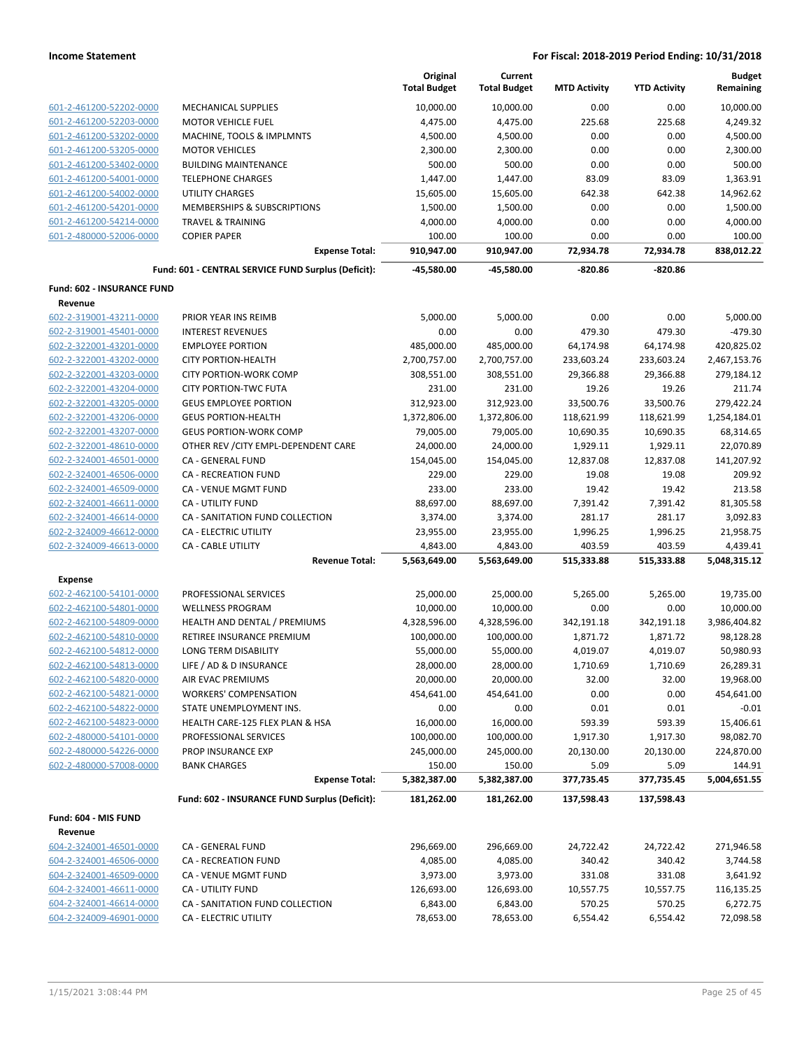|                                                    |                                                                       | Original<br><b>Total Budget</b> | Current<br><b>Total Budget</b> | <b>MTD Activity</b>     | <b>YTD Activity</b>     | <b>Budget</b><br>Remaining |
|----------------------------------------------------|-----------------------------------------------------------------------|---------------------------------|--------------------------------|-------------------------|-------------------------|----------------------------|
| 601-2-461200-52202-0000                            | <b>MECHANICAL SUPPLIES</b>                                            | 10,000.00                       | 10,000.00                      | 0.00                    | 0.00                    | 10,000.00                  |
| 601-2-461200-52203-0000                            | <b>MOTOR VEHICLE FUEL</b>                                             | 4,475.00                        | 4,475.00                       | 225.68                  | 225.68                  | 4,249.32                   |
| 601-2-461200-53202-0000                            | MACHINE, TOOLS & IMPLMNTS                                             | 4,500.00                        | 4,500.00                       | 0.00                    | 0.00                    | 4,500.00                   |
| 601-2-461200-53205-0000                            | <b>MOTOR VEHICLES</b>                                                 | 2,300.00                        | 2,300.00                       | 0.00                    | 0.00                    | 2,300.00                   |
| 601-2-461200-53402-0000                            | <b>BUILDING MAINTENANCE</b>                                           | 500.00                          | 500.00                         | 0.00                    | 0.00                    | 500.00                     |
| 601-2-461200-54001-0000                            | <b>TELEPHONE CHARGES</b>                                              | 1,447.00                        | 1,447.00                       | 83.09                   | 83.09                   | 1,363.91                   |
| 601-2-461200-54002-0000                            | <b>UTILITY CHARGES</b>                                                | 15,605.00                       | 15,605.00                      | 642.38                  | 642.38                  | 14,962.62                  |
| 601-2-461200-54201-0000                            | <b>MEMBERSHIPS &amp; SUBSCRIPTIONS</b>                                | 1,500.00                        | 1,500.00                       | 0.00                    | 0.00                    | 1,500.00                   |
| 601-2-461200-54214-0000                            | <b>TRAVEL &amp; TRAINING</b>                                          | 4,000.00                        | 4,000.00                       | 0.00                    | 0.00                    | 4,000.00                   |
| 601-2-480000-52006-0000                            | <b>COPIER PAPER</b>                                                   | 100.00                          | 100.00                         | 0.00                    | 0.00                    | 100.00                     |
|                                                    | <b>Expense Total:</b>                                                 | 910,947.00                      | 910,947.00                     | 72,934.78               | 72,934.78               | 838,012.22                 |
|                                                    | Fund: 601 - CENTRAL SERVICE FUND Surplus (Deficit):                   | -45,580.00                      | -45,580.00                     | $-820.86$               | $-820.86$               |                            |
| Fund: 602 - INSURANCE FUND                         |                                                                       |                                 |                                |                         |                         |                            |
| Revenue                                            |                                                                       |                                 |                                |                         |                         |                            |
| 602-2-319001-43211-0000<br>602-2-319001-45401-0000 | PRIOR YEAR INS REIMB                                                  | 5,000.00                        | 5,000.00                       | 0.00<br>479.30          | 0.00                    | 5,000.00                   |
|                                                    | <b>INTEREST REVENUES</b>                                              | 0.00                            | 0.00                           | 64,174.98               | 479.30<br>64,174.98     | -479.30<br>420,825.02      |
| 602-2-322001-43201-0000                            | <b>EMPLOYEE PORTION</b>                                               | 485,000.00                      | 485,000.00                     |                         |                         |                            |
| 602-2-322001-43202-0000                            | <b>CITY PORTION-HEALTH</b>                                            | 2,700,757.00                    | 2,700,757.00                   | 233,603.24              | 233,603.24              | 2,467,153.76               |
| 602-2-322001-43203-0000<br>602-2-322001-43204-0000 | <b>CITY PORTION-WORK COMP</b>                                         | 308,551.00                      | 308,551.00                     | 29,366.88               | 29,366.88               | 279,184.12                 |
|                                                    | <b>CITY PORTION-TWC FUTA</b>                                          | 231.00                          | 231.00                         | 19.26                   | 19.26                   | 211.74                     |
| 602-2-322001-43205-0000                            | <b>GEUS EMPLOYEE PORTION</b><br><b>GEUS PORTION-HEALTH</b>            | 312,923.00                      | 312,923.00                     | 33,500.76<br>118,621.99 | 33,500.76<br>118,621.99 | 279,422.24                 |
| 602-2-322001-43206-0000                            |                                                                       | 1,372,806.00<br>79,005.00       | 1,372,806.00                   |                         |                         | 1,254,184.01               |
| 602-2-322001-43207-0000                            | <b>GEUS PORTION-WORK COMP</b><br>OTHER REV / CITY EMPL-DEPENDENT CARE |                                 | 79,005.00                      | 10,690.35               | 10,690.35               | 68,314.65                  |
| 602-2-322001-48610-0000<br>602-2-324001-46501-0000 |                                                                       | 24,000.00                       | 24,000.00                      | 1,929.11                | 1,929.11                | 22,070.89                  |
| 602-2-324001-46506-0000                            | CA - GENERAL FUND<br><b>CA - RECREATION FUND</b>                      | 154,045.00<br>229.00            | 154,045.00<br>229.00           | 12,837.08<br>19.08      | 12,837.08<br>19.08      | 141,207.92<br>209.92       |
| 602-2-324001-46509-0000                            | CA - VENUE MGMT FUND                                                  | 233.00                          | 233.00                         | 19.42                   | 19.42                   | 213.58                     |
|                                                    | <b>CA - UTILITY FUND</b>                                              |                                 |                                |                         |                         |                            |
| 602-2-324001-46611-0000                            |                                                                       | 88,697.00                       | 88,697.00                      | 7,391.42                | 7,391.42                | 81,305.58                  |
| 602-2-324001-46614-0000                            | CA - SANITATION FUND COLLECTION                                       | 3,374.00                        | 3,374.00                       | 281.17                  | 281.17                  | 3,092.83                   |
| 602-2-324009-46612-0000                            | CA - ELECTRIC UTILITY                                                 | 23,955.00                       | 23,955.00                      | 1,996.25                | 1,996.25                | 21,958.75                  |
| 602-2-324009-46613-0000                            | <b>CA - CABLE UTILITY</b><br><b>Revenue Total:</b>                    | 4,843.00<br>5,563,649.00        | 4,843.00<br>5,563,649.00       | 403.59<br>515,333.88    | 403.59<br>515,333.88    | 4,439.41<br>5,048,315.12   |
| <b>Expense</b>                                     |                                                                       |                                 |                                |                         |                         |                            |
| 602-2-462100-54101-0000                            | PROFESSIONAL SERVICES                                                 | 25,000.00                       | 25,000.00                      | 5,265.00                | 5,265.00                | 19,735.00                  |
| 602-2-462100-54801-0000                            | <b>WELLNESS PROGRAM</b>                                               | 10,000.00                       | 10,000.00                      | 0.00                    | 0.00                    | 10,000.00                  |
| 602-2-462100-54809-0000                            | HEALTH AND DENTAL / PREMIUMS                                          | 4,328,596.00                    | 4,328,596.00                   | 342,191.18              | 342,191.18              | 3,986,404.82               |
| 602-2-462100-54810-0000                            | RETIREE INSURANCE PREMIUM                                             | 100,000.00                      | 100,000.00                     | 1,871.72                | 1,871.72                | 98,128.28                  |
| 602-2-462100-54812-0000                            | LONG TERM DISABILITY                                                  | 55,000.00                       | 55,000.00                      | 4,019.07                | 4,019.07                | 50,980.93                  |
| 602-2-462100-54813-0000                            | LIFE / AD & D INSURANCE                                               | 28,000.00                       | 28,000.00                      | 1,710.69                | 1,710.69                | 26,289.31                  |
| 602-2-462100-54820-0000                            | AIR EVAC PREMIUMS                                                     | 20,000.00                       | 20,000.00                      | 32.00                   | 32.00                   | 19,968.00                  |
| 602-2-462100-54821-0000                            | <b>WORKERS' COMPENSATION</b>                                          | 454,641.00                      | 454,641.00                     | 0.00                    | 0.00                    | 454,641.00                 |
| 602-2-462100-54822-0000                            | STATE UNEMPLOYMENT INS.                                               | 0.00                            | 0.00                           | 0.01                    | 0.01                    | $-0.01$                    |
| 602-2-462100-54823-0000                            | HEALTH CARE-125 FLEX PLAN & HSA                                       | 16,000.00                       | 16,000.00                      | 593.39                  | 593.39                  | 15,406.61                  |
| 602-2-480000-54101-0000                            | PROFESSIONAL SERVICES                                                 | 100,000.00                      | 100,000.00                     | 1,917.30                | 1,917.30                | 98,082.70                  |
| 602-2-480000-54226-0000                            | PROP INSURANCE EXP                                                    | 245,000.00                      | 245,000.00                     | 20,130.00               | 20,130.00               | 224,870.00                 |
| 602-2-480000-57008-0000                            | <b>BANK CHARGES</b>                                                   | 150.00                          | 150.00                         | 5.09                    | 5.09                    | 144.91                     |
|                                                    | <b>Expense Total:</b>                                                 | 5,382,387.00                    | 5,382,387.00                   | 377,735.45              | 377,735.45              | 5,004,651.55               |
|                                                    | Fund: 602 - INSURANCE FUND Surplus (Deficit):                         | 181,262.00                      | 181,262.00                     | 137,598.43              | 137,598.43              |                            |
| Fund: 604 - MIS FUND                               |                                                                       |                                 |                                |                         |                         |                            |
| Revenue                                            |                                                                       |                                 |                                |                         |                         |                            |
| 604-2-324001-46501-0000                            | CA - GENERAL FUND                                                     | 296,669.00                      | 296,669.00                     | 24,722.42               | 24,722.42               | 271,946.58                 |
| 604-2-324001-46506-0000                            | CA - RECREATION FUND                                                  | 4,085.00                        | 4,085.00                       | 340.42                  | 340.42                  | 3,744.58                   |
| 604-2-324001-46509-0000                            | CA - VENUE MGMT FUND                                                  | 3,973.00                        | 3,973.00                       | 331.08                  | 331.08                  | 3,641.92                   |
| 604-2-324001-46611-0000                            | CA - UTILITY FUND                                                     | 126,693.00                      | 126,693.00                     | 10,557.75               | 10,557.75               | 116,135.25                 |
| 604-2-324001-46614-0000                            | CA - SANITATION FUND COLLECTION                                       | 6,843.00                        | 6,843.00                       | 570.25                  | 570.25                  | 6,272.75                   |
| 604-2-324009-46901-0000                            | CA - ELECTRIC UTILITY                                                 | 78,653.00                       | 78,653.00                      | 6,554.42                | 6,554.42                | 72,098.58                  |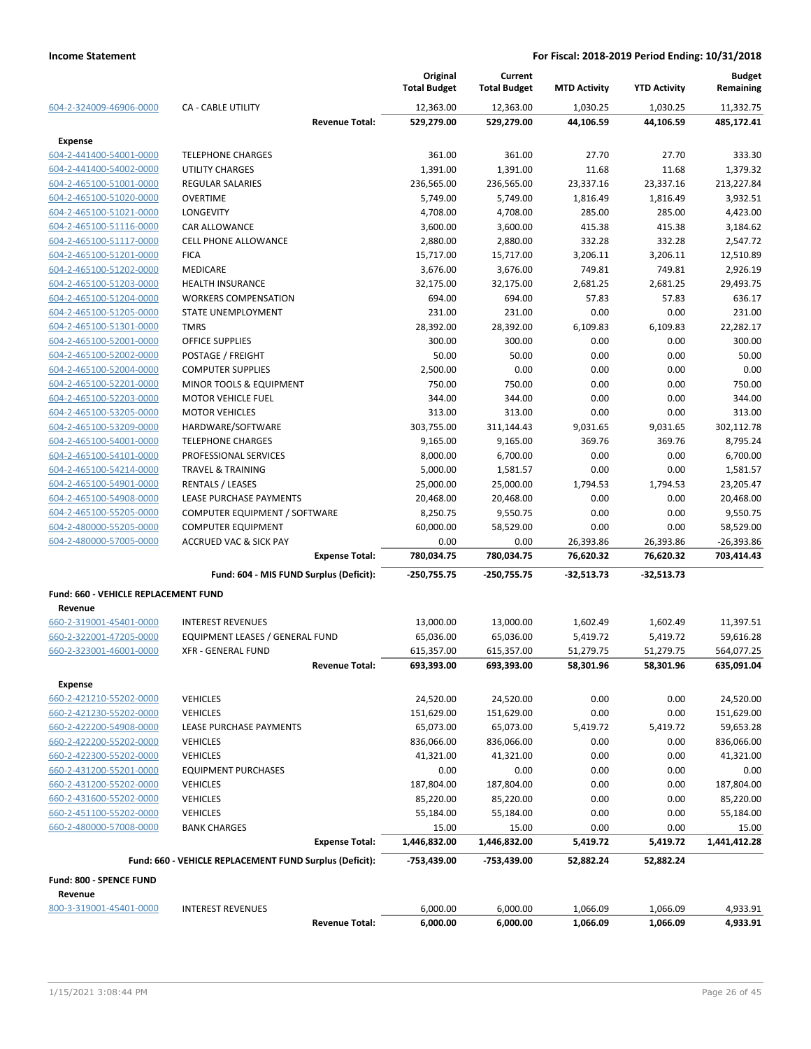|                                      |                                                            | Original<br><b>Total Budget</b> | Current<br><b>Total Budget</b> | <b>MTD Activity</b>    | <b>YTD Activity</b>    | <b>Budget</b><br>Remaining |
|--------------------------------------|------------------------------------------------------------|---------------------------------|--------------------------------|------------------------|------------------------|----------------------------|
| 604-2-324009-46906-0000              | <b>CA - CABLE UTILITY</b>                                  | 12,363.00                       | 12,363.00                      | 1,030.25               | 1,030.25               | 11,332.75                  |
|                                      | <b>Revenue Total:</b>                                      | 529,279.00                      | 529,279.00                     | 44,106.59              | 44,106.59              | 485,172.41                 |
| <b>Expense</b>                       |                                                            |                                 |                                |                        |                        |                            |
| 604-2-441400-54001-0000              | <b>TELEPHONE CHARGES</b>                                   | 361.00                          | 361.00                         | 27.70                  | 27.70                  | 333.30                     |
| 604-2-441400-54002-0000              | UTILITY CHARGES                                            | 1,391.00                        | 1,391.00                       | 11.68                  | 11.68                  | 1,379.32                   |
| 604-2-465100-51001-0000              | <b>REGULAR SALARIES</b>                                    | 236,565.00                      | 236,565.00                     | 23,337.16              | 23,337.16              | 213,227.84                 |
| 604-2-465100-51020-0000              | <b>OVERTIME</b>                                            | 5,749.00                        | 5,749.00                       | 1,816.49               | 1,816.49               | 3,932.51                   |
| 604-2-465100-51021-0000              | <b>LONGEVITY</b>                                           | 4,708.00                        | 4,708.00                       | 285.00                 | 285.00                 | 4,423.00                   |
| 604-2-465100-51116-0000              | <b>CAR ALLOWANCE</b>                                       | 3,600.00                        | 3,600.00                       | 415.38                 | 415.38                 | 3,184.62                   |
| 604-2-465100-51117-0000              | <b>CELL PHONE ALLOWANCE</b>                                | 2,880.00                        | 2,880.00                       | 332.28                 | 332.28                 | 2,547.72                   |
| 604-2-465100-51201-0000              | <b>FICA</b>                                                | 15,717.00                       | 15,717.00                      | 3,206.11               | 3,206.11               | 12,510.89                  |
| 604-2-465100-51202-0000              | <b>MEDICARE</b>                                            | 3,676.00                        | 3,676.00                       | 749.81                 | 749.81                 | 2,926.19                   |
| 604-2-465100-51203-0000              | <b>HEALTH INSURANCE</b>                                    | 32,175.00                       | 32,175.00                      | 2,681.25               | 2,681.25               | 29,493.75                  |
| 604-2-465100-51204-0000              | <b>WORKERS COMPENSATION</b>                                | 694.00                          | 694.00                         | 57.83                  | 57.83                  | 636.17                     |
| 604-2-465100-51205-0000              | STATE UNEMPLOYMENT                                         | 231.00                          | 231.00                         | 0.00                   | 0.00                   | 231.00                     |
| 604-2-465100-51301-0000              | <b>TMRS</b>                                                | 28,392.00                       | 28,392.00                      | 6,109.83               | 6,109.83               | 22.282.17                  |
| 604-2-465100-52001-0000              | OFFICE SUPPLIES                                            | 300.00                          | 300.00                         | 0.00                   | 0.00                   | 300.00                     |
| 604-2-465100-52002-0000              | POSTAGE / FREIGHT                                          | 50.00                           | 50.00                          | 0.00                   | 0.00                   | 50.00                      |
| 604-2-465100-52004-0000              | <b>COMPUTER SUPPLIES</b>                                   | 2,500.00                        | 0.00                           | 0.00                   | 0.00                   | 0.00                       |
| 604-2-465100-52201-0000              | MINOR TOOLS & EQUIPMENT                                    | 750.00                          | 750.00                         | 0.00                   | 0.00                   | 750.00                     |
| 604-2-465100-52203-0000              | <b>MOTOR VEHICLE FUEL</b>                                  | 344.00                          | 344.00                         | 0.00                   | 0.00                   | 344.00                     |
| 604-2-465100-53205-0000              | <b>MOTOR VEHICLES</b>                                      | 313.00                          | 313.00                         | 0.00                   | 0.00                   | 313.00                     |
| 604-2-465100-53209-0000              | HARDWARE/SOFTWARE                                          | 303,755.00                      | 311,144.43                     | 9,031.65               | 9,031.65               | 302,112.78                 |
| 604-2-465100-54001-0000              | <b>TELEPHONE CHARGES</b>                                   | 9,165.00                        | 9,165.00                       | 369.76                 | 369.76                 | 8,795.24                   |
| 604-2-465100-54101-0000              | PROFESSIONAL SERVICES                                      | 8,000.00                        | 6,700.00                       | 0.00                   | 0.00                   | 6,700.00                   |
| 604-2-465100-54214-0000              | <b>TRAVEL &amp; TRAINING</b>                               | 5,000.00                        | 1,581.57                       | 0.00                   | 0.00                   | 1,581.57                   |
| 604-2-465100-54901-0000              | <b>RENTALS / LEASES</b>                                    | 25,000.00                       | 25,000.00                      | 1,794.53               | 1,794.53               | 23,205.47                  |
| 604-2-465100-54908-0000              | LEASE PURCHASE PAYMENTS                                    | 20,468.00                       | 20,468.00                      | 0.00                   | 0.00                   | 20,468.00                  |
| 604-2-465100-55205-0000              | COMPUTER EQUIPMENT / SOFTWARE                              | 8,250.75                        | 9,550.75                       | 0.00                   | 0.00                   | 9,550.75                   |
| 604-2-480000-55205-0000              | <b>COMPUTER EQUIPMENT</b>                                  | 60,000.00                       | 58,529.00                      | 0.00                   | 0.00                   | 58,529.00                  |
| 604-2-480000-57005-0000              | <b>ACCRUED VAC &amp; SICK PAY</b><br><b>Expense Total:</b> | 0.00<br>780,034.75              | 0.00<br>780,034.75             | 26,393.86<br>76,620.32 | 26,393.86<br>76,620.32 | $-26,393.86$<br>703,414.43 |
|                                      | Fund: 604 - MIS FUND Surplus (Deficit):                    | $-250,755.75$                   | $-250,755.75$                  | $-32,513.73$           | $-32,513.73$           |                            |
| Fund: 660 - VEHICLE REPLACEMENT FUND |                                                            |                                 |                                |                        |                        |                            |
| Revenue                              |                                                            |                                 |                                |                        |                        |                            |
| 660-2-319001-45401-0000              | <b>INTEREST REVENUES</b>                                   | 13,000.00                       | 13,000.00                      | 1,602.49               | 1,602.49               | 11,397.51                  |
| 660-2-322001-47205-0000              | EQUIPMENT LEASES / GENERAL FUND                            | 65,036.00                       | 65,036.00                      | 5,419.72               | 5,419.72               | 59,616.28                  |
| 660-2-323001-46001-0000              | <b>XFR - GENERAL FUND</b>                                  | 615,357.00                      | 615,357.00                     | 51,279.75              | 51,279.75              | 564,077.25                 |
|                                      | <b>Revenue Total:</b>                                      | 693,393.00                      | 693,393.00                     | 58,301.96              | 58,301.96              | 635,091.04                 |
| <b>Expense</b>                       |                                                            |                                 |                                |                        |                        |                            |
| 660-2-421210-55202-0000              | <b>VEHICLES</b>                                            | 24,520.00                       | 24,520.00                      | 0.00                   | 0.00                   | 24,520.00                  |
| 660-2-421230-55202-0000              | <b>VEHICLES</b>                                            | 151,629.00                      | 151,629.00                     | 0.00                   | 0.00                   | 151,629.00                 |
| 660-2-422200-54908-0000              | LEASE PURCHASE PAYMENTS                                    | 65,073.00                       | 65,073.00                      | 5,419.72               | 5,419.72               | 59,653.28                  |
| 660-2-422200-55202-0000              | <b>VEHICLES</b>                                            | 836,066.00                      | 836,066.00                     | 0.00                   | 0.00                   | 836,066.00                 |
| 660-2-422300-55202-0000              | <b>VEHICLES</b>                                            | 41,321.00                       | 41,321.00                      | 0.00                   | 0.00                   | 41,321.00                  |
| 660-2-431200-55201-0000              | <b>EQUIPMENT PURCHASES</b>                                 | 0.00                            | 0.00                           | 0.00                   | 0.00                   | 0.00                       |
| 660-2-431200-55202-0000              | <b>VEHICLES</b>                                            | 187,804.00                      | 187,804.00                     | 0.00                   | 0.00                   | 187,804.00                 |
| 660-2-431600-55202-0000              | <b>VEHICLES</b>                                            | 85,220.00                       | 85,220.00                      | 0.00                   | 0.00                   | 85,220.00                  |
| 660-2-451100-55202-0000              | <b>VEHICLES</b>                                            | 55,184.00                       | 55,184.00                      | 0.00                   | 0.00                   | 55,184.00                  |
| 660-2-480000-57008-0000              | <b>BANK CHARGES</b>                                        | 15.00                           | 15.00                          | 0.00                   | 0.00                   | 15.00                      |
|                                      | <b>Expense Total:</b>                                      | 1,446,832.00                    | 1,446,832.00                   | 5,419.72               | 5,419.72               | 1,441,412.28               |
|                                      | Fund: 660 - VEHICLE REPLACEMENT FUND Surplus (Deficit):    | -753,439.00                     | -753,439.00                    | 52,882.24              | 52,882.24              |                            |
| Fund: 800 - SPENCE FUND              |                                                            |                                 |                                |                        |                        |                            |
| Revenue                              |                                                            |                                 |                                |                        |                        |                            |
| 800-3-319001-45401-0000              | <b>INTEREST REVENUES</b>                                   | 6,000.00                        | 6,000.00                       | 1,066.09               | 1,066.09               | 4,933.91                   |
|                                      | <b>Revenue Total:</b>                                      | 6,000.00                        | 6,000.00                       | 1,066.09               | 1,066.09               | 4,933.91                   |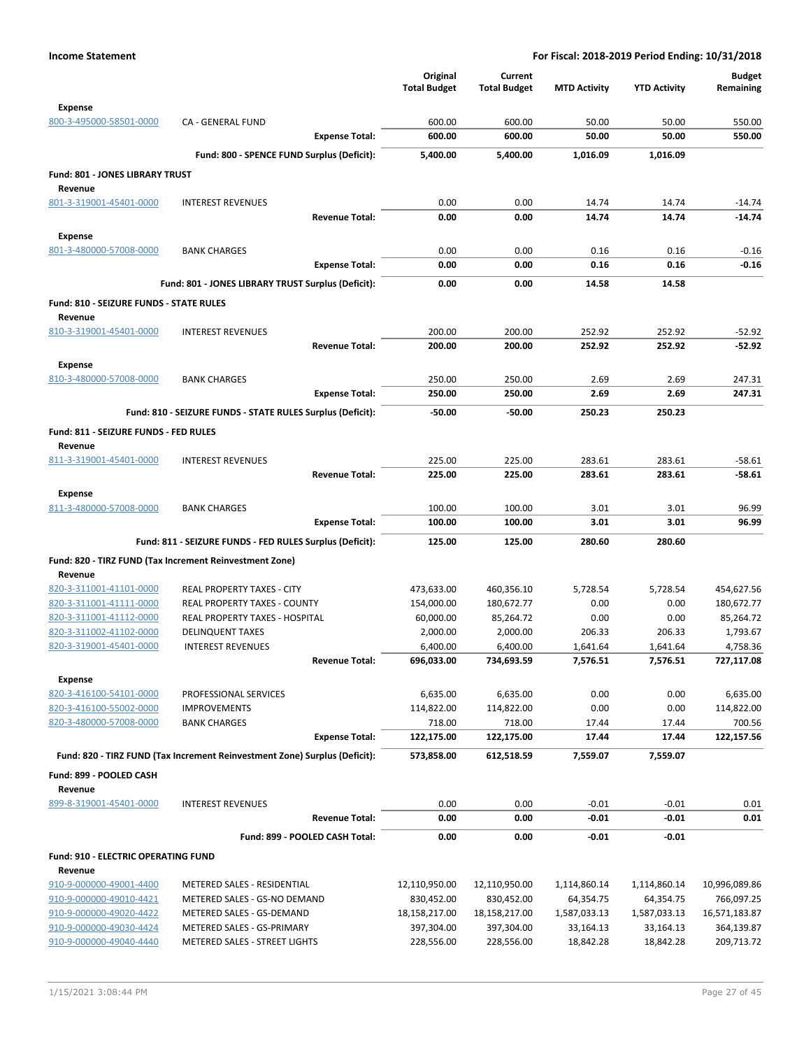|                                                    |                                                                            | Original<br><b>Total Budget</b> | Current<br><b>Total Budget</b> | <b>MTD Activity</b> | <b>YTD Activity</b> | <b>Budget</b><br>Remaining |
|----------------------------------------------------|----------------------------------------------------------------------------|---------------------------------|--------------------------------|---------------------|---------------------|----------------------------|
| <b>Expense</b>                                     |                                                                            |                                 |                                |                     |                     |                            |
| 800-3-495000-58501-0000                            | CA - GENERAL FUND                                                          | 600.00                          | 600.00                         | 50.00               | 50.00               | 550.00                     |
|                                                    | <b>Expense Total:</b>                                                      | 600.00                          | 600.00                         | 50.00               | 50.00               | 550.00                     |
|                                                    | Fund: 800 - SPENCE FUND Surplus (Deficit):                                 | 5,400.00                        | 5,400.00                       | 1,016.09            | 1,016.09            |                            |
| Fund: 801 - JONES LIBRARY TRUST<br>Revenue         |                                                                            |                                 |                                |                     |                     |                            |
| 801-3-319001-45401-0000                            | <b>INTEREST REVENUES</b>                                                   | 0.00                            | 0.00                           | 14.74               | 14.74               | $-14.74$                   |
|                                                    | <b>Revenue Total:</b>                                                      | 0.00                            | 0.00                           | 14.74               | 14.74               | $-14.74$                   |
| Expense                                            |                                                                            |                                 |                                |                     |                     |                            |
| 801-3-480000-57008-0000                            | <b>BANK CHARGES</b>                                                        | 0.00                            | 0.00                           | 0.16                | 0.16                | $-0.16$                    |
|                                                    | <b>Expense Total:</b>                                                      | 0.00                            | 0.00                           | 0.16                | 0.16                | $-0.16$                    |
|                                                    | Fund: 801 - JONES LIBRARY TRUST Surplus (Deficit):                         | 0.00                            | 0.00                           | 14.58               | 14.58               |                            |
| Fund: 810 - SEIZURE FUNDS - STATE RULES<br>Revenue |                                                                            |                                 |                                |                     |                     |                            |
| 810-3-319001-45401-0000                            | <b>INTEREST REVENUES</b>                                                   | 200.00                          | 200.00                         | 252.92              | 252.92              | $-52.92$                   |
|                                                    | <b>Revenue Total:</b>                                                      | 200.00                          | 200.00                         | 252.92              | 252.92              | $-52.92$                   |
| <b>Expense</b>                                     |                                                                            |                                 |                                |                     |                     |                            |
| 810-3-480000-57008-0000                            | <b>BANK CHARGES</b>                                                        | 250.00                          | 250.00                         | 2.69                | 2.69                | 247.31                     |
|                                                    | <b>Expense Total:</b>                                                      | 250.00                          | 250.00                         | 2.69                | 2.69                | 247.31                     |
|                                                    | Fund: 810 - SEIZURE FUNDS - STATE RULES Surplus (Deficit):                 | $-50.00$                        | $-50.00$                       | 250.23              | 250.23              |                            |
| Fund: 811 - SEIZURE FUNDS - FED RULES<br>Revenue   |                                                                            |                                 |                                |                     |                     |                            |
| 811-3-319001-45401-0000                            | <b>INTEREST REVENUES</b>                                                   | 225.00                          | 225.00                         | 283.61              | 283.61              | $-58.61$                   |
|                                                    | <b>Revenue Total:</b>                                                      | 225.00                          | 225.00                         | 283.61              | 283.61              | $-58.61$                   |
| <b>Expense</b>                                     |                                                                            |                                 |                                |                     |                     |                            |
| 811-3-480000-57008-0000                            | <b>BANK CHARGES</b>                                                        | 100.00                          | 100.00                         | 3.01                | 3.01                | 96.99                      |
|                                                    | <b>Expense Total:</b>                                                      | 100.00                          | 100.00                         | 3.01                | 3.01                | 96.99                      |
|                                                    | Fund: 811 - SEIZURE FUNDS - FED RULES Surplus (Deficit):                   | 125.00                          | 125.00                         | 280.60              | 280.60              |                            |
|                                                    | Fund: 820 - TIRZ FUND (Tax Increment Reinvestment Zone)                    |                                 |                                |                     |                     |                            |
| Revenue                                            |                                                                            |                                 |                                |                     |                     |                            |
| 820-3-311001-41101-0000                            | REAL PROPERTY TAXES - CITY                                                 | 473,633.00                      | 460,356.10                     | 5,728.54            | 5,728.54            | 454,627.56                 |
| 820-3-311001-41111-0000                            | REAL PROPERTY TAXES - COUNTY                                               | 154,000.00                      | 180,672.77                     | 0.00                | 0.00                | 180,672.77                 |
| 820-3-311001-41112-0000                            | REAL PROPERTY TAXES - HOSPITAL                                             | 60,000.00                       | 85,264.72                      | 0.00                | 0.00                | 85,264.72                  |
| 820-3-311002-41102-0000                            | <b>DELINQUENT TAXES</b>                                                    | 2,000.00                        | 2,000.00                       | 206.33              | 206.33              | 1,793.67                   |
| 820-3-319001-45401-0000                            | <b>INTEREST REVENUES</b>                                                   | 6,400.00                        | 6,400.00                       | 1,641.64            | 1,641.64            | 4,758.36                   |
|                                                    | Revenue Total:                                                             | 696,033.00                      | 734,693.59                     | 7,576.51            | 7,576.51            | 727,117.08                 |
| <b>Expense</b><br>820-3-416100-54101-0000          |                                                                            |                                 |                                |                     |                     |                            |
| 820-3-416100-55002-0000                            | PROFESSIONAL SERVICES<br><b>IMPROVEMENTS</b>                               | 6,635.00<br>114,822.00          | 6,635.00<br>114,822.00         | 0.00<br>0.00        | 0.00<br>0.00        | 6,635.00<br>114,822.00     |
| 820-3-480000-57008-0000                            | <b>BANK CHARGES</b>                                                        | 718.00                          | 718.00                         | 17.44               | 17.44               | 700.56                     |
|                                                    | <b>Expense Total:</b>                                                      | 122,175.00                      | 122,175.00                     | 17.44               | 17.44               | 122,157.56                 |
|                                                    | Fund: 820 - TIRZ FUND (Tax Increment Reinvestment Zone) Surplus (Deficit): | 573,858.00                      | 612,518.59                     | 7,559.07            | 7,559.07            |                            |
| Fund: 899 - POOLED CASH<br>Revenue                 |                                                                            |                                 |                                |                     |                     |                            |
| 899-8-319001-45401-0000                            | <b>INTEREST REVENUES</b>                                                   | 0.00                            | 0.00                           | $-0.01$             | $-0.01$             | 0.01                       |
|                                                    | <b>Revenue Total:</b>                                                      | 0.00                            | 0.00                           | $-0.01$             | -0.01               | 0.01                       |
|                                                    | Fund: 899 - POOLED CASH Total:                                             | 0.00                            | 0.00                           | $-0.01$             | $-0.01$             |                            |
| <b>Fund: 910 - ELECTRIC OPERATING FUND</b>         |                                                                            |                                 |                                |                     |                     |                            |
| Revenue                                            |                                                                            |                                 |                                |                     |                     |                            |
| 910-9-000000-49001-4400                            | METERED SALES - RESIDENTIAL                                                | 12,110,950.00                   | 12,110,950.00                  | 1,114,860.14        | 1,114,860.14        | 10,996,089.86              |
| 910-9-000000-49010-4421                            | METERED SALES - GS-NO DEMAND                                               | 830,452.00                      | 830,452.00                     | 64,354.75           | 64,354.75           | 766,097.25                 |
| 910-9-000000-49020-4422                            | METERED SALES - GS-DEMAND                                                  | 18,158,217.00                   | 18,158,217.00                  | 1,587,033.13        | 1,587,033.13        | 16,571,183.87              |
| 910-9-000000-49030-4424                            | METERED SALES - GS-PRIMARY                                                 | 397,304.00                      | 397,304.00                     | 33,164.13           | 33,164.13           | 364,139.87                 |
| 910-9-000000-49040-4440                            | METERED SALES - STREET LIGHTS                                              | 228,556.00                      | 228,556.00                     | 18,842.28           | 18,842.28           | 209,713.72                 |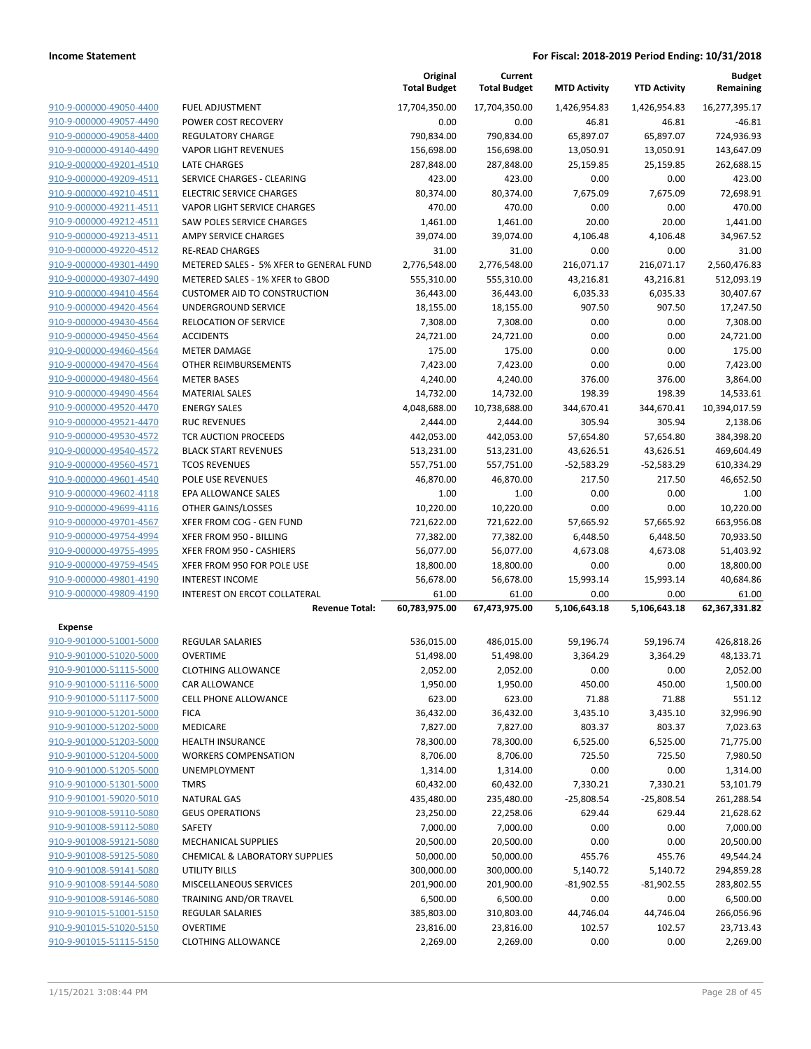|                         |                                           | Original<br><b>Total Budget</b> | Current<br><b>Total Budget</b> | <b>MTD Activity</b> | <b>YTD Activity</b> | <b>Budget</b><br>Remaining |
|-------------------------|-------------------------------------------|---------------------------------|--------------------------------|---------------------|---------------------|----------------------------|
| 910-9-000000-49050-4400 | <b>FUEL ADJUSTMENT</b>                    | 17,704,350.00                   | 17,704,350.00                  | 1,426,954.83        | 1,426,954.83        | 16,277,395.17              |
| 910-9-000000-49057-4490 | POWER COST RECOVERY                       | 0.00                            | 0.00                           | 46.81               | 46.81               | $-46.81$                   |
| 910-9-000000-49058-4400 | <b>REGULATORY CHARGE</b>                  | 790,834.00                      | 790,834.00                     | 65,897.07           | 65,897.07           | 724,936.93                 |
| 910-9-000000-49140-4490 | <b>VAPOR LIGHT REVENUES</b>               | 156,698.00                      | 156,698.00                     | 13,050.91           | 13,050.91           | 143,647.09                 |
| 910-9-000000-49201-4510 | <b>LATE CHARGES</b>                       | 287,848.00                      | 287,848.00                     | 25,159.85           | 25,159.85           | 262,688.15                 |
| 910-9-000000-49209-4511 | SERVICE CHARGES - CLEARING                | 423.00                          | 423.00                         | 0.00                | 0.00                | 423.00                     |
| 910-9-000000-49210-4511 | <b>ELECTRIC SERVICE CHARGES</b>           | 80,374.00                       | 80,374.00                      | 7,675.09            | 7,675.09            | 72,698.91                  |
| 910-9-000000-49211-4511 | VAPOR LIGHT SERVICE CHARGES               | 470.00                          | 470.00                         | 0.00                | 0.00                | 470.00                     |
| 910-9-000000-49212-4511 | <b>SAW POLES SERVICE CHARGES</b>          | 1,461.00                        | 1,461.00                       | 20.00               | 20.00               | 1,441.00                   |
| 910-9-000000-49213-4511 | <b>AMPY SERVICE CHARGES</b>               | 39,074.00                       | 39,074.00                      | 4,106.48            | 4,106.48            | 34,967.52                  |
| 910-9-000000-49220-4512 | <b>RE-READ CHARGES</b>                    | 31.00                           | 31.00                          | 0.00                | 0.00                | 31.00                      |
| 910-9-000000-49301-4490 | METERED SALES - 5% XFER to GENERAL FUND   | 2,776,548.00                    | 2,776,548.00                   | 216,071.17          | 216,071.17          | 2,560,476.83               |
| 910-9-000000-49307-4490 | METERED SALES - 1% XFER to GBOD           | 555,310.00                      | 555,310.00                     | 43,216.81           | 43,216.81           | 512,093.19                 |
| 910-9-000000-49410-4564 | <b>CUSTOMER AID TO CONSTRUCTION</b>       | 36,443.00                       | 36,443.00                      | 6,035.33            | 6,035.33            | 30,407.67                  |
| 910-9-000000-49420-4564 | UNDERGROUND SERVICE                       | 18,155.00                       | 18,155.00                      | 907.50              | 907.50              | 17,247.50                  |
| 910-9-000000-49430-4564 | RELOCATION OF SERVICE                     | 7,308.00                        | 7,308.00                       | 0.00                | 0.00                | 7,308.00                   |
| 910-9-000000-49450-4564 | <b>ACCIDENTS</b>                          | 24,721.00                       | 24,721.00                      | 0.00                | 0.00                | 24,721.00                  |
| 910-9-000000-49460-4564 | <b>METER DAMAGE</b>                       | 175.00                          | 175.00                         | 0.00                | 0.00                | 175.00                     |
| 910-9-000000-49470-4564 | OTHER REIMBURSEMENTS                      | 7,423.00                        | 7,423.00                       | 0.00                | 0.00                | 7,423.00                   |
| 910-9-000000-49480-4564 | <b>METER BASES</b>                        | 4,240.00                        | 4,240.00                       | 376.00              | 376.00              | 3,864.00                   |
| 910-9-000000-49490-4564 | <b>MATERIAL SALES</b>                     | 14,732.00                       | 14,732.00                      | 198.39              | 198.39              | 14,533.61                  |
| 910-9-000000-49520-4470 | <b>ENERGY SALES</b>                       | 4,048,688.00                    | 10,738,688.00                  | 344,670.41          | 344,670.41          | 10,394,017.59              |
| 910-9-000000-49521-4470 | <b>RUC REVENUES</b>                       | 2,444.00                        | 2,444.00                       | 305.94              | 305.94              | 2,138.06                   |
| 910-9-000000-49530-4572 | <b>TCR AUCTION PROCEEDS</b>               | 442,053.00                      | 442,053.00                     | 57,654.80           | 57,654.80           | 384,398.20                 |
| 910-9-000000-49540-4572 | <b>BLACK START REVENUES</b>               | 513,231.00                      | 513,231.00                     | 43,626.51           | 43,626.51           | 469,604.49                 |
| 910-9-000000-49560-4571 | <b>TCOS REVENUES</b>                      | 557,751.00                      | 557,751.00                     | $-52,583.29$        | $-52,583.29$        | 610,334.29                 |
| 910-9-000000-49601-4540 | POLE USE REVENUES                         | 46,870.00                       | 46,870.00                      | 217.50              | 217.50              | 46,652.50                  |
| 910-9-000000-49602-4118 | EPA ALLOWANCE SALES                       | 1.00                            | 1.00                           | 0.00                | 0.00                | 1.00                       |
| 910-9-000000-49699-4116 | OTHER GAINS/LOSSES                        | 10,220.00                       | 10,220.00                      | 0.00                | 0.00                | 10,220.00                  |
| 910-9-000000-49701-4567 | XFER FROM COG - GEN FUND                  | 721,622.00                      | 721,622.00                     | 57,665.92           | 57,665.92           | 663,956.08                 |
| 910-9-000000-49754-4994 | XFER FROM 950 - BILLING                   | 77,382.00                       | 77,382.00                      | 6,448.50            | 6,448.50            | 70,933.50                  |
| 910-9-000000-49755-4995 | XFER FROM 950 - CASHIERS                  | 56,077.00                       | 56,077.00                      | 4,673.08            | 4,673.08            | 51,403.92                  |
| 910-9-000000-49759-4545 | XFER FROM 950 FOR POLE USE                | 18,800.00                       | 18,800.00                      | 0.00                | 0.00                | 18,800.00                  |
| 910-9-000000-49801-4190 | <b>INTEREST INCOME</b>                    | 56,678.00                       | 56,678.00                      | 15,993.14           | 15,993.14           | 40,684.86                  |
| 910-9-000000-49809-4190 | <b>INTEREST ON ERCOT COLLATERAL</b>       | 61.00                           | 61.00                          | 0.00                | 0.00                | 61.00                      |
|                         | <b>Revenue Total:</b>                     | 60,783,975.00                   | 67,473,975.00                  | 5,106,643.18        | 5,106,643.18        | 62,367,331.82              |
| <b>Expense</b>          |                                           |                                 |                                |                     |                     |                            |
| 910-9-901000-51001-5000 | REGULAR SALARIES                          | 536,015.00                      | 486,015.00                     | 59,196.74           | 59,196.74           | 426,818.26                 |
| 910-9-901000-51020-5000 | <b>OVERTIME</b>                           | 51,498.00                       | 51,498.00                      | 3,364.29            | 3,364.29            | 48,133.71                  |
| 910-9-901000-51115-5000 | <b>CLOTHING ALLOWANCE</b>                 | 2,052.00                        | 2,052.00                       | 0.00                | 0.00                | 2,052.00                   |
| 910-9-901000-51116-5000 | CAR ALLOWANCE                             | 1,950.00                        | 1,950.00                       | 450.00              | 450.00              | 1,500.00                   |
| 910-9-901000-51117-5000 | <b>CELL PHONE ALLOWANCE</b>               | 623.00                          | 623.00                         | 71.88               | 71.88               | 551.12                     |
| 910-9-901000-51201-5000 | <b>FICA</b>                               | 36,432.00                       | 36,432.00                      | 3,435.10            | 3,435.10            | 32,996.90                  |
| 910-9-901000-51202-5000 | MEDICARE                                  | 7,827.00                        | 7,827.00                       | 803.37              | 803.37              | 7,023.63                   |
| 910-9-901000-51203-5000 | <b>HEALTH INSURANCE</b>                   | 78,300.00                       | 78,300.00                      | 6,525.00            | 6,525.00            | 71,775.00                  |
| 910-9-901000-51204-5000 | <b>WORKERS COMPENSATION</b>               | 8,706.00                        | 8,706.00                       | 725.50              | 725.50              | 7,980.50                   |
| 910-9-901000-51205-5000 | UNEMPLOYMENT                              | 1,314.00                        | 1,314.00                       | 0.00                | 0.00                | 1,314.00                   |
| 910-9-901000-51301-5000 | <b>TMRS</b>                               | 60,432.00                       | 60,432.00                      | 7,330.21            | 7,330.21            | 53,101.79                  |
| 910-9-901001-59020-5010 | <b>NATURAL GAS</b>                        | 435,480.00                      | 235,480.00                     | $-25,808.54$        | $-25,808.54$        | 261,288.54                 |
| 910-9-901008-59110-5080 | <b>GEUS OPERATIONS</b>                    | 23,250.00                       | 22,258.06                      | 629.44              | 629.44              | 21,628.62                  |
| 910-9-901008-59112-5080 | SAFETY                                    | 7,000.00                        | 7,000.00                       | 0.00                | 0.00                | 7,000.00                   |
| 910-9-901008-59121-5080 | <b>MECHANICAL SUPPLIES</b>                | 20,500.00                       | 20,500.00                      | 0.00                | 0.00                | 20,500.00                  |
| 910-9-901008-59125-5080 | <b>CHEMICAL &amp; LABORATORY SUPPLIES</b> | 50,000.00                       | 50,000.00                      | 455.76              | 455.76              | 49,544.24                  |
| 910-9-901008-59141-5080 | <b>UTILITY BILLS</b>                      | 300,000.00                      | 300,000.00                     | 5,140.72            | 5,140.72            | 294,859.28                 |
| 910-9-901008-59144-5080 | MISCELLANEOUS SERVICES                    | 201,900.00                      | 201,900.00                     | $-81,902.55$        | $-81,902.55$        | 283,802.55                 |
| 910-9-901008-59146-5080 | TRAINING AND/OR TRAVEL                    | 6,500.00                        | 6,500.00                       | 0.00                | 0.00                | 6,500.00                   |
| 910-9-901015-51001-5150 | REGULAR SALARIES                          | 385,803.00                      | 310,803.00                     | 44,746.04           | 44,746.04           | 266,056.96                 |
| 910-9-901015-51020-5150 | <b>OVERTIME</b>                           | 23,816.00                       | 23,816.00                      | 102.57              | 102.57              | 23,713.43                  |
| 910-9-901015-51115-5150 | <b>CLOTHING ALLOWANCE</b>                 | 2,269.00                        | 2,269.00                       | 0.00                | 0.00                | 2,269.00                   |
|                         |                                           |                                 |                                |                     |                     |                            |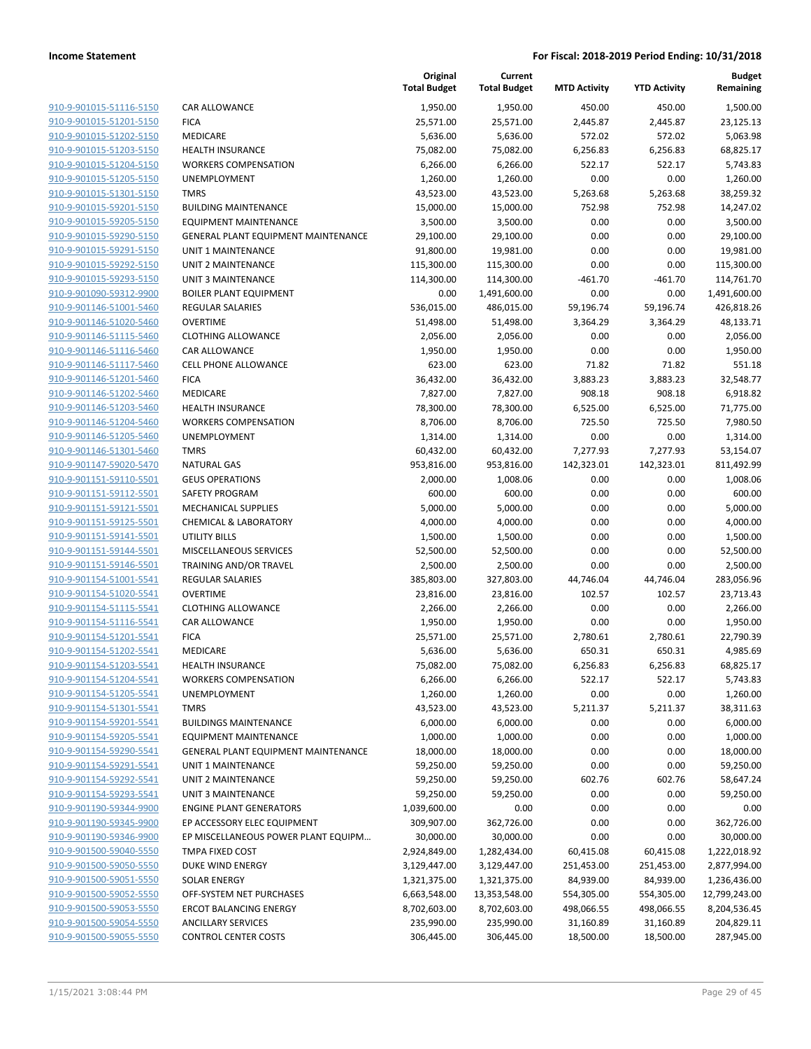|                         |                                     | Original<br><b>Total Budget</b> | Current<br><b>Total Budget</b> | <b>MTD Activity</b> | <b>YTD Activity</b> | <b>Budget</b><br>Remaining |
|-------------------------|-------------------------------------|---------------------------------|--------------------------------|---------------------|---------------------|----------------------------|
| 910-9-901015-51116-5150 | CAR ALLOWANCE                       | 1,950.00                        | 1,950.00                       | 450.00              | 450.00              | 1,500.00                   |
| 910-9-901015-51201-5150 | <b>FICA</b>                         | 25,571.00                       | 25,571.00                      | 2,445.87            | 2,445.87            | 23,125.13                  |
| 910-9-901015-51202-5150 | MEDICARE                            | 5,636.00                        | 5,636.00                       | 572.02              | 572.02              | 5,063.98                   |
| 910-9-901015-51203-5150 | <b>HEALTH INSURANCE</b>             | 75,082.00                       | 75,082.00                      | 6,256.83            | 6,256.83            | 68,825.17                  |
| 910-9-901015-51204-5150 | <b>WORKERS COMPENSATION</b>         | 6,266.00                        | 6,266.00                       | 522.17              | 522.17              | 5,743.83                   |
| 910-9-901015-51205-5150 | UNEMPLOYMENT                        | 1,260.00                        | 1,260.00                       | 0.00                | 0.00                | 1,260.00                   |
| 910-9-901015-51301-5150 | <b>TMRS</b>                         | 43,523.00                       | 43,523.00                      | 5,263.68            | 5,263.68            | 38,259.32                  |
| 910-9-901015-59201-5150 | <b>BUILDING MAINTENANCE</b>         | 15,000.00                       | 15,000.00                      | 752.98              | 752.98              | 14,247.02                  |
| 910-9-901015-59205-5150 | <b>EQUIPMENT MAINTENANCE</b>        | 3,500.00                        | 3,500.00                       | 0.00                | 0.00                | 3,500.00                   |
| 910-9-901015-59290-5150 | GENERAL PLANT EQUIPMENT MAINTENANCE | 29,100.00                       | 29,100.00                      | 0.00                | 0.00                | 29,100.00                  |
| 910-9-901015-59291-5150 | <b>UNIT 1 MAINTENANCE</b>           | 91,800.00                       | 19,981.00                      | 0.00                | 0.00                | 19,981.00                  |
| 910-9-901015-59292-5150 | <b>UNIT 2 MAINTENANCE</b>           | 115,300.00                      | 115,300.00                     | 0.00                | 0.00                | 115,300.00                 |
| 910-9-901015-59293-5150 | <b>UNIT 3 MAINTENANCE</b>           | 114,300.00                      | 114,300.00                     | $-461.70$           | $-461.70$           | 114,761.70                 |
| 910-9-901090-59312-9900 | <b>BOILER PLANT EQUIPMENT</b>       | 0.00                            | 1,491,600.00                   | 0.00                | 0.00                | 1,491,600.00               |
| 910-9-901146-51001-5460 | REGULAR SALARIES                    | 536,015.00                      | 486,015.00                     | 59,196.74           | 59,196.74           | 426,818.26                 |
| 910-9-901146-51020-5460 | <b>OVERTIME</b>                     | 51,498.00                       | 51,498.00                      | 3,364.29            | 3,364.29            | 48,133.71                  |
| 910-9-901146-51115-5460 | <b>CLOTHING ALLOWANCE</b>           | 2,056.00                        | 2,056.00                       | 0.00                | 0.00                | 2,056.00                   |
| 910-9-901146-51116-5460 | CAR ALLOWANCE                       | 1,950.00                        | 1,950.00                       | 0.00                | 0.00                | 1,950.00                   |
| 910-9-901146-51117-5460 | <b>CELL PHONE ALLOWANCE</b>         | 623.00                          | 623.00                         | 71.82               | 71.82               | 551.18                     |
| 910-9-901146-51201-5460 | <b>FICA</b>                         | 36,432.00                       | 36,432.00                      | 3,883.23            | 3,883.23            | 32,548.77                  |
| 910-9-901146-51202-5460 | MEDICARE                            | 7,827.00                        | 7,827.00                       | 908.18              | 908.18              | 6,918.82                   |
| 910-9-901146-51203-5460 | HEALTH INSURANCE                    | 78,300.00                       | 78,300.00                      | 6,525.00            | 6,525.00            | 71,775.00                  |
| 910-9-901146-51204-5460 | <b>WORKERS COMPENSATION</b>         | 8,706.00                        | 8,706.00                       | 725.50              | 725.50              | 7,980.50                   |
| 910-9-901146-51205-5460 | <b>UNEMPLOYMENT</b>                 | 1,314.00                        | 1,314.00                       | 0.00                | 0.00                | 1,314.00                   |
| 910-9-901146-51301-5460 | <b>TMRS</b>                         | 60,432.00                       | 60,432.00                      | 7,277.93            | 7,277.93            | 53,154.07                  |
| 910-9-901147-59020-5470 | <b>NATURAL GAS</b>                  | 953,816.00                      | 953,816.00                     | 142,323.01          | 142,323.01          | 811,492.99                 |
| 910-9-901151-59110-5501 | <b>GEUS OPERATIONS</b>              | 2,000.00                        | 1,008.06                       | 0.00                | 0.00                | 1,008.06                   |
| 910-9-901151-59112-5501 | SAFETY PROGRAM                      | 600.00                          | 600.00                         | 0.00                | 0.00                | 600.00                     |
| 910-9-901151-59121-5501 | <b>MECHANICAL SUPPLIES</b>          | 5,000.00                        | 5,000.00                       | 0.00                | 0.00                | 5,000.00                   |
| 910-9-901151-59125-5501 | <b>CHEMICAL &amp; LABORATORY</b>    | 4,000.00                        | 4,000.00                       | 0.00                | 0.00                | 4,000.00                   |
| 910-9-901151-59141-5501 | <b>UTILITY BILLS</b>                | 1,500.00                        | 1,500.00                       | 0.00                | 0.00                | 1,500.00                   |
| 910-9-901151-59144-5501 | MISCELLANEOUS SERVICES              | 52,500.00                       | 52,500.00                      | 0.00                | 0.00                | 52,500.00                  |
| 910-9-901151-59146-5501 | TRAINING AND/OR TRAVEL              | 2,500.00                        | 2,500.00                       | 0.00                | 0.00                | 2,500.00                   |
| 910-9-901154-51001-5541 | <b>REGULAR SALARIES</b>             | 385,803.00                      | 327,803.00                     | 44,746.04           | 44,746.04           | 283,056.96                 |
| 910-9-901154-51020-5541 | <b>OVERTIME</b>                     | 23,816.00                       | 23,816.00                      | 102.57              | 102.57              | 23,713.43                  |
| 910-9-901154-51115-5541 | <b>CLOTHING ALLOWANCE</b>           | 2,266.00                        | 2,266.00                       | 0.00                | 0.00                | 2,266.00                   |
| 910-9-901154-51116-5541 | CAR ALLOWANCE                       | 1,950.00                        | 1,950.00                       | 0.00                | 0.00                | 1,950.00                   |
| 910-9-901154-51201-5541 | <b>FICA</b>                         | 25,571.00                       | 25,571.00                      | 2,780.61            | 2,780.61            | 22,790.39                  |
| 910-9-901154-51202-5541 | MEDICARE                            | 5,636.00                        | 5,636.00                       | 650.31              | 650.31              | 4,985.69                   |
| 910-9-901154-51203-5541 | <b>HEALTH INSURANCE</b>             | 75,082.00                       | 75,082.00                      | 6,256.83            | 6,256.83            | 68,825.17                  |
| 910-9-901154-51204-5541 | <b>WORKERS COMPENSATION</b>         | 6,266.00                        | 6,266.00                       | 522.17              | 522.17              | 5,743.83                   |
| 910-9-901154-51205-5541 | UNEMPLOYMENT                        | 1,260.00                        | 1,260.00                       | 0.00                | 0.00                | 1,260.00                   |
| 910-9-901154-51301-5541 | <b>TMRS</b>                         | 43,523.00                       | 43,523.00                      | 5,211.37            | 5,211.37            | 38,311.63                  |
| 910-9-901154-59201-5541 | <b>BUILDINGS MAINTENANCE</b>        | 6,000.00                        | 6,000.00                       | 0.00                | 0.00                | 6,000.00                   |
| 910-9-901154-59205-5541 | <b>EQUIPMENT MAINTENANCE</b>        | 1,000.00                        | 1,000.00                       | 0.00                | 0.00                | 1,000.00                   |
| 910-9-901154-59290-5541 | GENERAL PLANT EQUIPMENT MAINTENANCE | 18,000.00                       | 18,000.00                      | 0.00                | 0.00                | 18,000.00                  |
| 910-9-901154-59291-5541 | UNIT 1 MAINTENANCE                  | 59,250.00                       | 59,250.00                      | 0.00                | 0.00                | 59,250.00                  |
| 910-9-901154-59292-5541 | <b>UNIT 2 MAINTENANCE</b>           | 59,250.00                       | 59,250.00                      | 602.76              | 602.76              | 58,647.24                  |
| 910-9-901154-59293-5541 | <b>UNIT 3 MAINTENANCE</b>           | 59,250.00                       | 59,250.00                      | 0.00                | 0.00                | 59,250.00                  |
| 910-9-901190-59344-9900 | <b>ENGINE PLANT GENERATORS</b>      | 1,039,600.00                    | 0.00                           | 0.00                | 0.00                | 0.00                       |
| 910-9-901190-59345-9900 | EP ACCESSORY ELEC EQUIPMENT         | 309,907.00                      | 362,726.00                     | 0.00                | 0.00                | 362,726.00                 |
| 910-9-901190-59346-9900 | EP MISCELLANEOUS POWER PLANT EQUIPM | 30,000.00                       | 30,000.00                      | 0.00                | 0.00                | 30,000.00                  |
| 910-9-901500-59040-5550 | TMPA FIXED COST                     | 2,924,849.00                    | 1,282,434.00                   | 60,415.08           | 60,415.08           | 1,222,018.92               |
| 910-9-901500-59050-5550 | DUKE WIND ENERGY                    | 3,129,447.00                    | 3,129,447.00                   | 251,453.00          | 251,453.00          | 2,877,994.00               |
| 910-9-901500-59051-5550 | <b>SOLAR ENERGY</b>                 | 1,321,375.00                    | 1,321,375.00                   | 84,939.00           | 84,939.00           | 1,236,436.00               |
| 910-9-901500-59052-5550 | OFF-SYSTEM NET PURCHASES            | 6,663,548.00                    | 13,353,548.00                  | 554,305.00          | 554,305.00          | 12,799,243.00              |
| 910-9-901500-59053-5550 | <b>ERCOT BALANCING ENERGY</b>       | 8,702,603.00                    | 8,702,603.00                   | 498,066.55          | 498,066.55          | 8,204,536.45               |
| 910-9-901500-59054-5550 | <b>ANCILLARY SERVICES</b>           | 235,990.00                      | 235,990.00                     | 31,160.89           | 31,160.89           | 204,829.11                 |
| 910-9-901500-59055-5550 | <b>CONTROL CENTER COSTS</b>         | 306,445.00                      | 306,445.00                     | 18,500.00           | 18,500.00           | 287,945.00                 |
|                         |                                     |                                 |                                |                     |                     |                            |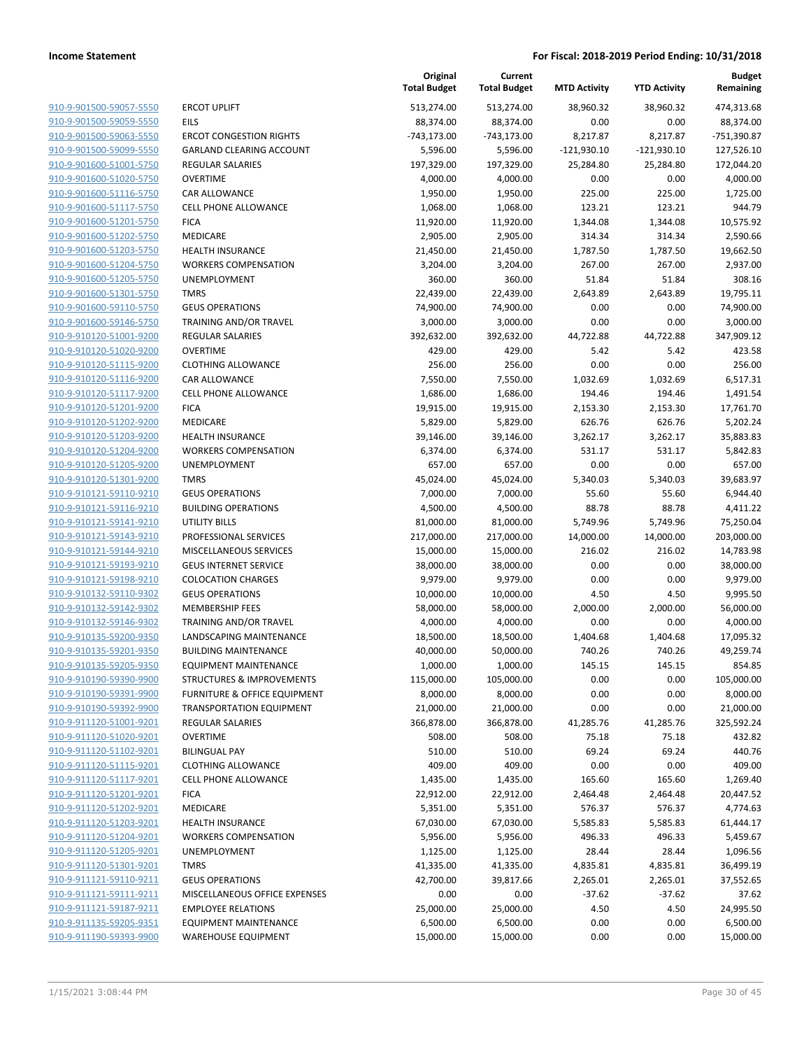**Current**

**Original**

**Budget Remaining**

|                                                    |                                                          | <b>Total Budget</b>   | <b>Total Budget</b>   | <b>MTD Activity</b> | <b>YTD Activity</b> | Remaining             |
|----------------------------------------------------|----------------------------------------------------------|-----------------------|-----------------------|---------------------|---------------------|-----------------------|
| 910-9-901500-59057-5550                            | <b>ERCOT UPLIFT</b>                                      | 513,274.00            | 513,274.00            | 38,960.32           | 38,960.32           | 474,313.68            |
| 910-9-901500-59059-5550                            | <b>EILS</b>                                              | 88,374.00             | 88,374.00             | 0.00                | 0.00                | 88,374.00             |
| 910-9-901500-59063-5550                            | <b>ERCOT CONGESTION RIGHTS</b>                           | $-743,173.00$         | $-743,173.00$         | 8,217.87            | 8,217.87            | -751,390.87           |
| 910-9-901500-59099-5550                            | <b>GARLAND CLEARING ACCOUNT</b>                          | 5,596.00              | 5,596.00              | $-121,930.10$       | $-121,930.10$       | 127,526.10            |
| 910-9-901600-51001-5750                            | <b>REGULAR SALARIES</b>                                  | 197,329.00            | 197,329.00            | 25,284.80           | 25,284.80           | 172,044.20            |
| 910-9-901600-51020-5750                            | <b>OVERTIME</b>                                          | 4,000.00              | 4,000.00              | 0.00                | 0.00                | 4,000.00              |
| 910-9-901600-51116-5750                            | <b>CAR ALLOWANCE</b>                                     | 1,950.00              | 1,950.00              | 225.00              | 225.00              | 1,725.00              |
| 910-9-901600-51117-5750                            | <b>CELL PHONE ALLOWANCE</b>                              | 1,068.00              | 1,068.00              | 123.21              | 123.21              | 944.79                |
| 910-9-901600-51201-5750                            | <b>FICA</b>                                              | 11,920.00             | 11,920.00             | 1,344.08            | 1,344.08            | 10,575.92             |
| 910-9-901600-51202-5750                            | MEDICARE                                                 | 2,905.00              | 2,905.00              | 314.34              | 314.34              | 2,590.66              |
| 910-9-901600-51203-5750                            | <b>HEALTH INSURANCE</b>                                  | 21,450.00             | 21,450.00             | 1,787.50            | 1,787.50            | 19,662.50             |
| 910-9-901600-51204-5750                            | <b>WORKERS COMPENSATION</b>                              | 3,204.00              | 3,204.00              | 267.00              | 267.00              | 2,937.00              |
| 910-9-901600-51205-5750                            | UNEMPLOYMENT                                             | 360.00                | 360.00                | 51.84               | 51.84               | 308.16                |
| 910-9-901600-51301-5750                            | <b>TMRS</b>                                              | 22,439.00             | 22,439.00             | 2,643.89            | 2,643.89            | 19,795.11             |
| 910-9-901600-59110-5750                            | <b>GEUS OPERATIONS</b>                                   | 74,900.00             | 74,900.00             | 0.00                | 0.00                | 74,900.00             |
| 910-9-901600-59146-5750                            | TRAINING AND/OR TRAVEL                                   | 3,000.00              | 3,000.00              | 0.00                | 0.00                | 3,000.00              |
| 910-9-910120-51001-9200                            | <b>REGULAR SALARIES</b>                                  | 392,632.00            | 392,632.00            | 44,722.88           | 44,722.88           | 347,909.12            |
| 910-9-910120-51020-9200                            | <b>OVERTIME</b>                                          | 429.00                | 429.00                | 5.42                | 5.42                | 423.58                |
| 910-9-910120-51115-9200                            | <b>CLOTHING ALLOWANCE</b>                                | 256.00                | 256.00                | 0.00                | 0.00                | 256.00                |
| 910-9-910120-51116-9200                            | CAR ALLOWANCE                                            | 7,550.00              | 7,550.00              | 1,032.69            | 1,032.69            | 6,517.31              |
| 910-9-910120-51117-9200                            | CELL PHONE ALLOWANCE                                     | 1,686.00              | 1,686.00              | 194.46              | 194.46              | 1,491.54              |
| 910-9-910120-51201-9200                            | <b>FICA</b>                                              | 19,915.00             | 19,915.00             | 2,153.30            | 2,153.30            | 17,761.70             |
| 910-9-910120-51202-9200                            | <b>MEDICARE</b>                                          | 5,829.00              | 5,829.00              | 626.76              | 626.76              | 5,202.24              |
| 910-9-910120-51203-9200                            | <b>HEALTH INSURANCE</b>                                  | 39,146.00             | 39,146.00             | 3,262.17            | 3,262.17            | 35,883.83             |
| 910-9-910120-51204-9200                            | <b>WORKERS COMPENSATION</b>                              | 6,374.00              | 6,374.00              | 531.17              | 531.17              | 5,842.83              |
| 910-9-910120-51205-9200                            | UNEMPLOYMENT                                             | 657.00                | 657.00                | 0.00                | 0.00                | 657.00                |
| 910-9-910120-51301-9200                            | <b>TMRS</b>                                              | 45,024.00             | 45,024.00             | 5,340.03            | 5,340.03            | 39,683.97             |
| 910-9-910121-59110-9210                            | <b>GEUS OPERATIONS</b>                                   | 7,000.00              | 7,000.00              | 55.60               | 55.60               | 6,944.40              |
| 910-9-910121-59116-9210                            | <b>BUILDING OPERATIONS</b>                               | 4,500.00              | 4,500.00              | 88.78               | 88.78               | 4,411.22              |
| 910-9-910121-59141-9210                            | UTILITY BILLS                                            | 81,000.00             | 81,000.00             | 5,749.96            | 5,749.96            | 75,250.04             |
| 910-9-910121-59143-9210                            | PROFESSIONAL SERVICES                                    | 217,000.00            | 217,000.00            | 14,000.00           | 14,000.00           | 203,000.00            |
| 910-9-910121-59144-9210                            | MISCELLANEOUS SERVICES                                   | 15,000.00             | 15,000.00             | 216.02              | 216.02              | 14,783.98             |
| 910-9-910121-59193-9210                            | <b>GEUS INTERNET SERVICE</b>                             | 38,000.00             | 38,000.00             | 0.00                | 0.00                | 38,000.00             |
| 910-9-910121-59198-9210                            | <b>COLOCATION CHARGES</b>                                | 9,979.00              | 9,979.00              | 0.00                | 0.00                | 9,979.00              |
| 910-9-910132-59110-9302                            | <b>GEUS OPERATIONS</b>                                   | 10,000.00             | 10,000.00             | 4.50                | 4.50                | 9,995.50              |
| 910-9-910132-59142-9302                            | <b>MEMBERSHIP FEES</b>                                   | 58,000.00             | 58,000.00             | 2,000.00            | 2,000.00            | 56,000.00             |
| 910-9-910132-59146-9302                            | TRAINING AND/OR TRAVEL                                   | 4,000.00              | 4,000.00              | 0.00                | 0.00                | 4,000.00              |
| 910-9-910135-59200-9350                            | LANDSCAPING MAINTENANCE                                  | 18,500.00             | 18,500.00             | 1,404.68            | 1,404.68            | 17,095.32             |
| 910-9-910135-59201-9350                            | <b>BUILDING MAINTENANCE</b>                              | 40,000.00             | 50,000.00             | 740.26              | 740.26              | 49,259.74             |
| 910-9-910135-59205-9350                            | <b>EQUIPMENT MAINTENANCE</b>                             | 1,000.00              | 1,000.00              | 145.15              | 145.15              | 854.85                |
| <u>910-9-910190-59390-9900</u>                     | STRUCTURES & IMPROVEMENTS                                | 115,000.00            | 105,000.00            | 0.00                | 0.00                | 105,000.00            |
| 910-9-910190-59391-9900                            | <b>FURNITURE &amp; OFFICE EQUIPMENT</b>                  | 8,000.00              | 8,000.00              | 0.00                | 0.00                | 8,000.00              |
| 910-9-910190-59392-9900                            | <b>TRANSPORTATION EQUIPMENT</b>                          | 21,000.00             | 21,000.00             | 0.00                | 0.00                | 21,000.00             |
| 910-9-911120-51001-9201                            | <b>REGULAR SALARIES</b>                                  | 366,878.00            | 366,878.00            | 41,285.76           | 41,285.76           | 325,592.24            |
| 910-9-911120-51020-9201                            | <b>OVERTIME</b>                                          | 508.00                | 508.00                | 75.18               | 75.18               | 432.82                |
| 910-9-911120-51102-9201                            | <b>BILINGUAL PAY</b>                                     | 510.00                | 510.00                | 69.24               | 69.24               | 440.76                |
| 910-9-911120-51115-9201                            | <b>CLOTHING ALLOWANCE</b><br><b>CELL PHONE ALLOWANCE</b> | 409.00                | 409.00                | 0.00                | 0.00                | 409.00                |
| 910-9-911120-51117-9201<br>910-9-911120-51201-9201 |                                                          | 1,435.00              | 1,435.00              | 165.60              | 165.60              | 1,269.40              |
| 910-9-911120-51202-9201                            | <b>FICA</b><br>MEDICARE                                  | 22,912.00<br>5,351.00 | 22,912.00<br>5,351.00 | 2,464.48<br>576.37  | 2,464.48<br>576.37  | 20,447.52<br>4,774.63 |
| 910-9-911120-51203-9201                            | <b>HEALTH INSURANCE</b>                                  | 67,030.00             | 67,030.00             | 5,585.83            | 5,585.83            | 61,444.17             |
| 910-9-911120-51204-9201                            | <b>WORKERS COMPENSATION</b>                              | 5,956.00              | 5,956.00              | 496.33              | 496.33              | 5,459.67              |
| 910-9-911120-51205-9201                            | UNEMPLOYMENT                                             | 1,125.00              | 1,125.00              | 28.44               | 28.44               | 1,096.56              |
| 910-9-911120-51301-9201                            | <b>TMRS</b>                                              | 41,335.00             | 41,335.00             | 4,835.81            | 4,835.81            | 36,499.19             |
| 910-9-911121-59110-9211                            | <b>GEUS OPERATIONS</b>                                   | 42,700.00             | 39,817.66             | 2,265.01            | 2,265.01            | 37,552.65             |
| 910-9-911121-59111-9211                            | MISCELLANEOUS OFFICE EXPENSES                            | 0.00                  | 0.00                  | $-37.62$            | $-37.62$            | 37.62                 |
| 910-9-911121-59187-9211                            | <b>EMPLOYEE RELATIONS</b>                                | 25,000.00             | 25,000.00             | 4.50                | 4.50                | 24,995.50             |
| 910-9-911135-59205-9351                            | <b>EQUIPMENT MAINTENANCE</b>                             | 6,500.00              | 6,500.00              | 0.00                | 0.00                | 6,500.00              |
| 910-9-911190-59393-9900                            | <b>WAREHOUSE EQUIPMENT</b>                               | 15,000.00             | 15,000.00             | 0.00                | 0.00                | 15,000.00             |
|                                                    |                                                          |                       |                       |                     |                     |                       |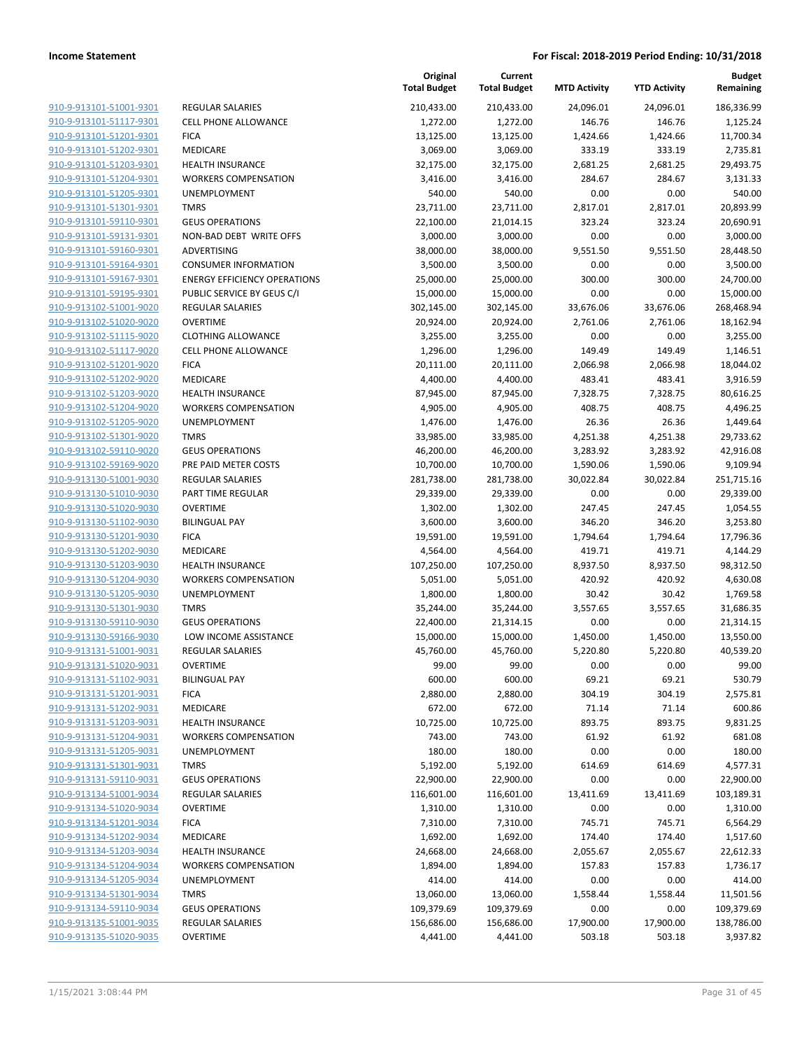**Current**

**Original**

**Budget**

| 910-9-913101-51001-9301 | R  |
|-------------------------|----|
| 910-9-913101-51117-9301 | C  |
| 910-9-913101-51201-9301 | FI |
|                         |    |
| 910-9-913101-51202-9301 | M  |
| 910-9-913101-51203-9301 | н  |
| 910-9-913101-51204-9301 | N  |
| 910-9-913101-51205-9301 | U  |
| 910-9-913101-51301-9301 | TI |
| 910-9-913101-59110-9301 | G  |
| 910-9-913101-59131-9301 | Ν  |
| 910-9-913101-59160-9301 | Α  |
| 910-9-913101-59164-9301 | C  |
| 910-9-913101-59167-9301 | EI |
| 910-9-913101-59195-9301 | P  |
| 910-9-913102-51001-9020 | R  |
| 910-9-913102-51020-9020 | О  |
|                         |    |
| 910-9-913102-51115-9020 | C  |
| 910-9-913102-51117-9020 | C  |
| 910-9-913102-51201-9020 | FI |
| 910-9-913102-51202-9020 | M  |
| 910-9-913102-51203-9020 | н  |
| 910-9-913102-51204-9020 | N  |
| 910-9-913102-51205-9020 | U  |
| 910-9-913102-51301-9020 | TI |
| 910-9-913102-59110-9020 | G  |
| 910-9-913102-59169-9020 | PI |
| 910-9-913130-51001-9030 | R  |
| 910-9-913130-51010-9030 | P, |
| 910-9-913130-51020-9030 | О  |
| 910-9-913130-51102-9030 | B  |
|                         | FI |
| 910-9-913130-51201-9030 | N  |
| 910-9-913130-51202-9030 |    |
| 910-9-913130-51203-9030 | н  |
| 910-9-913130-51204-9030 | Ν  |
| 910-9-913130-51205-9030 | U  |
| 910-9-913130-51301-9030 | TI |
| 910-9-913130-59110-9030 | G  |
| 910-9-913130-59166-9030 | L  |
| 910-9-913131-51001-9031 | R  |
| 910-9-913131-51020-9031 | O  |
| 910-9-913131-51102-9031 | B  |
| 910-9-913131-51201-9031 | FI |
| 910-9-913131-51202-9031 | N  |
| 910-9-913131-51203-9031 | н  |
| 910-9-913131-51204-9031 | N  |
| 910-9-913131-51205-9031 | U  |
| 910-9-913131-51301-9031 | TI |
| 910-9-913131-59110-9031 | G  |
| 910-9-913134-51001-9034 | R  |
|                         |    |
| 910-9-913134-51020-9034 | O  |
| 910-9-913134-51201-9034 | FI |
| 910-9-913134-51202-9034 | M  |
| 910-9-913134-51203-9034 | н  |
| 910-9-913134-51204-9034 | N  |
| 910-9-913134-51205-9034 | U  |
| 910-9-913134-51301-9034 | TI |
| 910-9-913134-59110-9034 | G  |
| 910-9-913135-51001-9035 | R  |
| 910-9-913135-51020-9035 | Ο  |
|                         |    |

|                         |                                     | <b>Total Budget</b> | <b>Total Budget</b> | <b>MTD Activity</b> | <b>YTD Activity</b> | Remaining  |
|-------------------------|-------------------------------------|---------------------|---------------------|---------------------|---------------------|------------|
| 910-9-913101-51001-9301 | REGULAR SALARIES                    | 210,433.00          | 210,433.00          | 24,096.01           | 24,096.01           | 186,336.99 |
| 910-9-913101-51117-9301 | <b>CELL PHONE ALLOWANCE</b>         | 1,272.00            | 1,272.00            | 146.76              | 146.76              | 1,125.24   |
| 910-9-913101-51201-9301 | <b>FICA</b>                         | 13,125.00           | 13,125.00           | 1,424.66            | 1,424.66            | 11,700.34  |
| 910-9-913101-51202-9301 | MEDICARE                            | 3,069.00            | 3,069.00            | 333.19              | 333.19              | 2,735.81   |
| 910-9-913101-51203-9301 | <b>HEALTH INSURANCE</b>             | 32,175.00           | 32,175.00           | 2,681.25            | 2,681.25            | 29,493.75  |
| 910-9-913101-51204-9301 | <b>WORKERS COMPENSATION</b>         | 3,416.00            | 3,416.00            | 284.67              | 284.67              | 3,131.33   |
| 910-9-913101-51205-9301 | UNEMPLOYMENT                        | 540.00              | 540.00              | 0.00                | 0.00                | 540.00     |
| 910-9-913101-51301-9301 | <b>TMRS</b>                         | 23,711.00           | 23,711.00           | 2,817.01            | 2,817.01            | 20,893.99  |
| 910-9-913101-59110-9301 | <b>GEUS OPERATIONS</b>              | 22,100.00           | 21,014.15           | 323.24              | 323.24              | 20,690.91  |
| 910-9-913101-59131-9301 | NON-BAD DEBT WRITE OFFS             | 3,000.00            | 3,000.00            | 0.00                | 0.00                | 3,000.00   |
| 910-9-913101-59160-9301 | ADVERTISING                         | 38,000.00           | 38,000.00           | 9,551.50            | 9,551.50            | 28,448.50  |
| 910-9-913101-59164-9301 | <b>CONSUMER INFORMATION</b>         | 3,500.00            | 3,500.00            | 0.00                | 0.00                | 3,500.00   |
| 910-9-913101-59167-9301 | <b>ENERGY EFFICIENCY OPERATIONS</b> | 25,000.00           | 25,000.00           | 300.00              | 300.00              | 24,700.00  |
| 910-9-913101-59195-9301 | PUBLIC SERVICE BY GEUS C/I          | 15,000.00           | 15,000.00           | 0.00                | 0.00                | 15,000.00  |
| 910-9-913102-51001-9020 | <b>REGULAR SALARIES</b>             | 302,145.00          | 302,145.00          | 33,676.06           | 33,676.06           | 268,468.94 |
| 910-9-913102-51020-9020 | <b>OVERTIME</b>                     | 20,924.00           | 20,924.00           | 2,761.06            | 2,761.06            | 18,162.94  |
| 910-9-913102-51115-9020 | <b>CLOTHING ALLOWANCE</b>           | 3,255.00            | 3,255.00            | 0.00                | 0.00                | 3,255.00   |
| 910-9-913102-51117-9020 | <b>CELL PHONE ALLOWANCE</b>         | 1,296.00            | 1,296.00            | 149.49              | 149.49              | 1,146.51   |
| 910-9-913102-51201-9020 | <b>FICA</b>                         | 20,111.00           | 20,111.00           | 2,066.98            | 2,066.98            | 18,044.02  |
| 910-9-913102-51202-9020 | MEDICARE                            | 4,400.00            | 4,400.00            | 483.41              | 483.41              | 3,916.59   |
| 910-9-913102-51203-9020 | <b>HEALTH INSURANCE</b>             | 87,945.00           | 87,945.00           | 7,328.75            | 7,328.75            | 80,616.25  |
| 910-9-913102-51204-9020 | <b>WORKERS COMPENSATION</b>         | 4,905.00            | 4,905.00            | 408.75              | 408.75              | 4,496.25   |
| 910-9-913102-51205-9020 | <b>UNEMPLOYMENT</b>                 | 1,476.00            | 1,476.00            | 26.36               | 26.36               | 1,449.64   |
| 910-9-913102-51301-9020 | <b>TMRS</b>                         | 33,985.00           | 33,985.00           | 4,251.38            | 4,251.38            | 29,733.62  |
| 910-9-913102-59110-9020 | <b>GEUS OPERATIONS</b>              | 46,200.00           | 46,200.00           | 3,283.92            | 3,283.92            | 42,916.08  |
| 910-9-913102-59169-9020 | PRE PAID METER COSTS                | 10,700.00           | 10,700.00           | 1,590.06            | 1,590.06            | 9,109.94   |
| 910-9-913130-51001-9030 | REGULAR SALARIES                    | 281,738.00          | 281,738.00          | 30,022.84           | 30,022.84           | 251,715.16 |
| 910-9-913130-51010-9030 | PART TIME REGULAR                   | 29,339.00           | 29,339.00           | 0.00                | 0.00                | 29,339.00  |
| 910-9-913130-51020-9030 | <b>OVERTIME</b>                     | 1,302.00            | 1,302.00            | 247.45              | 247.45              | 1,054.55   |
| 910-9-913130-51102-9030 | <b>BILINGUAL PAY</b>                | 3,600.00            | 3,600.00            | 346.20              | 346.20              | 3,253.80   |
| 910-9-913130-51201-9030 | <b>FICA</b>                         | 19,591.00           | 19,591.00           | 1,794.64            | 1,794.64            | 17,796.36  |
| 910-9-913130-51202-9030 | MEDICARE                            | 4,564.00            | 4,564.00            | 419.71              | 419.71              | 4,144.29   |
| 910-9-913130-51203-9030 | <b>HEALTH INSURANCE</b>             | 107,250.00          | 107,250.00          | 8,937.50            | 8,937.50            | 98,312.50  |
| 910-9-913130-51204-9030 | <b>WORKERS COMPENSATION</b>         | 5,051.00            | 5,051.00            | 420.92              | 420.92              | 4,630.08   |
| 910-9-913130-51205-9030 | UNEMPLOYMENT                        | 1,800.00            | 1,800.00            | 30.42               | 30.42               | 1,769.58   |
| 910-9-913130-51301-9030 | <b>TMRS</b>                         | 35,244.00           | 35,244.00           | 3,557.65            | 3,557.65            | 31,686.35  |
| 910-9-913130-59110-9030 | <b>GEUS OPERATIONS</b>              | 22,400.00           | 21,314.15           | 0.00                | 0.00                | 21,314.15  |
| 910-9-913130-59166-9030 | LOW INCOME ASSISTANCE               | 15,000.00           | 15,000.00           | 1,450.00            | 1,450.00            | 13,550.00  |
| 910-9-913131-51001-9031 | REGULAR SALARIES                    | 45,760.00           | 45,760.00           | 5,220.80            | 5,220.80            | 40,539.20  |
| 910-9-913131-51020-9031 | <b>OVERTIME</b>                     | 99.00               | 99.00               | 0.00                | 0.00                | 99.00      |
| 910-9-913131-51102-9031 | <b>BILINGUAL PAY</b>                | 600.00              | 600.00              | 69.21               | 69.21               | 530.79     |
| 910-9-913131-51201-9031 | <b>FICA</b>                         | 2,880.00            | 2,880.00            | 304.19              | 304.19              | 2,575.81   |
| 910-9-913131-51202-9031 | MEDICARE                            | 672.00              | 672.00              | 71.14               | 71.14               | 600.86     |
| 910-9-913131-51203-9031 | <b>HEALTH INSURANCE</b>             | 10,725.00           | 10,725.00           | 893.75              | 893.75              | 9,831.25   |
| 910-9-913131-51204-9031 | <b>WORKERS COMPENSATION</b>         | 743.00              | 743.00              | 61.92               | 61.92               | 681.08     |
| 910-9-913131-51205-9031 | UNEMPLOYMENT                        | 180.00              | 180.00              | 0.00                | 0.00                | 180.00     |
| 910-9-913131-51301-9031 | <b>TMRS</b>                         | 5,192.00            | 5,192.00            | 614.69              | 614.69              | 4,577.31   |
| 910-9-913131-59110-9031 | <b>GEUS OPERATIONS</b>              | 22,900.00           | 22,900.00           | 0.00                | 0.00                | 22,900.00  |
| 910-9-913134-51001-9034 | REGULAR SALARIES                    | 116,601.00          | 116,601.00          | 13,411.69           | 13,411.69           | 103,189.31 |
| 910-9-913134-51020-9034 | <b>OVERTIME</b>                     | 1,310.00            | 1,310.00            | 0.00                | 0.00                | 1,310.00   |
| 910-9-913134-51201-9034 | <b>FICA</b>                         | 7,310.00            | 7,310.00            | 745.71              | 745.71              | 6,564.29   |
| 910-9-913134-51202-9034 | MEDICARE                            | 1,692.00            | 1,692.00            | 174.40              | 174.40              | 1,517.60   |
| 910-9-913134-51203-9034 | <b>HEALTH INSURANCE</b>             | 24,668.00           | 24,668.00           | 2,055.67            | 2,055.67            | 22,612.33  |
| 910-9-913134-51204-9034 | <b>WORKERS COMPENSATION</b>         | 1,894.00            | 1,894.00            | 157.83              | 157.83              | 1,736.17   |
| 910-9-913134-51205-9034 | UNEMPLOYMENT                        | 414.00              | 414.00              | 0.00                | 0.00                | 414.00     |
| 910-9-913134-51301-9034 | <b>TMRS</b>                         | 13,060.00           | 13,060.00           | 1,558.44            | 1,558.44            | 11,501.56  |
| 910-9-913134-59110-9034 | <b>GEUS OPERATIONS</b>              | 109,379.69          | 109,379.69          | 0.00                | 0.00                | 109,379.69 |
| 910-9-913135-51001-9035 | REGULAR SALARIES                    | 156,686.00          | 156,686.00          | 17,900.00           | 17,900.00           | 138,786.00 |
| 910-9-913135-51020-9035 | OVERTIME                            | 4,441.00            | 4,441.00            | 503.18              | 503.18              | 3,937.82   |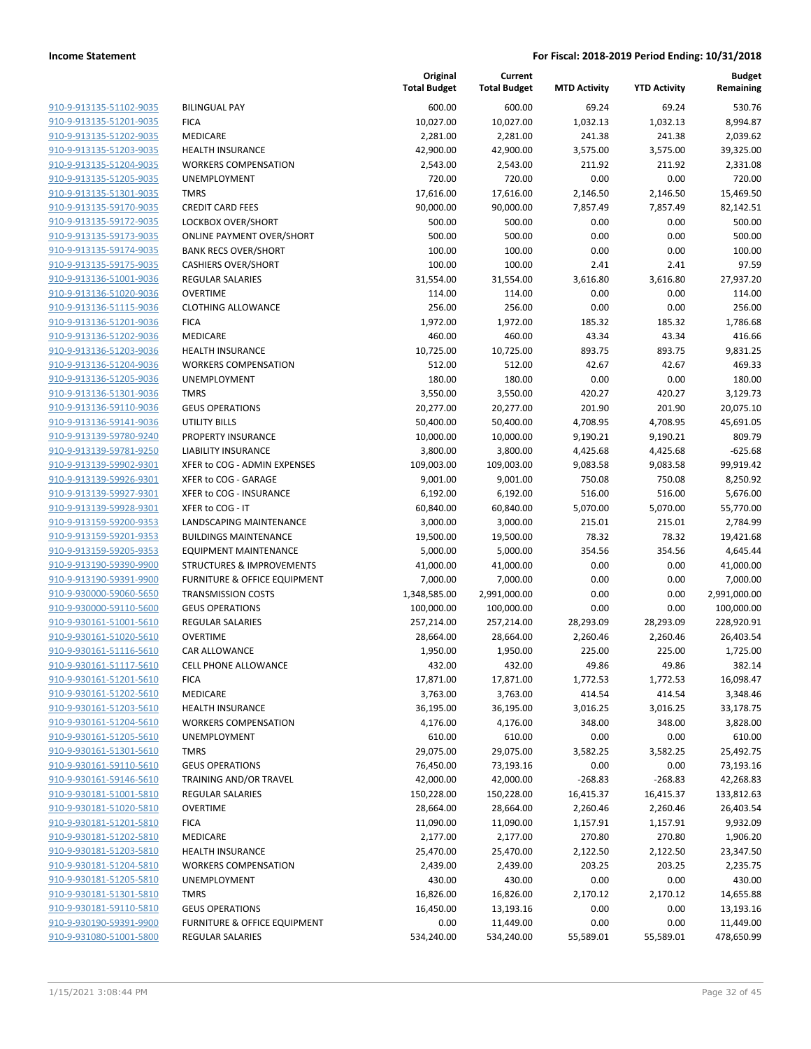| 910-9-913135-51102-9035        |
|--------------------------------|
| 910-9-913135-51201-9035        |
| 910-9-913135-51202-9035        |
| 910-9-913135-51203-9035        |
| 910-9-913135-51204-9035        |
| 910-9-913135-51205-9035        |
| 910-9-913135-51301-9035        |
| 910-9-913135-59170-9035        |
| 910-9-913135-59172-9035        |
| 910-9-913135-59173-9035        |
| 910-9-913135-59174-9035        |
| 910-9-913135-59175-9035        |
| 910-9-913136-51001-9036        |
| 910-9-913136-51020-9036        |
| <u>910-9-913136-51115-9036</u> |
| 910-9-913136-51201-9036        |
| 910-9-913136-51202-9036        |
|                                |
| 910-9-913136-51203-9036        |
| 910-9-913136-51204-9036        |
| <u>910-9-913136-51205-9036</u> |
| 910-9-913136-51301-9036        |
| 910-9-913136-59110-9036        |
| 910-9-913136-59141-9036        |
| 910-9-913139-59780-9240        |
| 910-9-913139-59781-9250        |
| 910-9-913139-59902-9301        |
| 910-9-913139-59926-9301        |
| 910-9-913139-59927-9301        |
| 910-9-913139-59928-9301        |
| 910-9-913159-59200-9353        |
| 910-9-913159-59201-9353        |
| 910-9-913159-59205-9353        |
| 910-9-913190-59390-9900        |
| 910-9-913190-59391-9900        |
| <u>910-9-930000-59060-5650</u> |
| 910-9-930000-59110-5600        |
| 910-9-930161-51001-5610        |
| 910-9-930161-51020-5610        |
| 910-9-930161-51116-5610        |
| 910-9-930161-51117-5610        |
| 910-9-930161-51201-5610        |
| 910-9-930161-51202-5610        |
| 910-9-930161-51203-5610        |
| 910-9-930161-51204-5610        |
|                                |
| <u>910-9-930161-51205-5610</u> |
| <u>910-9-930161-51301-5610</u> |
| <u>910-9-930161-59110-5610</u> |
| <u>910-9-930161-59146-5610</u> |
| 910-9-930181-51001-5810        |
| <u>910-9-930181-51020-5810</u> |
| <u>910-9-930181-51201-5810</u> |
| 910-9-930181-51202-5810        |
| 910-9-930181-51203-5810        |
| 910-9-930181-51204-5810        |
| <u>910-9-930181-51205-5810</u> |
| <u>910-9-930181-51301-5810</u> |
| <u>910-9-930181-59110-5810</u> |
| <u>910-9-930190-59391-9900</u> |
| 910-9-931080-51001-5800        |
|                                |

|                         |                                         | Original<br><b>Total Budget</b> | Current<br><b>Total Budget</b> | <b>MTD Activity</b> | <b>YTD Activity</b> | <b>Budget</b><br>Remaining |
|-------------------------|-----------------------------------------|---------------------------------|--------------------------------|---------------------|---------------------|----------------------------|
| 910-9-913135-51102-9035 | <b>BILINGUAL PAY</b>                    | 600.00                          | 600.00                         | 69.24               | 69.24               | 530.76                     |
| 910-9-913135-51201-9035 | <b>FICA</b>                             | 10,027.00                       | 10,027.00                      | 1,032.13            | 1,032.13            | 8,994.87                   |
| 910-9-913135-51202-9035 | <b>MEDICARE</b>                         | 2,281.00                        | 2,281.00                       | 241.38              | 241.38              | 2,039.62                   |
| 910-9-913135-51203-9035 | <b>HEALTH INSURANCE</b>                 | 42,900.00                       | 42,900.00                      | 3,575.00            | 3,575.00            | 39,325.00                  |
| 910-9-913135-51204-9035 | <b>WORKERS COMPENSATION</b>             | 2,543.00                        | 2,543.00                       | 211.92              | 211.92              | 2,331.08                   |
| 910-9-913135-51205-9035 | UNEMPLOYMENT                            | 720.00                          | 720.00                         | 0.00                | 0.00                | 720.00                     |
| 910-9-913135-51301-9035 | <b>TMRS</b>                             | 17,616.00                       | 17,616.00                      | 2,146.50            | 2,146.50            | 15,469.50                  |
| 910-9-913135-59170-9035 | <b>CREDIT CARD FEES</b>                 | 90,000.00                       | 90,000.00                      | 7,857.49            | 7,857.49            | 82,142.51                  |
| 910-9-913135-59172-9035 | <b>LOCKBOX OVER/SHORT</b>               | 500.00                          | 500.00                         | 0.00                | 0.00                | 500.00                     |
| 910-9-913135-59173-9035 | <b>ONLINE PAYMENT OVER/SHORT</b>        | 500.00                          | 500.00                         | 0.00                | 0.00                | 500.00                     |
| 910-9-913135-59174-9035 | <b>BANK RECS OVER/SHORT</b>             | 100.00                          | 100.00                         | 0.00                | 0.00                | 100.00                     |
| 910-9-913135-59175-9035 | <b>CASHIERS OVER/SHORT</b>              | 100.00                          | 100.00                         | 2.41                | 2.41                | 97.59                      |
| 910-9-913136-51001-9036 | <b>REGULAR SALARIES</b>                 | 31,554.00                       | 31,554.00                      | 3,616.80            | 3,616.80            | 27,937.20                  |
| 910-9-913136-51020-9036 | <b>OVERTIME</b>                         | 114.00                          | 114.00                         | 0.00                | 0.00                | 114.00                     |
| 910-9-913136-51115-9036 | <b>CLOTHING ALLOWANCE</b>               | 256.00                          | 256.00                         | 0.00                | 0.00                | 256.00                     |
| 910-9-913136-51201-9036 | <b>FICA</b>                             | 1,972.00                        | 1,972.00                       | 185.32              | 185.32              | 1,786.68                   |
| 910-9-913136-51202-9036 | <b>MEDICARE</b>                         | 460.00                          | 460.00                         | 43.34               | 43.34               | 416.66                     |
| 910-9-913136-51203-9036 | <b>HEALTH INSURANCE</b>                 | 10,725.00                       | 10,725.00                      | 893.75              | 893.75              | 9,831.25                   |
| 910-9-913136-51204-9036 | <b>WORKERS COMPENSATION</b>             | 512.00                          | 512.00                         | 42.67               | 42.67               | 469.33                     |
| 910-9-913136-51205-9036 | UNEMPLOYMENT                            | 180.00                          | 180.00                         | 0.00                | 0.00                | 180.00                     |
| 910-9-913136-51301-9036 | <b>TMRS</b>                             | 3,550.00                        | 3,550.00                       | 420.27              | 420.27              | 3,129.73                   |
| 910-9-913136-59110-9036 | <b>GEUS OPERATIONS</b>                  | 20,277.00                       | 20,277.00                      | 201.90              | 201.90              | 20,075.10                  |
| 910-9-913136-59141-9036 | <b>UTILITY BILLS</b>                    | 50,400.00                       | 50,400.00                      | 4,708.95            | 4,708.95            | 45,691.05                  |
| 910-9-913139-59780-9240 | PROPERTY INSURANCE                      | 10,000.00                       | 10,000.00                      | 9,190.21            | 9,190.21            | 809.79                     |
| 910-9-913139-59781-9250 | <b>LIABILITY INSURANCE</b>              | 3,800.00                        | 3,800.00                       | 4,425.68            | 4,425.68            | $-625.68$                  |
| 910-9-913139-59902-9301 | XFER to COG - ADMIN EXPENSES            | 109,003.00                      | 109,003.00                     | 9,083.58            | 9,083.58            | 99,919.42                  |
| 910-9-913139-59926-9301 | XFER to COG - GARAGE                    | 9,001.00                        | 9,001.00                       | 750.08              | 750.08              | 8,250.92                   |
| 910-9-913139-59927-9301 | XFER to COG - INSURANCE                 | 6,192.00                        | 6,192.00                       | 516.00              | 516.00              | 5,676.00                   |
| 910-9-913139-59928-9301 | XFER to COG - IT                        | 60,840.00                       | 60,840.00                      | 5,070.00            | 5,070.00            | 55,770.00                  |
| 910-9-913159-59200-9353 | LANDSCAPING MAINTENANCE                 | 3,000.00                        | 3,000.00                       | 215.01              | 215.01              | 2,784.99                   |
| 910-9-913159-59201-9353 | <b>BUILDINGS MAINTENANCE</b>            | 19,500.00                       | 19,500.00                      | 78.32               | 78.32               | 19,421.68                  |
| 910-9-913159-59205-9353 | <b>EQUIPMENT MAINTENANCE</b>            | 5,000.00                        | 5,000.00                       | 354.56              | 354.56              | 4,645.44                   |
| 910-9-913190-59390-9900 | <b>STRUCTURES &amp; IMPROVEMENTS</b>    | 41,000.00                       | 41,000.00                      | 0.00                | 0.00                | 41,000.00                  |
| 910-9-913190-59391-9900 | <b>FURNITURE &amp; OFFICE EQUIPMENT</b> | 7,000.00                        | 7,000.00                       | 0.00                | 0.00                | 7,000.00                   |
| 910-9-930000-59060-5650 | <b>TRANSMISSION COSTS</b>               | 1,348,585.00                    | 2,991,000.00                   | 0.00                | 0.00                | 2,991,000.00               |
| 910-9-930000-59110-5600 | <b>GEUS OPERATIONS</b>                  | 100,000.00                      | 100,000.00                     | 0.00                | 0.00                | 100,000.00                 |
| 910-9-930161-51001-5610 | <b>REGULAR SALARIES</b>                 | 257,214.00                      | 257,214.00                     | 28,293.09           | 28,293.09           | 228,920.91                 |
| 910-9-930161-51020-5610 | <b>OVERTIME</b>                         | 28,664.00                       | 28,664.00                      | 2,260.46            | 2,260.46            | 26,403.54                  |
| 910-9-930161-51116-5610 | CAR ALLOWANCE                           | 1,950.00                        | 1,950.00                       | 225.00              | 225.00              | 1,725.00                   |
| 910-9-930161-51117-5610 | <b>CELL PHONE ALLOWANCE</b>             | 432.00                          | 432.00                         | 49.86               | 49.86               | 382.14                     |
| 910-9-930161-51201-5610 | <b>FICA</b>                             | 17,871.00                       | 17,871.00                      | 1,772.53            | 1,772.53            | 16,098.47                  |
| 910-9-930161-51202-5610 | MEDICARE                                | 3,763.00                        | 3,763.00                       | 414.54              | 414.54              | 3,348.46                   |
| 910-9-930161-51203-5610 | <b>HEALTH INSURANCE</b>                 | 36,195.00                       | 36,195.00                      | 3,016.25            | 3,016.25            | 33,178.75                  |
| 910-9-930161-51204-5610 | <b>WORKERS COMPENSATION</b>             | 4,176.00                        | 4,176.00                       | 348.00              | 348.00              | 3,828.00                   |
| 910-9-930161-51205-5610 | <b>UNEMPLOYMENT</b>                     | 610.00                          | 610.00                         | 0.00                | 0.00                | 610.00                     |
| 910-9-930161-51301-5610 | <b>TMRS</b>                             | 29,075.00                       | 29,075.00                      | 3,582.25            | 3,582.25            | 25,492.75                  |
| 910-9-930161-59110-5610 | <b>GEUS OPERATIONS</b>                  | 76,450.00                       | 73,193.16                      | 0.00                | 0.00                | 73,193.16                  |
| 910-9-930161-59146-5610 | TRAINING AND/OR TRAVEL                  | 42,000.00                       | 42,000.00                      | $-268.83$           | $-268.83$           | 42,268.83                  |
| 910-9-930181-51001-5810 | <b>REGULAR SALARIES</b>                 | 150,228.00                      | 150,228.00                     | 16,415.37           | 16,415.37           | 133,812.63                 |
| 910-9-930181-51020-5810 | <b>OVERTIME</b>                         | 28,664.00                       | 28,664.00                      | 2,260.46            | 2,260.46            | 26,403.54                  |
| 910-9-930181-51201-5810 | <b>FICA</b>                             | 11,090.00                       | 11,090.00                      | 1,157.91            | 1,157.91            | 9,932.09                   |
| 910-9-930181-51202-5810 | MEDICARE                                | 2,177.00                        | 2,177.00                       | 270.80              | 270.80              | 1,906.20                   |
| 910-9-930181-51203-5810 | <b>HEALTH INSURANCE</b>                 | 25,470.00                       | 25,470.00                      | 2,122.50            | 2,122.50            | 23,347.50                  |
| 910-9-930181-51204-5810 | <b>WORKERS COMPENSATION</b>             | 2,439.00                        | 2,439.00                       | 203.25              | 203.25              | 2,235.75                   |
| 910-9-930181-51205-5810 | UNEMPLOYMENT                            | 430.00                          | 430.00                         | 0.00                | 0.00                | 430.00                     |
| 910-9-930181-51301-5810 | <b>TMRS</b>                             | 16,826.00                       | 16,826.00                      | 2,170.12            | 2,170.12            | 14,655.88                  |
| 910-9-930181-59110-5810 | <b>GEUS OPERATIONS</b>                  | 16,450.00                       | 13,193.16                      | 0.00                | 0.00                | 13,193.16                  |
| 910-9-930190-59391-9900 | FURNITURE & OFFICE EQUIPMENT            | 0.00                            | 11,449.00                      | 0.00                | 0.00                | 11,449.00                  |
| 910-9-931080-51001-5800 | <b>REGULAR SALARIES</b>                 | 534,240.00                      | 534,240.00                     | 55,589.01           | 55,589.01           | 478,650.99                 |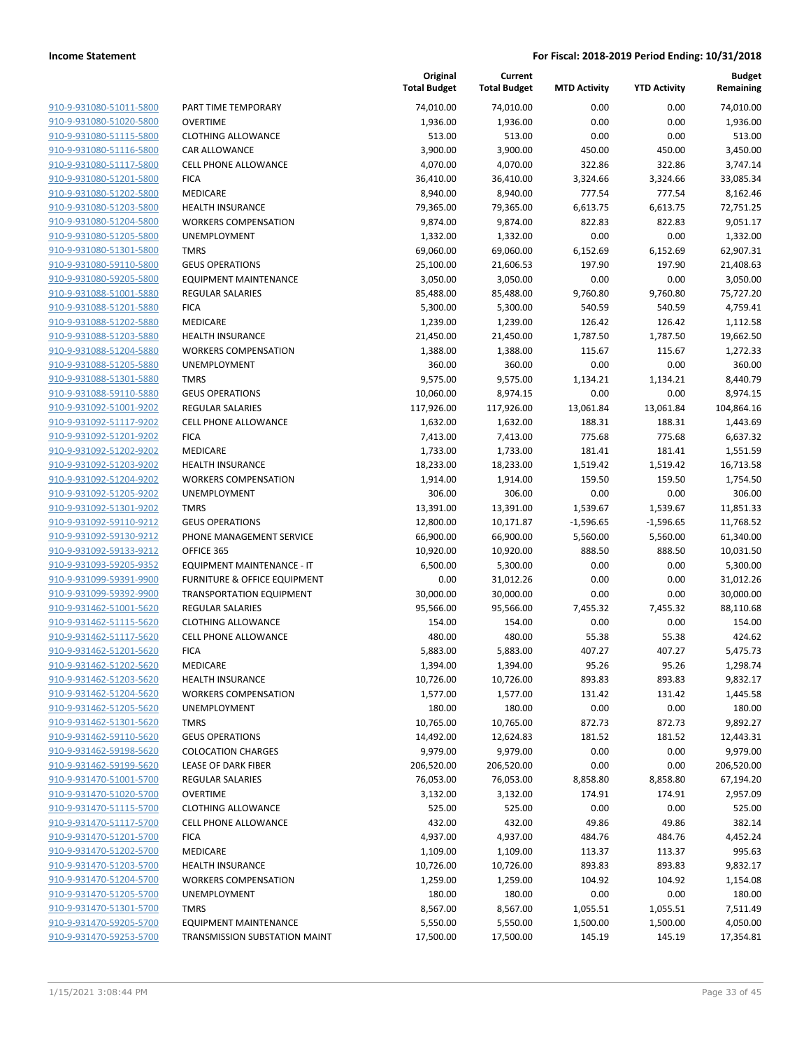| 910-9-931080-51011-5800                                   |
|-----------------------------------------------------------|
| 910-9-931080-51020-5800                                   |
| 910-9-931080-51115-5800                                   |
| <u>910-9-931080-51116-5800</u>                            |
| 910-9-931080-51117-5800                                   |
| 910-9-931080-51201-5800                                   |
| 910-9-931080-51202-5800                                   |
| 910-9-931080-51203-5800                                   |
| <u>910-9-931080-51204-5800</u>                            |
| 910-9-931080-51205-5800                                   |
| 910-9-931080-51301-5800                                   |
| 910-9-931080-59110-5800                                   |
| 910-9-931080-59205-5800                                   |
| <u>910-9-931088-51001-5880</u>                            |
| 910-9-931088-51201-5880                                   |
| 910-9-931088-51202-5880                                   |
| 910-9-931088-51203-5880                                   |
| 910-9-931088-51204-5880                                   |
| <u>910-9-931088-51205-5880</u>                            |
| 910-9-931088-51301-5880                                   |
| 910-9-931088-59110-5880                                   |
| 910-9-931092-51001-9202                                   |
| 910-9-931092-51117-9202                                   |
| <u>910-9-931092-51201-9202</u>                            |
| 910-9-931092-51202-9202                                   |
| 910-9-931092-51203-9202                                   |
| 910-9-931092-51204-9202                                   |
|                                                           |
| <u>910-9-931092-51205-9202</u>                            |
| <u>910-9-931092-51301-9202</u><br>910-9-931092-59110-9212 |
| 910-9-931092-59130-9212                                   |
| 910-9-931092-59133-9212                                   |
| 910-9-931093-59205-9352                                   |
|                                                           |
| <u>910-9-931099-59391-9900</u>                            |
| <u>910-9-931099-59392-9900</u><br>910-9-931462-51001-5620 |
| 910-9-931462-51115-5620                                   |
|                                                           |
| 910-9-931462-51117-5620                                   |
| 910-9-931462-51201-5620                                   |
| 910-9-931462-51202-5620                                   |
| 910-9-931462-51203-5620<br>910-9-931462-51204-5620        |
|                                                           |
| 910-9-931462-51205-5620                                   |
| 910-9-931462-51301-5620                                   |
| 910-9-931462-59110-5620                                   |
| 910-9-931462-59198-5620                                   |
| 910-9-931462-59199-5620                                   |
| 910-9-931470-51001-5700                                   |
| 910-9-931470-51020-5700                                   |
| 910-9-931470-51115-5700                                   |
| 910-9-931470-51117-5700                                   |
| 910-9-931470-51201-5700                                   |
| 910-9-931470-51202-5700                                   |
| 910-9-931470-51203-5700                                   |
| 910-9-931470-51204-5700                                   |
| 910-9-931470-51205-5700                                   |
| 910-9-931470-51301-5700                                   |
| 910-9-931470-59205-5700                                   |
| 910-9-931470-59253-5700                                   |
|                                                           |

|                         |                                 | Original<br><b>Total Budget</b> | Current<br><b>Total Budget</b> | <b>MTD Activity</b> | <b>YTD Activity</b> | Budget<br>Remaining |
|-------------------------|---------------------------------|---------------------------------|--------------------------------|---------------------|---------------------|---------------------|
| 910-9-931080-51011-5800 | PART TIME TEMPORARY             | 74,010.00                       | 74,010.00                      | 0.00                | 0.00                | 74,010.00           |
| 910-9-931080-51020-5800 | <b>OVERTIME</b>                 | 1,936.00                        | 1,936.00                       | 0.00                | 0.00                | 1,936.00            |
| 910-9-931080-51115-5800 | <b>CLOTHING ALLOWANCE</b>       | 513.00                          | 513.00                         | 0.00                | 0.00                | 513.00              |
| 910-9-931080-51116-5800 | <b>CAR ALLOWANCE</b>            | 3,900.00                        | 3,900.00                       | 450.00              | 450.00              | 3,450.00            |
| 910-9-931080-51117-5800 | CELL PHONE ALLOWANCE            | 4,070.00                        | 4,070.00                       | 322.86              | 322.86              | 3,747.14            |
| 910-9-931080-51201-5800 | <b>FICA</b>                     | 36,410.00                       | 36,410.00                      | 3,324.66            | 3,324.66            | 33,085.34           |
| 910-9-931080-51202-5800 | MEDICARE                        | 8,940.00                        | 8,940.00                       | 777.54              | 777.54              | 8,162.46            |
| 910-9-931080-51203-5800 | <b>HEALTH INSURANCE</b>         | 79,365.00                       | 79,365.00                      | 6,613.75            | 6,613.75            | 72,751.25           |
| 910-9-931080-51204-5800 | <b>WORKERS COMPENSATION</b>     | 9,874.00                        | 9,874.00                       | 822.83              | 822.83              | 9,051.17            |
| 910-9-931080-51205-5800 | UNEMPLOYMENT                    | 1,332.00                        | 1,332.00                       | 0.00                | 0.00                | 1,332.00            |
| 910-9-931080-51301-5800 | <b>TMRS</b>                     | 69,060.00                       | 69,060.00                      | 6,152.69            | 6,152.69            | 62,907.31           |
| 910-9-931080-59110-5800 | <b>GEUS OPERATIONS</b>          | 25,100.00                       | 21,606.53                      | 197.90              | 197.90              | 21,408.63           |
| 910-9-931080-59205-5800 | <b>EQUIPMENT MAINTENANCE</b>    | 3,050.00                        | 3,050.00                       | 0.00                | 0.00                | 3,050.00            |
| 910-9-931088-51001-5880 | <b>REGULAR SALARIES</b>         | 85,488.00                       | 85,488.00                      | 9,760.80            | 9,760.80            | 75,727.20           |
| 910-9-931088-51201-5880 | <b>FICA</b>                     | 5,300.00                        | 5,300.00                       | 540.59              | 540.59              | 4,759.41            |
| 910-9-931088-51202-5880 | MEDICARE                        | 1,239.00                        | 1,239.00                       | 126.42              | 126.42              | 1,112.58            |
| 910-9-931088-51203-5880 | <b>HEALTH INSURANCE</b>         | 21,450.00                       | 21,450.00                      | 1,787.50            | 1,787.50            | 19,662.50           |
| 910-9-931088-51204-5880 | <b>WORKERS COMPENSATION</b>     | 1,388.00                        | 1,388.00                       | 115.67              | 115.67              | 1,272.33            |
| 910-9-931088-51205-5880 | UNEMPLOYMENT                    | 360.00                          | 360.00                         | 0.00                | 0.00                | 360.00              |
| 910-9-931088-51301-5880 | <b>TMRS</b>                     | 9,575.00                        | 9,575.00                       | 1,134.21            | 1,134.21            | 8,440.79            |
| 910-9-931088-59110-5880 | <b>GEUS OPERATIONS</b>          | 10,060.00                       | 8,974.15                       | 0.00                | 0.00                | 8,974.15            |
| 910-9-931092-51001-9202 | <b>REGULAR SALARIES</b>         | 117,926.00                      | 117,926.00                     | 13,061.84           | 13,061.84           | 104,864.16          |
| 910-9-931092-51117-9202 | <b>CELL PHONE ALLOWANCE</b>     | 1,632.00                        | 1,632.00                       | 188.31              | 188.31              | 1,443.69            |
| 910-9-931092-51201-9202 | <b>FICA</b>                     | 7,413.00                        | 7,413.00                       | 775.68              | 775.68              | 6,637.32            |
| 910-9-931092-51202-9202 | MEDICARE                        | 1,733.00                        | 1,733.00                       | 181.41              | 181.41              | 1,551.59            |
| 910-9-931092-51203-9202 | <b>HEALTH INSURANCE</b>         | 18,233.00                       | 18,233.00                      | 1,519.42            | 1,519.42            | 16,713.58           |
| 910-9-931092-51204-9202 | <b>WORKERS COMPENSATION</b>     | 1,914.00                        | 1,914.00                       | 159.50              | 159.50              | 1,754.50            |
| 910-9-931092-51205-9202 | UNEMPLOYMENT                    | 306.00                          | 306.00                         | 0.00                | 0.00                | 306.00              |
| 910-9-931092-51301-9202 | <b>TMRS</b>                     | 13,391.00                       | 13,391.00                      | 1,539.67            | 1,539.67            | 11,851.33           |
| 910-9-931092-59110-9212 | <b>GEUS OPERATIONS</b>          | 12,800.00                       | 10,171.87                      | $-1,596.65$         | $-1,596.65$         | 11,768.52           |
| 910-9-931092-59130-9212 | PHONE MANAGEMENT SERVICE        | 66,900.00                       | 66,900.00                      | 5,560.00            | 5,560.00            | 61,340.00           |
| 910-9-931092-59133-9212 | OFFICE 365                      | 10,920.00                       | 10,920.00                      | 888.50              | 888.50              | 10,031.50           |
| 910-9-931093-59205-9352 | EQUIPMENT MAINTENANCE - IT      | 6,500.00                        | 5,300.00                       | 0.00                | 0.00                | 5,300.00            |
| 910-9-931099-59391-9900 | FURNITURE & OFFICE EQUIPMENT    | 0.00                            | 31,012.26                      | 0.00                | 0.00                | 31,012.26           |
| 910-9-931099-59392-9900 | <b>TRANSPORTATION EQUIPMENT</b> | 30,000.00                       | 30,000.00                      | 0.00                | 0.00                | 30,000.00           |
| 910-9-931462-51001-5620 | <b>REGULAR SALARIES</b>         | 95,566.00                       | 95,566.00                      | 7,455.32            | 7,455.32            | 88,110.68           |
| 910-9-931462-51115-5620 | <b>CLOTHING ALLOWANCE</b>       | 154.00                          | 154.00                         | 0.00                | 0.00                | 154.00              |
| 910-9-931462-51117-5620 | <b>CELL PHONE ALLOWANCE</b>     | 480.00                          | 480.00                         | 55.38               | 55.38               | 424.62              |
| 910-9-931462-51201-5620 | <b>FICA</b>                     | 5,883.00                        | 5,883.00                       | 407.27              | 407.27              | 5,475.73            |
| 910-9-931462-51202-5620 | MEDICARE                        | 1,394.00                        | 1,394.00                       | 95.26               | 95.26               | 1,298.74            |
| 910-9-931462-51203-5620 | <b>HEALTH INSURANCE</b>         | 10,726.00                       | 10,726.00                      | 893.83              | 893.83              | 9,832.17            |
| 910-9-931462-51204-5620 | <b>WORKERS COMPENSATION</b>     | 1,577.00                        | 1,577.00                       | 131.42              | 131.42              | 1,445.58            |
| 910-9-931462-51205-5620 | UNEMPLOYMENT                    | 180.00                          | 180.00                         | 0.00                | 0.00                | 180.00              |
| 910-9-931462-51301-5620 | <b>TMRS</b>                     | 10,765.00                       | 10,765.00                      | 872.73              | 872.73              | 9,892.27            |
| 910-9-931462-59110-5620 | <b>GEUS OPERATIONS</b>          | 14,492.00                       | 12,624.83                      | 181.52              | 181.52              | 12,443.31           |
| 910-9-931462-59198-5620 | <b>COLOCATION CHARGES</b>       | 9,979.00                        | 9,979.00                       | 0.00                | 0.00                | 9,979.00            |
| 910-9-931462-59199-5620 | LEASE OF DARK FIBER             | 206,520.00                      | 206,520.00                     | 0.00                | 0.00                | 206,520.00          |
| 910-9-931470-51001-5700 | <b>REGULAR SALARIES</b>         | 76,053.00                       | 76,053.00                      | 8,858.80            | 8,858.80            | 67,194.20           |
| 910-9-931470-51020-5700 | <b>OVERTIME</b>                 | 3,132.00                        | 3,132.00                       | 174.91              | 174.91              | 2,957.09            |
| 910-9-931470-51115-5700 | <b>CLOTHING ALLOWANCE</b>       | 525.00                          | 525.00                         | 0.00                | 0.00                | 525.00              |
| 910-9-931470-51117-5700 | <b>CELL PHONE ALLOWANCE</b>     | 432.00                          | 432.00                         | 49.86               | 49.86               | 382.14              |
| 910-9-931470-51201-5700 | <b>FICA</b>                     | 4,937.00                        | 4,937.00                       | 484.76              | 484.76              | 4,452.24            |
| 910-9-931470-51202-5700 | MEDICARE                        | 1,109.00                        | 1,109.00                       | 113.37              | 113.37              | 995.63              |
| 910-9-931470-51203-5700 | <b>HEALTH INSURANCE</b>         | 10,726.00                       | 10,726.00                      | 893.83              | 893.83              | 9,832.17            |
| 910-9-931470-51204-5700 | <b>WORKERS COMPENSATION</b>     | 1,259.00                        | 1,259.00                       | 104.92              | 104.92              | 1,154.08            |
| 910-9-931470-51205-5700 | UNEMPLOYMENT                    | 180.00                          | 180.00                         | 0.00                | 0.00                | 180.00              |
| 910-9-931470-51301-5700 | <b>TMRS</b>                     | 8,567.00                        | 8,567.00                       | 1,055.51            | 1,055.51            | 7,511.49            |
| 910-9-931470-59205-5700 | <b>EQUIPMENT MAINTENANCE</b>    | 5,550.00                        | 5,550.00                       | 1,500.00            | 1,500.00            | 4,050.00            |
| 910-9-931470-59253-5700 | TRANSMISSION SUBSTATION MAINT   | 17,500.00                       | 17,500.00                      | 145.19              | 145.19              | 17,354.81           |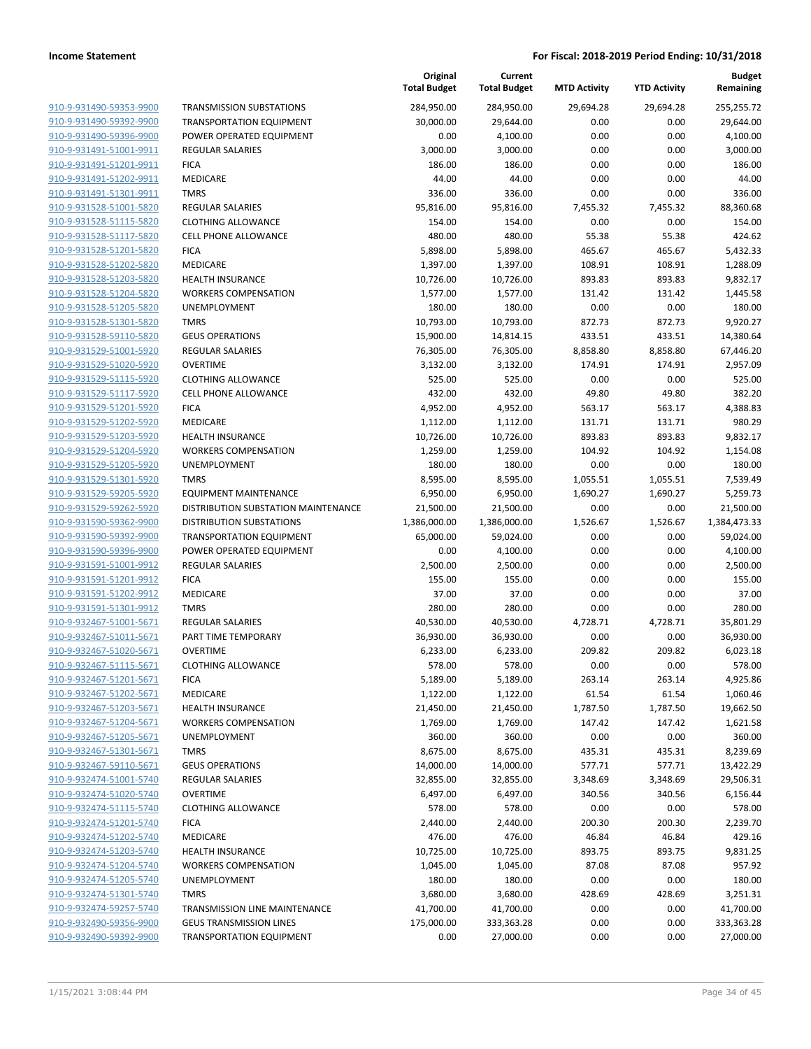|                                                    |                                                        | Original<br><b>Total Budget</b> | Current<br><b>Total Budget</b> | <b>MTD Activity</b> | <b>YTD Activity</b> | <b>Budget</b><br>Remaining |
|----------------------------------------------------|--------------------------------------------------------|---------------------------------|--------------------------------|---------------------|---------------------|----------------------------|
| 910-9-931490-59353-9900                            | <b>TRANSMISSION SUBSTATIONS</b>                        | 284,950.00                      | 284,950.00                     | 29,694.28           | 29,694.28           | 255,255.72                 |
| 910-9-931490-59392-9900                            | <b>TRANSPORTATION EQUIPMENT</b>                        | 30,000.00                       | 29,644.00                      | 0.00                | 0.00                | 29,644.00                  |
| 910-9-931490-59396-9900                            | POWER OPERATED EQUIPMENT                               | 0.00                            | 4,100.00                       | 0.00                | 0.00                | 4,100.00                   |
| 910-9-931491-51001-9911                            | <b>REGULAR SALARIES</b>                                | 3,000.00                        | 3,000.00                       | 0.00                | 0.00                | 3,000.00                   |
| 910-9-931491-51201-9911                            | <b>FICA</b>                                            | 186.00                          | 186.00                         | 0.00                | 0.00                | 186.00                     |
| 910-9-931491-51202-9911                            | <b>MEDICARE</b>                                        | 44.00                           | 44.00                          | 0.00                | 0.00                | 44.00                      |
| 910-9-931491-51301-9911                            | <b>TMRS</b>                                            | 336.00                          | 336.00                         | 0.00                | 0.00                | 336.00                     |
| 910-9-931528-51001-5820                            | <b>REGULAR SALARIES</b>                                | 95,816.00                       | 95,816.00                      | 7,455.32            | 7,455.32            | 88,360.68                  |
| 910-9-931528-51115-5820                            | <b>CLOTHING ALLOWANCE</b>                              | 154.00                          | 154.00                         | 0.00                | 0.00                | 154.00                     |
| 910-9-931528-51117-5820                            | <b>CELL PHONE ALLOWANCE</b>                            | 480.00                          | 480.00                         | 55.38               | 55.38               | 424.62                     |
| 910-9-931528-51201-5820                            | <b>FICA</b>                                            | 5,898.00                        | 5,898.00                       | 465.67              | 465.67              | 5,432.33                   |
| 910-9-931528-51202-5820                            | MEDICARE                                               | 1,397.00                        | 1,397.00                       | 108.91              | 108.91              | 1,288.09                   |
| 910-9-931528-51203-5820                            | <b>HEALTH INSURANCE</b>                                | 10,726.00                       | 10,726.00                      | 893.83              | 893.83              | 9,832.17                   |
| 910-9-931528-51204-5820                            | <b>WORKERS COMPENSATION</b>                            | 1,577.00                        | 1,577.00                       | 131.42              | 131.42              | 1,445.58                   |
| 910-9-931528-51205-5820                            | UNEMPLOYMENT                                           | 180.00                          | 180.00                         | 0.00                | 0.00                | 180.00                     |
| 910-9-931528-51301-5820                            | <b>TMRS</b>                                            | 10,793.00                       | 10,793.00                      | 872.73              | 872.73              | 9,920.27                   |
| 910-9-931528-59110-5820                            | <b>GEUS OPERATIONS</b>                                 | 15,900.00                       | 14,814.15                      | 433.51              | 433.51              | 14,380.64                  |
| 910-9-931529-51001-5920                            | REGULAR SALARIES                                       | 76,305.00                       | 76,305.00                      | 8,858.80            | 8,858.80            | 67,446.20                  |
| 910-9-931529-51020-5920                            | <b>OVERTIME</b>                                        | 3,132.00                        | 3,132.00                       | 174.91              | 174.91              | 2,957.09                   |
| 910-9-931529-51115-5920                            | <b>CLOTHING ALLOWANCE</b>                              | 525.00                          | 525.00                         | 0.00                | 0.00                | 525.00                     |
| 910-9-931529-51117-5920                            | <b>CELL PHONE ALLOWANCE</b>                            | 432.00                          | 432.00                         | 49.80               | 49.80               | 382.20                     |
| 910-9-931529-51201-5920                            | <b>FICA</b>                                            | 4,952.00                        | 4,952.00                       | 563.17              | 563.17              | 4,388.83                   |
| 910-9-931529-51202-5920                            | MEDICARE                                               | 1,112.00                        | 1,112.00                       | 131.71              | 131.71              | 980.29                     |
| 910-9-931529-51203-5920                            | <b>HEALTH INSURANCE</b>                                | 10,726.00                       | 10,726.00                      | 893.83              | 893.83              | 9,832.17                   |
| 910-9-931529-51204-5920                            | <b>WORKERS COMPENSATION</b>                            | 1,259.00                        | 1,259.00                       | 104.92              | 104.92              | 1,154.08                   |
| 910-9-931529-51205-5920                            | <b>UNEMPLOYMENT</b>                                    | 180.00                          | 180.00                         | 0.00                | 0.00                | 180.00                     |
| 910-9-931529-51301-5920                            | <b>TMRS</b>                                            | 8,595.00                        | 8,595.00                       | 1,055.51            | 1,055.51            | 7,539.49                   |
| 910-9-931529-59205-5920                            | <b>EQUIPMENT MAINTENANCE</b>                           | 6,950.00                        | 6,950.00                       | 1,690.27            | 1,690.27            | 5,259.73                   |
| 910-9-931529-59262-5920                            | DISTRIBUTION SUBSTATION MAINTENANCE                    | 21,500.00                       | 21,500.00                      | 0.00                | 0.00                | 21,500.00                  |
| 910-9-931590-59362-9900                            | <b>DISTRIBUTION SUBSTATIONS</b>                        | 1,386,000.00                    | 1,386,000.00                   | 1,526.67            | 1,526.67            | 1,384,473.33               |
| 910-9-931590-59392-9900                            | <b>TRANSPORTATION EQUIPMENT</b>                        | 65,000.00                       | 59,024.00                      | 0.00                | 0.00                | 59,024.00                  |
| 910-9-931590-59396-9900                            | POWER OPERATED EQUIPMENT                               | 0.00                            | 4,100.00                       | 0.00                | 0.00                | 4,100.00                   |
| 910-9-931591-51001-9912                            | <b>REGULAR SALARIES</b>                                | 2,500.00                        | 2,500.00                       | 0.00                | 0.00                | 2,500.00                   |
| 910-9-931591-51201-9912                            | <b>FICA</b>                                            | 155.00                          | 155.00                         | 0.00                | 0.00                | 155.00                     |
| 910-9-931591-51202-9912                            | <b>MEDICARE</b>                                        | 37.00                           | 37.00                          | 0.00                | 0.00                | 37.00                      |
| 910-9-931591-51301-9912                            | <b>TMRS</b>                                            | 280.00                          | 280.00                         | 0.00                | 0.00                | 280.00                     |
| 910-9-932467-51001-5671                            | REGULAR SALARIES                                       | 40,530.00                       | 40,530.00                      | 4,728.71            | 4,728.71            | 35,801.29                  |
| 910-9-932467-51011-5671                            | PART TIME TEMPORARY                                    | 36,930.00                       | 36,930.00                      | 0.00                | 0.00                | 36,930.00                  |
| 910-9-932467-51020-5671<br>910-9-932467-51115-5671 | <b>OVERTIME</b>                                        | 6,233.00                        | 6,233.00                       | 209.82              | 209.82              | 6,023.18                   |
|                                                    | <b>CLOTHING ALLOWANCE</b>                              | 578.00                          | 578.00                         | 0.00                | 0.00                | 578.00                     |
| 910-9-932467-51201-5671                            | <b>FICA</b>                                            | 5,189.00                        | 5,189.00                       | 263.14              | 263.14              | 4,925.86                   |
| 910-9-932467-51202-5671<br>910-9-932467-51203-5671 | MEDICARE                                               | 1,122.00                        | 1,122.00                       | 61.54               | 61.54               | 1,060.46                   |
| 910-9-932467-51204-5671                            | <b>HEALTH INSURANCE</b><br><b>WORKERS COMPENSATION</b> | 21,450.00                       | 21,450.00                      | 1,787.50            | 1,787.50            | 19,662.50                  |
| 910-9-932467-51205-5671                            | <b>UNEMPLOYMENT</b>                                    | 1,769.00<br>360.00              | 1,769.00<br>360.00             | 147.42<br>0.00      | 147.42<br>0.00      | 1,621.58<br>360.00         |
| 910-9-932467-51301-5671                            | <b>TMRS</b>                                            | 8,675.00                        | 8,675.00                       | 435.31              | 435.31              | 8,239.69                   |
| 910-9-932467-59110-5671                            | <b>GEUS OPERATIONS</b>                                 | 14,000.00                       | 14,000.00                      | 577.71              | 577.71              | 13,422.29                  |
| 910-9-932474-51001-5740                            | REGULAR SALARIES                                       | 32,855.00                       | 32,855.00                      | 3,348.69            | 3,348.69            | 29,506.31                  |
| 910-9-932474-51020-5740                            | <b>OVERTIME</b>                                        | 6,497.00                        | 6,497.00                       | 340.56              | 340.56              | 6,156.44                   |
| 910-9-932474-51115-5740                            | <b>CLOTHING ALLOWANCE</b>                              | 578.00                          | 578.00                         | 0.00                | 0.00                | 578.00                     |
| 910-9-932474-51201-5740                            | <b>FICA</b>                                            | 2,440.00                        | 2,440.00                       | 200.30              | 200.30              | 2,239.70                   |
| 910-9-932474-51202-5740                            | MEDICARE                                               | 476.00                          | 476.00                         | 46.84               | 46.84               | 429.16                     |
| 910-9-932474-51203-5740                            | <b>HEALTH INSURANCE</b>                                | 10,725.00                       | 10,725.00                      | 893.75              | 893.75              | 9,831.25                   |
| 910-9-932474-51204-5740                            | <b>WORKERS COMPENSATION</b>                            | 1,045.00                        | 1,045.00                       | 87.08               | 87.08               | 957.92                     |
| 910-9-932474-51205-5740                            | <b>UNEMPLOYMENT</b>                                    | 180.00                          | 180.00                         | 0.00                | 0.00                | 180.00                     |
| 910-9-932474-51301-5740                            | <b>TMRS</b>                                            | 3,680.00                        | 3,680.00                       | 428.69              | 428.69              | 3,251.31                   |
| 910-9-932474-59257-5740                            | TRANSMISSION LINE MAINTENANCE                          | 41,700.00                       | 41,700.00                      | 0.00                | 0.00                | 41,700.00                  |
| 910-9-932490-59356-9900                            | <b>GEUS TRANSMISSION LINES</b>                         | 175,000.00                      | 333,363.28                     | 0.00                | 0.00                | 333,363.28                 |
| 910-9-932490-59392-9900                            | <b>TRANSPORTATION EQUIPMENT</b>                        | 0.00                            | 27,000.00                      | 0.00                | 0.00                | 27,000.00                  |
|                                                    |                                                        |                                 |                                |                     |                     |                            |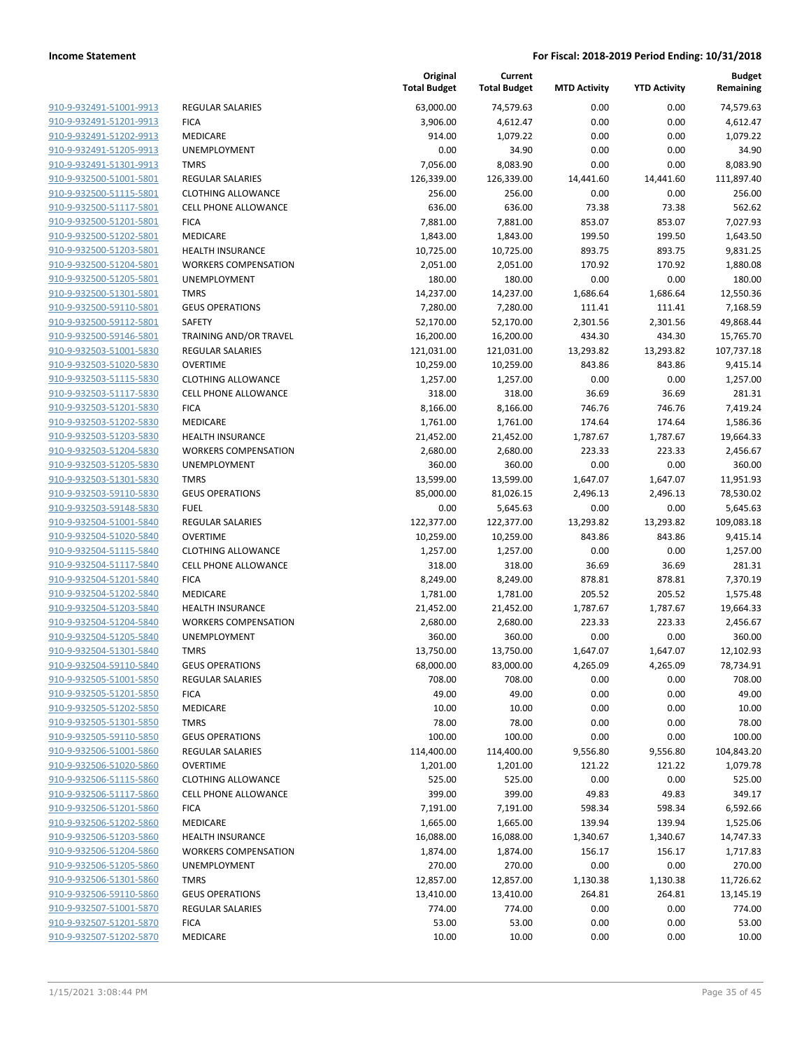| 910-9-932491-51001-9913        |
|--------------------------------|
| <u>910-9-932491-51201-9913</u> |
| 910-9-932491-51202-9913        |
| 910-9-932491-51205-9913        |
| 910-9-932491-51301-9913        |
| 910-9-932500-51001-5801        |
| 910-9-932500-51115-5801        |
| 910-9-932500-51117-5801        |
| 910-9-932500-51201-5801        |
| 910-9-932500-51202-5801        |
| 910-9-932500-51203-5801        |
| 910-9-932500-51204-5801        |
| 910-9-932500-51205-5801        |
| 910-9-932500-51301-5801        |
| 910-9-932500-59110-5801        |
| 910-9-932500-59112-5801        |
| 910-9-932500-59146-5801        |
| <u>910-9-932503-51001-5830</u> |
| 910-9-932503-51020-5830        |
| 910-9-932503-51115-5830        |
|                                |
| 910-9-932503-51117-5830        |
| 910-9-932503-51201-5830        |
| 910-9-932503-51202-5830        |
| 910-9-932503-51203-5830        |
| 910-9-932503-51204-5830        |
| 910-9-932503-51205-5830        |
| 910-9-932503-51301-5830        |
| <u>910-9-932503-59110-5830</u> |
| 910-9-932503-59148-5830        |
| 910-9-932504-51001-5840        |
| 910-9-932504-51020-5840        |
| 910-9-932504-51115-5840        |
| 910-9-932504-51117-5840        |
| 910-9-932504-51201-5840        |
| 910-9-932504-51202-5840        |
| 910-9-932504-51203-5840        |
| 910-9-932504-51204-5840        |
| 910-9-932504-51205-5840        |
| 910-9-932504-51301-5840        |
| 910-9-932504-59110-5840        |
| 910-9-932505-51001-5850        |
| 910-9-932505-51201-5850        |
| 910-9-932505-51202-5850        |
| 910-9-932505-51301-5850        |
| 910-9-932505-59110-5850        |
| 910-9-932506-51001-5860        |
| 910-9-932506-51020-5860        |
| 910-9-932506-51115-5860        |
| 910-9-932506-51117-5860        |
| 910-9-932506-51201-5860        |
| 910-9-932506-51202-5860        |
| 910-9-932506-51203-5860        |
| 910-9-932506-51204-5860        |
| 910-9-932506-51205-5860        |
| 910-9-932506-51301-5860        |
| 910-9-932506-59110-5860        |
| 910-9-932507-51001-5870        |
| 910-9-932507-51201-5870        |
|                                |
| 910-9-932507-51202-5870        |

|                                                    |                                                        | Original<br><b>Total Budget</b> | Current<br><b>Total Budget</b> | <b>MTD Activity</b> | <b>YTD Activity</b> | <b>Budget</b><br>Remaining |
|----------------------------------------------------|--------------------------------------------------------|---------------------------------|--------------------------------|---------------------|---------------------|----------------------------|
| 910-9-932491-51001-9913                            | <b>REGULAR SALARIES</b>                                | 63,000.00                       | 74,579.63                      | 0.00                | 0.00                | 74,579.63                  |
| 910-9-932491-51201-9913                            | <b>FICA</b>                                            | 3,906.00                        | 4,612.47                       | 0.00                | 0.00                | 4,612.47                   |
| 910-9-932491-51202-9913                            | MEDICARE                                               | 914.00                          | 1,079.22                       | 0.00                | 0.00                | 1,079.22                   |
| 910-9-932491-51205-9913                            | <b>UNEMPLOYMENT</b>                                    | 0.00                            | 34.90                          | 0.00                | 0.00                | 34.90                      |
| 910-9-932491-51301-9913                            | <b>TMRS</b>                                            | 7,056.00                        | 8,083.90                       | 0.00                | 0.00                | 8,083.90                   |
| 910-9-932500-51001-5801                            | <b>REGULAR SALARIES</b>                                | 126,339.00                      | 126,339.00                     | 14,441.60           | 14,441.60           | 111,897.40                 |
| 910-9-932500-51115-5801                            | <b>CLOTHING ALLOWANCE</b>                              | 256.00                          | 256.00                         | 0.00                | 0.00                | 256.00                     |
| 910-9-932500-51117-5801                            | <b>CELL PHONE ALLOWANCE</b>                            | 636.00                          | 636.00                         | 73.38               | 73.38               | 562.62                     |
| 910-9-932500-51201-5801                            | <b>FICA</b>                                            | 7,881.00                        | 7,881.00                       | 853.07              | 853.07              | 7,027.93                   |
| 910-9-932500-51202-5801                            | <b>MEDICARE</b>                                        | 1,843.00                        | 1,843.00                       | 199.50              | 199.50              | 1,643.50                   |
| 910-9-932500-51203-5801                            | <b>HEALTH INSURANCE</b>                                | 10,725.00                       | 10,725.00                      | 893.75              | 893.75              | 9,831.25                   |
| 910-9-932500-51204-5801                            | <b>WORKERS COMPENSATION</b>                            | 2,051.00                        | 2,051.00                       | 170.92              | 170.92              | 1,880.08                   |
| 910-9-932500-51205-5801                            | UNEMPLOYMENT                                           | 180.00                          | 180.00                         | 0.00                | 0.00                | 180.00                     |
| 910-9-932500-51301-5801                            | <b>TMRS</b>                                            | 14,237.00                       | 14,237.00                      | 1,686.64            | 1,686.64            | 12,550.36                  |
| 910-9-932500-59110-5801                            | <b>GEUS OPERATIONS</b>                                 | 7,280.00                        | 7,280.00                       | 111.41              | 111.41              | 7,168.59                   |
| 910-9-932500-59112-5801                            | <b>SAFETY</b>                                          | 52,170.00                       | 52,170.00                      | 2,301.56            | 2,301.56            | 49,868.44                  |
| 910-9-932500-59146-5801                            | TRAINING AND/OR TRAVEL                                 | 16,200.00                       | 16,200.00                      | 434.30              | 434.30              | 15,765.70                  |
| 910-9-932503-51001-5830                            | <b>REGULAR SALARIES</b>                                | 121,031.00                      | 121,031.00                     | 13,293.82           | 13,293.82           | 107,737.18                 |
| 910-9-932503-51020-5830                            | <b>OVERTIME</b>                                        | 10,259.00                       | 10,259.00                      | 843.86              | 843.86              | 9,415.14                   |
| 910-9-932503-51115-5830                            | <b>CLOTHING ALLOWANCE</b>                              | 1,257.00                        | 1,257.00                       | 0.00                | 0.00                | 1,257.00                   |
| 910-9-932503-51117-5830                            | <b>CELL PHONE ALLOWANCE</b>                            | 318.00                          | 318.00                         | 36.69               | 36.69               | 281.31                     |
| 910-9-932503-51201-5830                            | <b>FICA</b>                                            | 8,166.00                        | 8,166.00                       | 746.76              | 746.76              | 7,419.24                   |
| 910-9-932503-51202-5830                            | MEDICARE                                               | 1,761.00                        | 1,761.00                       | 174.64              | 174.64              | 1,586.36                   |
| 910-9-932503-51203-5830<br>910-9-932503-51204-5830 | <b>HEALTH INSURANCE</b><br><b>WORKERS COMPENSATION</b> | 21,452.00                       | 21,452.00                      | 1,787.67<br>223.33  | 1,787.67<br>223.33  | 19,664.33                  |
| 910-9-932503-51205-5830                            | UNEMPLOYMENT                                           | 2,680.00<br>360.00              | 2,680.00<br>360.00             | 0.00                | 0.00                | 2,456.67<br>360.00         |
| 910-9-932503-51301-5830                            | <b>TMRS</b>                                            | 13,599.00                       | 13,599.00                      | 1,647.07            | 1,647.07            | 11,951.93                  |
| 910-9-932503-59110-5830                            | <b>GEUS OPERATIONS</b>                                 | 85,000.00                       | 81,026.15                      | 2,496.13            | 2,496.13            | 78,530.02                  |
| 910-9-932503-59148-5830                            | <b>FUEL</b>                                            | 0.00                            | 5,645.63                       | 0.00                | 0.00                | 5,645.63                   |
| 910-9-932504-51001-5840                            | <b>REGULAR SALARIES</b>                                | 122,377.00                      | 122,377.00                     | 13,293.82           | 13,293.82           | 109,083.18                 |
| 910-9-932504-51020-5840                            | <b>OVERTIME</b>                                        | 10,259.00                       | 10,259.00                      | 843.86              | 843.86              | 9,415.14                   |
| 910-9-932504-51115-5840                            | <b>CLOTHING ALLOWANCE</b>                              | 1,257.00                        | 1,257.00                       | 0.00                | 0.00                | 1,257.00                   |
| 910-9-932504-51117-5840                            | <b>CELL PHONE ALLOWANCE</b>                            | 318.00                          | 318.00                         | 36.69               | 36.69               | 281.31                     |
| 910-9-932504-51201-5840                            | <b>FICA</b>                                            | 8,249.00                        | 8,249.00                       | 878.81              | 878.81              | 7,370.19                   |
| 910-9-932504-51202-5840                            | MEDICARE                                               | 1,781.00                        | 1,781.00                       | 205.52              | 205.52              | 1,575.48                   |
| 910-9-932504-51203-5840                            | <b>HEALTH INSURANCE</b>                                | 21,452.00                       | 21,452.00                      | 1,787.67            | 1,787.67            | 19,664.33                  |
| 910-9-932504-51204-5840                            | <b>WORKERS COMPENSATION</b>                            | 2,680.00                        | 2,680.00                       | 223.33              | 223.33              | 2,456.67                   |
| 910-9-932504-51205-5840                            | <b>UNEMPLOYMENT</b>                                    | 360.00                          | 360.00                         | 0.00                | 0.00                | 360.00                     |
| 910-9-932504-51301-5840                            | <b>TMRS</b>                                            | 13,750.00                       | 13,750.00                      | 1,647.07            | 1,647.07            | 12,102.93                  |
| 910-9-932504-59110-5840                            | <b>GEUS OPERATIONS</b>                                 | 68,000.00                       | 83,000.00                      | 4,265.09            | 4,265.09            | 78,734.91                  |
| 910-9-932505-51001-5850                            | REGULAR SALARIES                                       | 708.00                          | 708.00                         | 0.00                | 0.00                | 708.00                     |
| 910-9-932505-51201-5850                            | <b>FICA</b>                                            | 49.00                           | 49.00                          | 0.00                | 0.00                | 49.00                      |
| 910-9-932505-51202-5850                            | MEDICARE                                               | 10.00                           | 10.00                          | 0.00                | 0.00                | 10.00                      |
| 910-9-932505-51301-5850                            | <b>TMRS</b>                                            | 78.00                           | 78.00                          | 0.00                | 0.00                | 78.00                      |
| 910-9-932505-59110-5850                            | <b>GEUS OPERATIONS</b>                                 | 100.00                          | 100.00                         | 0.00                | 0.00                | 100.00                     |
| 910-9-932506-51001-5860                            | REGULAR SALARIES                                       | 114,400.00                      | 114,400.00                     | 9,556.80            | 9,556.80            | 104,843.20                 |
| 910-9-932506-51020-5860                            | <b>OVERTIME</b>                                        | 1,201.00                        | 1,201.00                       | 121.22              | 121.22              | 1,079.78                   |
| 910-9-932506-51115-5860                            | <b>CLOTHING ALLOWANCE</b>                              | 525.00                          | 525.00                         | 0.00                | 0.00                | 525.00                     |
| 910-9-932506-51117-5860                            | <b>CELL PHONE ALLOWANCE</b>                            | 399.00                          | 399.00                         | 49.83               | 49.83               | 349.17                     |
| 910-9-932506-51201-5860                            | <b>FICA</b>                                            | 7,191.00                        | 7,191.00                       | 598.34              | 598.34              | 6,592.66                   |
| 910-9-932506-51202-5860                            | MEDICARE                                               | 1,665.00                        | 1,665.00                       | 139.94              | 139.94              | 1,525.06                   |
| 910-9-932506-51203-5860                            | <b>HEALTH INSURANCE</b>                                | 16,088.00                       | 16,088.00                      | 1,340.67            | 1,340.67            | 14,747.33                  |
| 910-9-932506-51204-5860                            | <b>WORKERS COMPENSATION</b>                            | 1,874.00                        | 1,874.00                       | 156.17              | 156.17              | 1,717.83                   |
| 910-9-932506-51205-5860                            | UNEMPLOYMENT                                           | 270.00                          | 270.00                         | 0.00                | 0.00                | 270.00                     |
| 910-9-932506-51301-5860                            | <b>TMRS</b>                                            | 12,857.00                       | 12,857.00                      | 1,130.38            | 1,130.38            | 11,726.62                  |
| 910-9-932506-59110-5860                            | <b>GEUS OPERATIONS</b>                                 | 13,410.00                       | 13,410.00                      | 264.81              | 264.81              | 13,145.19                  |
| 910-9-932507-51001-5870                            | REGULAR SALARIES                                       | 774.00                          | 774.00                         | 0.00                | 0.00                | 774.00                     |
| 910-9-932507-51201-5870                            | <b>FICA</b>                                            | 53.00                           | 53.00                          | 0.00                | 0.00                | 53.00                      |
| 910-9-932507-51202-5870                            | MEDICARE                                               | 10.00                           | 10.00                          | 0.00                | 0.00                | 10.00                      |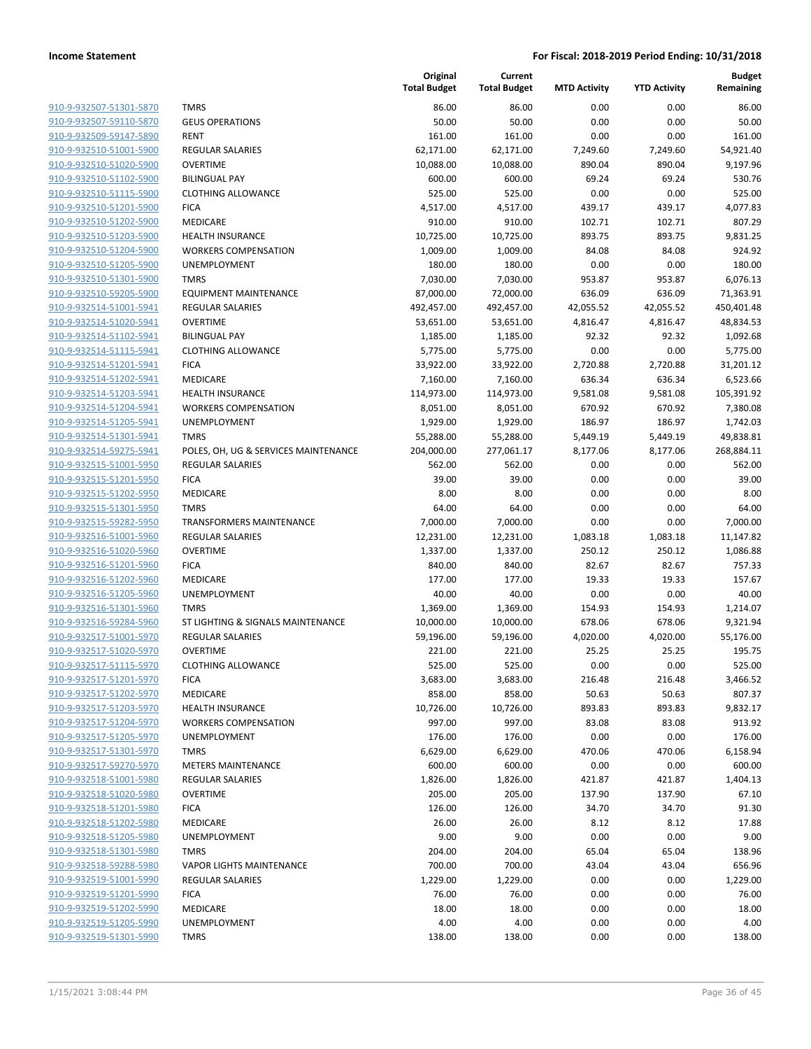| 910-9-932507-51301-5870                            |
|----------------------------------------------------|
| 910-9-932507-59110-5870                            |
| 910-9-932509-59147-5890                            |
| 910-9-932510-51001-5900                            |
| <u>910-9-932510-51020-5900</u>                     |
| 910-9-932510-51102-5900                            |
| 910-9-932510-51115-5900                            |
| 910-9-932510-51201-5900                            |
| 910-9-932510-51202-5900                            |
| <u>910-9-932510-51203-5900</u>                     |
| 910-9-932510-51204-5900                            |
| 910-9-932510-51205-5900                            |
| 910-9-932510-51301-5900                            |
| 910-9-932510-59205-5900                            |
| 910-9-932514-51001-5941                            |
| 910-9-932514-51020-5941                            |
| 910-9-932514-51102-5941                            |
| 910-9-932514-51115-5941                            |
| 910-9-932514-51201-5941                            |
| <u>910-9-932514-51202-5941</u>                     |
| 910-9-932514-51203-5941                            |
| 910-9-932514-51204-5941                            |
| 910-9-932514-51205-5941                            |
| 910-9-932514-51301-5941                            |
| 910-9-932514-59275-5941                            |
| 910-9-932515-51001-5950                            |
| 910-9-932515-51201-5950                            |
| 910-9-932515-51202-5950                            |
| 910-9-932515-51301-5950                            |
| 910-9-932515-59282-5950                            |
| 910-9-932516-51001-5960                            |
| 910-9-932516-51020-5960                            |
| 910-9-932516-51201-5960                            |
| 910-9-932516-51202-5960                            |
| 910-9-932516-51205-5960                            |
| 910-9-932516-51301-5960                            |
| 910-9-932516-59284-5960                            |
| 910-9-932517-51001-5970                            |
| 910-9-932517-51020-5970                            |
| 910-9-932517-51115-5970                            |
| 910-9-932517-51201-5970                            |
| <u>910-9-932517-51202-5970</u>                     |
| 910-9-932517-51203-5970                            |
| 910-9-932517-51204-5970                            |
| 910-9-932517-51205-5970                            |
| 910-9-932517-51301-5970                            |
| <u>910-9-932517-59270-5970</u>                     |
| 910-9-932518-51001-5980                            |
| 910-9-932518-51020-5980                            |
|                                                    |
| <u>910-9-932518-51201-5980</u>                     |
| 910-9-932518-51202-5980<br>910-9-932518-51205-5980 |
|                                                    |
| 910-9-932518-51301-5980<br>910-9-932518-59288-5980 |
|                                                    |
| 910-9-932519-51001-5990                            |
| 910-9-932519-51201-5990                            |
| <u>910-9-932519-51202-5990</u>                     |
| 910-9-932519-51205-5990                            |
| 910-9-932519-51301-5990                            |
|                                                    |

|                                                    |                                                | Original<br><b>Total Budget</b> | Current<br><b>Total Budget</b> | <b>MTD Activity</b> | <b>YTD Activity</b> | <b>Budget</b><br>Remaining |
|----------------------------------------------------|------------------------------------------------|---------------------------------|--------------------------------|---------------------|---------------------|----------------------------|
| 910-9-932507-51301-5870                            | <b>TMRS</b>                                    | 86.00                           | 86.00                          | 0.00                | 0.00                | 86.00                      |
| 910-9-932507-59110-5870                            | <b>GEUS OPERATIONS</b>                         | 50.00                           | 50.00                          | 0.00                | 0.00                | 50.00                      |
| 910-9-932509-59147-5890                            | <b>RENT</b>                                    | 161.00                          | 161.00                         | 0.00                | 0.00                | 161.00                     |
| 910-9-932510-51001-5900                            | REGULAR SALARIES                               | 62,171.00                       | 62,171.00                      | 7,249.60            | 7,249.60            | 54,921.40                  |
| 910-9-932510-51020-5900                            | <b>OVERTIME</b>                                | 10,088.00                       | 10,088.00                      | 890.04              | 890.04              | 9,197.96                   |
| 910-9-932510-51102-5900                            | <b>BILINGUAL PAY</b>                           | 600.00                          | 600.00                         | 69.24               | 69.24               | 530.76                     |
| 910-9-932510-51115-5900                            | <b>CLOTHING ALLOWANCE</b>                      | 525.00                          | 525.00                         | 0.00                | 0.00                | 525.00                     |
| 910-9-932510-51201-5900                            | <b>FICA</b>                                    | 4,517.00                        | 4,517.00                       | 439.17              | 439.17              | 4,077.83                   |
| 910-9-932510-51202-5900                            | MEDICARE                                       | 910.00                          | 910.00                         | 102.71              | 102.71              | 807.29                     |
| 910-9-932510-51203-5900                            | <b>HEALTH INSURANCE</b>                        | 10,725.00                       | 10,725.00                      | 893.75              | 893.75              | 9,831.25                   |
| 910-9-932510-51204-5900                            | <b>WORKERS COMPENSATION</b>                    | 1,009.00                        | 1,009.00                       | 84.08               | 84.08               | 924.92                     |
| 910-9-932510-51205-5900                            | <b>UNEMPLOYMENT</b>                            | 180.00                          | 180.00                         | 0.00                | 0.00                | 180.00                     |
| 910-9-932510-51301-5900                            | <b>TMRS</b>                                    | 7,030.00                        | 7,030.00                       | 953.87              | 953.87              | 6,076.13                   |
| 910-9-932510-59205-5900                            | <b>EQUIPMENT MAINTENANCE</b>                   | 87,000.00                       | 72,000.00                      | 636.09              | 636.09              | 71,363.91                  |
| 910-9-932514-51001-5941                            | REGULAR SALARIES                               | 492,457.00                      | 492,457.00                     | 42,055.52           | 42,055.52           | 450,401.48                 |
| 910-9-932514-51020-5941                            | <b>OVERTIME</b>                                | 53,651.00                       | 53,651.00                      | 4,816.47            | 4,816.47            | 48,834.53                  |
| 910-9-932514-51102-5941                            | <b>BILINGUAL PAY</b>                           | 1,185.00                        | 1,185.00                       | 92.32               | 92.32               | 1,092.68                   |
| 910-9-932514-51115-5941                            | <b>CLOTHING ALLOWANCE</b>                      | 5,775.00                        | 5,775.00                       | 0.00                | 0.00                | 5,775.00                   |
| 910-9-932514-51201-5941                            | <b>FICA</b>                                    | 33,922.00                       | 33,922.00                      | 2,720.88            | 2,720.88            | 31,201.12                  |
| 910-9-932514-51202-5941                            | MEDICARE                                       | 7,160.00                        | 7,160.00                       | 636.34              | 636.34              | 6,523.66                   |
| 910-9-932514-51203-5941                            | <b>HEALTH INSURANCE</b>                        | 114,973.00                      | 114,973.00                     | 9,581.08            | 9,581.08            | 105,391.92                 |
| 910-9-932514-51204-5941                            | <b>WORKERS COMPENSATION</b>                    | 8,051.00                        | 8,051.00                       | 670.92              | 670.92              | 7,380.08                   |
| 910-9-932514-51205-5941                            | <b>UNEMPLOYMENT</b>                            | 1,929.00                        | 1,929.00                       | 186.97              | 186.97              | 1,742.03                   |
| 910-9-932514-51301-5941                            | <b>TMRS</b>                                    | 55,288.00                       | 55,288.00                      | 5,449.19            | 5,449.19            | 49,838.81                  |
| 910-9-932514-59275-5941                            | POLES, OH, UG & SERVICES MAINTENANCE           | 204,000.00                      | 277,061.17                     | 8,177.06            | 8,177.06            | 268,884.11                 |
| 910-9-932515-51001-5950                            | <b>REGULAR SALARIES</b>                        | 562.00                          | 562.00                         | 0.00                | 0.00                | 562.00                     |
| 910-9-932515-51201-5950                            | <b>FICA</b>                                    | 39.00                           | 39.00                          | 0.00                | 0.00                | 39.00                      |
| 910-9-932515-51202-5950<br>910-9-932515-51301-5950 | MEDICARE                                       | 8.00                            | 8.00                           | 0.00                | 0.00                | 8.00                       |
| 910-9-932515-59282-5950                            | <b>TMRS</b><br><b>TRANSFORMERS MAINTENANCE</b> | 64.00<br>7,000.00               | 64.00<br>7,000.00              | 0.00<br>0.00        | 0.00<br>0.00        | 64.00<br>7,000.00          |
| 910-9-932516-51001-5960                            | <b>REGULAR SALARIES</b>                        | 12,231.00                       | 12,231.00                      | 1,083.18            | 1,083.18            | 11,147.82                  |
| 910-9-932516-51020-5960                            | <b>OVERTIME</b>                                | 1,337.00                        | 1,337.00                       | 250.12              | 250.12              | 1,086.88                   |
| 910-9-932516-51201-5960                            | <b>FICA</b>                                    | 840.00                          | 840.00                         | 82.67               | 82.67               | 757.33                     |
| 910-9-932516-51202-5960                            | MEDICARE                                       | 177.00                          | 177.00                         | 19.33               | 19.33               | 157.67                     |
| 910-9-932516-51205-5960                            | <b>UNEMPLOYMENT</b>                            | 40.00                           | 40.00                          | 0.00                | 0.00                | 40.00                      |
| 910-9-932516-51301-5960                            | <b>TMRS</b>                                    | 1,369.00                        | 1,369.00                       | 154.93              | 154.93              | 1,214.07                   |
| 910-9-932516-59284-5960                            | ST LIGHTING & SIGNALS MAINTENANCE              | 10,000.00                       | 10,000.00                      | 678.06              | 678.06              | 9,321.94                   |
| 910-9-932517-51001-5970                            | <b>REGULAR SALARIES</b>                        | 59,196.00                       | 59,196.00                      | 4,020.00            | 4,020.00            | 55,176.00                  |
| 910-9-932517-51020-5970                            | <b>OVERTIME</b>                                | 221.00                          | 221.00                         | 25.25               | 25.25               | 195.75                     |
| 910-9-932517-51115-5970                            | <b>CLOTHING ALLOWANCE</b>                      | 525.00                          | 525.00                         | 0.00                | 0.00                | 525.00                     |
| 910-9-932517-51201-5970                            | <b>FICA</b>                                    | 3,683.00                        | 3,683.00                       | 216.48              | 216.48              | 3,466.52                   |
| 910-9-932517-51202-5970                            | MEDICARE                                       | 858.00                          | 858.00                         | 50.63               | 50.63               | 807.37                     |
| 910-9-932517-51203-5970                            | <b>HEALTH INSURANCE</b>                        | 10,726.00                       | 10,726.00                      | 893.83              | 893.83              | 9,832.17                   |
| 910-9-932517-51204-5970                            | <b>WORKERS COMPENSATION</b>                    | 997.00                          | 997.00                         | 83.08               | 83.08               | 913.92                     |
| 910-9-932517-51205-5970                            | UNEMPLOYMENT                                   | 176.00                          | 176.00                         | 0.00                | 0.00                | 176.00                     |
| 910-9-932517-51301-5970                            | <b>TMRS</b>                                    | 6,629.00                        | 6,629.00                       | 470.06              | 470.06              | 6,158.94                   |
| 910-9-932517-59270-5970                            | <b>METERS MAINTENANCE</b>                      | 600.00                          | 600.00                         | 0.00                | 0.00                | 600.00                     |
| 910-9-932518-51001-5980                            | REGULAR SALARIES                               | 1,826.00                        | 1,826.00                       | 421.87              | 421.87              | 1,404.13                   |
| 910-9-932518-51020-5980                            | <b>OVERTIME</b>                                | 205.00                          | 205.00                         | 137.90              | 137.90              | 67.10                      |
| 910-9-932518-51201-5980                            | <b>FICA</b>                                    | 126.00                          | 126.00                         | 34.70               | 34.70               | 91.30                      |
| 910-9-932518-51202-5980                            | MEDICARE                                       | 26.00                           | 26.00                          | 8.12                | 8.12                | 17.88                      |
| 910-9-932518-51205-5980                            | <b>UNEMPLOYMENT</b>                            | 9.00                            | 9.00                           | 0.00                | 0.00                | 9.00                       |
| 910-9-932518-51301-5980                            | <b>TMRS</b>                                    | 204.00                          | 204.00                         | 65.04               | 65.04               | 138.96                     |
| 910-9-932518-59288-5980                            | <b>VAPOR LIGHTS MAINTENANCE</b>                | 700.00                          | 700.00                         | 43.04               | 43.04               | 656.96                     |
| 910-9-932519-51001-5990<br>910-9-932519-51201-5990 | REGULAR SALARIES<br><b>FICA</b>                | 1,229.00<br>76.00               | 1,229.00<br>76.00              | 0.00<br>0.00        | 0.00<br>0.00        | 1,229.00<br>76.00          |
| 910-9-932519-51202-5990                            | MEDICARE                                       | 18.00                           | 18.00                          | 0.00                | 0.00                | 18.00                      |
| 910-9-932519-51205-5990                            | UNEMPLOYMENT                                   | 4.00                            | 4.00                           | 0.00                | 0.00                | 4.00                       |
| 910-9-932519-51301-5990                            | <b>TMRS</b>                                    | 138.00                          | 138.00                         | 0.00                | 0.00                | 138.00                     |
|                                                    |                                                |                                 |                                |                     |                     |                            |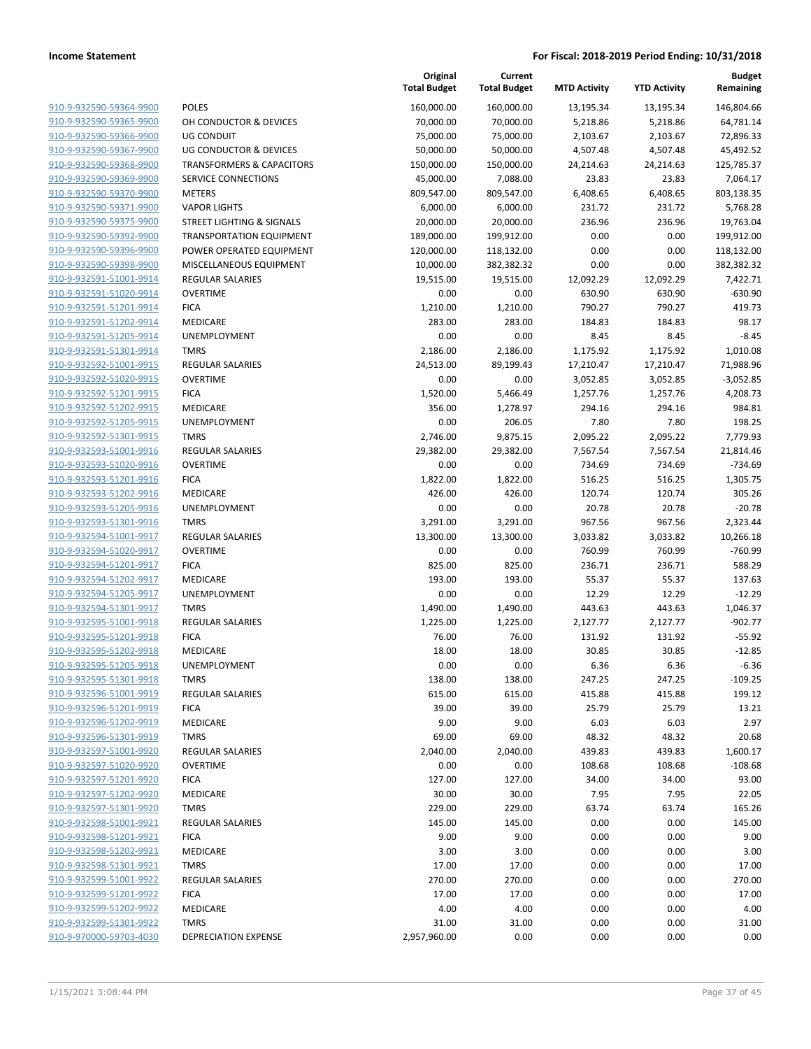|                                                    |                                      | Original<br><b>Total Budget</b> | Current<br><b>Total Budget</b> | <b>MTD Activity</b> | <b>YTD Activity</b> | <b>Budget</b><br>Remaining |
|----------------------------------------------------|--------------------------------------|---------------------------------|--------------------------------|---------------------|---------------------|----------------------------|
| 910-9-932590-59364-9900                            | <b>POLES</b>                         | 160,000.00                      | 160,000.00                     | 13,195.34           | 13,195.34           | 146,804.66                 |
| 910-9-932590-59365-9900                            | OH CONDUCTOR & DEVICES               | 70,000.00                       | 70,000.00                      | 5,218.86            | 5,218.86            | 64,781.14                  |
| 910-9-932590-59366-9900                            | <b>UG CONDUIT</b>                    | 75,000.00                       | 75,000.00                      | 2,103.67            | 2,103.67            | 72,896.33                  |
| 910-9-932590-59367-9900                            | <b>UG CONDUCTOR &amp; DEVICES</b>    | 50,000.00                       | 50,000.00                      | 4,507.48            | 4,507.48            | 45,492.52                  |
| 910-9-932590-59368-9900                            | <b>TRANSFORMERS &amp; CAPACITORS</b> | 150,000.00                      | 150,000.00                     | 24,214.63           | 24,214.63           | 125,785.37                 |
| 910-9-932590-59369-9900                            | SERVICE CONNECTIONS                  | 45,000.00                       | 7,088.00                       | 23.83               | 23.83               | 7,064.17                   |
| 910-9-932590-59370-9900                            | <b>METERS</b>                        | 809,547.00                      | 809,547.00                     | 6,408.65            | 6,408.65            | 803,138.35                 |
| 910-9-932590-59371-9900                            | <b>VAPOR LIGHTS</b>                  | 6,000.00                        | 6,000.00                       | 231.72              | 231.72              | 5,768.28                   |
| 910-9-932590-59375-9900                            | <b>STREET LIGHTING &amp; SIGNALS</b> | 20,000.00                       | 20,000.00                      | 236.96              | 236.96              | 19,763.04                  |
| 910-9-932590-59392-9900                            | <b>TRANSPORTATION EQUIPMENT</b>      | 189,000.00                      | 199,912.00                     | 0.00                | 0.00                | 199,912.00                 |
| 910-9-932590-59396-9900                            | POWER OPERATED EQUIPMENT             | 120,000.00                      | 118,132.00                     | 0.00                | 0.00                | 118,132.00                 |
| 910-9-932590-59398-9900                            | MISCELLANEOUS EQUIPMENT              | 10,000.00                       | 382,382.32                     | 0.00                | 0.00                | 382,382.32                 |
| 910-9-932591-51001-9914                            | <b>REGULAR SALARIES</b>              | 19,515.00                       | 19,515.00                      | 12,092.29           | 12,092.29           | 7,422.71                   |
| 910-9-932591-51020-9914                            | <b>OVERTIME</b>                      | 0.00                            | 0.00                           | 630.90              | 630.90              | $-630.90$                  |
| 910-9-932591-51201-9914                            | <b>FICA</b>                          | 1,210.00                        | 1,210.00                       | 790.27              | 790.27              | 419.73                     |
| 910-9-932591-51202-9914                            | MEDICARE                             | 283.00                          | 283.00                         | 184.83              | 184.83              | 98.17                      |
| 910-9-932591-51205-9914                            | UNEMPLOYMENT                         | 0.00                            | 0.00                           | 8.45                | 8.45                | $-8.45$                    |
| 910-9-932591-51301-9914                            | <b>TMRS</b>                          | 2,186.00                        | 2,186.00                       | 1,175.92            | 1,175.92            | 1,010.08                   |
| 910-9-932592-51001-9915                            | <b>REGULAR SALARIES</b>              | 24,513.00                       | 89,199.43                      | 17,210.47           | 17,210.47           | 71,988.96                  |
| 910-9-932592-51020-9915                            | <b>OVERTIME</b>                      | 0.00                            | 0.00                           | 3,052.85            | 3,052.85            | $-3,052.85$                |
| 910-9-932592-51201-9915                            | <b>FICA</b>                          | 1,520.00                        | 5,466.49                       | 1,257.76            | 1,257.76            | 4,208.73                   |
| 910-9-932592-51202-9915                            | MEDICARE                             | 356.00                          | 1,278.97                       | 294.16              | 294.16              | 984.81                     |
| 910-9-932592-51205-9915                            | UNEMPLOYMENT                         | 0.00                            | 206.05                         | 7.80                | 7.80                | 198.25                     |
| 910-9-932592-51301-9915                            | <b>TMRS</b>                          | 2,746.00                        | 9,875.15                       | 2,095.22            | 2,095.22            | 7,779.93                   |
| 910-9-932593-51001-9916                            | <b>REGULAR SALARIES</b>              | 29,382.00                       | 29,382.00                      | 7,567.54            | 7,567.54            | 21,814.46                  |
| 910-9-932593-51020-9916                            | <b>OVERTIME</b>                      | 0.00                            | 0.00                           | 734.69              | 734.69              | $-734.69$                  |
| 910-9-932593-51201-9916                            | <b>FICA</b>                          | 1,822.00                        | 1,822.00                       | 516.25              | 516.25              | 1,305.75                   |
| 910-9-932593-51202-9916<br>910-9-932593-51205-9916 | MEDICARE                             | 426.00                          | 426.00                         | 120.74              | 120.74              | 305.26                     |
| 910-9-932593-51301-9916                            | <b>UNEMPLOYMENT</b><br><b>TMRS</b>   | 0.00<br>3,291.00                | 0.00<br>3,291.00               | 20.78<br>967.56     | 20.78<br>967.56     | $-20.78$<br>2,323.44       |
| 910-9-932594-51001-9917                            | REGULAR SALARIES                     | 13,300.00                       | 13,300.00                      | 3,033.82            | 3,033.82            | 10,266.18                  |
| 910-9-932594-51020-9917                            | <b>OVERTIME</b>                      | 0.00                            | 0.00                           | 760.99              | 760.99              | $-760.99$                  |
| 910-9-932594-51201-9917                            | <b>FICA</b>                          | 825.00                          | 825.00                         | 236.71              | 236.71              | 588.29                     |
| 910-9-932594-51202-9917                            | <b>MEDICARE</b>                      | 193.00                          | 193.00                         | 55.37               | 55.37               | 137.63                     |
| 910-9-932594-51205-9917                            | <b>UNEMPLOYMENT</b>                  | 0.00                            | 0.00                           | 12.29               | 12.29               | $-12.29$                   |
| 910-9-932594-51301-9917                            | <b>TMRS</b>                          | 1,490.00                        | 1,490.00                       | 443.63              | 443.63              | 1,046.37                   |
| 910-9-932595-51001-9918                            | <b>REGULAR SALARIES</b>              | 1,225.00                        | 1,225.00                       | 2,127.77            | 2,127.77            | $-902.77$                  |
| 910-9-932595-51201-9918                            | <b>FICA</b>                          | 76.00                           | 76.00                          | 131.92              | 131.92              | $-55.92$                   |
| 910-9-932595-51202-9918                            | <b>MEDICARE</b>                      | 18.00                           | 18.00                          | 30.85               | 30.85               | $-12.85$                   |
| 910-9-932595-51205-9918                            | <b>UNEMPLOYMENT</b>                  | 0.00                            | 0.00                           | 6.36                | 6.36                | $-6.36$                    |
| 910-9-932595-51301-9918                            | TMRS                                 | 138.00                          | 138.00                         | 247.25              | 247.25              | $-109.25$                  |
| 910-9-932596-51001-9919                            | <b>REGULAR SALARIES</b>              | 615.00                          | 615.00                         | 415.88              | 415.88              | 199.12                     |
| 910-9-932596-51201-9919                            | <b>FICA</b>                          | 39.00                           | 39.00                          | 25.79               | 25.79               | 13.21                      |
| 910-9-932596-51202-9919                            | MEDICARE                             | 9.00                            | 9.00                           | 6.03                | 6.03                | 2.97                       |
| 910-9-932596-51301-9919                            | <b>TMRS</b>                          | 69.00                           | 69.00                          | 48.32               | 48.32               | 20.68                      |
| 910-9-932597-51001-9920                            | <b>REGULAR SALARIES</b>              | 2,040.00                        | 2,040.00                       | 439.83              | 439.83              | 1,600.17                   |
| 910-9-932597-51020-9920                            | <b>OVERTIME</b>                      | 0.00                            | 0.00                           | 108.68              | 108.68              | $-108.68$                  |
| 910-9-932597-51201-9920                            | <b>FICA</b>                          | 127.00                          | 127.00                         | 34.00               | 34.00               | 93.00                      |
| 910-9-932597-51202-9920                            | MEDICARE                             | 30.00                           | 30.00                          | 7.95                | 7.95                | 22.05                      |
| 910-9-932597-51301-9920                            | <b>TMRS</b>                          | 229.00                          | 229.00                         | 63.74               | 63.74               | 165.26                     |
| 910-9-932598-51001-9921                            | <b>REGULAR SALARIES</b>              | 145.00                          | 145.00                         | 0.00                | 0.00                | 145.00                     |
| 910-9-932598-51201-9921                            | <b>FICA</b>                          | 9.00                            | 9.00                           | 0.00                | 0.00                | 9.00                       |
| 910-9-932598-51202-9921                            | MEDICARE                             | 3.00                            | 3.00                           | 0.00                | 0.00                | 3.00                       |
| 910-9-932598-51301-9921                            | <b>TMRS</b>                          | 17.00                           | 17.00                          | 0.00                | 0.00                | 17.00                      |
| 910-9-932599-51001-9922                            | <b>REGULAR SALARIES</b>              | 270.00                          | 270.00                         | 0.00                | 0.00                | 270.00                     |
| 910-9-932599-51201-9922                            | <b>FICA</b>                          | 17.00                           | 17.00                          | 0.00                | 0.00                | 17.00                      |
| 910-9-932599-51202-9922                            | MEDICARE                             | 4.00                            | 4.00                           | 0.00                | 0.00                | 4.00                       |
| 910-9-932599-51301-9922                            | <b>TMRS</b>                          | 31.00                           | 31.00                          | 0.00                | 0.00                | 31.00                      |
| 910-9-970000-59703-4030                            | <b>DEPRECIATION EXPENSE</b>          | 2,957,960.00                    | 0.00                           | 0.00                | 0.00                | 0.00                       |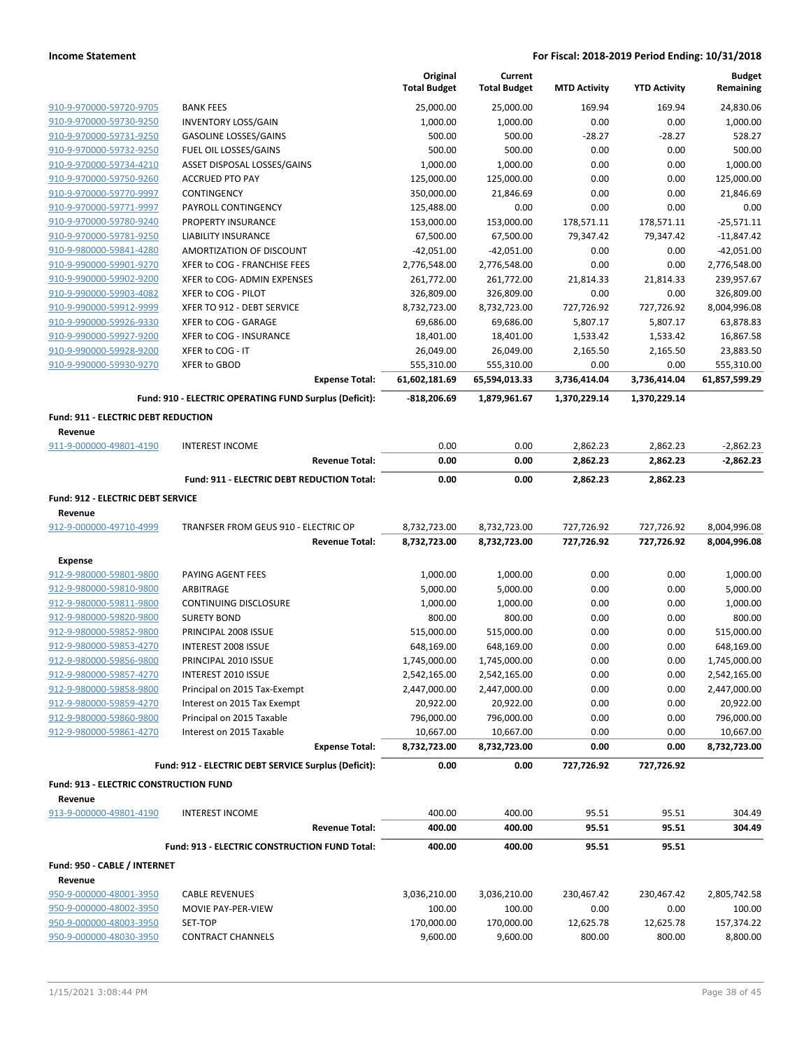|                                        |                                                        | Original<br><b>Total Budget</b> | Current<br><b>Total Budget</b> | <b>MTD Activity</b> | <b>YTD Activity</b> | <b>Budget</b><br>Remaining |
|----------------------------------------|--------------------------------------------------------|---------------------------------|--------------------------------|---------------------|---------------------|----------------------------|
| 910-9-970000-59720-9705                | <b>BANK FEES</b>                                       | 25,000.00                       | 25,000.00                      | 169.94              | 169.94              | 24,830.06                  |
| 910-9-970000-59730-9250                | <b>INVENTORY LOSS/GAIN</b>                             | 1,000.00                        | 1,000.00                       | 0.00                | 0.00                | 1,000.00                   |
| 910-9-970000-59731-9250                | GASOLINE LOSSES/GAINS                                  | 500.00                          | 500.00                         | $-28.27$            | $-28.27$            | 528.27                     |
| 910-9-970000-59732-9250                | FUEL OIL LOSSES/GAINS                                  | 500.00                          | 500.00                         | 0.00                | 0.00                | 500.00                     |
| 910-9-970000-59734-4210                | ASSET DISPOSAL LOSSES/GAINS                            | 1,000.00                        | 1,000.00                       | 0.00                | 0.00                | 1,000.00                   |
| 910-9-970000-59750-9260                | <b>ACCRUED PTO PAY</b>                                 | 125,000.00                      | 125,000.00                     | 0.00                | 0.00                | 125,000.00                 |
| 910-9-970000-59770-9997                | CONTINGENCY                                            | 350,000.00                      | 21,846.69                      | 0.00                | 0.00                | 21,846.69                  |
| 910-9-970000-59771-9997                | PAYROLL CONTINGENCY                                    | 125,488.00                      | 0.00                           | 0.00                | 0.00                | 0.00                       |
| 910-9-970000-59780-9240                | <b>PROPERTY INSURANCE</b>                              | 153,000.00                      | 153,000.00                     | 178,571.11          | 178,571.11          | $-25,571.11$               |
| 910-9-970000-59781-9250                | LIABILITY INSURANCE                                    | 67,500.00                       | 67,500.00                      | 79,347.42           | 79,347.42           | $-11,847.42$               |
| 910-9-980000-59841-4280                | AMORTIZATION OF DISCOUNT                               | $-42,051.00$                    | $-42,051.00$                   | 0.00                | 0.00                | $-42,051.00$               |
| 910-9-990000-59901-9270                | XFER to COG - FRANCHISE FEES                           | 2,776,548.00                    | 2,776,548.00                   | 0.00                | 0.00                | 2,776,548.00               |
| 910-9-990000-59902-9200                | XFER to COG- ADMIN EXPENSES                            | 261,772.00                      | 261,772.00                     | 21,814.33           | 21,814.33           | 239,957.67                 |
| 910-9-990000-59903-4082                | XFER to COG - PILOT                                    | 326,809.00                      | 326,809.00                     | 0.00                | 0.00                | 326,809.00                 |
| 910-9-990000-59912-9999                | XFER TO 912 - DEBT SERVICE                             | 8,732,723.00                    | 8,732,723.00                   | 727,726.92          | 727,726.92          | 8,004,996.08               |
| 910-9-990000-59926-9330                | XFER to COG - GARAGE                                   | 69,686.00                       | 69,686.00                      | 5,807.17            | 5,807.17            | 63,878.83                  |
| 910-9-990000-59927-9200                | XFER to COG - INSURANCE                                | 18,401.00                       | 18,401.00                      | 1,533.42            | 1,533.42            | 16,867.58                  |
| 910-9-990000-59928-9200                | XFER to COG - IT                                       | 26,049.00                       | 26,049.00                      | 2,165.50            | 2,165.50            | 23,883.50                  |
| 910-9-990000-59930-9270                | <b>XFER to GBOD</b>                                    | 555,310.00                      | 555,310.00                     | 0.00                | 0.00                | 555,310.00                 |
|                                        | <b>Expense Total:</b>                                  | 61,602,181.69                   | 65,594,013.33                  | 3,736,414.04        | 3,736,414.04        | 61,857,599.29              |
|                                        | Fund: 910 - ELECTRIC OPERATING FUND Surplus (Deficit): | -818,206.69                     | 1,879,961.67                   | 1,370,229.14        | 1,370,229.14        |                            |
| Fund: 911 - ELECTRIC DEBT REDUCTION    |                                                        |                                 |                                |                     |                     |                            |
| Revenue<br>911-9-000000-49801-4190     | <b>INTEREST INCOME</b>                                 | 0.00                            | 0.00                           | 2,862.23            | 2,862.23            | $-2,862.23$                |
|                                        | <b>Revenue Total:</b>                                  | 0.00                            | 0.00                           | 2,862.23            | 2,862.23            | $-2,862.23$                |
|                                        | Fund: 911 - ELECTRIC DEBT REDUCTION Total:             | 0.00                            | 0.00                           | 2,862.23            | 2,862.23            |                            |
| Fund: 912 - ELECTRIC DEBT SERVICE      |                                                        |                                 |                                |                     |                     |                            |
| Revenue                                |                                                        |                                 |                                |                     |                     |                            |
| 912-9-000000-49710-4999                | TRANFSER FROM GEUS 910 - ELECTRIC OP                   | 8,732,723.00                    | 8,732,723.00                   | 727,726.92          | 727,726.92          | 8,004,996.08               |
|                                        | <b>Revenue Total:</b>                                  | 8,732,723.00                    | 8,732,723.00                   | 727,726.92          | 727,726.92          | 8,004,996.08               |
| <b>Expense</b>                         |                                                        |                                 |                                |                     |                     |                            |
| 912-9-980000-59801-9800                | PAYING AGENT FEES                                      | 1,000.00                        | 1,000.00                       | 0.00                | 0.00                | 1,000.00                   |
| 912-9-980000-59810-9800                | ARBITRAGE                                              | 5,000.00                        | 5,000.00                       | 0.00                | 0.00                | 5,000.00                   |
| 912-9-980000-59811-9800                | <b>CONTINUING DISCLOSURE</b>                           | 1,000.00                        | 1,000.00                       | 0.00                | 0.00                | 1,000.00                   |
| 912-9-980000-59820-9800                | <b>SURETY BOND</b>                                     | 800.00                          | 800.00                         | 0.00                | 0.00                | 800.00                     |
| 912-9-980000-59852-9800                | PRINCIPAL 2008 ISSUE                                   | 515,000.00                      | 515,000.00                     | 0.00                | 0.00                | 515,000.00                 |
| 912-9-980000-59853-4270                | <b>INTEREST 2008 ISSUE</b>                             | 648,169.00                      | 648,169.00                     | 0.00                | 0.00                | 648,169.00                 |
| 912-9-980000-59856-9800                | PRINCIPAL 2010 ISSUE                                   | 1,745,000.00                    | 1,745,000.00                   | 0.00                | 0.00                | 1,745,000.00               |
| 912-9-980000-59857-4270                | INTEREST 2010 ISSUE                                    | 2,542,165.00                    | 2,542,165.00                   | 0.00                | 0.00                | 2,542,165.00               |
| 912-9-980000-59858-9800                | Principal on 2015 Tax-Exempt                           | 2,447,000.00                    | 2,447,000.00                   | 0.00                | 0.00                | 2,447,000.00               |
| 912-9-980000-59859-4270                | Interest on 2015 Tax Exempt                            | 20,922.00                       | 20,922.00                      | 0.00                | 0.00                | 20,922.00                  |
| 912-9-980000-59860-9800                | Principal on 2015 Taxable                              | 796,000.00                      | 796,000.00                     | 0.00                | 0.00                | 796,000.00                 |
| 912-9-980000-59861-4270                | Interest on 2015 Taxable<br><b>Expense Total:</b>      | 10,667.00<br>8,732,723.00       | 10,667.00<br>8,732,723.00      | 0.00<br>0.00        | 0.00<br>0.00        | 10,667.00<br>8,732,723.00  |
|                                        | Fund: 912 - ELECTRIC DEBT SERVICE Surplus (Deficit):   | 0.00                            | 0.00                           | 727,726.92          | 727,726.92          |                            |
| Fund: 913 - ELECTRIC CONSTRUCTION FUND |                                                        |                                 |                                |                     |                     |                            |
| Revenue                                |                                                        |                                 |                                |                     |                     |                            |
| 913-9-000000-49801-4190                | <b>INTEREST INCOME</b>                                 | 400.00                          | 400.00                         | 95.51               | 95.51               | 304.49                     |
|                                        | <b>Revenue Total:</b>                                  | 400.00                          | 400.00                         | 95.51               | 95.51               | 304.49                     |
|                                        | Fund: 913 - ELECTRIC CONSTRUCTION FUND Total:          | 400.00                          | 400.00                         | 95.51               | 95.51               |                            |
| Fund: 950 - CABLE / INTERNET           |                                                        |                                 |                                |                     |                     |                            |
| Revenue                                |                                                        |                                 |                                |                     |                     |                            |
| 950-9-000000-48001-3950                | <b>CABLE REVENUES</b>                                  | 3,036,210.00                    | 3,036,210.00                   | 230,467.42          | 230,467.42          | 2,805,742.58               |
| 950-9-000000-48002-3950                | MOVIE PAY-PER-VIEW                                     | 100.00                          | 100.00                         | 0.00                | 0.00                | 100.00                     |
| 950-9-000000-48003-3950                | SET-TOP                                                | 170,000.00                      | 170,000.00                     | 12,625.78           | 12,625.78           | 157,374.22                 |
| 950-9-000000-48030-3950                | <b>CONTRACT CHANNELS</b>                               | 9,600.00                        | 9,600.00                       | 800.00              | 800.00              | 8,800.00                   |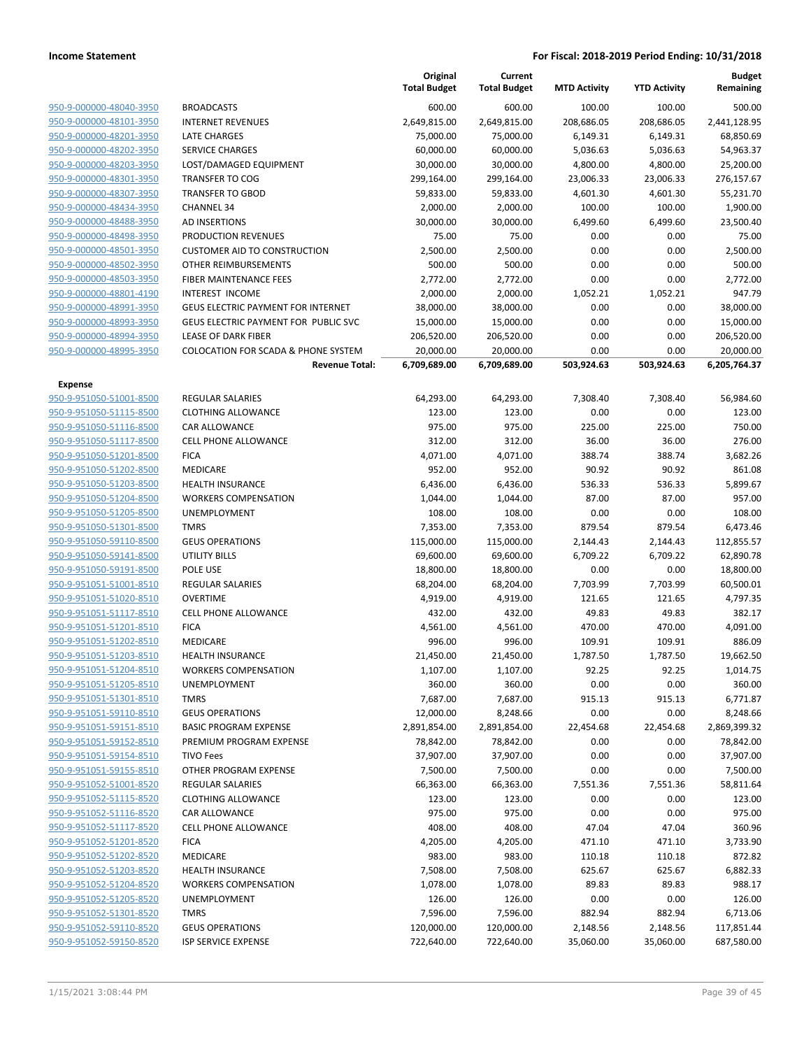|                                                    |                                                | Original<br><b>Total Budget</b> | Current<br><b>Total Budget</b> | <b>MTD Activity</b> | <b>YTD Activity</b> | <b>Budget</b><br>Remaining |
|----------------------------------------------------|------------------------------------------------|---------------------------------|--------------------------------|---------------------|---------------------|----------------------------|
| 950-9-000000-48040-3950                            | <b>BROADCASTS</b>                              | 600.00                          | 600.00                         | 100.00              | 100.00              | 500.00                     |
| 950-9-000000-48101-3950                            | <b>INTERNET REVENUES</b>                       | 2,649,815.00                    | 2,649,815.00                   | 208,686.05          | 208,686.05          | 2,441,128.95               |
| 950-9-000000-48201-3950                            | <b>LATE CHARGES</b>                            | 75,000.00                       | 75,000.00                      | 6,149.31            | 6,149.31            | 68,850.69                  |
| 950-9-000000-48202-3950                            | <b>SERVICE CHARGES</b>                         | 60,000.00                       | 60,000.00                      | 5,036.63            | 5,036.63            | 54,963.37                  |
| 950-9-000000-48203-3950                            | LOST/DAMAGED EQUIPMENT                         | 30,000.00                       | 30,000.00                      | 4,800.00            | 4,800.00            | 25,200.00                  |
| 950-9-000000-48301-3950                            | <b>TRANSFER TO COG</b>                         | 299,164.00                      | 299,164.00                     | 23,006.33           | 23,006.33           | 276,157.67                 |
| 950-9-000000-48307-3950                            | <b>TRANSFER TO GBOD</b>                        | 59,833.00                       | 59,833.00                      | 4,601.30            | 4,601.30            | 55,231.70                  |
| 950-9-000000-48434-3950                            | <b>CHANNEL 34</b>                              | 2,000.00                        | 2,000.00                       | 100.00              | 100.00              | 1,900.00                   |
| 950-9-000000-48488-3950                            | AD INSERTIONS                                  | 30,000.00                       | 30,000.00                      | 6,499.60            | 6,499.60            | 23,500.40                  |
| 950-9-000000-48498-3950                            | PRODUCTION REVENUES                            | 75.00                           | 75.00                          | 0.00                | 0.00                | 75.00                      |
| 950-9-000000-48501-3950                            | <b>CUSTOMER AID TO CONSTRUCTION</b>            | 2,500.00                        | 2,500.00                       | 0.00                | 0.00                | 2,500.00                   |
| 950-9-000000-48502-3950                            | OTHER REIMBURSEMENTS                           | 500.00                          | 500.00                         | 0.00                | 0.00                | 500.00                     |
| 950-9-000000-48503-3950                            | FIBER MAINTENANCE FEES                         | 2,772.00                        | 2,772.00                       | 0.00                | 0.00                | 2,772.00                   |
| 950-9-000000-48801-4190                            | <b>INTEREST INCOME</b>                         | 2,000.00                        | 2,000.00                       | 1,052.21            | 1,052.21            | 947.79                     |
| 950-9-000000-48991-3950                            | GEUS ELECTRIC PAYMENT FOR INTERNET             | 38,000.00                       | 38,000.00                      | 0.00                | 0.00                | 38,000.00                  |
| 950-9-000000-48993-3950                            | GEUS ELECTRIC PAYMENT FOR PUBLIC SVC           | 15,000.00                       | 15,000.00                      | 0.00                | 0.00                | 15,000.00                  |
| 950-9-000000-48994-3950                            | <b>LEASE OF DARK FIBER</b>                     | 206,520.00                      | 206,520.00                     | 0.00                | 0.00                | 206,520.00                 |
| 950-9-000000-48995-3950                            | <b>COLOCATION FOR SCADA &amp; PHONE SYSTEM</b> | 20,000.00                       | 20,000.00                      | 0.00                | 0.00                | 20,000.00                  |
|                                                    | <b>Revenue Total:</b>                          | 6,709,689.00                    | 6,709,689.00                   | 503,924.63          | 503,924.63          | 6,205,764.37               |
| Expense                                            |                                                |                                 |                                |                     |                     |                            |
| 950-9-951050-51001-8500                            | <b>REGULAR SALARIES</b>                        | 64,293.00                       | 64,293.00                      | 7,308.40            | 7,308.40            | 56,984.60                  |
| 950-9-951050-51115-8500                            | <b>CLOTHING ALLOWANCE</b>                      | 123.00                          | 123.00                         | 0.00                | 0.00                | 123.00                     |
| 950-9-951050-51116-8500                            | CAR ALLOWANCE                                  | 975.00                          | 975.00                         | 225.00              | 225.00              | 750.00                     |
| 950-9-951050-51117-8500                            | <b>CELL PHONE ALLOWANCE</b>                    | 312.00                          | 312.00                         | 36.00               | 36.00               | 276.00                     |
| 950-9-951050-51201-8500                            | <b>FICA</b>                                    | 4,071.00                        | 4,071.00                       | 388.74              | 388.74              | 3,682.26                   |
| 950-9-951050-51202-8500                            | MEDICARE                                       | 952.00                          | 952.00                         | 90.92               | 90.92               | 861.08                     |
| 950-9-951050-51203-8500                            | <b>HEALTH INSURANCE</b>                        | 6,436.00                        | 6,436.00                       | 536.33              | 536.33              | 5,899.67                   |
| 950-9-951050-51204-8500                            | <b>WORKERS COMPENSATION</b>                    | 1,044.00                        | 1,044.00                       | 87.00               | 87.00               | 957.00                     |
| 950-9-951050-51205-8500                            | UNEMPLOYMENT                                   | 108.00                          | 108.00                         | 0.00                | 0.00                | 108.00                     |
| 950-9-951050-51301-8500                            | <b>TMRS</b>                                    | 7,353.00                        | 7,353.00                       | 879.54              | 879.54              | 6,473.46                   |
| 950-9-951050-59110-8500                            | <b>GEUS OPERATIONS</b>                         | 115,000.00                      | 115,000.00                     | 2,144.43            | 2,144.43            | 112,855.57                 |
| 950-9-951050-59141-8500                            | <b>UTILITY BILLS</b>                           | 69,600.00                       | 69,600.00                      | 6,709.22            | 6,709.22            | 62,890.78                  |
| 950-9-951050-59191-8500                            | POLE USE                                       | 18,800.00                       | 18,800.00                      | 0.00                | 0.00                | 18,800.00                  |
| 950-9-951051-51001-8510                            | REGULAR SALARIES                               | 68,204.00                       | 68,204.00                      | 7,703.99            | 7,703.99            | 60,500.01                  |
| 950-9-951051-51020-8510                            | <b>OVERTIME</b>                                | 4,919.00                        | 4,919.00                       | 121.65              | 121.65              | 4,797.35                   |
| 950-9-951051-51117-8510                            | <b>CELL PHONE ALLOWANCE</b>                    | 432.00                          | 432.00                         | 49.83               | 49.83               | 382.17                     |
| 950-9-951051-51201-8510                            | <b>FICA</b>                                    | 4,561.00                        | 4,561.00                       | 470.00              | 470.00              | 4,091.00                   |
| 950-9-951051-51202-8510                            | MEDICARE                                       | 996.00                          | 996.00                         | 109.91              | 109.91              | 886.09                     |
| 950-9-951051-51203-8510                            | <b>HEALTH INSURANCE</b>                        | 21,450.00                       | 21,450.00                      | 1,787.50            | 1,787.50            | 19,662.50                  |
| 950-9-951051-51204-8510                            | <b>WORKERS COMPENSATION</b>                    | 1,107.00                        | 1,107.00                       | 92.25               | 92.25               | 1,014.75                   |
| 950-9-951051-51205-8510                            | <b>UNEMPLOYMENT</b>                            | 360.00                          | 360.00                         | 0.00                | 0.00                | 360.00                     |
| 950-9-951051-51301-8510<br>950-9-951051-59110-8510 | <b>TMRS</b><br><b>GEUS OPERATIONS</b>          | 7,687.00<br>12,000.00           | 7,687.00                       | 915.13<br>0.00      | 915.13<br>0.00      | 6,771.87                   |
| 950-9-951051-59151-8510                            | <b>BASIC PROGRAM EXPENSE</b>                   | 2,891,854.00                    | 8,248.66<br>2,891,854.00       | 22,454.68           | 22,454.68           | 8,248.66<br>2,869,399.32   |
| 950-9-951051-59152-8510                            | PREMIUM PROGRAM EXPENSE                        | 78,842.00                       | 78,842.00                      | 0.00                | 0.00                | 78,842.00                  |
|                                                    | <b>TIVO Fees</b>                               |                                 |                                |                     |                     | 37,907.00                  |
| 950-9-951051-59154-8510<br>950-9-951051-59155-8510 | OTHER PROGRAM EXPENSE                          | 37,907.00<br>7,500.00           | 37,907.00<br>7,500.00          | 0.00<br>0.00        | 0.00<br>0.00        | 7,500.00                   |
| 950-9-951052-51001-8520                            | REGULAR SALARIES                               | 66,363.00                       | 66,363.00                      | 7,551.36            | 7,551.36            | 58,811.64                  |
| 950-9-951052-51115-8520                            | <b>CLOTHING ALLOWANCE</b>                      | 123.00                          | 123.00                         | 0.00                | 0.00                | 123.00                     |
| 950-9-951052-51116-8520                            | CAR ALLOWANCE                                  | 975.00                          | 975.00                         | 0.00                | 0.00                | 975.00                     |
|                                                    | <b>CELL PHONE ALLOWANCE</b>                    |                                 |                                |                     |                     |                            |
| 950-9-951052-51117-8520<br>950-9-951052-51201-8520 | <b>FICA</b>                                    | 408.00<br>4,205.00              | 408.00<br>4,205.00             | 47.04<br>471.10     | 47.04<br>471.10     | 360.96<br>3,733.90         |
| 950-9-951052-51202-8520                            | MEDICARE                                       | 983.00                          | 983.00                         | 110.18              | 110.18              | 872.82                     |
| 950-9-951052-51203-8520                            | <b>HEALTH INSURANCE</b>                        | 7,508.00                        | 7,508.00                       | 625.67              | 625.67              | 6,882.33                   |
| 950-9-951052-51204-8520                            | <b>WORKERS COMPENSATION</b>                    | 1,078.00                        | 1,078.00                       | 89.83               | 89.83               | 988.17                     |
| 950-9-951052-51205-8520                            | UNEMPLOYMENT                                   | 126.00                          | 126.00                         | 0.00                | 0.00                | 126.00                     |
| 950-9-951052-51301-8520                            | <b>TMRS</b>                                    | 7,596.00                        | 7,596.00                       | 882.94              | 882.94              | 6,713.06                   |
| 950-9-951052-59110-8520                            | <b>GEUS OPERATIONS</b>                         | 120,000.00                      | 120,000.00                     | 2,148.56            | 2,148.56            | 117,851.44                 |
| 950-9-951052-59150-8520                            | ISP SERVICE EXPENSE                            | 722,640.00                      | 722,640.00                     | 35,060.00           | 35,060.00           | 687,580.00                 |
|                                                    |                                                |                                 |                                |                     |                     |                            |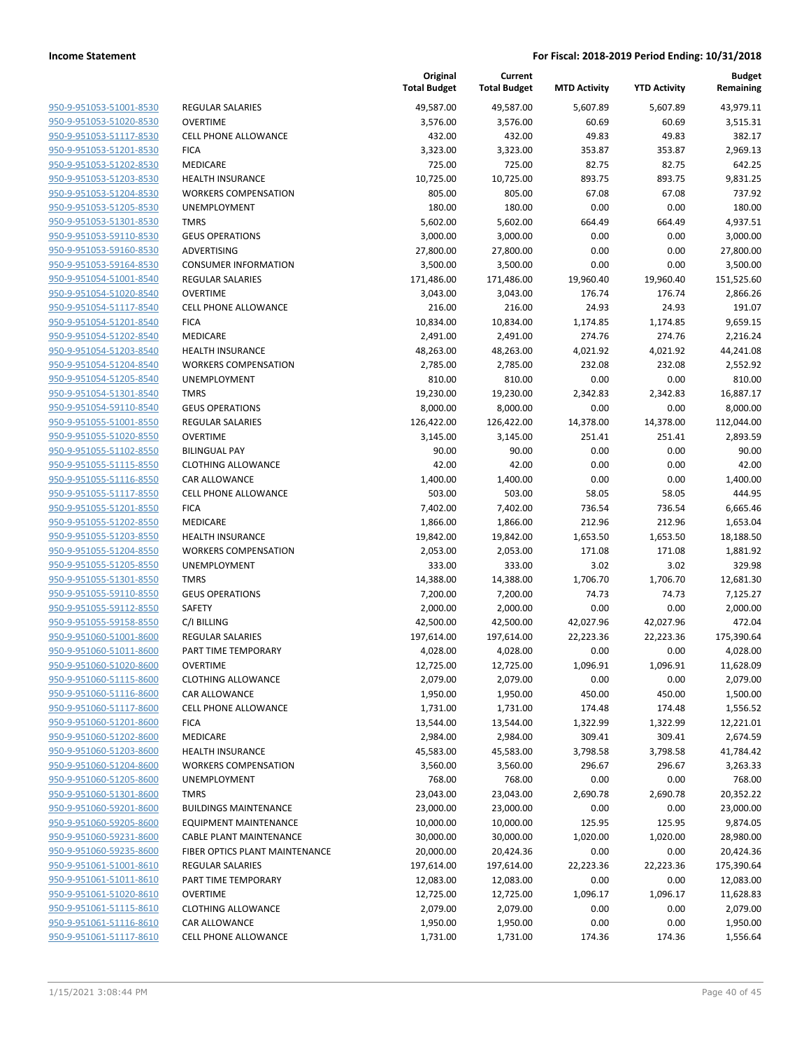|                                                    |                                             | Original<br><b>Total Budget</b> | Current<br><b>Total Budget</b> | <b>MTD Activity</b> | <b>YTD Activity</b> | <b>Budget</b><br>Remaining |
|----------------------------------------------------|---------------------------------------------|---------------------------------|--------------------------------|---------------------|---------------------|----------------------------|
| 950-9-951053-51001-8530                            | <b>REGULAR SALARIES</b>                     | 49,587.00                       | 49,587.00                      | 5,607.89            | 5,607.89            | 43,979.11                  |
| 950-9-951053-51020-8530                            | <b>OVERTIME</b>                             | 3,576.00                        | 3,576.00                       | 60.69               | 60.69               | 3,515.31                   |
| 950-9-951053-51117-8530                            | <b>CELL PHONE ALLOWANCE</b>                 | 432.00                          | 432.00                         | 49.83               | 49.83               | 382.17                     |
| 950-9-951053-51201-8530                            | <b>FICA</b>                                 | 3,323.00                        | 3,323.00                       | 353.87              | 353.87              | 2,969.13                   |
| 950-9-951053-51202-8530                            | MEDICARE                                    | 725.00                          | 725.00                         | 82.75               | 82.75               | 642.25                     |
| 950-9-951053-51203-8530                            | <b>HEALTH INSURANCE</b>                     | 10,725.00                       | 10,725.00                      | 893.75              | 893.75              | 9,831.25                   |
| 950-9-951053-51204-8530                            | <b>WORKERS COMPENSATION</b>                 | 805.00                          | 805.00                         | 67.08               | 67.08               | 737.92                     |
| 950-9-951053-51205-8530                            | UNEMPLOYMENT                                | 180.00                          | 180.00                         | 0.00                | 0.00                | 180.00                     |
| 950-9-951053-51301-8530                            | <b>TMRS</b>                                 | 5,602.00                        | 5,602.00                       | 664.49              | 664.49              | 4,937.51                   |
| 950-9-951053-59110-8530                            | <b>GEUS OPERATIONS</b>                      | 3,000.00                        | 3,000.00                       | 0.00                | 0.00                | 3,000.00                   |
| 950-9-951053-59160-8530                            | ADVERTISING                                 | 27,800.00                       | 27,800.00                      | 0.00                | 0.00                | 27,800.00                  |
| 950-9-951053-59164-8530                            | <b>CONSUMER INFORMATION</b>                 | 3,500.00                        | 3,500.00                       | 0.00                | 0.00                | 3,500.00                   |
| 950-9-951054-51001-8540                            | <b>REGULAR SALARIES</b>                     | 171,486.00                      | 171,486.00                     | 19,960.40           | 19,960.40           | 151,525.60                 |
| 950-9-951054-51020-8540                            | <b>OVERTIME</b>                             | 3,043.00                        | 3,043.00                       | 176.74              | 176.74              | 2,866.26                   |
| 950-9-951054-51117-8540                            | <b>CELL PHONE ALLOWANCE</b>                 | 216.00                          | 216.00                         | 24.93               | 24.93               | 191.07                     |
| 950-9-951054-51201-8540                            | <b>FICA</b>                                 | 10,834.00                       | 10,834.00                      | 1,174.85            | 1,174.85            | 9,659.15                   |
| 950-9-951054-51202-8540                            | MEDICARE                                    | 2,491.00                        | 2,491.00                       | 274.76              | 274.76              | 2,216.24                   |
| 950-9-951054-51203-8540                            | HEALTH INSURANCE                            | 48,263.00                       | 48,263.00                      | 4,021.92            | 4,021.92            | 44,241.08                  |
| 950-9-951054-51204-8540                            | <b>WORKERS COMPENSATION</b>                 | 2,785.00                        | 2,785.00                       | 232.08              | 232.08              | 2,552.92                   |
| 950-9-951054-51205-8540                            | UNEMPLOYMENT                                | 810.00                          | 810.00                         | 0.00                | 0.00                | 810.00                     |
| 950-9-951054-51301-8540                            | <b>TMRS</b>                                 | 19,230.00                       | 19,230.00                      | 2,342.83            | 2,342.83            | 16,887.17                  |
| 950-9-951054-59110-8540                            | <b>GEUS OPERATIONS</b>                      | 8,000.00                        | 8,000.00                       | 0.00                | 0.00                | 8,000.00                   |
| 950-9-951055-51001-8550                            | REGULAR SALARIES                            | 126,422.00                      | 126,422.00                     | 14,378.00           | 14,378.00           | 112,044.00                 |
| 950-9-951055-51020-8550                            | <b>OVERTIME</b>                             | 3,145.00                        | 3,145.00                       | 251.41              | 251.41              | 2,893.59                   |
| 950-9-951055-51102-8550                            | <b>BILINGUAL PAY</b>                        | 90.00                           | 90.00                          | 0.00                | 0.00                | 90.00                      |
| 950-9-951055-51115-8550                            | <b>CLOTHING ALLOWANCE</b>                   | 42.00                           | 42.00                          | 0.00                | 0.00                | 42.00                      |
| 950-9-951055-51116-8550                            | <b>CAR ALLOWANCE</b>                        | 1,400.00                        | 1,400.00                       | 0.00                | 0.00                | 1,400.00                   |
| 950-9-951055-51117-8550                            | <b>CELL PHONE ALLOWANCE</b>                 | 503.00                          | 503.00                         | 58.05               | 58.05               | 444.95                     |
| 950-9-951055-51201-8550                            | <b>FICA</b>                                 | 7,402.00                        | 7,402.00                       | 736.54              | 736.54              | 6,665.46                   |
| 950-9-951055-51202-8550                            | MEDICARE                                    | 1,866.00                        | 1,866.00                       | 212.96              | 212.96              | 1,653.04                   |
| 950-9-951055-51203-8550                            | <b>HEALTH INSURANCE</b>                     | 19,842.00                       | 19,842.00                      | 1,653.50            | 1,653.50            | 18,188.50                  |
| 950-9-951055-51204-8550                            | <b>WORKERS COMPENSATION</b><br>UNEMPLOYMENT | 2,053.00                        | 2,053.00                       | 171.08<br>3.02      | 171.08<br>3.02      | 1,881.92<br>329.98         |
| 950-9-951055-51205-8550<br>950-9-951055-51301-8550 | <b>TMRS</b>                                 | 333.00<br>14,388.00             | 333.00<br>14,388.00            | 1,706.70            | 1,706.70            | 12,681.30                  |
| 950-9-951055-59110-8550                            | <b>GEUS OPERATIONS</b>                      | 7,200.00                        | 7,200.00                       | 74.73               | 74.73               | 7,125.27                   |
| 950-9-951055-59112-8550                            | SAFETY                                      | 2,000.00                        | 2,000.00                       | 0.00                | 0.00                | 2,000.00                   |
| 950-9-951055-59158-8550                            | C/I BILLING                                 | 42,500.00                       | 42,500.00                      | 42,027.96           | 42,027.96           | 472.04                     |
| 950-9-951060-51001-8600                            | <b>REGULAR SALARIES</b>                     | 197,614.00                      | 197,614.00                     | 22,223.36           | 22,223.36           | 175,390.64                 |
| 950-9-951060-51011-8600                            | PART TIME TEMPORARY                         | 4,028.00                        | 4,028.00                       | 0.00                | 0.00                | 4,028.00                   |
| 950-9-951060-51020-8600                            | <b>OVERTIME</b>                             | 12,725.00                       | 12,725.00                      | 1,096.91            | 1,096.91            | 11,628.09                  |
| 950-9-951060-51115-8600                            | <b>CLOTHING ALLOWANCE</b>                   | 2,079.00                        | 2,079.00                       | 0.00                | 0.00                | 2,079.00                   |
| 950-9-951060-51116-8600                            | CAR ALLOWANCE                               | 1,950.00                        | 1,950.00                       | 450.00              | 450.00              | 1,500.00                   |
| 950-9-951060-51117-8600                            | CELL PHONE ALLOWANCE                        | 1,731.00                        | 1,731.00                       | 174.48              | 174.48              | 1,556.52                   |
| 950-9-951060-51201-8600                            | <b>FICA</b>                                 | 13,544.00                       | 13,544.00                      | 1,322.99            | 1,322.99            | 12,221.01                  |
| 950-9-951060-51202-8600                            | MEDICARE                                    | 2,984.00                        | 2,984.00                       | 309.41              | 309.41              | 2,674.59                   |
| 950-9-951060-51203-8600                            | HEALTH INSURANCE                            | 45,583.00                       | 45,583.00                      | 3,798.58            | 3,798.58            | 41,784.42                  |
| 950-9-951060-51204-8600                            | <b>WORKERS COMPENSATION</b>                 | 3,560.00                        | 3,560.00                       | 296.67              | 296.67              | 3,263.33                   |
| 950-9-951060-51205-8600                            | UNEMPLOYMENT                                | 768.00                          | 768.00                         | 0.00                | 0.00                | 768.00                     |
| 950-9-951060-51301-8600                            | <b>TMRS</b>                                 | 23,043.00                       | 23,043.00                      | 2,690.78            | 2,690.78            | 20,352.22                  |
| 950-9-951060-59201-8600                            | <b>BUILDINGS MAINTENANCE</b>                | 23,000.00                       | 23,000.00                      | 0.00                | 0.00                | 23,000.00                  |
| 950-9-951060-59205-8600                            | EQUIPMENT MAINTENANCE                       | 10,000.00                       | 10,000.00                      | 125.95              | 125.95              | 9,874.05                   |
| 950-9-951060-59231-8600                            | <b>CABLE PLANT MAINTENANCE</b>              | 30,000.00                       | 30,000.00                      | 1,020.00            | 1,020.00            | 28,980.00                  |
| 950-9-951060-59235-8600                            | FIBER OPTICS PLANT MAINTENANCE              | 20,000.00                       | 20,424.36                      | 0.00                | 0.00                | 20,424.36                  |
| 950-9-951061-51001-8610                            | <b>REGULAR SALARIES</b>                     | 197,614.00                      | 197,614.00                     | 22,223.36           | 22,223.36           | 175,390.64                 |
| 950-9-951061-51011-8610                            | PART TIME TEMPORARY                         | 12,083.00                       | 12,083.00                      | 0.00                | 0.00                | 12,083.00                  |
| 950-9-951061-51020-8610                            | <b>OVERTIME</b>                             | 12,725.00                       | 12,725.00                      | 1,096.17            | 1,096.17            | 11,628.83                  |
| 950-9-951061-51115-8610<br>950-9-951061-51116-8610 | <b>CLOTHING ALLOWANCE</b><br>CAR ALLOWANCE  | 2,079.00<br>1,950.00            | 2,079.00<br>1,950.00           | 0.00<br>0.00        | 0.00<br>0.00        | 2,079.00<br>1,950.00       |
| 950-9-951061-51117-8610                            | <b>CELL PHONE ALLOWANCE</b>                 | 1,731.00                        | 1,731.00                       | 174.36              | 174.36              | 1,556.64                   |
|                                                    |                                             |                                 |                                |                     |                     |                            |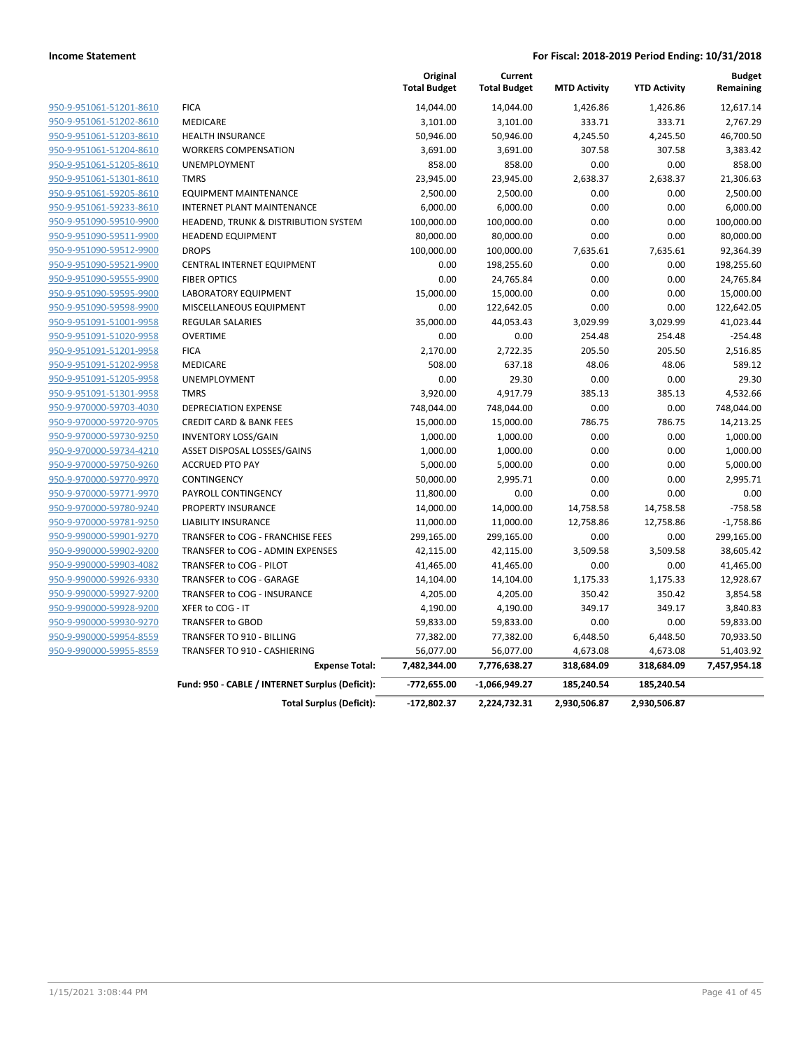|                         |                                                 | Original<br><b>Total Budget</b> | Current<br><b>Total Budget</b> | <b>MTD Activity</b> | <b>YTD Activity</b> | <b>Budget</b><br>Remaining |
|-------------------------|-------------------------------------------------|---------------------------------|--------------------------------|---------------------|---------------------|----------------------------|
| 950-9-951061-51201-8610 | <b>FICA</b>                                     | 14,044.00                       | 14,044.00                      | 1,426.86            | 1,426.86            | 12,617.14                  |
| 950-9-951061-51202-8610 | <b>MEDICARE</b>                                 | 3,101.00                        | 3,101.00                       | 333.71              | 333.71              | 2,767.29                   |
| 950-9-951061-51203-8610 | <b>HEALTH INSURANCE</b>                         | 50,946.00                       | 50,946.00                      | 4,245.50            | 4,245.50            | 46,700.50                  |
| 950-9-951061-51204-8610 | <b>WORKERS COMPENSATION</b>                     | 3,691.00                        | 3,691.00                       | 307.58              | 307.58              | 3,383.42                   |
| 950-9-951061-51205-8610 | <b>UNEMPLOYMENT</b>                             | 858.00                          | 858.00                         | 0.00                | 0.00                | 858.00                     |
| 950-9-951061-51301-8610 | <b>TMRS</b>                                     | 23,945.00                       | 23,945.00                      | 2,638.37            | 2,638.37            | 21,306.63                  |
| 950-9-951061-59205-8610 | <b>EQUIPMENT MAINTENANCE</b>                    | 2,500.00                        | 2,500.00                       | 0.00                | 0.00                | 2,500.00                   |
| 950-9-951061-59233-8610 | <b>INTERNET PLANT MAINTENANCE</b>               | 6,000.00                        | 6,000.00                       | 0.00                | 0.00                | 6,000.00                   |
| 950-9-951090-59510-9900 | HEADEND, TRUNK & DISTRIBUTION SYSTEM            | 100,000.00                      | 100,000.00                     | 0.00                | 0.00                | 100,000.00                 |
| 950-9-951090-59511-9900 | <b>HEADEND EQUIPMENT</b>                        | 80,000.00                       | 80,000.00                      | 0.00                | 0.00                | 80,000.00                  |
| 950-9-951090-59512-9900 | <b>DROPS</b>                                    | 100,000.00                      | 100,000.00                     | 7,635.61            | 7,635.61            | 92,364.39                  |
| 950-9-951090-59521-9900 | CENTRAL INTERNET EQUIPMENT                      | 0.00                            | 198,255.60                     | 0.00                | 0.00                | 198,255.60                 |
| 950-9-951090-59555-9900 | <b>FIBER OPTICS</b>                             | 0.00                            | 24,765.84                      | 0.00                | 0.00                | 24,765.84                  |
| 950-9-951090-59595-9900 | <b>LABORATORY EQUIPMENT</b>                     | 15,000.00                       | 15,000.00                      | 0.00                | 0.00                | 15,000.00                  |
| 950-9-951090-59598-9900 | MISCELLANEOUS EQUIPMENT                         | 0.00                            | 122,642.05                     | 0.00                | 0.00                | 122,642.05                 |
| 950-9-951091-51001-9958 | <b>REGULAR SALARIES</b>                         | 35,000.00                       | 44,053.43                      | 3,029.99            | 3,029.99            | 41,023.44                  |
| 950-9-951091-51020-9958 | <b>OVERTIME</b>                                 | 0.00                            | 0.00                           | 254.48              | 254.48              | $-254.48$                  |
| 950-9-951091-51201-9958 | <b>FICA</b>                                     | 2,170.00                        | 2,722.35                       | 205.50              | 205.50              | 2,516.85                   |
| 950-9-951091-51202-9958 | MEDICARE                                        | 508.00                          | 637.18                         | 48.06               | 48.06               | 589.12                     |
| 950-9-951091-51205-9958 | <b>UNEMPLOYMENT</b>                             | 0.00                            | 29.30                          | 0.00                | 0.00                | 29.30                      |
| 950-9-951091-51301-9958 | <b>TMRS</b>                                     | 3,920.00                        | 4,917.79                       | 385.13              | 385.13              | 4,532.66                   |
| 950-9-970000-59703-4030 | <b>DEPRECIATION EXPENSE</b>                     | 748,044.00                      | 748,044.00                     | 0.00                | 0.00                | 748,044.00                 |
| 950-9-970000-59720-9705 | <b>CREDIT CARD &amp; BANK FEES</b>              | 15,000.00                       | 15,000.00                      | 786.75              | 786.75              | 14,213.25                  |
| 950-9-970000-59730-9250 | <b>INVENTORY LOSS/GAIN</b>                      | 1,000.00                        | 1,000.00                       | 0.00                | 0.00                | 1,000.00                   |
| 950-9-970000-59734-4210 | ASSET DISPOSAL LOSSES/GAINS                     | 1,000.00                        | 1,000.00                       | 0.00                | 0.00                | 1,000.00                   |
| 950-9-970000-59750-9260 | <b>ACCRUED PTO PAY</b>                          | 5,000.00                        | 5,000.00                       | 0.00                | 0.00                | 5,000.00                   |
| 950-9-970000-59770-9970 | CONTINGENCY                                     | 50,000.00                       | 2,995.71                       | 0.00                | 0.00                | 2,995.71                   |
| 950-9-970000-59771-9970 | PAYROLL CONTINGENCY                             | 11,800.00                       | 0.00                           | 0.00                | 0.00                | 0.00                       |
| 950-9-970000-59780-9240 | PROPERTY INSURANCE                              | 14,000.00                       | 14,000.00                      | 14,758.58           | 14,758.58           | $-758.58$                  |
| 950-9-970000-59781-9250 | <b>LIABILITY INSURANCE</b>                      | 11,000.00                       | 11,000.00                      | 12,758.86           | 12,758.86           | $-1,758.86$                |
| 950-9-990000-59901-9270 | TRANSFER to COG - FRANCHISE FEES                | 299,165.00                      | 299,165.00                     | 0.00                | 0.00                | 299,165.00                 |
| 950-9-990000-59902-9200 | TRANSFER to COG - ADMIN EXPENSES                | 42,115.00                       | 42,115.00                      | 3,509.58            | 3,509.58            | 38,605.42                  |
| 950-9-990000-59903-4082 | TRANSFER to COG - PILOT                         | 41,465.00                       | 41,465.00                      | 0.00                | 0.00                | 41,465.00                  |
| 950-9-990000-59926-9330 | TRANSFER to COG - GARAGE                        | 14,104.00                       | 14,104.00                      | 1,175.33            | 1,175.33            | 12,928.67                  |
| 950-9-990000-59927-9200 | TRANSFER to COG - INSURANCE                     | 4,205.00                        | 4,205.00                       | 350.42              | 350.42              | 3,854.58                   |
| 950-9-990000-59928-9200 | XFER to COG - IT                                | 4,190.00                        | 4,190.00                       | 349.17              | 349.17              | 3,840.83                   |
| 950-9-990000-59930-9270 | TRANSFER to GBOD                                | 59,833.00                       | 59,833.00                      | 0.00                | 0.00                | 59,833.00                  |
| 950-9-990000-59954-8559 | TRANSFER TO 910 - BILLING                       | 77,382.00                       | 77,382.00                      | 6,448.50            | 6,448.50            | 70,933.50                  |
| 950-9-990000-59955-8559 | <b>TRANSFER TO 910 - CASHIERING</b>             | 56,077.00                       | 56,077.00                      | 4,673.08            | 4,673.08            | 51,403.92                  |
|                         | <b>Expense Total:</b>                           | 7,482,344.00                    | 7,776,638.27                   | 318,684.09          | 318,684.09          | 7,457,954.18               |
|                         | Fund: 950 - CABLE / INTERNET Surplus (Deficit): | $-772,655.00$                   | $-1,066,949.27$                | 185,240.54          | 185,240.54          |                            |
|                         | <b>Total Surplus (Deficit):</b>                 | $-172,802.37$                   | 2,224,732.31                   | 2,930,506.87        | 2,930,506.87        |                            |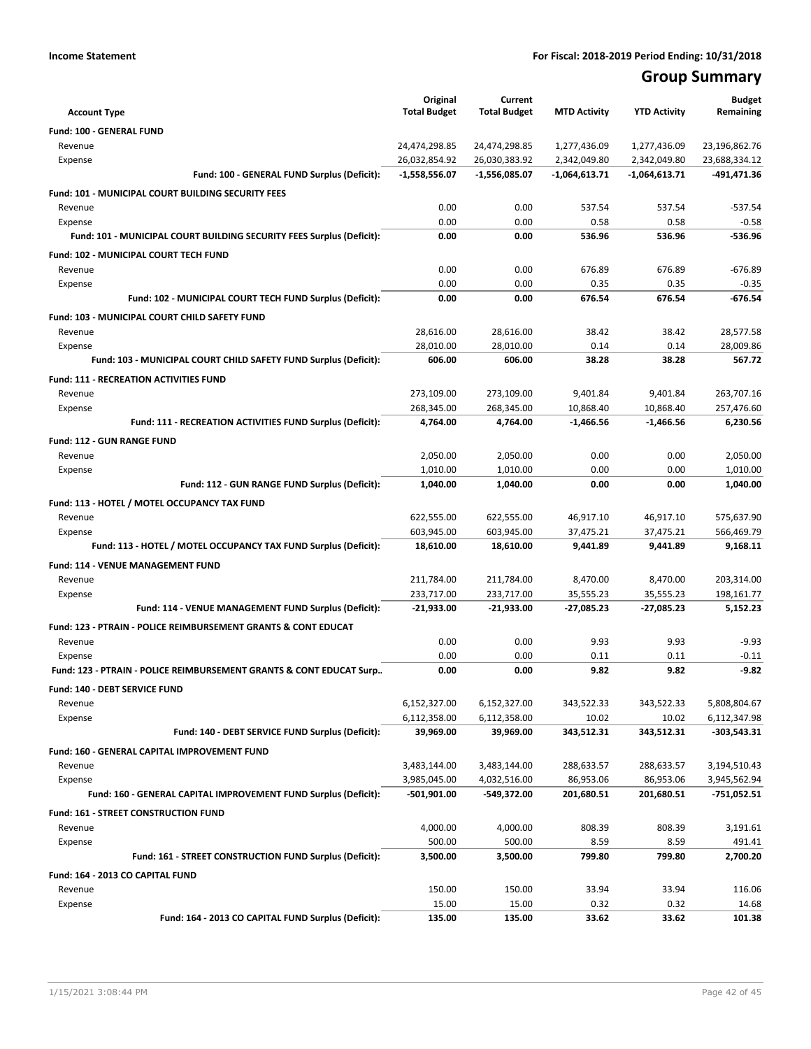## **Group Summary**

| <b>Account Type</b>                                                        | Original<br><b>Total Budget</b> | Current<br><b>Total Budget</b> | <b>MTD Activity</b>     | <b>YTD Activity</b>     | <b>Budget</b><br>Remaining   |
|----------------------------------------------------------------------------|---------------------------------|--------------------------------|-------------------------|-------------------------|------------------------------|
| Fund: 100 - GENERAL FUND                                                   |                                 |                                |                         |                         |                              |
| Revenue                                                                    | 24,474,298.85                   | 24,474,298.85                  | 1,277,436.09            | 1,277,436.09            | 23,196,862.76                |
| Expense                                                                    | 26,032,854.92                   | 26,030,383.92                  | 2,342,049.80            | 2,342,049.80            | 23,688,334.12                |
| Fund: 100 - GENERAL FUND Surplus (Deficit):                                | $-1,558,556.07$                 | $-1,556,085.07$                | $-1,064,613.71$         | $-1,064,613.71$         | -491,471.36                  |
| <b>Fund: 101 - MUNICIPAL COURT BUILDING SECURITY FEES</b>                  |                                 |                                |                         |                         |                              |
| Revenue                                                                    | 0.00                            | 0.00                           | 537.54                  | 537.54                  | $-537.54$                    |
| Expense                                                                    | 0.00                            | 0.00                           | 0.58                    | 0.58                    | $-0.58$                      |
| Fund: 101 - MUNICIPAL COURT BUILDING SECURITY FEES Surplus (Deficit):      | 0.00                            | 0.00                           | 536.96                  | 536.96                  | -536.96                      |
| Fund: 102 - MUNICIPAL COURT TECH FUND                                      |                                 |                                |                         |                         |                              |
| Revenue                                                                    | 0.00                            | 0.00                           | 676.89                  | 676.89                  | $-676.89$                    |
| Expense                                                                    | 0.00                            | 0.00                           | 0.35                    | 0.35                    | $-0.35$                      |
| Fund: 102 - MUNICIPAL COURT TECH FUND Surplus (Deficit):                   | 0.00                            | 0.00                           | 676.54                  | 676.54                  | $-676.54$                    |
| Fund: 103 - MUNICIPAL COURT CHILD SAFETY FUND                              |                                 |                                |                         |                         |                              |
| Revenue                                                                    | 28,616.00                       | 28,616.00                      | 38.42                   | 38.42                   | 28,577.58                    |
| Expense                                                                    | 28,010.00                       | 28,010.00                      | 0.14                    | 0.14                    | 28,009.86                    |
| Fund: 103 - MUNICIPAL COURT CHILD SAFETY FUND Surplus (Deficit):           | 606.00                          | 606.00                         | 38.28                   | 38.28                   | 567.72                       |
| <b>Fund: 111 - RECREATION ACTIVITIES FUND</b>                              |                                 |                                |                         |                         |                              |
| Revenue                                                                    | 273,109.00                      | 273,109.00                     | 9.401.84                | 9,401.84                | 263,707.16                   |
| Expense                                                                    | 268,345.00                      | 268,345.00                     | 10,868.40               | 10,868.40               | 257,476.60                   |
| Fund: 111 - RECREATION ACTIVITIES FUND Surplus (Deficit):                  | 4,764.00                        | 4,764.00                       | $-1,466.56$             | $-1,466.56$             | 6.230.56                     |
| <b>Fund: 112 - GUN RANGE FUND</b>                                          |                                 |                                |                         |                         |                              |
| Revenue                                                                    | 2,050.00                        | 2,050.00                       | 0.00                    | 0.00                    | 2,050.00                     |
| Expense                                                                    | 1,010.00                        | 1,010.00                       | 0.00                    | 0.00                    | 1,010.00                     |
| Fund: 112 - GUN RANGE FUND Surplus (Deficit):                              | 1,040.00                        | 1,040.00                       | 0.00                    | 0.00                    | 1,040.00                     |
| Fund: 113 - HOTEL / MOTEL OCCUPANCY TAX FUND                               |                                 |                                |                         |                         |                              |
| Revenue                                                                    | 622,555.00                      | 622,555.00                     | 46,917.10               | 46,917.10               | 575,637.90                   |
| Expense                                                                    | 603,945.00                      | 603,945.00                     | 37,475.21               | 37,475.21               | 566,469.79                   |
| Fund: 113 - HOTEL / MOTEL OCCUPANCY TAX FUND Surplus (Deficit):            | 18,610.00                       | 18,610.00                      | 9,441.89                | 9,441.89                | 9,168.11                     |
| Fund: 114 - VENUE MANAGEMENT FUND                                          |                                 |                                |                         |                         |                              |
| Revenue                                                                    | 211,784.00                      | 211,784.00                     | 8,470.00                | 8,470.00                | 203,314.00                   |
| Expense                                                                    | 233,717.00                      | 233,717.00                     | 35,555.23               | 35,555.23               | 198,161.77                   |
| Fund: 114 - VENUE MANAGEMENT FUND Surplus (Deficit):                       | $-21,933.00$                    | $-21,933.00$                   | $-27,085.23$            | $-27,085.23$            | 5,152.23                     |
| <b>Fund: 123 - PTRAIN - POLICE REIMBURSEMENT GRANTS &amp; CONT EDUCAT</b>  |                                 |                                |                         |                         |                              |
| Revenue                                                                    | 0.00                            | 0.00                           | 9.93                    | 9.93                    | $-9.93$                      |
| Expense                                                                    | 0.00                            | 0.00                           | 0.11                    | 0.11                    | $-0.11$                      |
| Fund: 123 - PTRAIN - POLICE REIMBURSEMENT GRANTS & CONT EDUCAT Surp        | 0.00                            | 0.00                           | 9.82                    | 9.82                    | $-9.82$                      |
| Fund: 140 - DEBT SERVICE FUND                                              |                                 |                                |                         |                         |                              |
| Revenue                                                                    | 6,152,327.00                    | 6,152,327.00                   | 343,522.33              | 343,522.33              | 5,808,804.67                 |
| Expense<br>Fund: 140 - DEBT SERVICE FUND Surplus (Deficit):                | 6,112,358.00<br>39,969.00       | 6,112,358.00<br>39,969.00      | 10.02<br>343,512.31     | 10.02<br>343,512.31     | 6,112,347.98<br>-303,543.31  |
|                                                                            |                                 |                                |                         |                         |                              |
| Fund: 160 - GENERAL CAPITAL IMPROVEMENT FUND                               |                                 |                                |                         |                         |                              |
| Revenue                                                                    | 3,483,144.00<br>3,985,045.00    | 3,483,144.00<br>4,032,516.00   | 288,633.57<br>86,953.06 | 288,633.57<br>86,953.06 | 3,194,510.43<br>3,945,562.94 |
| Expense<br>Fund: 160 - GENERAL CAPITAL IMPROVEMENT FUND Surplus (Deficit): | $-501,901.00$                   | -549,372.00                    | 201,680.51              | 201,680.51              | $-751,052.51$                |
|                                                                            |                                 |                                |                         |                         |                              |
| Fund: 161 - STREET CONSTRUCTION FUND                                       |                                 |                                |                         |                         |                              |
| Revenue<br>Expense                                                         | 4,000.00<br>500.00              | 4,000.00<br>500.00             | 808.39<br>8.59          | 808.39<br>8.59          | 3,191.61<br>491.41           |
| Fund: 161 - STREET CONSTRUCTION FUND Surplus (Deficit):                    | 3,500.00                        | 3,500.00                       | 799.80                  | 799.80                  | 2,700.20                     |
|                                                                            |                                 |                                |                         |                         |                              |
| Fund: 164 - 2013 CO CAPITAL FUND<br>Revenue                                | 150.00                          | 150.00                         | 33.94                   | 33.94                   | 116.06                       |
| Expense                                                                    | 15.00                           | 15.00                          | 0.32                    | 0.32                    | 14.68                        |
| Fund: 164 - 2013 CO CAPITAL FUND Surplus (Deficit):                        | 135.00                          | 135.00                         | 33.62                   | 33.62                   | 101.38                       |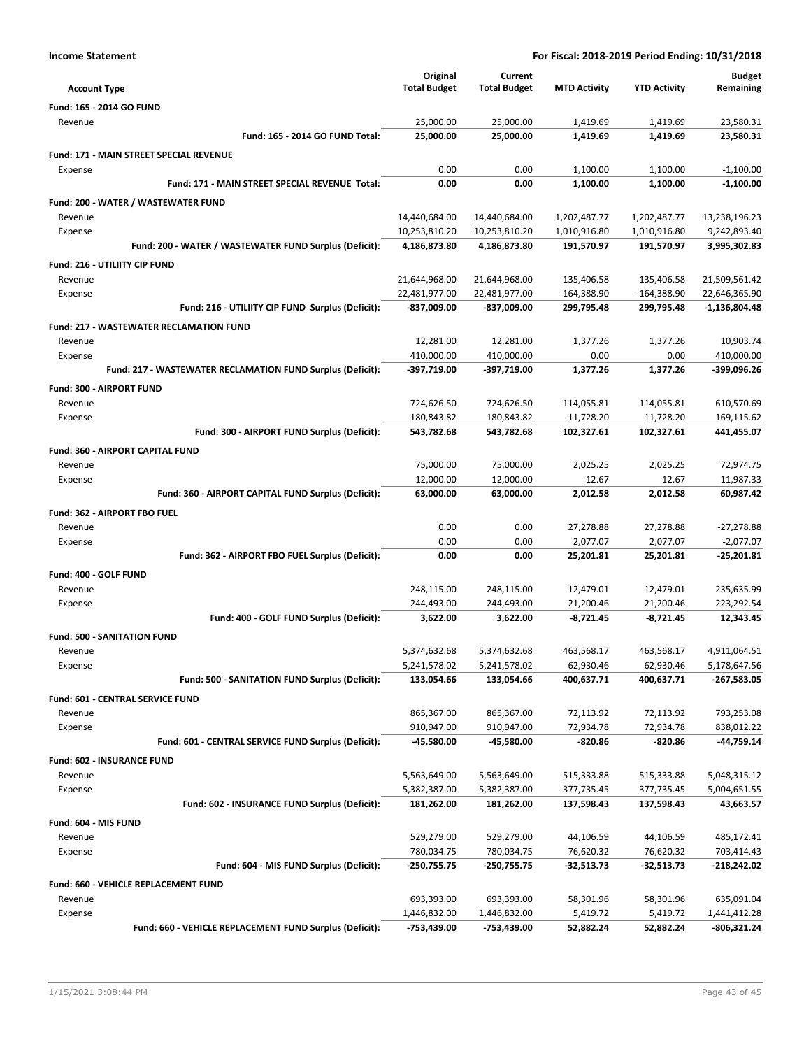| <b>Income Statement</b>                                    | For Fiscal: 2018-2019 Period Ending: 10/31/2018 |                     |                     |                     |                 |
|------------------------------------------------------------|-------------------------------------------------|---------------------|---------------------|---------------------|-----------------|
|                                                            | Original                                        | Current             |                     |                     | <b>Budget</b>   |
| <b>Account Type</b>                                        | <b>Total Budget</b>                             | <b>Total Budget</b> | <b>MTD Activity</b> | <b>YTD Activity</b> | Remaining       |
| Fund: 165 - 2014 GO FUND                                   |                                                 |                     |                     |                     |                 |
| Revenue                                                    | 25,000.00                                       | 25,000.00           | 1,419.69            | 1,419.69            | 23,580.31       |
| Fund: 165 - 2014 GO FUND Total:                            | 25,000.00                                       | 25,000.00           | 1,419.69            | 1,419.69            | 23,580.31       |
| Fund: 171 - MAIN STREET SPECIAL REVENUE                    |                                                 |                     |                     |                     |                 |
| Expense                                                    | 0.00                                            | 0.00                | 1,100.00            | 1,100.00            | $-1,100.00$     |
| Fund: 171 - MAIN STREET SPECIAL REVENUE Total:             | 0.00                                            | 0.00                | 1,100.00            | 1,100.00            | $-1,100.00$     |
| Fund: 200 - WATER / WASTEWATER FUND                        |                                                 |                     |                     |                     |                 |
| Revenue                                                    | 14,440,684.00                                   | 14,440,684.00       | 1,202,487.77        | 1,202,487.77        | 13,238,196.23   |
| Expense                                                    | 10,253,810.20                                   | 10,253,810.20       | 1,010,916.80        | 1,010,916.80        | 9,242,893.40    |
| Fund: 200 - WATER / WASTEWATER FUND Surplus (Deficit):     | 4,186,873.80                                    | 4,186,873.80        | 191,570.97          | 191,570.97          | 3,995,302.83    |
| Fund: 216 - UTILIITY CIP FUND                              |                                                 |                     |                     |                     |                 |
| Revenue                                                    | 21,644,968.00                                   | 21,644,968.00       | 135,406.58          | 135,406.58          | 21,509,561.42   |
| Expense                                                    | 22,481,977.00                                   | 22,481,977.00       | $-164,388.90$       | $-164,388.90$       | 22,646,365.90   |
| Fund: 216 - UTILIITY CIP FUND Surplus (Deficit):           | -837,009.00                                     | -837,009.00         | 299,795.48          | 299,795.48          | $-1,136,804.48$ |
| <b>Fund: 217 - WASTEWATER RECLAMATION FUND</b>             |                                                 |                     |                     |                     |                 |
| Revenue                                                    | 12,281.00                                       | 12,281.00           | 1,377.26            | 1,377.26            | 10,903.74       |
| Expense                                                    | 410,000.00                                      | 410,000.00          | 0.00                | 0.00                | 410,000.00      |
| Fund: 217 - WASTEWATER RECLAMATION FUND Surplus (Deficit): | -397,719.00                                     | -397,719.00         | 1,377.26            | 1.377.26            | -399,096.26     |
| Fund: 300 - AIRPORT FUND                                   |                                                 |                     |                     |                     |                 |
| Revenue                                                    | 724,626.50                                      | 724,626.50          | 114,055.81          | 114,055.81          | 610,570.69      |
| Expense                                                    | 180,843.82                                      | 180,843.82          | 11,728.20           | 11,728.20           | 169,115.62      |
| Fund: 300 - AIRPORT FUND Surplus (Deficit):                | 543,782.68                                      | 543,782.68          | 102,327.61          | 102,327.61          | 441,455.07      |
| Fund: 360 - AIRPORT CAPITAL FUND                           |                                                 |                     |                     |                     |                 |
| Revenue                                                    | 75,000.00                                       | 75,000.00           | 2,025.25            | 2,025.25            | 72,974.75       |
| Expense                                                    | 12,000.00                                       | 12,000.00           | 12.67               | 12.67               | 11,987.33       |
| Fund: 360 - AIRPORT CAPITAL FUND Surplus (Deficit):        | 63,000.00                                       | 63,000.00           | 2,012.58            | 2,012.58            | 60,987.42       |
| Fund: 362 - AIRPORT FBO FUEL                               |                                                 |                     |                     |                     |                 |
| Revenue                                                    | 0.00                                            | 0.00                | 27,278.88           | 27,278.88           | $-27,278.88$    |
| Expense                                                    | 0.00                                            | 0.00                | 2,077.07            | 2,077.07            | $-2,077.07$     |
| Fund: 362 - AIRPORT FBO FUEL Surplus (Deficit):            | 0.00                                            | 0.00                | 25,201.81           | 25,201.81           | $-25,201.81$    |
| Fund: 400 - GOLF FUND                                      |                                                 |                     |                     |                     |                 |
| Revenue                                                    | 248,115.00                                      | 248,115.00          | 12,479.01           | 12,479.01           | 235,635.99      |
| Expense                                                    | 244,493.00                                      | 244,493.00          | 21,200.46           | 21,200.46           | 223,292.54      |
| Fund: 400 - GOLF FUND Surplus (Deficit):                   | 3,622.00                                        | 3,622.00            | $-8,721.45$         | $-8,721.45$         | 12,343.45       |
| <b>Fund: 500 - SANITATION FUND</b>                         |                                                 |                     |                     |                     |                 |
| Revenue                                                    | 5,374,632.68                                    | 5,374,632.68        | 463,568.17          | 463,568.17          | 4,911,064.51    |
| Expense                                                    | 5,241,578.02                                    | 5,241,578.02        | 62,930.46           | 62,930.46           | 5,178,647.56    |
| Fund: 500 - SANITATION FUND Surplus (Deficit):             | 133,054.66                                      | 133,054.66          | 400,637.71          | 400,637.71          | -267,583.05     |
| Fund: 601 - CENTRAL SERVICE FUND                           |                                                 |                     |                     |                     |                 |
| Revenue                                                    | 865,367.00                                      | 865,367.00          | 72,113.92           | 72,113.92           | 793,253.08      |
| Expense                                                    | 910,947.00                                      | 910,947.00          | 72,934.78           | 72,934.78           | 838,012.22      |
| Fund: 601 - CENTRAL SERVICE FUND Surplus (Deficit):        | -45,580.00                                      | -45,580.00          | -820.86             | $-820.86$           | -44,759.14      |
| Fund: 602 - INSURANCE FUND                                 |                                                 |                     |                     |                     |                 |
| Revenue                                                    | 5,563,649.00                                    | 5,563,649.00        | 515,333.88          | 515,333.88          | 5,048,315.12    |
| Expense                                                    | 5,382,387.00                                    | 5,382,387.00        | 377,735.45          | 377,735.45          | 5,004,651.55    |
| Fund: 602 - INSURANCE FUND Surplus (Deficit):              | 181,262.00                                      | 181,262.00          | 137,598.43          | 137,598.43          | 43,663.57       |
| Fund: 604 - MIS FUND                                       |                                                 |                     |                     |                     |                 |
| Revenue                                                    | 529,279.00                                      | 529,279.00          | 44,106.59           | 44,106.59           | 485,172.41      |
| Expense                                                    | 780,034.75                                      | 780,034.75          | 76,620.32           | 76,620.32           | 703,414.43      |
| Fund: 604 - MIS FUND Surplus (Deficit):                    | $-250,755.75$                                   | -250,755.75         | -32,513.73          | -32,513.73          | -218,242.02     |
| Fund: 660 - VEHICLE REPLACEMENT FUND                       |                                                 |                     |                     |                     |                 |
| Revenue                                                    | 693,393.00                                      | 693,393.00          | 58,301.96           | 58,301.96           | 635,091.04      |
| Expense                                                    | 1,446,832.00                                    | 1,446,832.00        | 5,419.72            | 5,419.72            | 1,441,412.28    |
| Fund: 660 - VEHICLE REPLACEMENT FUND Surplus (Deficit):    | -753,439.00                                     | -753,439.00         | 52,882.24           | 52,882.24           | $-806,321.24$   |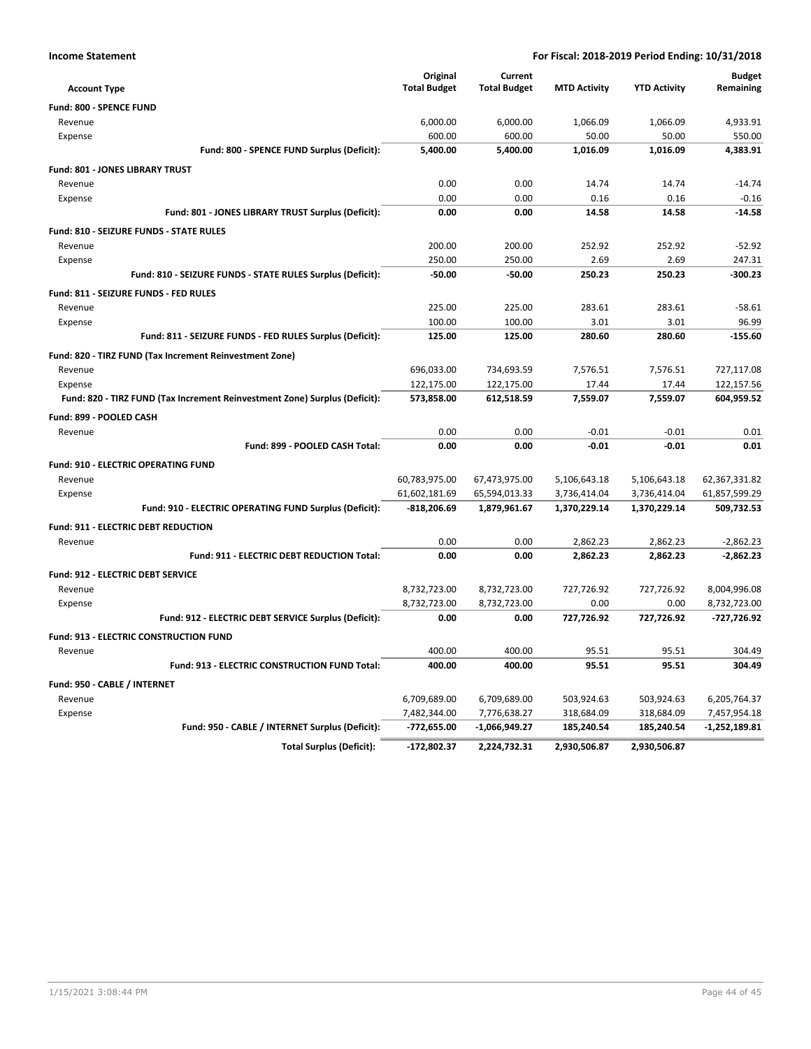|                                                                            | Original                       | Current                        |                              |                              | <b>Budget</b>                  |
|----------------------------------------------------------------------------|--------------------------------|--------------------------------|------------------------------|------------------------------|--------------------------------|
| <b>Account Type</b>                                                        | <b>Total Budget</b>            | <b>Total Budget</b>            | <b>MTD Activity</b>          | <b>YTD Activity</b>          | Remaining                      |
| Fund: 800 - SPENCE FUND                                                    |                                |                                |                              |                              |                                |
| Revenue                                                                    | 6,000.00                       | 6,000.00                       | 1,066.09                     | 1,066.09                     | 4,933.91                       |
| Expense                                                                    | 600.00                         | 600.00                         | 50.00                        | 50.00                        | 550.00                         |
| Fund: 800 - SPENCE FUND Surplus (Deficit):                                 | 5,400.00                       | 5,400.00                       | 1,016.09                     | 1,016.09                     | 4,383.91                       |
| Fund: 801 - JONES LIBRARY TRUST                                            |                                |                                |                              |                              |                                |
| Revenue                                                                    | 0.00                           | 0.00                           | 14.74                        | 14.74                        | $-14.74$                       |
| Expense                                                                    | 0.00                           | 0.00                           | 0.16                         | 0.16                         | $-0.16$                        |
| Fund: 801 - JONES LIBRARY TRUST Surplus (Deficit):                         | 0.00                           | 0.00                           | 14.58                        | 14.58                        | $-14.58$                       |
| Fund: 810 - SEIZURE FUNDS - STATE RULES                                    |                                |                                |                              |                              |                                |
| Revenue                                                                    | 200.00                         | 200.00                         | 252.92                       | 252.92                       | $-52.92$                       |
| Expense                                                                    | 250.00                         | 250.00                         | 2.69                         | 2.69                         | 247.31                         |
| Fund: 810 - SEIZURE FUNDS - STATE RULES Surplus (Deficit):                 | $-50.00$                       | $-50.00$                       | 250.23                       | 250.23                       | -300.23                        |
| Fund: 811 - SEIZURE FUNDS - FED RULES                                      |                                |                                |                              |                              |                                |
| Revenue                                                                    | 225.00                         | 225.00                         | 283.61                       | 283.61                       | $-58.61$                       |
| Expense                                                                    | 100.00                         | 100.00                         | 3.01                         | 3.01                         | 96.99                          |
| Fund: 811 - SEIZURE FUNDS - FED RULES Surplus (Deficit):                   | 125.00                         | 125.00                         | 280.60                       | 280.60                       | $-155.60$                      |
| Fund: 820 - TIRZ FUND (Tax Increment Reinvestment Zone)                    |                                |                                |                              |                              |                                |
| Revenue                                                                    | 696,033.00                     | 734,693.59                     | 7,576.51                     | 7,576.51                     | 727,117.08                     |
| Expense                                                                    | 122,175.00                     | 122,175.00                     | 17.44                        | 17.44                        | 122,157.56                     |
| Fund: 820 - TIRZ FUND (Tax Increment Reinvestment Zone) Surplus (Deficit): | 573,858.00                     | 612,518.59                     | 7,559.07                     | 7,559.07                     | 604,959.52                     |
| Fund: 899 - POOLED CASH                                                    |                                |                                |                              |                              |                                |
| Revenue                                                                    | 0.00                           | 0.00                           | $-0.01$                      | $-0.01$                      | 0.01                           |
| Fund: 899 - POOLED CASH Total:                                             | 0.00                           | 0.00                           | $-0.01$                      | $-0.01$                      | 0.01                           |
|                                                                            |                                |                                |                              |                              |                                |
| <b>Fund: 910 - ELECTRIC OPERATING FUND</b>                                 |                                |                                |                              |                              |                                |
| Revenue                                                                    | 60,783,975.00<br>61,602,181.69 | 67,473,975.00<br>65,594,013.33 | 5,106,643.18<br>3,736,414.04 | 5,106,643.18<br>3,736,414.04 | 62,367,331.82<br>61,857,599.29 |
| Expense<br>Fund: 910 - ELECTRIC OPERATING FUND Surplus (Deficit):          | -818,206.69                    | 1,879,961.67                   | 1,370,229.14                 | 1,370,229.14                 | 509,732.53                     |
|                                                                            |                                |                                |                              |                              |                                |
| Fund: 911 - ELECTRIC DEBT REDUCTION                                        |                                |                                |                              |                              |                                |
| Revenue                                                                    | 0.00                           | 0.00                           | 2,862.23                     | 2,862.23                     | $-2,862.23$                    |
| Fund: 911 - ELECTRIC DEBT REDUCTION Total:                                 | 0.00                           | 0.00                           | 2,862.23                     | 2,862.23                     | $-2,862.23$                    |
| Fund: 912 - ELECTRIC DEBT SERVICE                                          |                                |                                |                              |                              |                                |
| Revenue                                                                    | 8,732,723.00                   | 8,732,723.00                   | 727,726.92                   | 727,726.92                   | 8.004.996.08                   |
| Expense                                                                    | 8,732,723.00                   | 8,732,723.00                   | 0.00                         | 0.00                         | 8,732,723.00                   |
| Fund: 912 - ELECTRIC DEBT SERVICE Surplus (Deficit):                       | 0.00                           | 0.00                           | 727,726.92                   | 727,726.92                   | -727,726.92                    |
| <b>Fund: 913 - ELECTRIC CONSTRUCTION FUND</b>                              |                                |                                |                              |                              |                                |
| Revenue                                                                    | 400.00                         | 400.00                         | 95.51                        | 95.51                        | 304.49                         |
| Fund: 913 - ELECTRIC CONSTRUCTION FUND Total:                              | 400.00                         | 400.00                         | 95.51                        | 95.51                        | 304.49                         |
| Fund: 950 - CABLE / INTERNET                                               |                                |                                |                              |                              |                                |
| Revenue                                                                    | 6,709,689.00                   | 6.709.689.00                   | 503.924.63                   | 503.924.63                   | 6.205.764.37                   |
| Expense                                                                    | 7,482,344.00                   | 7,776,638.27                   | 318,684.09                   | 318,684.09                   | 7,457,954.18                   |
| Fund: 950 - CABLE / INTERNET Surplus (Deficit):                            | -772,655.00                    | $-1,066,949.27$                | 185,240.54                   | 185,240.54                   | $-1,252,189.81$                |
| <b>Total Surplus (Deficit):</b>                                            | -172,802.37                    | 2,224,732.31                   | 2,930,506.87                 | 2,930,506.87                 |                                |